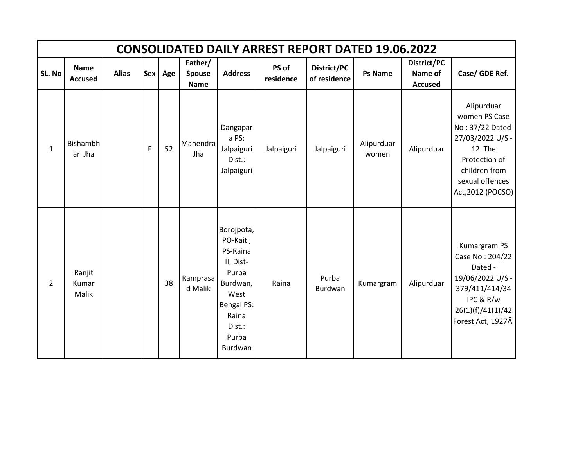|                |                                 |              |   |         |                                  |                                                                                                                                           | <b>CONSOLIDATED DAILY ARREST REPORT DATED 19.06.2022</b> |                             |                     |                                          |                                                                                                                                                        |
|----------------|---------------------------------|--------------|---|---------|----------------------------------|-------------------------------------------------------------------------------------------------------------------------------------------|----------------------------------------------------------|-----------------------------|---------------------|------------------------------------------|--------------------------------------------------------------------------------------------------------------------------------------------------------|
| SL. No         | <b>Name</b><br><b>Accused</b>   | <b>Alias</b> |   | Sex Age | Father/<br>Spouse<br><b>Name</b> | <b>Address</b>                                                                                                                            | PS of<br>residence                                       | District/PC<br>of residence | <b>Ps Name</b>      | District/PC<br>Name of<br><b>Accused</b> | Case/ GDE Ref.                                                                                                                                         |
| $\mathbf{1}$   | Bishambh<br>ar Jha              |              | F | 52      | Mahendra<br>Jha                  | Dangapar<br>a PS:<br>Jalpaiguri<br>Dist.:<br>Jalpaiguri                                                                                   | Jalpaiguri                                               | Jalpaiguri                  | Alipurduar<br>women | Alipurduar                               | Alipurduar<br>women PS Case<br>No: 37/22 Dated<br>27/03/2022 U/S -<br>12 The<br>Protection of<br>children from<br>sexual offences<br>Act, 2012 (POCSO) |
| $\overline{2}$ | Ranjit<br>Kumar<br><b>Malik</b> |              |   | 38      | Ramprasa<br>d Malik              | Borojpota,<br>PO-Kaiti,<br>PS-Raina<br>II, Dist-<br>Purba<br>Burdwan,<br>West<br><b>Bengal PS:</b><br>Raina<br>Dist.:<br>Purba<br>Burdwan | Raina                                                    | Purba<br><b>Burdwan</b>     | Kumargram           | Alipurduar                               | Kumargram PS<br>Case No: 204/22<br>Dated -<br>19/06/2022 U/S -<br>379/411/414/34<br>IPC & R/w<br>26(1)(f)/41(1)/42<br>Forest Act, 1927Â                |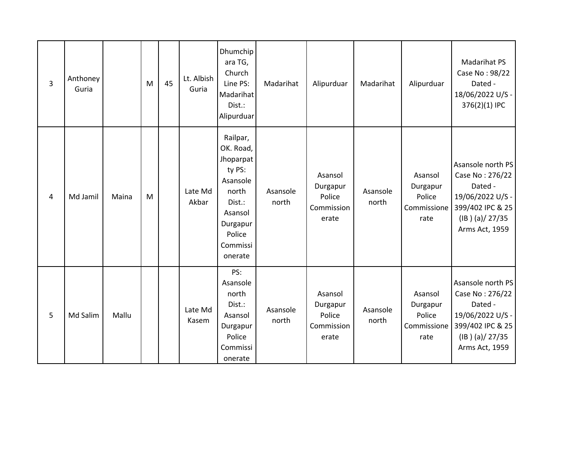| 3 | Anthoney<br>Guria |       | M | 45 | Lt. Albish<br>Guria | Dhumchip<br>ara TG,<br>Church<br>Line PS:<br>Madarihat<br>Dist.:<br>Alipurduar                                                      | Madarihat         | Alipurduar                                           | Madarihat         | Alipurduar                                           | <b>Madarihat PS</b><br>Case No: 98/22<br>Dated -<br>18/06/2022 U/S -<br>376(2)(1) IPC                                      |
|---|-------------------|-------|---|----|---------------------|-------------------------------------------------------------------------------------------------------------------------------------|-------------------|------------------------------------------------------|-------------------|------------------------------------------------------|----------------------------------------------------------------------------------------------------------------------------|
| 4 | Md Jamil          | Maina | M |    | Late Md<br>Akbar    | Railpar,<br>OK. Road,<br>Jhoparpat<br>ty PS:<br>Asansole<br>north<br>Dist.:<br>Asansol<br>Durgapur<br>Police<br>Commissi<br>onerate | Asansole<br>north | Asansol<br>Durgapur<br>Police<br>Commission<br>erate | Asansole<br>north | Asansol<br>Durgapur<br>Police<br>Commissione<br>rate | Asansole north PS<br>Case No: 276/22<br>Dated -<br>19/06/2022 U/S -<br>399/402 IPC & 25<br>(IB)(a)/27/35<br>Arms Act, 1959 |
| 5 | Md Salim          | Mallu |   |    | Late Md<br>Kasem    | PS:<br>Asansole<br>north<br>Dist.:<br>Asansol<br>Durgapur<br>Police<br>Commissi<br>onerate                                          | Asansole<br>north | Asansol<br>Durgapur<br>Police<br>Commission<br>erate | Asansole<br>north | Asansol<br>Durgapur<br>Police<br>Commissione<br>rate | Asansole north PS<br>Case No: 276/22<br>Dated -<br>19/06/2022 U/S -<br>399/402 IPC & 25<br>(IB)(a)/27/35<br>Arms Act, 1959 |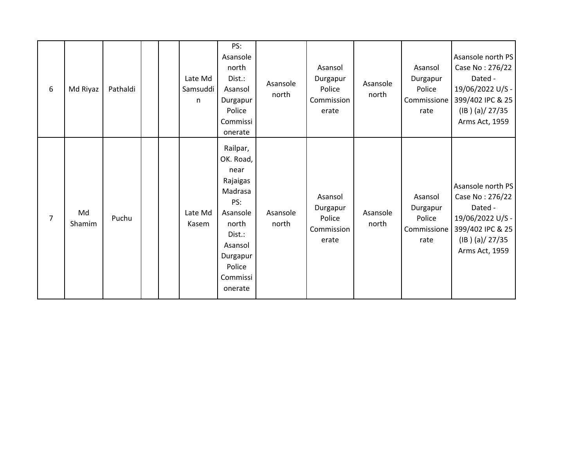| 6 | Md Riyaz     | Pathaldi |  | Late Md<br>Samsuddi<br>n | PS:<br>Asansole<br>north<br>Dist.:<br>Asansol<br>Durgapur<br>Police<br>Commissi<br>onerate                                                         | Asansole<br>north | Asansol<br>Durgapur<br>Police<br>Commission<br>erate | Asansole<br>north | Asansol<br>Durgapur<br>Police<br>Commissione<br>rate | Asansole north PS<br>Case No: 276/22<br>Dated -<br>19/06/2022 U/S -<br>399/402 IPC & 25<br>(IB)(a)/27/35<br>Arms Act, 1959 |
|---|--------------|----------|--|--------------------------|----------------------------------------------------------------------------------------------------------------------------------------------------|-------------------|------------------------------------------------------|-------------------|------------------------------------------------------|----------------------------------------------------------------------------------------------------------------------------|
| 7 | Md<br>Shamim | Puchu    |  | Late Md<br>Kasem         | Railpar,<br>OK. Road,<br>near<br>Rajaigas<br>Madrasa<br>PS:<br>Asansole<br>north<br>Dist.:<br>Asansol<br>Durgapur<br>Police<br>Commissi<br>onerate | Asansole<br>north | Asansol<br>Durgapur<br>Police<br>Commission<br>erate | Asansole<br>north | Asansol<br>Durgapur<br>Police<br>Commissione<br>rate | Asansole north PS<br>Case No: 276/22<br>Dated -<br>19/06/2022 U/S -<br>399/402 IPC & 25<br>(IB)(a)/27/35<br>Arms Act, 1959 |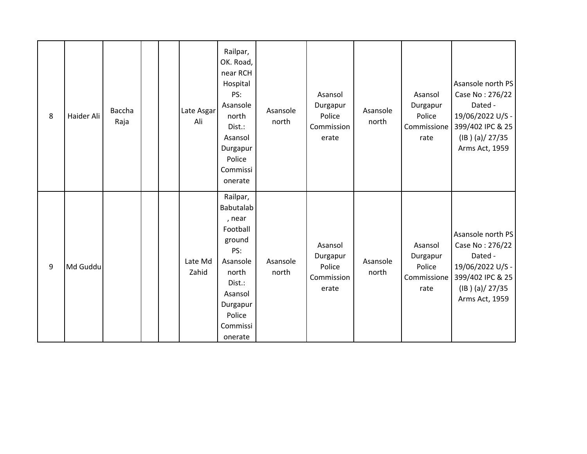| 8 | Haider Ali | Baccha<br>Raja | Late Asgar<br>Ali | Railpar,<br>OK. Road,<br>near RCH<br>Hospital<br>PS:<br>Asansole<br>north<br>Dist.:<br>Asansol<br>Durgapur<br>Police<br>Commissi<br>onerate         | Asansole<br>north | Asansol<br>Durgapur<br>Police<br>Commission<br>erate | Asansole<br>north | Asansol<br>Durgapur<br>Police<br>Commissione<br>rate | Asansole north PS<br>Case No: 276/22<br>Dated -<br>19/06/2022 U/S -<br>399/402 IPC & 25<br>(IB)(a)/27/35<br>Arms Act, 1959 |
|---|------------|----------------|-------------------|-----------------------------------------------------------------------------------------------------------------------------------------------------|-------------------|------------------------------------------------------|-------------------|------------------------------------------------------|----------------------------------------------------------------------------------------------------------------------------|
| 9 | Md Guddu   |                | Late Md<br>Zahid  | Railpar,<br>Babutalab<br>, near<br>Football<br>ground<br>PS:<br>Asansole<br>north<br>Dist.:<br>Asansol<br>Durgapur<br>Police<br>Commissi<br>onerate | Asansole<br>north | Asansol<br>Durgapur<br>Police<br>Commission<br>erate | Asansole<br>north | Asansol<br>Durgapur<br>Police<br>Commissione<br>rate | Asansole north PS<br>Case No: 276/22<br>Dated -<br>19/06/2022 U/S -<br>399/402 IPC & 25<br>(IB)(a)/27/35<br>Arms Act, 1959 |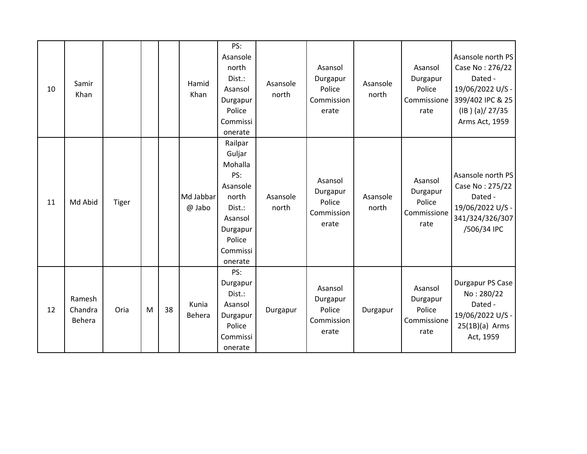| 10 | Samir<br>Khan               |              |   |    | Hamid<br>Khan       | PS:<br>Asansole<br>north<br>Dist.:<br>Asansol<br>Durgapur<br>Police<br>Commissi<br>onerate                                 | Asansole<br>north | Asansol<br>Durgapur<br>Police<br>Commission<br>erate | Asansole<br>north | Asansol<br>Durgapur<br>Police<br>Commissione<br>rate | Asansole north PS<br>Case No: 276/22<br>Dated -<br>19/06/2022 U/S -<br>399/402 IPC & 25<br>(IB)(a)/27/35<br>Arms Act, 1959 |
|----|-----------------------------|--------------|---|----|---------------------|----------------------------------------------------------------------------------------------------------------------------|-------------------|------------------------------------------------------|-------------------|------------------------------------------------------|----------------------------------------------------------------------------------------------------------------------------|
| 11 | Md Abid                     | <b>Tiger</b> |   |    | Md Jabbar<br>@ Jabo | Railpar<br>Guljar<br>Mohalla<br>PS:<br>Asansole<br>north<br>Dist.:<br>Asansol<br>Durgapur<br>Police<br>Commissi<br>onerate | Asansole<br>north | Asansol<br>Durgapur<br>Police<br>Commission<br>erate | Asansole<br>north | Asansol<br>Durgapur<br>Police<br>Commissione<br>rate | Asansole north PS<br>Case No: 275/22<br>Dated -<br>19/06/2022 U/S -<br>341/324/326/307<br>/506/34 IPC                      |
| 12 | Ramesh<br>Chandra<br>Behera | Oria         | M | 38 | Kunia<br>Behera     | PS:<br>Durgapur<br>Dist.:<br>Asansol<br>Durgapur<br>Police<br>Commissi<br>onerate                                          | Durgapur          | Asansol<br>Durgapur<br>Police<br>Commission<br>erate | Durgapur          | Asansol<br>Durgapur<br>Police<br>Commissione<br>rate | Durgapur PS Case<br>No: 280/22<br>Dated -<br>19/06/2022 U/S -<br>$25(1B)(a)$ Arms<br>Act, 1959                             |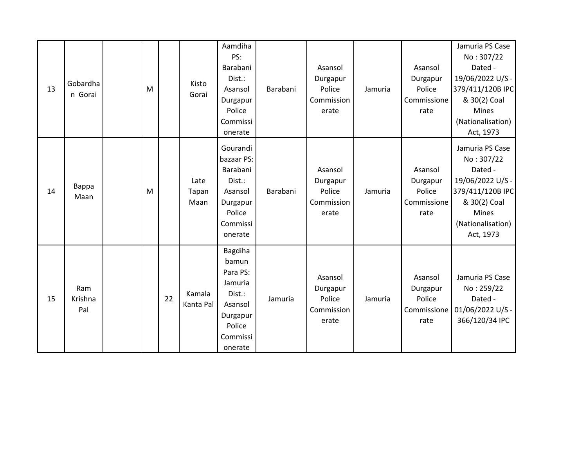| 13 | Gobardha<br>n Gorai   | M |    | Kisto<br>Gorai        | Aamdiha<br>PS:<br>Barabani<br>Dist.:<br>Asansol<br>Durgapur<br>Police<br>Commissi<br>onerate              | Barabani | Asansol<br>Durgapur<br>Police<br>Commission<br>erate | Jamuria | Asansol<br>Durgapur<br>Police<br>Commissione<br>rate | Jamuria PS Case<br>No: 307/22<br>Dated -<br>19/06/2022 U/S -<br>379/411/120B IPC<br>& 30(2) Coal<br>Mines<br>(Nationalisation)<br>Act, 1973 |
|----|-----------------------|---|----|-----------------------|-----------------------------------------------------------------------------------------------------------|----------|------------------------------------------------------|---------|------------------------------------------------------|---------------------------------------------------------------------------------------------------------------------------------------------|
| 14 | Bappa<br>Maan         | M |    | Late<br>Tapan<br>Maan | Gourandi<br>bazaar PS:<br>Barabani<br>Dist.:<br>Asansol<br>Durgapur<br>Police<br>Commissi<br>onerate      | Barabani | Asansol<br>Durgapur<br>Police<br>Commission<br>erate | Jamuria | Asansol<br>Durgapur<br>Police<br>Commissione<br>rate | Jamuria PS Case<br>No: 307/22<br>Dated -<br>19/06/2022 U/S -<br>379/411/120B IPC<br>& 30(2) Coal<br>Mines<br>(Nationalisation)<br>Act, 1973 |
| 15 | Ram<br>Krishna<br>Pal |   | 22 | Kamala<br>Kanta Pal   | Bagdiha<br>bamun<br>Para PS:<br>Jamuria<br>Dist.:<br>Asansol<br>Durgapur<br>Police<br>Commissi<br>onerate | Jamuria  | Asansol<br>Durgapur<br>Police<br>Commission<br>erate | Jamuria | Asansol<br>Durgapur<br>Police<br>rate                | Jamuria PS Case<br>No: 259/22<br>Dated -<br>Commissione   01/06/2022 U/S -<br>366/120/34 IPC                                                |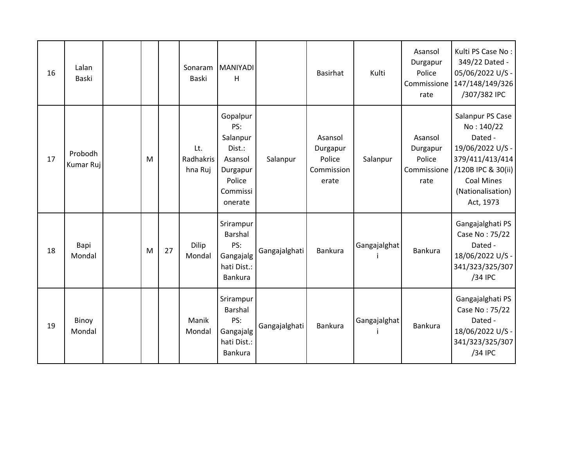| 16 | Lalan<br>Baski       |   |    | Sonaram<br><b>Baski</b>     | <b>MANIYADI</b><br>H                                                                          |               | Basirhat                                             | Kulti        | Asansol<br>Durgapur<br>Police<br>Commissione<br>rate | Kulti PS Case No:<br>349/22 Dated -<br>05/06/2022 U/S -<br>147/148/149/326<br>/307/382 IPC                                                                    |
|----|----------------------|---|----|-----------------------------|-----------------------------------------------------------------------------------------------|---------------|------------------------------------------------------|--------------|------------------------------------------------------|---------------------------------------------------------------------------------------------------------------------------------------------------------------|
| 17 | Probodh<br>Kumar Ruj | M |    | Lt.<br>Radhakris<br>hna Ruj | Gopalpur<br>PS:<br>Salanpur<br>Dist.:<br>Asansol<br>Durgapur<br>Police<br>Commissi<br>onerate | Salanpur      | Asansol<br>Durgapur<br>Police<br>Commission<br>erate | Salanpur     | Asansol<br>Durgapur<br>Police<br>Commissione<br>rate | Salanpur PS Case<br>No: 140/22<br>Dated -<br>19/06/2022 U/S -<br>379/411/413/414<br>/120B IPC & 30(ii)<br><b>Coal Mines</b><br>(Nationalisation)<br>Act, 1973 |
| 18 | Bapi<br>Mondal       | M | 27 | Dilip<br>Mondal             | Srirampur<br>Barshal<br>PS:<br>Gangajalg<br>hati Dist.:<br>Bankura                            | Gangajalghati | Bankura                                              | Gangajalghat | Bankura                                              | Gangajalghati PS<br>Case No: 75/22<br>Dated -<br>18/06/2022 U/S -<br>341/323/325/307<br>/34 IPC                                                               |
| 19 | Binoy<br>Mondal      |   |    | Manik<br>Mondal             | Srirampur<br>Barshal<br>PS:<br>Gangajalg<br>hati Dist.:<br>Bankura                            | Gangajalghati | Bankura                                              | Gangajalghat | Bankura                                              | Gangajalghati PS<br>Case No: 75/22<br>Dated -<br>18/06/2022 U/S -<br>341/323/325/307<br>/34 IPC                                                               |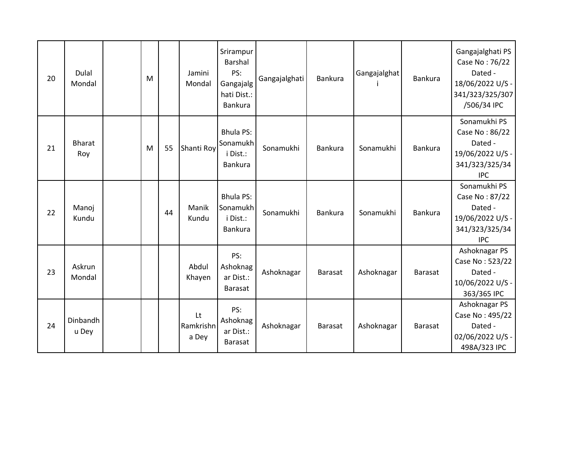| 20 | Dulal<br>Mondal      | M |    | Jamini<br>Mondal         | Srirampur<br><b>Barshal</b><br>PS:<br>Gangajalg<br>hati Dist.:<br>Bankura | Gangajalghati | <b>Bankura</b> | Gangajalghat | Bankura        | Gangajalghati PS<br>Case No: 76/22<br>Dated -<br>18/06/2022 U/S -<br>341/323/325/307<br>/506/34 IPC |
|----|----------------------|---|----|--------------------------|---------------------------------------------------------------------------|---------------|----------------|--------------|----------------|-----------------------------------------------------------------------------------------------------|
| 21 | <b>Bharat</b><br>Roy | M | 55 | Shanti Roy               | <b>Bhula PS:</b><br>Sonamukh<br>i Dist.:<br>Bankura                       | Sonamukhi     | <b>Bankura</b> | Sonamukhi    | Bankura        | Sonamukhi PS<br>Case No: 86/22<br>Dated -<br>19/06/2022 U/S -<br>341/323/325/34<br><b>IPC</b>       |
| 22 | Manoj<br>Kundu       |   | 44 | Manik<br>Kundu           | <b>Bhula PS:</b><br>Sonamukh<br>i Dist.:<br><b>Bankura</b>                | Sonamukhi     | <b>Bankura</b> | Sonamukhi    | Bankura        | Sonamukhi PS<br>Case No: 87/22<br>Dated -<br>19/06/2022 U/S -<br>341/323/325/34<br><b>IPC</b>       |
| 23 | Askrun<br>Mondal     |   |    | Abdul<br>Khayen          | PS:<br>Ashoknag<br>ar Dist.:<br><b>Barasat</b>                            | Ashoknagar    | <b>Barasat</b> | Ashoknagar   | <b>Barasat</b> | Ashoknagar PS<br>Case No: 523/22<br>Dated -<br>10/06/2022 U/S -<br>363/365 IPC                      |
| 24 | Dinbandh<br>u Dey    |   |    | Lt<br>Ramkrishn<br>a Dey | PS:<br>Ashoknag<br>ar Dist.:<br><b>Barasat</b>                            | Ashoknagar    | <b>Barasat</b> | Ashoknagar   | <b>Barasat</b> | Ashoknagar PS<br>Case No: 495/22<br>Dated -<br>02/06/2022 U/S -<br>498A/323 IPC                     |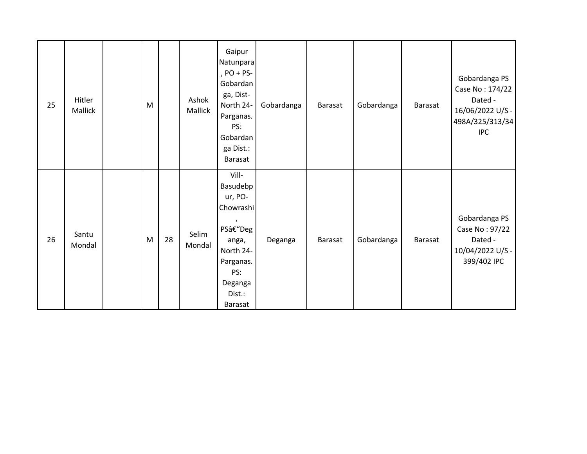| 25 | Hitler<br>Mallick | M |    | Ashok<br>Mallick | Gaipur<br>Natunpara<br>, $PO + PS-$<br>Gobardan<br>ga, Dist-<br>North 24-<br>Parganas.<br>PS:<br>Gobardan<br>ga Dist.:<br>Barasat | Gobardanga | <b>Barasat</b> | Gobardanga | Barasat | Gobardanga PS<br>Case No: 174/22<br>Dated -<br>16/06/2022 U/S -<br>498A/325/313/34<br><b>IPC</b> |
|----|-------------------|---|----|------------------|-----------------------------------------------------------------------------------------------------------------------------------|------------|----------------|------------|---------|--------------------------------------------------------------------------------------------------|
| 26 | Santu<br>Mondal   | M | 28 | Selim<br>Mondal  | Vill-<br>Basudebp<br>ur, PO-<br>Chowrashi<br>PS–Deg<br>anga,<br>North 24-<br>Parganas.<br>PS:<br>Deganga<br>Dist.:<br>Barasat     | Deganga    | Barasat        | Gobardanga | Barasat | Gobardanga PS<br>Case No: 97/22<br>Dated -<br>10/04/2022 U/S -<br>399/402 IPC                    |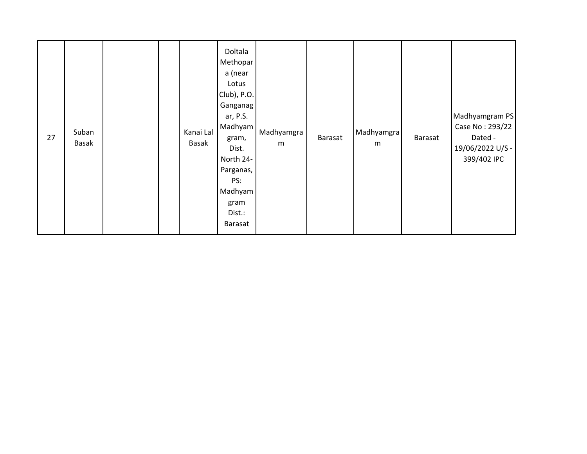| 27 | Suban<br>Basak |  |  |  | Kanai Lal<br>Basak | Doltala<br>Methopar<br>a (near<br>Lotus<br>Club), P.O.<br>Ganganag<br>ar, P.S.<br>Madhyam<br>gram,<br>Dist.<br>North 24-<br>Parganas,<br>PS:<br>Madhyam<br>gram<br>Dist.:<br><b>Barasat</b> | Madhyamgra<br>m | Barasat | Madhyamgra<br>m | Barasat | Madhyamgram PS<br>Case No: 293/22<br>Dated -<br>19/06/2022 U/S -<br>399/402 IPC |
|----|----------------|--|--|--|--------------------|---------------------------------------------------------------------------------------------------------------------------------------------------------------------------------------------|-----------------|---------|-----------------|---------|---------------------------------------------------------------------------------|
|----|----------------|--|--|--|--------------------|---------------------------------------------------------------------------------------------------------------------------------------------------------------------------------------------|-----------------|---------|-----------------|---------|---------------------------------------------------------------------------------|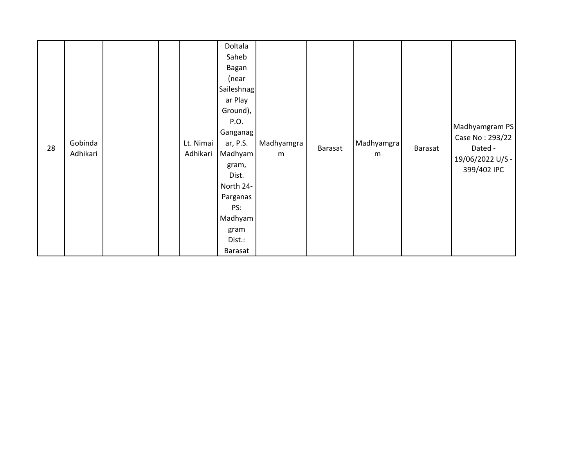| 28 | Gobinda<br>Adhikari |  |  |  | Lt. Nimai<br>Adhikari | Doltala<br>Saheb<br>Bagan<br>(near<br>Saileshnag<br>ar Play<br>Ground),<br>P.O.<br>Ganganag<br>ar, P.S.<br>Madhyam<br>gram,<br>Dist.<br>North 24-<br>Parganas<br>PS:<br>Madhyam<br>gram<br>Dist.:<br>Barasat | Madhyamgra<br>m | Barasat | Madhyamgra<br>${\sf m}$ | Barasat | Madhyamgram PS<br>Case No: 293/22<br>Dated -<br>19/06/2022 U/S -<br>399/402 IPC |
|----|---------------------|--|--|--|-----------------------|--------------------------------------------------------------------------------------------------------------------------------------------------------------------------------------------------------------|-----------------|---------|-------------------------|---------|---------------------------------------------------------------------------------|
|----|---------------------|--|--|--|-----------------------|--------------------------------------------------------------------------------------------------------------------------------------------------------------------------------------------------------------|-----------------|---------|-------------------------|---------|---------------------------------------------------------------------------------|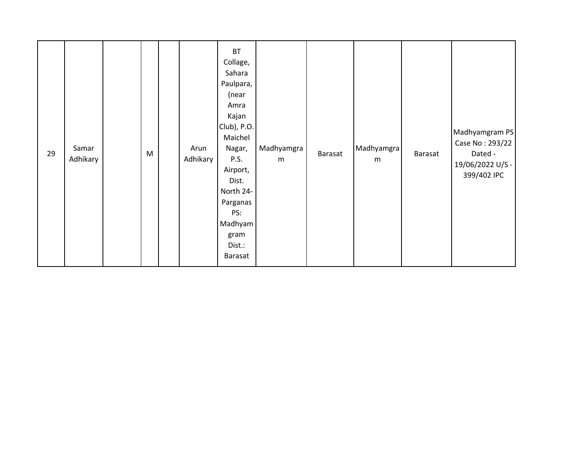| m<br>m<br>Airport,<br>Dist.<br>North 24-<br>Parganas<br>PS:<br>Madhyam<br>gram<br>Dist.:<br>Barasat | 29 | Samar<br>Adhikary | M |  | Arun<br>Adhikary | <b>BT</b><br>Collage,<br>Sahara<br>Paulpara,<br>(near<br>Amra<br>Kajan<br>Club), P.O.<br>Maichel<br>Nagar,<br>P.S. | Madhyamgra | Barasat | Madhyamgra | Barasat | Madhyamgram PS<br>Case No: 293/22<br>Dated -<br>19/06/2022 U/S -<br>399/402 IPC |
|-----------------------------------------------------------------------------------------------------|----|-------------------|---|--|------------------|--------------------------------------------------------------------------------------------------------------------|------------|---------|------------|---------|---------------------------------------------------------------------------------|
|-----------------------------------------------------------------------------------------------------|----|-------------------|---|--|------------------|--------------------------------------------------------------------------------------------------------------------|------------|---------|------------|---------|---------------------------------------------------------------------------------|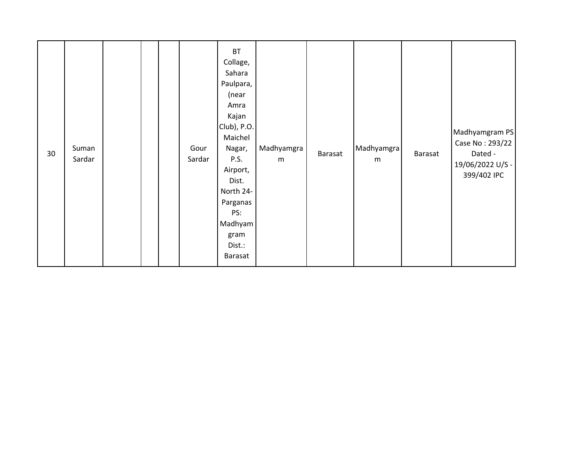| 30 | Suman<br>Sardar |  |  |  | Gour<br>Sardar | <b>BT</b><br>Collage,<br>Sahara<br>Paulpara,<br>(near<br>Amra<br>Kajan<br>Club), P.O.<br>Maichel<br>Nagar,<br>P.S.<br>Airport,<br>Dist.<br>North 24-<br>Parganas<br>PS:<br>Madhyam<br>gram<br>Dist.:<br>Barasat | Madhyamgra<br>m | Barasat | Madhyamgra<br>m | Barasat | Madhyamgram PS<br>Case No: 293/22<br>Dated -<br>19/06/2022 U/S -<br>399/402 IPC |
|----|-----------------|--|--|--|----------------|-----------------------------------------------------------------------------------------------------------------------------------------------------------------------------------------------------------------|-----------------|---------|-----------------|---------|---------------------------------------------------------------------------------|
|----|-----------------|--|--|--|----------------|-----------------------------------------------------------------------------------------------------------------------------------------------------------------------------------------------------------------|-----------------|---------|-----------------|---------|---------------------------------------------------------------------------------|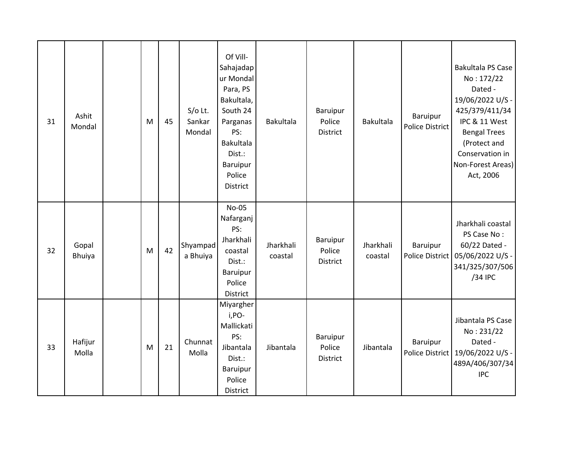| 31 | Ashit<br>Mondal        | M | 45 | $S/O$ Lt.<br>Sankar<br>Mondal | Of Vill-<br>Sahajadap<br>ur Mondal<br>Para, PS<br>Bakultala,<br>South 24<br>Parganas<br>PS:<br>Bakultala<br>Dist.:<br>Baruipur<br>Police<br><b>District</b> | <b>Bakultala</b>     | Baruipur<br>Police<br>District        | <b>Bakultala</b>     | Baruipur<br><b>Police District</b> | <b>Bakultala PS Case</b><br>No: 172/22<br>Dated -<br>19/06/2022 U/S -<br>425/379/411/34<br>IPC & 11 West<br><b>Bengal Trees</b><br>(Protect and<br>Conservation in<br>Non-Forest Areas)<br>Act, 2006 |
|----|------------------------|---|----|-------------------------------|-------------------------------------------------------------------------------------------------------------------------------------------------------------|----------------------|---------------------------------------|----------------------|------------------------------------|------------------------------------------------------------------------------------------------------------------------------------------------------------------------------------------------------|
| 32 | Gopal<br><b>Bhuiya</b> | M | 42 | Shyampad<br>a Bhuiya          | No-05<br>Nafarganj<br>PS:<br>Jharkhali<br>coastal<br>Dist.:<br>Baruipur<br>Police<br>District                                                               | Jharkhali<br>coastal | Baruipur<br>Police<br>District        | Jharkhali<br>coastal | Baruipur<br><b>Police District</b> | Jharkhali coastal<br>PS Case No:<br>60/22 Dated -<br>05/06/2022 U/S -<br>341/325/307/506<br>/34 IPC                                                                                                  |
| 33 | Hafijur<br>Molla       | M | 21 | Chunnat<br>Molla              | Miyargher<br>i,PO-<br>Mallickati<br>PS:<br>Jibantala<br>Dist.:<br>Baruipur<br>Police<br>District                                                            | Jibantala            | Baruipur<br>Police<br><b>District</b> | Jibantala            | Baruipur                           | Jibantala PS Case<br>No: 231/22<br>Dated -<br>Police District   19/06/2022 U/S -<br>489A/406/307/34<br><b>IPC</b>                                                                                    |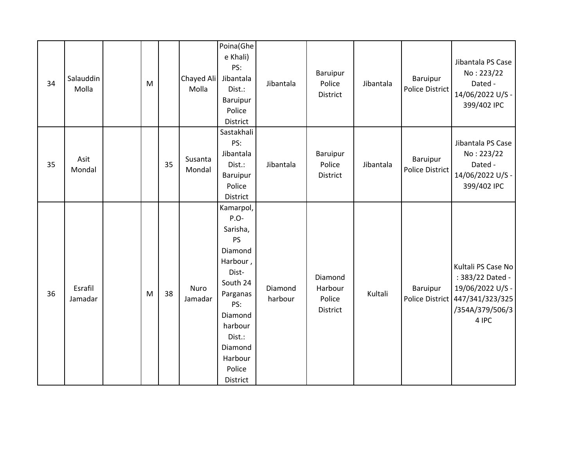| 34 | Salauddin          | M |    | Chayed Ali        | Poina(Ghe<br>e Khali)<br>PS:<br>Jibantala                                                                                                                                             | Jibantala          | Baruipur<br>Police                       | Jibantala | Baruipur                    | Jibantala PS Case<br>No: 223/22<br>Dated -                                                                                |
|----|--------------------|---|----|-------------------|---------------------------------------------------------------------------------------------------------------------------------------------------------------------------------------|--------------------|------------------------------------------|-----------|-----------------------------|---------------------------------------------------------------------------------------------------------------------------|
|    | Molla              |   |    | Molla             | Dist.:<br><b>Baruipur</b><br>Police<br>District                                                                                                                                       |                    | District                                 |           | Police District             | 14/06/2022 U/S -<br>399/402 IPC                                                                                           |
| 35 | Asit<br>Mondal     |   | 35 | Susanta<br>Mondal | Sastakhali<br>PS:<br>Jibantala<br>Dist.:<br>Baruipur<br>Police<br>District                                                                                                            | Jibantala          | <b>Baruipur</b><br>Police<br>District    | Jibantala | Baruipur<br>Police District | Jibantala PS Case<br>No: 223/22<br>Dated -<br>14/06/2022 U/S -<br>399/402 IPC                                             |
| 36 | Esrafil<br>Jamadar | M | 38 | Nuro<br>Jamadar   | Kamarpol,<br>P.O-<br>Sarisha,<br><b>PS</b><br>Diamond<br>Harbour,<br>Dist-<br>South 24<br>Parganas<br>PS:<br>Diamond<br>harbour<br>Dist.:<br>Diamond<br>Harbour<br>Police<br>District | Diamond<br>harbour | Diamond<br>Harbour<br>Police<br>District | Kultali   | Baruipur                    | Kultali PS Case No<br>: 383/22 Dated -<br>19/06/2022 U/S -<br>Police District 447/341/323/325<br>/354A/379/506/3<br>4 IPC |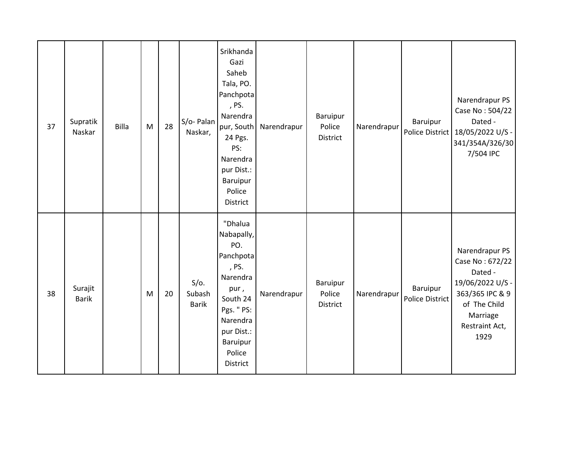| 37 | Supratik<br>Naskar      | <b>Billa</b> | M | 28 | S/o- Palan<br>Naskar,             | Srikhanda<br>Gazi<br>Saheb<br>Tala, PO.<br>Panchpota<br>, PS.<br>Narendra<br>pur, South<br>24 Pgs.<br>PS:<br>Narendra<br>pur Dist.:<br>Baruipur<br>Police<br>District | Narendrapur | Baruipur<br>Police<br>District        | Narendrapur | Baruipur                           | Narendrapur PS<br>Case No: 504/22<br>Dated -<br>Police District   18/05/2022 U/S -<br>341/354A/326/30<br>7/504 IPC                        |
|----|-------------------------|--------------|---|----|-----------------------------------|-----------------------------------------------------------------------------------------------------------------------------------------------------------------------|-------------|---------------------------------------|-------------|------------------------------------|-------------------------------------------------------------------------------------------------------------------------------------------|
| 38 | Surajit<br><b>Barik</b> |              | M | 20 | $S/O$ .<br>Subash<br><b>Barik</b> | "Dhalua<br>Nabapally,<br>PO.<br>Panchpota<br>, PS.<br>Narendra<br>pur,<br>South 24<br>Pgs. " PS:<br>Narendra<br>pur Dist.:<br>Baruipur<br>Police<br>District          | Narendrapur | <b>Baruipur</b><br>Police<br>District | Narendrapur | Baruipur<br><b>Police District</b> | Narendrapur PS<br>Case No: 672/22<br>Dated -<br>19/06/2022 U/S -<br>363/365 IPC & 9<br>of The Child<br>Marriage<br>Restraint Act,<br>1929 |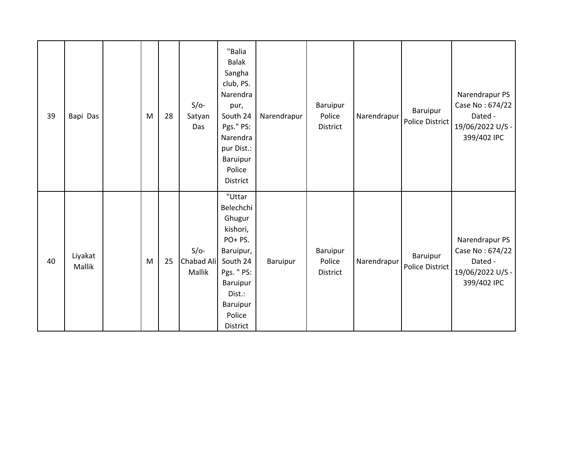| 39 | Bapi Das          | M | 28 | $S/O-$<br>Satyan<br>Das        | "Balia<br><b>Balak</b><br>Sangha<br>club, PS.<br>Narendra<br>pur,<br>South 24<br>Pgs." PS:<br>Narendra<br>pur Dist.:<br>Baruipur<br>Police<br>District | Narendrapur | Baruipur<br>Police<br>District | Narendrapur | Baruipur<br>Police District | Narendrapur PS<br>Case No: 674/22<br>Dated -<br>19/06/2022 U/S -<br>399/402 IPC |
|----|-------------------|---|----|--------------------------------|--------------------------------------------------------------------------------------------------------------------------------------------------------|-------------|--------------------------------|-------------|-----------------------------|---------------------------------------------------------------------------------|
| 40 | Liyakat<br>Mallik | M | 25 | $S/O-$<br>Chabad Ali<br>Mallik | "Uttar<br>Belechchi<br>Ghugur<br>kishori,<br>PO+PS.<br>Baruipur,<br>South 24<br>Pgs. " PS:<br>Baruipur<br>Dist.:<br>Baruipur<br>Police<br>District     | Baruipur    | Baruipur<br>Police<br>District | Narendrapur | Baruipur<br>Police District | Narendrapur PS<br>Case No: 674/22<br>Dated -<br>19/06/2022 U/S -<br>399/402 IPC |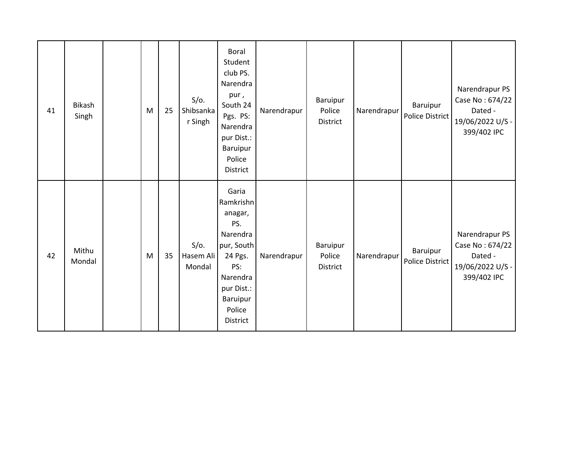| 41 | Bikash<br>Singh | M | 25 | $S/O$ .<br>Shibsanka<br>r Singh | <b>Boral</b><br>Student<br>club PS.<br>Narendra<br>pur,<br>South 24<br>Pgs. PS:<br>Narendra<br>pur Dist.:<br>Baruipur<br>Police<br>District  | Narendrapur | Baruipur<br>Police<br>District | Narendrapur | Baruipur<br>Police District | Narendrapur PS<br>Case No: 674/22<br>Dated -<br>19/06/2022 U/S -<br>399/402 IPC |
|----|-----------------|---|----|---------------------------------|----------------------------------------------------------------------------------------------------------------------------------------------|-------------|--------------------------------|-------------|-----------------------------|---------------------------------------------------------------------------------|
| 42 | Mithu<br>Mondal | M | 35 | $S/O$ .<br>Hasem Ali<br>Mondal  | Garia<br>Ramkrishn<br>anagar,<br>PS.<br>Narendra<br>pur, South<br>24 Pgs.<br>PS:<br>Narendra<br>pur Dist.:<br>Baruipur<br>Police<br>District | Narendrapur | Baruipur<br>Police<br>District | Narendrapur | Baruipur<br>Police District | Narendrapur PS<br>Case No: 674/22<br>Dated -<br>19/06/2022 U/S -<br>399/402 IPC |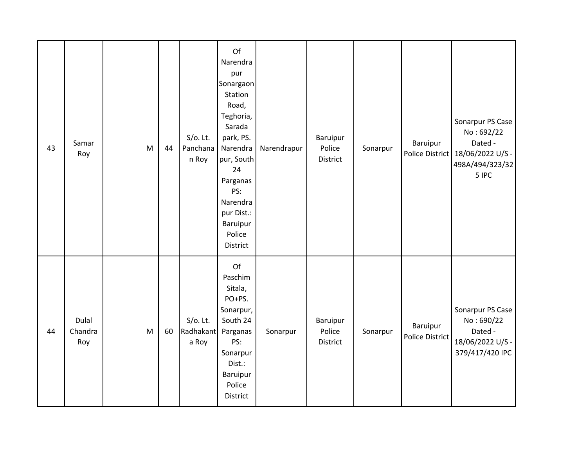| 43 | Samar<br>Roy            | M | 44 | $S/O$ . Lt.<br>Panchana<br>n Roy  | Of<br>Narendra<br>pur<br>Sonargaon<br>Station<br>Road,<br>Teghoria,<br>Sarada<br>park, PS.<br>Narendra<br>pur, South<br>24<br>Parganas<br>PS:<br>Narendra<br>pur Dist.:<br>Baruipur<br>Police<br>District | Narendrapur | Baruipur<br>Police<br>District | Sonarpur | Baruipur                           | Sonarpur PS Case<br>No: 692/22<br>Dated -<br>Police District   18/06/2022 U/S -<br>498A/494/323/32<br>5 IPC |
|----|-------------------------|---|----|-----------------------------------|-----------------------------------------------------------------------------------------------------------------------------------------------------------------------------------------------------------|-------------|--------------------------------|----------|------------------------------------|-------------------------------------------------------------------------------------------------------------|
| 44 | Dulal<br>Chandra<br>Roy | M | 60 | $S/O$ . Lt.<br>Radhakant<br>a Roy | Of<br>Paschim<br>Sitala,<br>PO+PS.<br>Sonarpur,<br>South 24<br>Parganas<br>PS:<br>Sonarpur<br>Dist.:<br>Baruipur<br>Police<br>District                                                                    | Sonarpur    | Baruipur<br>Police<br>District | Sonarpur | Baruipur<br><b>Police District</b> | Sonarpur PS Case<br>No:690/22<br>Dated -<br>18/06/2022 U/S -<br>379/417/420 IPC                             |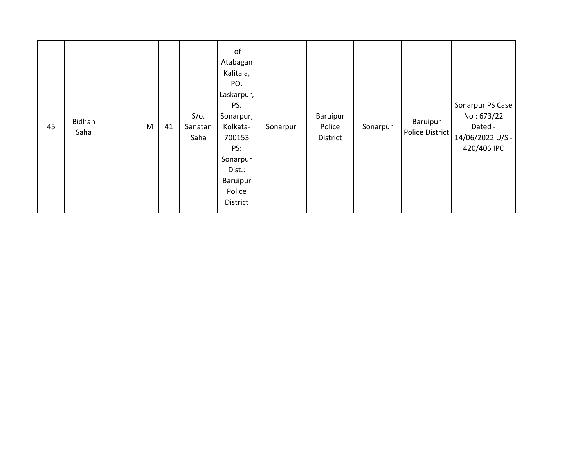| 45 | Bidhan<br>Saha |  | M | 41 | $S/O$ .<br>Sanatan<br>Saha | of<br>Atabagan<br>Kalitala,<br>PO.<br>Laskarpur,<br>PS.<br>Sonarpur, I<br>Kolkata-<br>700153<br>PS:<br>Sonarpur<br>Dist.:<br>Baruipur<br>Police<br>District | Sonarpur | Baruipur<br>Police<br>District | Sonarpur | Baruipur<br>Police District | Sonarpur PS Case<br>No: 673/22<br>Dated -<br>14/06/2022 U/S -<br>420/406 IPC |
|----|----------------|--|---|----|----------------------------|-------------------------------------------------------------------------------------------------------------------------------------------------------------|----------|--------------------------------|----------|-----------------------------|------------------------------------------------------------------------------|
|----|----------------|--|---|----|----------------------------|-------------------------------------------------------------------------------------------------------------------------------------------------------------|----------|--------------------------------|----------|-----------------------------|------------------------------------------------------------------------------|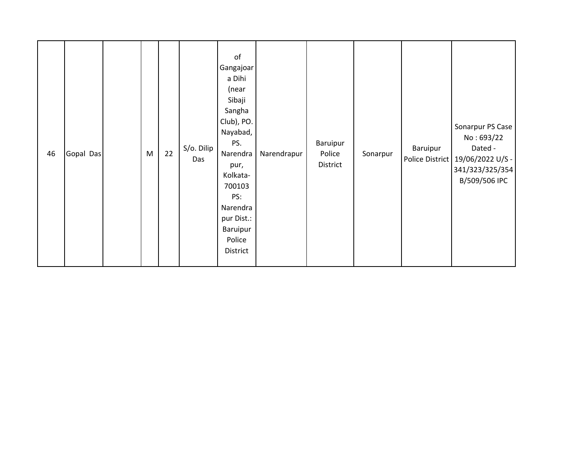| 46 | Gopal Das |  | M | 22 | S/o. Dilip<br>Das | $\mathsf{of}$<br>Gangajoar<br>a Dihi<br>(near<br>Sibaji<br>Sangha<br>Club), PO.<br>Nayabad,<br>PS.<br>Narendra<br>pur,<br>Kolkata-<br>700103<br>PS:<br>Narendra<br>pur Dist.:<br>Baruipur<br>Police<br>District | Narendrapur | Baruipur<br>Police<br>District | Sonarpur | Baruipur | Sonarpur PS Case<br>No: 693/22<br>Dated -<br>Police District   19/06/2022 U/S -<br>341/323/325/354<br>B/509/506 IPC |
|----|-----------|--|---|----|-------------------|-----------------------------------------------------------------------------------------------------------------------------------------------------------------------------------------------------------------|-------------|--------------------------------|----------|----------|---------------------------------------------------------------------------------------------------------------------|
|----|-----------|--|---|----|-------------------|-----------------------------------------------------------------------------------------------------------------------------------------------------------------------------------------------------------------|-------------|--------------------------------|----------|----------|---------------------------------------------------------------------------------------------------------------------|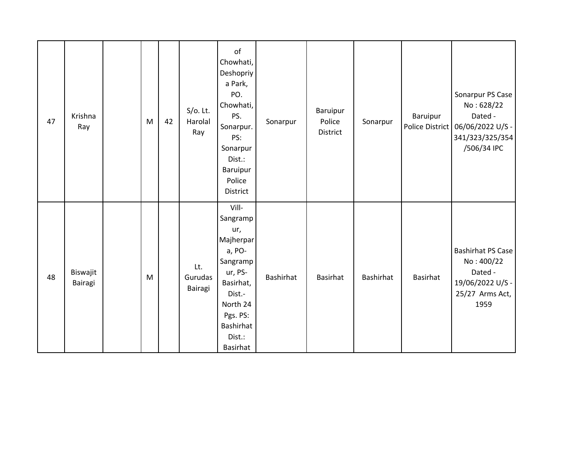| 47 | Krishna<br>Ray      | M | 42 | $S/O$ . Lt.<br>Harolal<br>Ray | of<br>Chowhati,<br>Deshopriy<br>a Park,<br>PO.<br>Chowhati,<br>PS.<br>Sonarpur.<br>PS:<br>Sonarpur<br>Dist.:<br>Baruipur<br>Police<br>District           | Sonarpur  | Baruipur<br>Police<br>District | Sonarpur  | Baruipur        | Sonarpur PS Case<br>No: 628/22<br>Dated -<br>Police District   06/06/2022 U/S -<br>341/323/325/354<br>/506/34 IPC |
|----|---------------------|---|----|-------------------------------|----------------------------------------------------------------------------------------------------------------------------------------------------------|-----------|--------------------------------|-----------|-----------------|-------------------------------------------------------------------------------------------------------------------|
| 48 | Biswajit<br>Bairagi | M |    | Lt.<br>Gurudas<br>Bairagi     | Vill-<br>Sangramp<br>ur,<br>Majherpar<br>a, PO-<br>Sangramp<br>ur, PS-<br>Basirhat,<br>Dist.-<br>North 24<br>Pgs. PS:<br>Bashirhat<br>Dist.:<br>Basirhat | Bashirhat | <b>Basirhat</b>                | Bashirhat | <b>Basirhat</b> | <b>Bashirhat PS Case</b><br>No: 400/22<br>Dated -<br>19/06/2022 U/S -<br>25/27 Arms Act,<br>1959                  |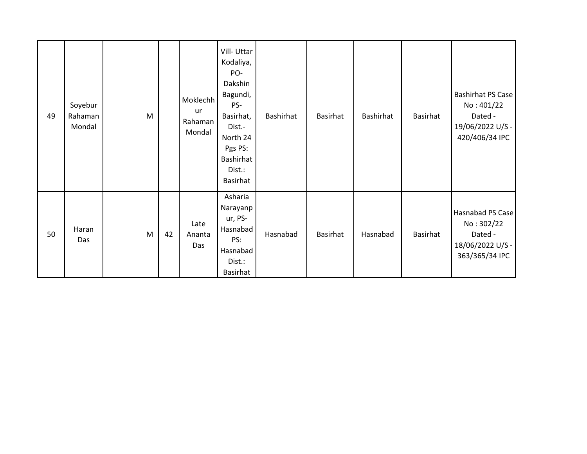| 49 | Soyebur<br>Rahaman<br>Mondal | M |    | Moklechh<br>ur<br>Rahaman<br>Mondal | Vill-Uttar<br>Kodaliya,<br>PO-<br>Dakshin<br>Bagundi,<br>PS-<br>Basirhat,<br>Dist.-<br>North 24<br>Pgs PS:<br>Bashirhat<br>Dist.:<br>Basirhat | Bashirhat | Basirhat | Bashirhat | Basirhat | <b>Bashirhat PS Case</b><br>No: 401/22<br>Dated -<br>19/06/2022 U/S -<br>420/406/34 IPC |
|----|------------------------------|---|----|-------------------------------------|-----------------------------------------------------------------------------------------------------------------------------------------------|-----------|----------|-----------|----------|-----------------------------------------------------------------------------------------|
| 50 | Haran<br>Das                 | M | 42 | Late<br>Ananta<br>Das               | Asharia<br>Narayanp<br>ur, PS-<br>Hasnabad<br>PS:<br>Hasnabad<br>Dist.:<br>Basirhat                                                           | Hasnabad  | Basirhat | Hasnabad  | Basirhat | Hasnabad PS Case<br>No: 302/22<br>Dated -<br>18/06/2022 U/S -<br>363/365/34 IPC         |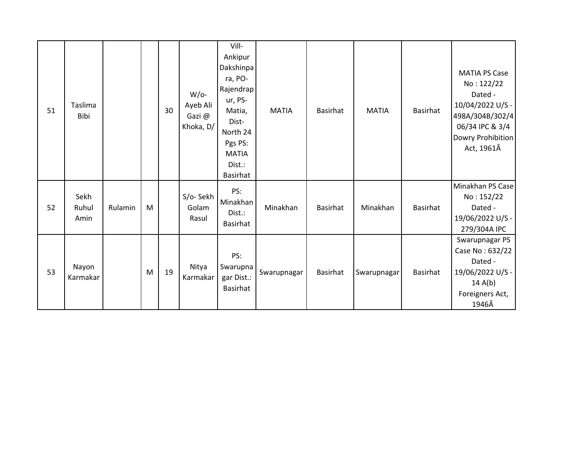| 51 | Taslima<br>Bibi       |         |   | 30 | $W/O-$<br>Ayeb Ali<br>Gazi@<br>Khoka, D/ | Vill-<br>Ankipur<br>Dakshinpa<br>ra, PO-<br>Rajendrap<br>ur, PS-<br>Matia,<br>Dist-<br>North 24<br>Pgs PS:<br><b>MATIA</b><br>Dist.:<br><b>Basirhat</b> | <b>MATIA</b> | <b>Basirhat</b> | <b>MATIA</b> | Basirhat | <b>MATIA PS Case</b><br>No: 122/22<br>Dated -<br>10/04/2022 U/S -<br>498A/304B/302/4<br>06/34 IPC & 3/4<br>Dowry Prohibition<br>Act, 1961Â |
|----|-----------------------|---------|---|----|------------------------------------------|---------------------------------------------------------------------------------------------------------------------------------------------------------|--------------|-----------------|--------------|----------|--------------------------------------------------------------------------------------------------------------------------------------------|
| 52 | Sekh<br>Ruhul<br>Amin | Rulamin | M |    | S/o-Sekh<br>Golam<br>Rasul               | PS:<br>Minakhan<br>Dist.:<br>Basirhat                                                                                                                   | Minakhan     | <b>Basirhat</b> | Minakhan     | Basirhat | Minakhan PS Case<br>No: 152/22<br>Dated -<br>19/06/2022 U/S -<br>279/304A IPC                                                              |
| 53 | Nayon<br>Karmakar     |         | M | 19 | Nitya<br>Karmakar                        | PS:<br>Swarupna<br>gar Dist.:<br><b>Basirhat</b>                                                                                                        | Swarupnagar  | <b>Basirhat</b> | Swarupnagar  | Basirhat | Swarupnagar PS<br>Case No: 632/22<br>Dated -<br>19/06/2022 U/S -<br>14 $A(b)$<br>Foreigners Act,<br>1946Â                                  |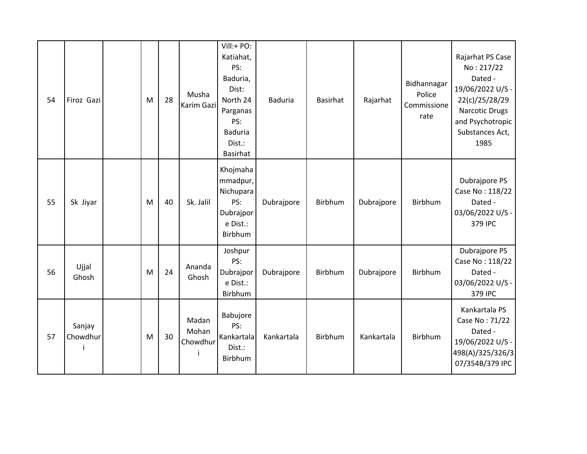| 54 | Firoz Gazi         | M | 28 | Musha<br><b>Karim Gazi</b>      | Vill:+ PO:<br>Katiahat,<br>PS:<br>Baduria,<br>Dist:<br>North 24<br>Parganas<br>PS:<br><b>Baduria</b><br>Dist.:<br><b>Basirhat</b> | <b>Baduria</b> | <b>Basirhat</b> | Rajarhat   | Bidhannagar<br>Police<br>Commissione<br>rate | Rajarhat PS Case<br>No: 217/22<br>Dated -<br>19/06/2022 U/S -<br>22(c)/25/28/29<br><b>Narcotic Drugs</b><br>and Psychotropic<br>Substances Act,<br>1985 |
|----|--------------------|---|----|---------------------------------|-----------------------------------------------------------------------------------------------------------------------------------|----------------|-----------------|------------|----------------------------------------------|---------------------------------------------------------------------------------------------------------------------------------------------------------|
| 55 | Sk Jiyar           | M | 40 | Sk. Jalil                       | Khojmaha<br>mmadpur,<br>Nichupara<br>PS:<br>Dubrajpor<br>e Dist.:<br><b>Birbhum</b>                                               | Dubrajpore     | Birbhum         | Dubrajpore | Birbhum                                      | Dubrajpore PS<br>Case No: 118/22<br>Dated -<br>03/06/2022 U/S -<br>379 IPC                                                                              |
| 56 | Ujjal<br>Ghosh     | M | 24 | Ananda<br>Ghosh                 | Joshpur<br>PS:<br>Dubrajpor<br>e Dist.:<br>Birbhum                                                                                | Dubrajpore     | Birbhum         | Dubrajpore | Birbhum                                      | Dubrajpore PS<br>Case No: 118/22<br>Dated -<br>03/06/2022 U/S -<br>379 IPC                                                                              |
| 57 | Sanjay<br>Chowdhur | M | 30 | Madan<br>Mohan<br>Chowdhur<br>i | Babujore<br>PS:<br>Kankartala<br>Dist.:<br>Birbhum                                                                                | Kankartala     | Birbhum         | Kankartala | Birbhum                                      | Kankartala PS<br>Case No: 71/22<br>Dated -<br>19/06/2022 U/S -<br>498(A)/325/326/3<br>07/354B/379 IPC                                                   |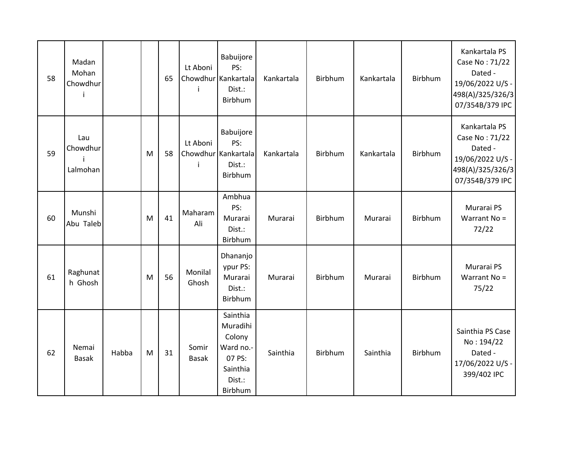| 58 | Madan<br>Mohan<br>Chowdhur<br>i |       |   | 65 | Lt Aboni<br>i         | Babuijore<br>PS:<br>Chowdhur Kankartala<br>Dist.:<br>Birbhum                           | Kankartala | Birbhum | Kankartala | Birbhum        | Kankartala PS<br>Case No: 71/22<br>Dated -<br>19/06/2022 U/S -<br>498(A)/325/326/3<br>07/354B/379 IPC |
|----|---------------------------------|-------|---|----|-----------------------|----------------------------------------------------------------------------------------|------------|---------|------------|----------------|-------------------------------------------------------------------------------------------------------|
| 59 | Lau<br>Chowdhur<br>Lalmohan     |       | M | 58 | Lt Aboni<br>j         | Babuijore<br>PS:<br>Chowdhur Kankartala<br>Dist.:<br>Birbhum                           | Kankartala | Birbhum | Kankartala | <b>Birbhum</b> | Kankartala PS<br>Case No: 71/22<br>Dated -<br>19/06/2022 U/S -<br>498(A)/325/326/3<br>07/354B/379 IPC |
| 60 | Munshi<br>Abu Taleb             |       | M | 41 | Maharam<br>Ali        | Ambhua<br>PS:<br>Murarai<br>Dist.:<br>Birbhum                                          | Murarai    | Birbhum | Murarai    | Birbhum        | Murarai PS<br>Warrant No =<br>72/22                                                                   |
| 61 | Raghunat<br>h Ghosh             |       | M | 56 | Monilal<br>Ghosh      | Dhananjo<br>ypur PS:<br>Murarai<br>Dist.:<br>Birbhum                                   | Murarai    | Birbhum | Murarai    | Birbhum        | Murarai PS<br>Warrant No =<br>75/22                                                                   |
| 62 | Nemai<br><b>Basak</b>           | Habba | M | 31 | Somir<br><b>Basak</b> | Sainthia<br>Muradihi<br>Colony<br>Ward no.-<br>07 PS:<br>Sainthia<br>Dist.:<br>Birbhum | Sainthia   | Birbhum | Sainthia   | Birbhum        | Sainthia PS Case<br>No: 194/22<br>Dated -<br>17/06/2022 U/S -<br>399/402 IPC                          |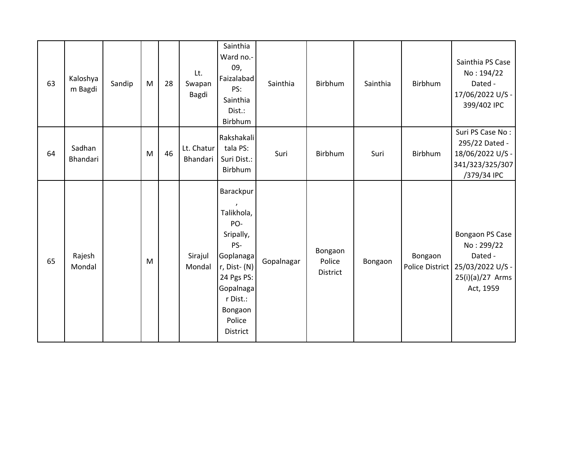| 63 | Kaloshya<br>m Bagdi | Sandip | M | 28 | Lt.<br>Swapan<br>Bagdi | Sainthia<br>Ward no.-<br>09,<br>Faizalabad<br>PS:<br>Sainthia<br>Dist.:<br>Birbhum                                                                      | Sainthia   | Birbhum                       | Sainthia | Birbhum | Sainthia PS Case<br>No: 194/22<br>Dated -<br>17/06/2022 U/S -<br>399/402 IPC                                    |
|----|---------------------|--------|---|----|------------------------|---------------------------------------------------------------------------------------------------------------------------------------------------------|------------|-------------------------------|----------|---------|-----------------------------------------------------------------------------------------------------------------|
| 64 | Sadhan<br>Bhandari  |        | M | 46 | Lt. Chatur<br>Bhandari | Rakshakali<br>tala PS:<br>Suri Dist.:<br>Birbhum                                                                                                        | Suri       | Birbhum                       | Suri     | Birbhum | Suri PS Case No:<br>295/22 Dated -<br>18/06/2022 U/S -<br>341/323/325/307<br>/379/34 IPC                        |
| 65 | Rajesh<br>Mondal    |        | M |    | Sirajul<br>Mondal      | Barackpur<br>Talikhola,<br>PO-<br>Sripally,<br>PS-<br>Goplanaga<br>r, Dist- (N)<br>24 Pgs PS:<br>Gopalnaga<br>r Dist.:<br>Bongaon<br>Police<br>District | Gopalnagar | Bongaon<br>Police<br>District | Bongaon  | Bongaon | Bongaon PS Case<br>No: 299/22<br>Dated -<br>Police District   25/03/2022 U/S -<br>25(i)(a)/27 Arms<br>Act, 1959 |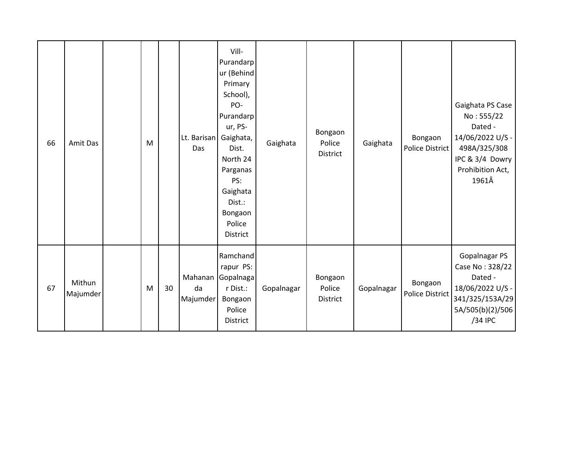| 66 | Amit Das           | M |    | Lt. Barisan<br>Das | Vill-<br>Purandarp<br>ur (Behind<br>Primary<br>School),<br>PO-<br>Purandarp<br>ur, PS-<br>Gaighata,<br>Dist.<br>North 24<br>Parganas<br>PS:<br>Gaighata<br>Dist.:<br>Bongaon<br>Police<br><b>District</b> | Gaighata   | Bongaon<br>Police<br>District | Gaighata   | Bongaon<br>Police District        | Gaighata PS Case<br>No: 555/22<br>Dated -<br>14/06/2022 U/S -<br>498A/325/308<br>IPC & 3/4 Dowry<br>Prohibition Act,<br>1961Â |
|----|--------------------|---|----|--------------------|-----------------------------------------------------------------------------------------------------------------------------------------------------------------------------------------------------------|------------|-------------------------------|------------|-----------------------------------|-------------------------------------------------------------------------------------------------------------------------------|
| 67 | Mithun<br>Majumder | M | 30 | da<br>Majumder     | Ramchand<br>rapur PS:<br>Mahanan Gopalnaga<br>r Dist.:<br>Bongaon<br>Police<br>District                                                                                                                   | Gopalnagar | Bongaon<br>Police<br>District | Gopalnagar | Bongaon<br><b>Police District</b> | Gopalnagar PS<br>Case No: 328/22<br>Dated -<br>18/06/2022 U/S -<br>341/325/153A/29<br>5A/505(b)(2)/506<br>/34 IPC             |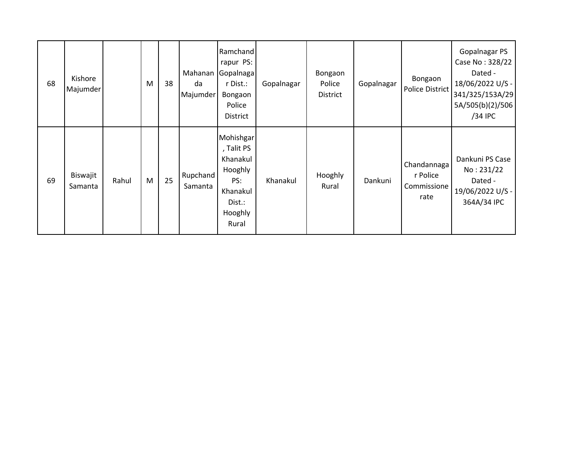| 68 | Kishore<br>Majumder |       | M | 38 | Mahanan<br>da<br>Majumder | Ramchand<br>rapur PS:<br>Gopalnaga<br>r Dist.:<br>Bongaon<br>Police<br><b>District</b>          | Gopalnagar | Bongaon<br>Police<br>District | Gopalnagar | Bongaon<br><b>Police District</b>              | Gopalnagar PS<br>Case No: 328/22<br>Dated -<br>18/06/2022 U/S -<br>341/325/153A/29<br>5A/505(b)(2)/506<br>/34 IPC |
|----|---------------------|-------|---|----|---------------------------|-------------------------------------------------------------------------------------------------|------------|-------------------------------|------------|------------------------------------------------|-------------------------------------------------------------------------------------------------------------------|
| 69 | Biswajit<br>Samanta | Rahul | M | 25 | Rupchand<br>Samanta       | Mohishgar<br>, Talit PS<br>Khanakul<br>Hooghly<br>PS:<br>Khanakul<br>Dist.:<br>Hooghly<br>Rural | Khanakul   | Hooghly<br>Rural              | Dankuni    | Chandannaga<br>r Police<br>Commissione<br>rate | Dankuni PS Case<br>No: 231/22<br>Dated -<br>19/06/2022 U/S -<br>364A/34 IPC                                       |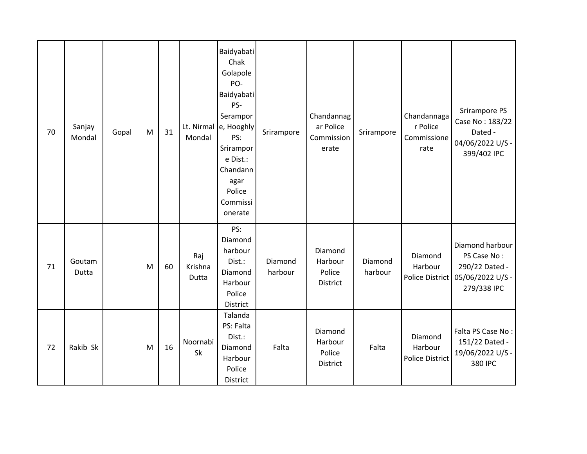| 70 | Sanjay<br>Mondal | Gopal | M | 31 | Mondal                  | Baidyabati<br>Chak<br>Golapole<br>PO-<br>Baidyabati<br>PS-<br>Serampor<br>Lt. Nirmal e, Hooghly<br>PS:<br>Srirampor<br>e Dist.:<br>Chandann<br>agar<br>Police<br>Commissi<br>onerate | Srirampore         | Chandannag<br>ar Police<br>Commission<br>erate | Srirampore         | Chandannaga<br>r Police<br>Commissione<br>rate | Srirampore PS<br>Case No: 183/22<br>Dated -<br>04/06/2022 U/S -<br>399/402 IPC      |
|----|------------------|-------|---|----|-------------------------|--------------------------------------------------------------------------------------------------------------------------------------------------------------------------------------|--------------------|------------------------------------------------|--------------------|------------------------------------------------|-------------------------------------------------------------------------------------|
| 71 | Goutam<br>Dutta  |       | M | 60 | Raj<br>Krishna<br>Dutta | PS:<br>Diamond<br>harbour<br>Dist.:<br>Diamond<br>Harbour<br>Police<br>District                                                                                                      | Diamond<br>harbour | Diamond<br>Harbour<br>Police<br>District       | Diamond<br>harbour | Diamond<br>Harbour<br>Police District          | Diamond harbour<br>PS Case No:<br>290/22 Dated -<br>05/06/2022 U/S -<br>279/338 IPC |
| 72 | Rakib Sk         |       | M | 16 | Noornabi<br>Sk          | Talanda<br>PS: Falta<br>Dist.:<br>Diamond<br>Harbour<br>Police<br>District                                                                                                           | Falta              | Diamond<br>Harbour<br>Police<br>District       | Falta              | Diamond<br>Harbour<br><b>Police District</b>   | Falta PS Case No:<br>151/22 Dated -<br>19/06/2022 U/S -<br>380 IPC                  |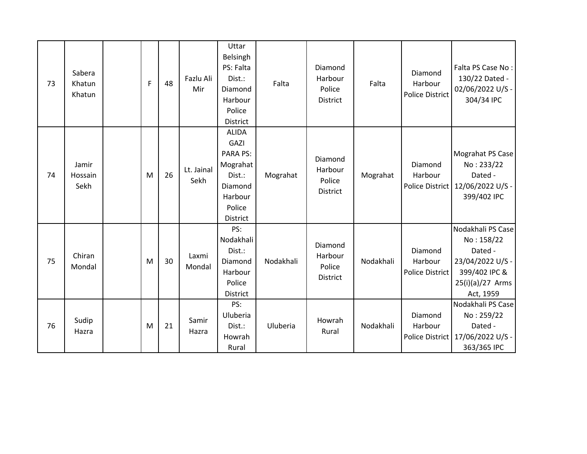| 73 | Sabera<br>Khatun<br>Khatun | F | 48 | Fazlu Ali<br>Mir   | Uttar<br>Belsingh<br>PS: Falta<br>Dist.:<br>Diamond<br>Harbour<br>Police<br>District                             | Falta     | Diamond<br>Harbour<br>Police<br><b>District</b> | Falta     | Diamond<br>Harbour<br><b>Police District</b> | Falta PS Case No:<br>130/22 Dated -<br>02/06/2022 U/S -<br>304/34 IPC                                              |
|----|----------------------------|---|----|--------------------|------------------------------------------------------------------------------------------------------------------|-----------|-------------------------------------------------|-----------|----------------------------------------------|--------------------------------------------------------------------------------------------------------------------|
| 74 | Jamir<br>Hossain<br>Sekh   | M | 26 | Lt. Jainal<br>Sekh | <b>ALIDA</b><br>GAZI<br><b>PARA PS:</b><br>Mograhat<br>Dist.:<br>Diamond<br>Harbour<br>Police<br><b>District</b> | Mograhat  | Diamond<br>Harbour<br>Police<br><b>District</b> | Mograhat  | Diamond<br>Harbour<br><b>Police District</b> | Mograhat PS Case<br>No: 233/22<br>Dated -<br>12/06/2022 U/S -<br>399/402 IPC                                       |
| 75 | Chiran<br>Mondal           | M | 30 | Laxmi<br>Mondal    | PS:<br>Nodakhali<br>Dist.:<br>Diamond<br>Harbour<br>Police<br>District                                           | Nodakhali | Diamond<br>Harbour<br>Police<br><b>District</b> | Nodakhali | Diamond<br>Harbour<br>Police District        | Nodakhali PS Case<br>No: 158/22<br>Dated -<br>23/04/2022 U/S -<br>399/402 IPC &<br>$25(i)(a)/27$ Arms<br>Act, 1959 |
| 76 | Sudip<br>Hazra             | M | 21 | Samir<br>Hazra     | PS:<br>Uluberia<br>Dist.:<br>Howrah<br>Rural                                                                     | Uluberia  | Howrah<br>Rural                                 | Nodakhali | Diamond<br>Harbour<br>Police District        | Nodakhali PS Case<br>No: 259/22<br>Dated -<br>17/06/2022 U/S -<br>363/365 IPC                                      |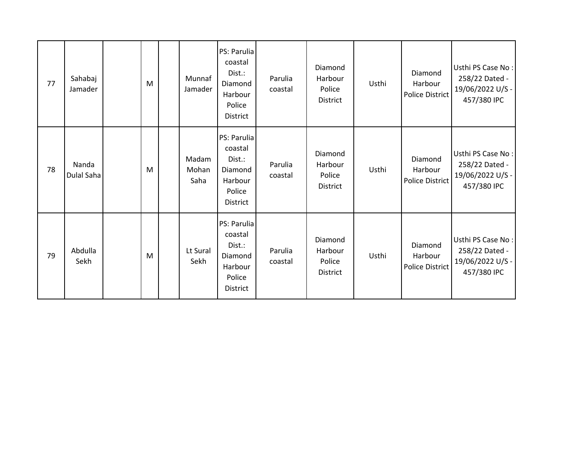| 77 | Sahabaj<br>Jamader  | M | Munnaf<br>Jamader      | PS: Parulia<br>coastal<br>Dist.:<br>Diamond<br>Harbour<br>Police<br>District        | Parulia<br>coastal | Diamond<br>Harbour<br>Police<br>District        | Usthi | Diamond<br>Harbour<br>Police District        | Usthi PS Case No:<br>258/22 Dated -<br>19/06/2022 U/S -<br>457/380 IPC |
|----|---------------------|---|------------------------|-------------------------------------------------------------------------------------|--------------------|-------------------------------------------------|-------|----------------------------------------------|------------------------------------------------------------------------|
| 78 | Nanda<br>Dulal Saha | M | Madam<br>Mohan<br>Saha | PS: Parulia<br>coastal<br>Dist.:<br>Diamond<br>Harbour<br>Police<br><b>District</b> | Parulia<br>coastal | Diamond<br>Harbour<br>Police<br><b>District</b> | Usthi | Diamond<br>Harbour<br><b>Police District</b> | Usthi PS Case No:<br>258/22 Dated -<br>19/06/2022 U/S -<br>457/380 IPC |
| 79 | Abdulla<br>Sekh     | M | Lt Sural<br>Sekh       | PS: Parulia<br>coastal<br>Dist.:<br>Diamond<br>Harbour<br>Police<br><b>District</b> | Parulia<br>coastal | Diamond<br>Harbour<br>Police<br>District        | Usthi | Diamond<br>Harbour<br><b>Police District</b> | Usthi PS Case No:<br>258/22 Dated -<br>19/06/2022 U/S -<br>457/380 IPC |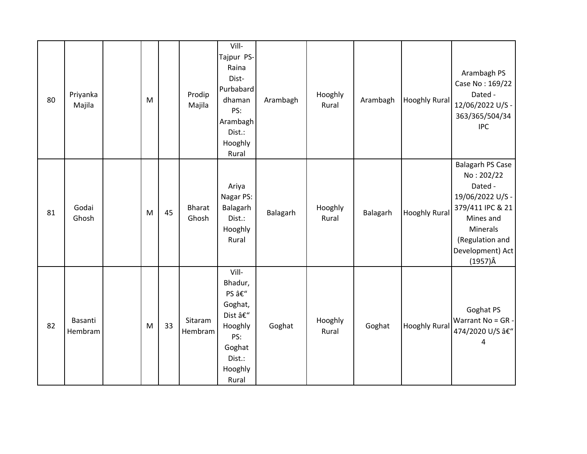| 80 | Priyanka<br>Majila | M |    | Prodip<br>Majila       | Vill-<br>Tajpur PS-<br>Raina<br>Dist-<br>Purbabard<br>dhaman<br>PS:<br>Arambagh<br>Dist.:<br>Hooghly<br>Rural | Arambagh | Hooghly<br>Rural | Arambagh | <b>Hooghly Rural</b> | Arambagh PS<br>Case No: 169/22<br>Dated -<br>12/06/2022 U/S -<br>363/365/504/34<br><b>IPC</b>                                                                                      |
|----|--------------------|---|----|------------------------|---------------------------------------------------------------------------------------------------------------|----------|------------------|----------|----------------------|------------------------------------------------------------------------------------------------------------------------------------------------------------------------------------|
| 81 | Godai<br>Ghosh     | M | 45 | <b>Bharat</b><br>Ghosh | Ariya<br>Nagar PS:<br>Balagarh<br>Dist.:<br>Hooghly<br>Rural                                                  | Balagarh | Hooghly<br>Rural | Balagarh | <b>Hooghly Rural</b> | <b>Balagarh PS Case</b><br>No: 202/22<br>Dated -<br>19/06/2022 U/S -<br>379/411 IPC & 21<br>Mines and<br><b>Minerals</b><br>(Regulation and<br>Development) Act<br>$(1957)\hat{A}$ |
| 82 | Basanti<br>Hembram | M | 33 | Sitaram<br>Hembram     | Vill-<br>Bhadur,<br>PS –<br>Goghat,<br>Dist –<br>Hooghly<br>PS:<br>Goghat<br>Dist.:<br>Hooghly<br>Rural       | Goghat   | Hooghly<br>Rural | Goghat   | <b>Hooghly Rural</b> | Goghat PS<br>Warrant No = GR -<br>474/2020 U/S â€"<br>4                                                                                                                            |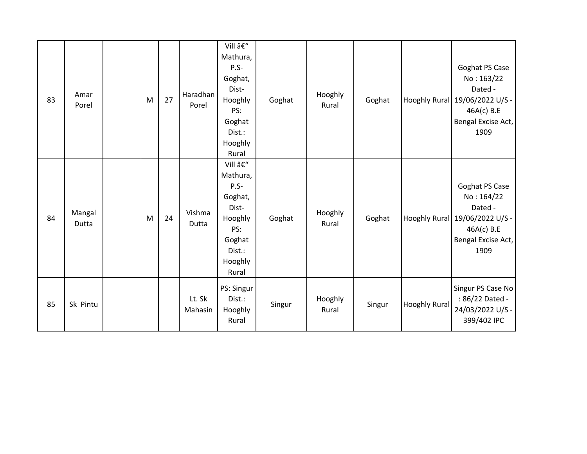| 83 | Amar<br>Porel   | M | 27 | Haradhan<br>Porel | Vill –<br>Mathura,<br>$P.S-$<br>Goghat,<br>Dist-<br>Hooghly<br>PS:<br>Goghat<br>Dist.:<br>Hooghly<br>Rural | Goghat | Hooghly<br>Rural | Goghat |                      | Goghat PS Case<br>No: 163/22<br>Dated -<br>Hooghly Rural   19/06/2022 U/S -<br>46A(c) B.E<br>Bengal Excise Act,<br>1909 |
|----|-----------------|---|----|-------------------|------------------------------------------------------------------------------------------------------------|--------|------------------|--------|----------------------|-------------------------------------------------------------------------------------------------------------------------|
| 84 | Mangal<br>Dutta | M | 24 | Vishma<br>Dutta   | Vill –<br>Mathura,<br>$P.S-$<br>Goghat,<br>Dist-<br>Hooghly<br>PS:<br>Goghat<br>Dist.:<br>Hooghly<br>Rural | Goghat | Hooghly<br>Rural | Goghat |                      | Goghat PS Case<br>No: 164/22<br>Dated -<br>Hooghly Rural 19/06/2022 U/S -<br>46A(c) B.E<br>Bengal Excise Act,<br>1909   |
| 85 | Sk Pintu        |   |    | Lt. Sk<br>Mahasin | PS: Singur<br>Dist.:<br>Hooghly<br>Rural                                                                   | Singur | Hooghly<br>Rural | Singur | <b>Hooghly Rural</b> | Singur PS Case No<br>: 86/22 Dated -<br>24/03/2022 U/S -<br>399/402 IPC                                                 |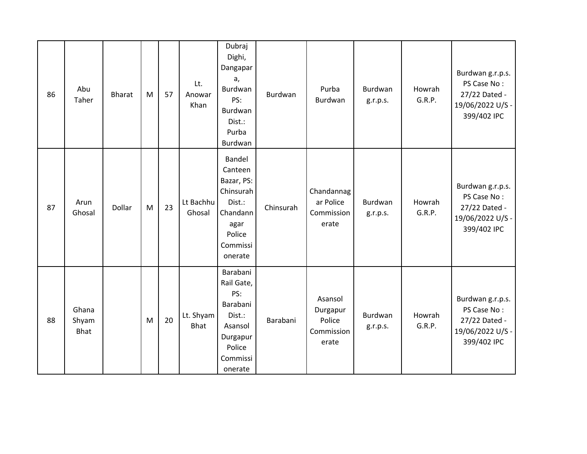| 86 | Abu<br>Taher                  | <b>Bharat</b> | M | 57 | Lt.<br>Anowar<br>Khan    | Dubraj<br>Dighi,<br>Dangapar<br>a,<br>Burdwan<br>PS:<br>Burdwan<br>Dist.:<br>Purba<br>Burdwan               | Burdwan   | Purba<br>Burdwan                                     | Burdwan<br>g.r.p.s. | Howrah<br>G.R.P. | Burdwan g.r.p.s.<br>PS Case No:<br>27/22 Dated -<br>19/06/2022 U/S -<br>399/402 IPC |
|----|-------------------------------|---------------|---|----|--------------------------|-------------------------------------------------------------------------------------------------------------|-----------|------------------------------------------------------|---------------------|------------------|-------------------------------------------------------------------------------------|
| 87 | Arun<br>Ghosal                | Dollar        | M | 23 | Lt Bachhu<br>Ghosal      | Bandel<br>Canteen<br>Bazar, PS:<br>Chinsurah<br>Dist.:<br>Chandann<br>agar<br>Police<br>Commissi<br>onerate | Chinsurah | Chandannag<br>ar Police<br>Commission<br>erate       | Burdwan<br>g.r.p.s. | Howrah<br>G.R.P. | Burdwan g.r.p.s.<br>PS Case No:<br>27/22 Dated -<br>19/06/2022 U/S -<br>399/402 IPC |
| 88 | Ghana<br>Shyam<br><b>Bhat</b> |               | M | 20 | Lt. Shyam<br><b>Bhat</b> | Barabani<br>Rail Gate,<br>PS:<br>Barabani<br>Dist.:<br>Asansol<br>Durgapur<br>Police<br>Commissi<br>onerate | Barabani  | Asansol<br>Durgapur<br>Police<br>Commission<br>erate | Burdwan<br>g.r.p.s. | Howrah<br>G.R.P. | Burdwan g.r.p.s.<br>PS Case No:<br>27/22 Dated -<br>19/06/2022 U/S -<br>399/402 IPC |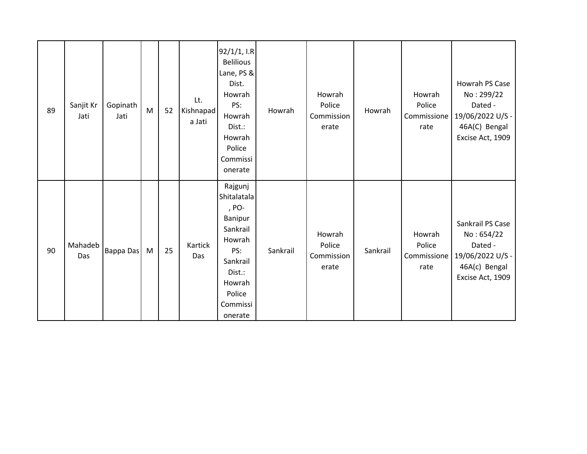| 89 | Sanjit Kr<br>Jati | Gopinath<br>Jati | M | 52 | Lt.<br>Kishnapad<br>a Jati | 92/1/1, I.R<br><b>Belilious</b><br>Lane, PS &<br>Dist.<br>Howrah<br>PS:<br>Howrah<br>Dist.:<br>Howrah<br>Police<br>Commissi<br>onerate   | Howrah   | Howrah<br>Police<br>Commission<br>erate | Howrah   | Howrah<br>Police<br>Commissione<br>rate | Howrah PS Case<br>No: 299/22<br>Dated -<br>19/06/2022 U/S -<br>46A(C) Bengal<br>Excise Act, 1909   |
|----|-------------------|------------------|---|----|----------------------------|------------------------------------------------------------------------------------------------------------------------------------------|----------|-----------------------------------------|----------|-----------------------------------------|----------------------------------------------------------------------------------------------------|
| 90 | Mahadeb<br>Das    | Bappa Das        | M | 25 | Kartick<br>Das             | Rajgunj<br>Shitalatala<br>, PO-<br>Banipur<br>Sankrail<br>Howrah<br>PS:<br>Sankrail<br>Dist.:<br>Howrah<br>Police<br>Commissi<br>onerate | Sankrail | Howrah<br>Police<br>Commission<br>erate | Sankrail | Howrah<br>Police<br>Commissione<br>rate | Sankrail PS Case<br>No: 654/22<br>Dated -<br>19/06/2022 U/S -<br>46A(c) Bengal<br>Excise Act, 1909 |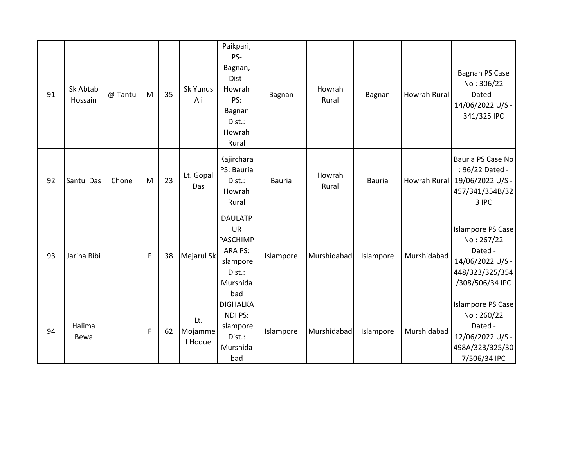| 91 | Sk Abtab<br>Hossain | @ Tantu | M | 35 | Sk Yunus<br>Ali           | Paikpari,<br>PS-<br>Bagnan,<br>Dist-<br>Howrah<br>PS:<br>Bagnan<br>Dist.:<br>Howrah<br>Rural        | Bagnan        | Howrah<br>Rural | Bagnan        | Howrah Rural | Bagnan PS Case<br>No: 306/22<br>Dated -<br>14/06/2022 U/S -<br>341/325 IPC                                  |
|----|---------------------|---------|---|----|---------------------------|-----------------------------------------------------------------------------------------------------|---------------|-----------------|---------------|--------------|-------------------------------------------------------------------------------------------------------------|
| 92 | Santu Das           | Chone   | M | 23 | Lt. Gopal<br>Das          | Kajirchara<br>PS: Bauria<br>Dist.:<br>Howrah<br>Rural                                               | <b>Bauria</b> | Howrah<br>Rural | <b>Bauria</b> |              | Bauria PS Case No<br>: 96/22 Dated -<br>Howrah Rural 19/06/2022 U/S -<br>457/341/354B/32<br>3 IPC           |
| 93 | Jarina Bibi         |         | F | 38 | Mejarul Sk                | <b>DAULATP</b><br><b>UR</b><br><b>PASCHIMP</b><br>ARA PS:<br>Islampore<br>Dist.:<br>Murshida<br>bad | Islampore     | Murshidabad     | Islampore     | Murshidabad  | <b>Islampore PS Case</b><br>No: 267/22<br>Dated -<br>14/06/2022 U/S -<br>448/323/325/354<br>/308/506/34 IPC |
| 94 | Halima<br>Bewa      |         | F | 62 | Lt.<br>Mojamme<br>I Hoque | <b>DIGHALKA</b><br>NDI PS:<br>Islampore<br>Dist.:<br>Murshida<br>bad                                | Islampore     | Murshidabad     | Islampore     | Murshidabad  | Islampore PS Case<br>No: 260/22<br>Dated -<br>12/06/2022 U/S -<br>498A/323/325/30<br>7/506/34 IPC           |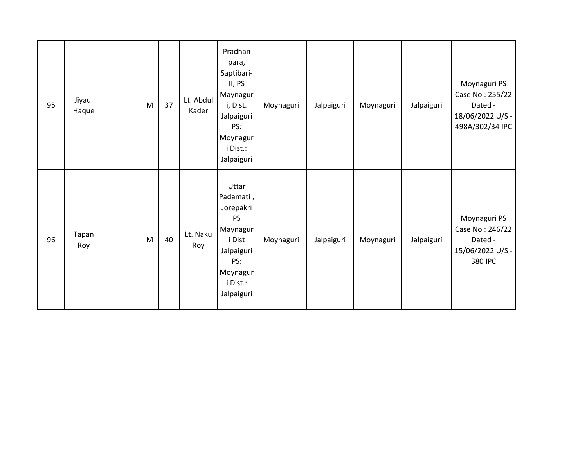| 95 | Jiyaul<br>Haque | M | 37 | Lt. Abdul<br>Kader | Pradhan<br>para,<br>Saptibari-<br>II, PS<br>Maynagur<br>i, Dist.<br>Jalpaiguri<br>PS:<br>Moynagur<br>i Dist.:<br>Jalpaiguri   | Moynaguri | Jalpaiguri | Moynaguri | Jalpaiguri | Moynaguri PS<br>Case No: 255/22<br>Dated -<br>18/06/2022 U/S -<br>498A/302/34 IPC |
|----|-----------------|---|----|--------------------|-------------------------------------------------------------------------------------------------------------------------------|-----------|------------|-----------|------------|-----------------------------------------------------------------------------------|
| 96 | Tapan<br>Roy    | M | 40 | Lt. Naku<br>Roy    | Uttar<br>Padamati,<br>Jorepakri<br><b>PS</b><br>Maynagur<br>i Dist<br>Jalpaiguri<br>PS:<br>Moynagur<br>i Dist.:<br>Jalpaiguri | Moynaguri | Jalpaiguri | Moynaguri | Jalpaiguri | Moynaguri PS<br>Case No: 246/22<br>Dated -<br>15/06/2022 U/S -<br>380 IPC         |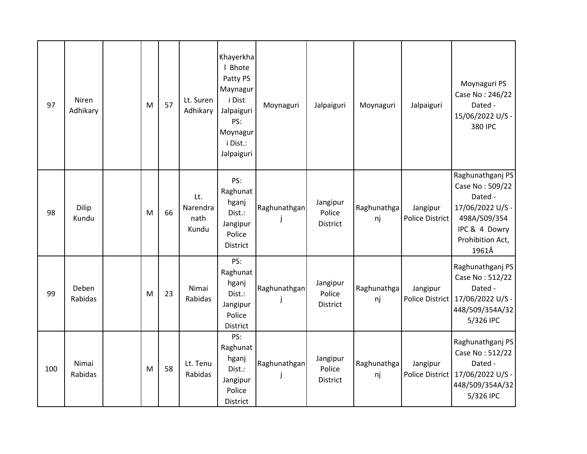| 97  | Niren<br>Adhikary | M | 57 | Lt. Suren<br>Adhikary            | Khayerkha<br>I Bhote<br>Patty PS<br>Maynagur<br>i Dist<br>Jalpaiguri<br>PS:<br>Moynagur<br>i Dist.:<br>Jalpaiguri | Moynaguri    | Jalpaiguri                     | Moynaguri         | Jalpaiguri                  | Moynaguri PS<br>Case No: 246/22<br>Dated -<br>15/06/2022 U/S -<br>380 IPC                                                        |
|-----|-------------------|---|----|----------------------------------|-------------------------------------------------------------------------------------------------------------------|--------------|--------------------------------|-------------------|-----------------------------|----------------------------------------------------------------------------------------------------------------------------------|
| 98  | Dilip<br>Kundu    | M | 66 | Lt.<br>Narendra<br>nath<br>Kundu | PS:<br>Raghunat<br>hganj<br>Dist.:<br>Jangipur<br>Police<br>District                                              | Raghunathgan | Jangipur<br>Police<br>District | Raghunathga<br>nj | Jangipur<br>Police District | Raghunathganj PS<br>Case No: 509/22<br>Dated -<br>17/06/2022 U/S -<br>498A/509/354<br>IPC & 4 Dowry<br>Prohibition Act,<br>1961Â |
| 99  | Deben<br>Rabidas  | M | 23 | Nimai<br>Rabidas                 | PS:<br>Raghunat<br>hganj<br>Dist.:<br>Jangipur<br>Police<br>District                                              | Raghunathgan | Jangipur<br>Police<br>District | Raghunathga<br>nj | Jangipur<br>Police District | Raghunathganj PS<br>Case No: 512/22<br>Dated -<br>17/06/2022 U/S -<br>448/509/354A/32<br>5/326 IPC                               |
| 100 | Nimai<br>Rabidas  | M | 58 | Lt. Tenu<br>Rabidas              | PS:<br>Raghunat<br>hganj<br>Dist.:<br>Jangipur<br>Police<br>District                                              | Raghunathgan | Jangipur<br>Police<br>District | Raghunathga<br>nj | Jangipur<br>Police District | Raghunathganj PS<br>Case No: 512/22<br>Dated -<br>17/06/2022 U/S -<br>448/509/354A/32<br>5/326 IPC                               |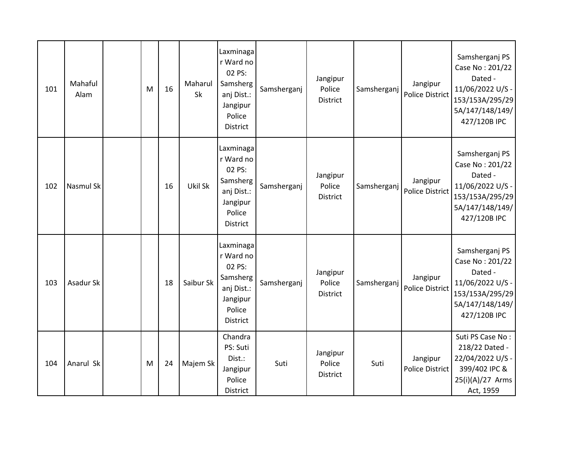| 101 | Mahaful<br>Alam  | M | 16 | Maharul<br>Sk | Laxminaga<br>r Ward no<br>02 PS:<br>Samsherg<br>anj Dist.:<br>Jangipur<br>Police<br>District        | Samsherganj | Jangipur<br>Police<br>District        | Samsherganj | Jangipur<br><b>Police District</b> | Samsherganj PS<br>Case No: 201/22<br>Dated -<br>11/06/2022 U/S -<br>153/153A/295/29<br>5A/147/148/149/<br>427/120B IPC |
|-----|------------------|---|----|---------------|-----------------------------------------------------------------------------------------------------|-------------|---------------------------------------|-------------|------------------------------------|------------------------------------------------------------------------------------------------------------------------|
| 102 | <b>Nasmul Sk</b> |   | 16 | Ukil Sk       | Laxminaga<br>r Ward no<br>02 PS:<br>Samsherg<br>anj Dist.:<br>Jangipur<br>Police<br><b>District</b> | Samsherganj | Jangipur<br>Police<br>District        | Samsherganj | Jangipur<br><b>Police District</b> | Samsherganj PS<br>Case No: 201/22<br>Dated -<br>11/06/2022 U/S -<br>153/153A/295/29<br>5A/147/148/149/<br>427/120B IPC |
| 103 | Asadur Sk        |   | 18 | Saibur Sk     | Laxminaga<br>r Ward no<br>02 PS:<br>Samsherg<br>anj Dist.:<br>Jangipur<br>Police<br><b>District</b> | Samsherganj | Jangipur<br>Police<br><b>District</b> | Samsherganj | Jangipur<br><b>Police District</b> | Samsherganj PS<br>Case No: 201/22<br>Dated -<br>11/06/2022 U/S -<br>153/153A/295/29<br>5A/147/148/149/<br>427/120B IPC |
| 104 | Anarul Sk        | M | 24 | Majem Sk      | Chandra<br>PS: Suti<br>Dist.:<br>Jangipur<br>Police<br>District                                     | Suti        | Jangipur<br>Police<br>District        | Suti        | Jangipur<br><b>Police District</b> | Suti PS Case No:<br>218/22 Dated -<br>22/04/2022 U/S -<br>399/402 IPC &<br>25(i)(A)/27 Arms<br>Act, 1959               |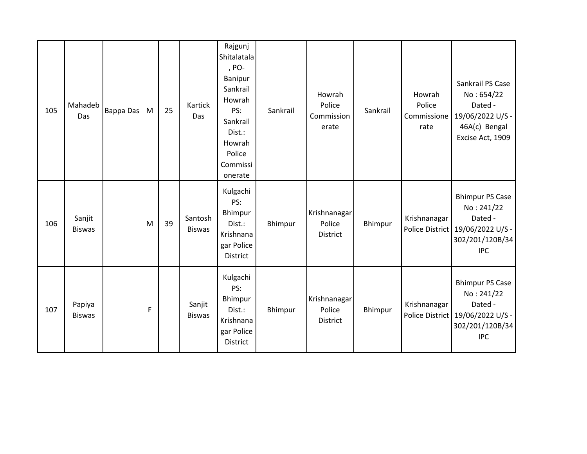| 105 | Mahadeb<br>Das          | Bappa Das | M | 25 | Kartick<br>Das           | Rajgunj<br>Shitalatala<br>, PO-<br>Banipur<br>Sankrail<br>Howrah<br>PS:<br>Sankrail<br>Dist.:<br>Howrah<br>Police<br>Commissi<br>onerate | Sankrail | Howrah<br>Police<br>Commission<br>erate | Sankrail | Howrah<br>Police<br>Commissione<br>rate | Sankrail PS Case<br>No: 654/22<br>Dated -<br>19/06/2022 U/S -<br>46A(c) Bengal<br>Excise Act, 1909                     |
|-----|-------------------------|-----------|---|----|--------------------------|------------------------------------------------------------------------------------------------------------------------------------------|----------|-----------------------------------------|----------|-----------------------------------------|------------------------------------------------------------------------------------------------------------------------|
| 106 | Sanjit<br><b>Biswas</b> |           | M | 39 | Santosh<br><b>Biswas</b> | Kulgachi<br>PS:<br>Bhimpur<br>Dist.:<br>Krishnana<br>gar Police<br>District                                                              | Bhimpur  | Krishnanagar<br>Police<br>District      | Bhimpur  | Krishnanagar                            | <b>Bhimpur PS Case</b><br>No: 241/22<br>Dated -<br>Police District   19/06/2022 U/S -<br>302/201/120B/34<br><b>IPC</b> |
| 107 | Papiya<br><b>Biswas</b> |           | F |    | Sanjit<br><b>Biswas</b>  | Kulgachi<br>PS:<br>Bhimpur<br>Dist.:<br>Krishnana<br>gar Police<br>District                                                              | Bhimpur  | Krishnanagar<br>Police<br>District      | Bhimpur  | Krishnanagar                            | <b>Bhimpur PS Case</b><br>No: 241/22<br>Dated -<br>Police District   19/06/2022 U/S -<br>302/201/120B/34<br><b>IPC</b> |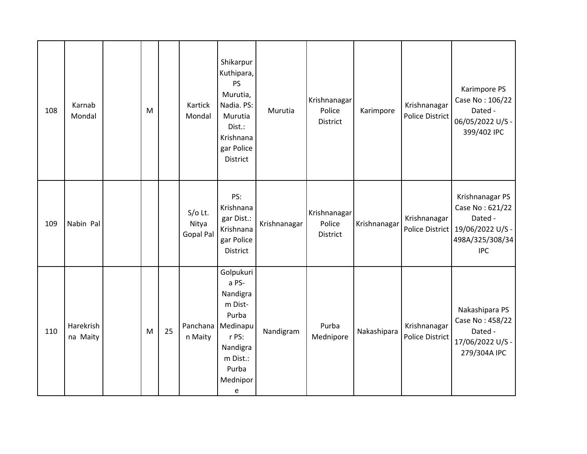| 108 | Karnab<br>Mondal      | M |    | Kartick<br>Mondal               | Shikarpur<br>Kuthipara,<br><b>PS</b><br>Murutia,<br>Nadia. PS:<br>Murutia<br>Dist.:<br>Krishnana<br>gar Police<br>District | Murutia      | Krishnanagar<br>Police<br><b>District</b> | Karimpore    | Krishnanagar<br><b>Police District</b> | Karimpore PS<br>Case No: 106/22<br>Dated -<br>06/05/2022 U/S -<br>399/402 IPC                                        |
|-----|-----------------------|---|----|---------------------------------|----------------------------------------------------------------------------------------------------------------------------|--------------|-------------------------------------------|--------------|----------------------------------------|----------------------------------------------------------------------------------------------------------------------|
| 109 | Nabin Pal             |   |    | $S/O$ Lt.<br>Nitya<br>Gopal Pal | PS:<br>Krishnana<br>gar Dist.:<br>Krishnana<br>gar Police<br>District                                                      | Krishnanagar | Krishnanagar<br>Police<br>District        | Krishnanagar | Krishnanagar                           | Krishnanagar PS<br>Case No: 621/22<br>Dated -<br>Police District   19/06/2022 U/S -<br>498A/325/308/34<br><b>IPC</b> |
| 110 | Harekrish<br>na Maity | M | 25 | Panchana<br>n Maity             | Golpukuri<br>a PS-<br>Nandigra<br>m Dist-<br>Purba<br>Medinapu<br>r PS:<br>Nandigra<br>m Dist.:<br>Purba<br>Mednipor<br>e  | Nandigram    | Purba<br>Mednipore                        | Nakashipara  | Krishnanagar<br><b>Police District</b> | Nakashipara PS<br>Case No: 458/22<br>Dated -<br>17/06/2022 U/S -<br>279/304A IPC                                     |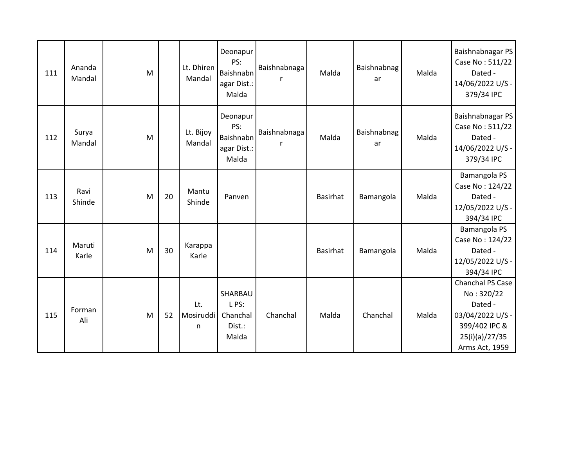| 111 | Ananda<br>Mandal | M |    | Lt. Dhiren<br>Mandal   | Deonapur<br>PS:<br>Baishnabn<br>agar Dist.:<br>Malda | Baishnabnaga      | Malda           | <b>Baishnabnag</b><br>ar | Malda | Baishnabnagar PS<br>Case No: 511/22<br>Dated -<br>14/06/2022 U/S -<br>379/34 IPC                                   |
|-----|------------------|---|----|------------------------|------------------------------------------------------|-------------------|-----------------|--------------------------|-------|--------------------------------------------------------------------------------------------------------------------|
| 112 | Surya<br>Mandal  | M |    | Lt. Bijoy<br>Mandal    | Deonapur<br>PS:<br>Baishnabn<br>agar Dist.:<br>Malda | Baishnabnaga<br>r | Malda           | Baishnabnag<br>ar        | Malda | Baishnabnagar PS<br>Case No: 511/22<br>Dated -<br>14/06/2022 U/S -<br>379/34 IPC                                   |
| 113 | Ravi<br>Shinde   | M | 20 | Mantu<br>Shinde        | Panven                                               |                   | Basirhat        | Bamangola                | Malda | Bamangola PS<br>Case No: 124/22<br>Dated -<br>12/05/2022 U/S -<br>394/34 IPC                                       |
| 114 | Maruti<br>Karle  | M | 30 | Karappa<br>Karle       |                                                      |                   | <b>Basirhat</b> | Bamangola                | Malda | Bamangola PS<br>Case No: 124/22<br>Dated -<br>12/05/2022 U/S -<br>394/34 IPC                                       |
| 115 | Forman<br>Ali    | M | 52 | Lt.<br>Mosiruddi<br>n. | SHARBAU<br>L PS:<br>Chanchal<br>Dist.:<br>Malda      | Chanchal          | Malda           | Chanchal                 | Malda | Chanchal PS Case<br>No: 320/22<br>Dated -<br>03/04/2022 U/S -<br>399/402 IPC &<br>25(i)(a)/27/35<br>Arms Act, 1959 |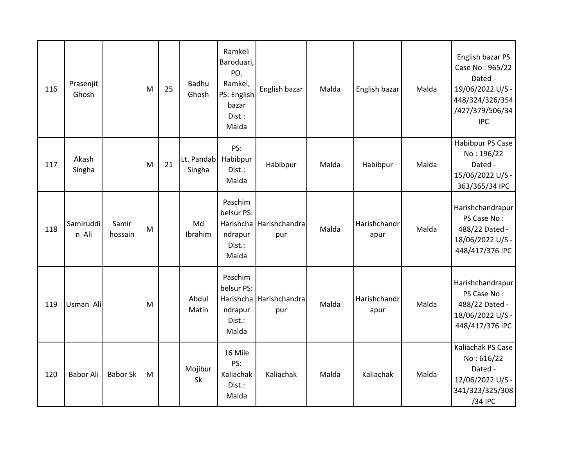| 116 | Prasenjit<br>Ghosh |                  | M | 25 | Badhu<br>Ghosh       | Ramkeli<br>Baroduari,<br>PO.<br>Ramkel,<br>PS: English<br>bazar<br>Dist.:<br>Malda | English bazar                  | Malda | English bazar        | Malda | English bazar PS<br>Case No: 965/22<br>Dated -<br>19/06/2022 U/S -<br>448/324/326/354<br>/427/379/506/34<br><b>IPC</b> |
|-----|--------------------|------------------|---|----|----------------------|------------------------------------------------------------------------------------|--------------------------------|-------|----------------------|-------|------------------------------------------------------------------------------------------------------------------------|
| 117 | Akash<br>Singha    |                  | M | 21 | Lt. Pandab<br>Singha | PS:<br>Habibpur<br>Dist.:<br>Malda                                                 | Habibpur                       | Malda | Habibpur             | Malda | Habibpur PS Case<br>No: 196/22<br>Dated -<br>15/06/2022 U/S -<br>363/365/34 IPC                                        |
| 118 | Samiruddi<br>n Ali | Samir<br>hossain | M |    | Md<br>Ibrahim        | Paschim<br>belsur PS:<br>ndrapur<br>Dist.:<br>Malda                                | Harishcha Harishchandra<br>pur | Malda | Harishchandr<br>apur | Malda | Harishchandrapur<br>PS Case No:<br>488/22 Dated -<br>18/06/2022 U/S -<br>448/417/376 IPC                               |
| 119 | Usman Ali          |                  | M |    | Abdul<br>Matin       | Paschim<br>belsur PS:<br>ndrapur<br>Dist.:<br>Malda                                | Harishcha Harishchandra<br>pur | Malda | Harishchandr<br>apur | Malda | Harishchandrapur<br>PS Case No:<br>488/22 Dated -<br>18/06/2022 U/S -<br>448/417/376 IPC                               |
| 120 | <b>Babor Ali</b>   | <b>Babor Sk</b>  | M |    | Mojibur<br>Sk        | 16 Mile<br>PS:<br>Kaliachak<br>Dist.:<br>Malda                                     | Kaliachak                      | Malda | Kaliachak            | Malda | Kaliachak PS Case<br>No: 616/22<br>Dated -<br>12/06/2022 U/S -<br>341/323/325/308<br>/34 IPC                           |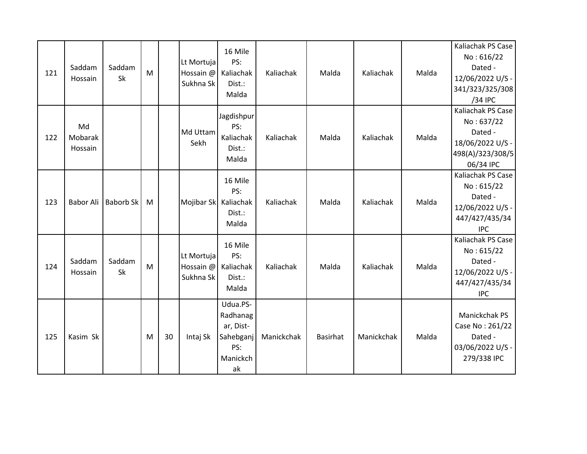| 121 | Saddam<br>Hossain        | Saddam<br>Sk     | M |    | Lt Mortuja<br>Hossain @<br>Sukhna Sk | 16 Mile<br>PS:<br>Kaliachak<br>Dist.:<br>Malda                          | Kaliachak  | Malda           | Kaliachak  | Malda | Kaliachak PS Case<br>No: 616/22<br>Dated -<br>12/06/2022 U/S -<br>341/323/325/308<br>/34 IPC    |
|-----|--------------------------|------------------|---|----|--------------------------------------|-------------------------------------------------------------------------|------------|-----------------|------------|-------|-------------------------------------------------------------------------------------------------|
| 122 | Md<br>Mobarak<br>Hossain |                  |   |    | Md Uttam<br>Sekh                     | Jagdishpur<br>PS:<br>Kaliachak<br>Dist.:<br>Malda                       | Kaliachak  | Malda           | Kaliachak  | Malda | Kaliachak PS Case<br>No: 637/22<br>Dated -<br>18/06/2022 U/S -<br>498(A)/323/308/5<br>06/34 IPC |
| 123 | <b>Babor Ali</b>         | <b>Baborb Sk</b> | M |    | Mojibar Sk                           | 16 Mile<br>PS:<br>Kaliachak<br>Dist.:<br>Malda                          | Kaliachak  | Malda           | Kaliachak  | Malda | Kaliachak PS Case<br>No: 615/22<br>Dated -<br>12/06/2022 U/S -<br>447/427/435/34<br><b>IPC</b>  |
| 124 | Saddam<br>Hossain        | Saddam<br>Sk     | M |    | Lt Mortuja<br>Hossain @<br>Sukhna Sk | 16 Mile<br>PS:<br>Kaliachak<br>Dist.:<br>Malda                          | Kaliachak  | Malda           | Kaliachak  | Malda | Kaliachak PS Case<br>No: 615/22<br>Dated -<br>12/06/2022 U/S -<br>447/427/435/34<br><b>IPC</b>  |
| 125 | Kasim Sk                 |                  | M | 30 | Intaj Sk                             | Udua.PS-<br>Radhanag<br>ar, Dist-<br>Sahebganj<br>PS:<br>Manickch<br>ak | Manickchak | <b>Basirhat</b> | Manickchak | Malda | Manickchak PS<br>Case No: 261/22<br>Dated -<br>03/06/2022 U/S -<br>279/338 IPC                  |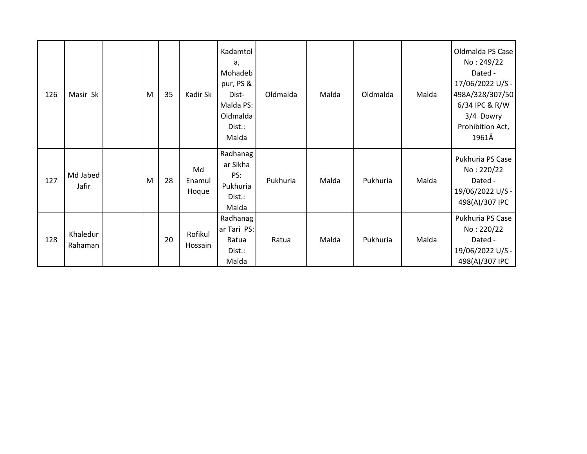| 126 | Masir Sk            | M | 35 | Kadir Sk              | Kadamtol<br>a,<br>Mohadeb<br>pur, PS &<br>Dist-<br>Malda PS:<br>Oldmalda<br>Dist.:<br>Malda | Oldmalda | Malda | Oldmalda | Malda | Oldmalda PS Case<br>No: 249/22<br>Dated -<br>17/06/2022 U/S -<br>498A/328/307/50<br>6/34 IPC & R/W<br>3/4 Dowry<br>Prohibition Act,<br>1961Â |
|-----|---------------------|---|----|-----------------------|---------------------------------------------------------------------------------------------|----------|-------|----------|-------|----------------------------------------------------------------------------------------------------------------------------------------------|
| 127 | Md Jabed<br>Jafir   | M | 28 | Md<br>Enamul<br>Hoque | Radhanag<br>ar Sikha<br>PS:<br>Pukhuria<br>Dist.:<br>Malda                                  | Pukhuria | Malda | Pukhuria | Malda | Pukhuria PS Case<br>No: 220/22<br>Dated -<br>19/06/2022 U/S -<br>498(A)/307 IPC                                                              |
| 128 | Khaledur<br>Rahaman |   | 20 | Rofikul<br>Hossain    | Radhanag<br>ar Tari PS:<br>Ratua<br>Dist.:<br>Malda                                         | Ratua    | Malda | Pukhuria | Malda | Pukhuria PS Case<br>No: 220/22<br>Dated -<br>19/06/2022 U/S -<br>498(A)/307 IPC                                                              |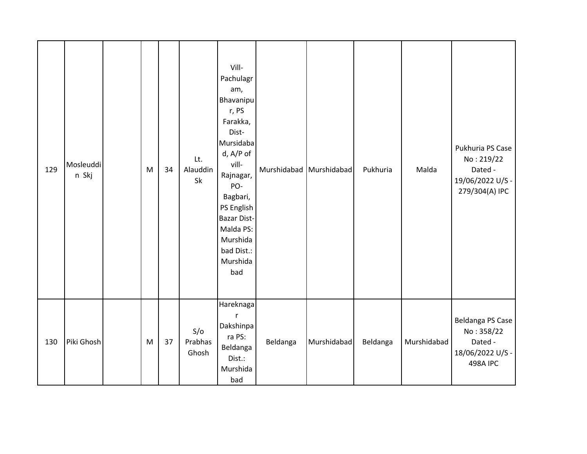| 129 | Mosleuddi<br>n Skj | M | 34 | Lt.<br>Alauddin<br>Sk   | Vill-<br>Pachulagr<br>am,<br>Bhavanipu<br>r, PS<br>Farakka,<br>Dist-<br>Mursidaba<br>d, A/P of<br>vill-<br>Rajnagar,<br>PO-<br>Bagbari,<br>PS English<br><b>Bazar Dist-</b><br>Malda PS:<br>Murshida<br>bad Dist.:<br>Murshida<br>bad | Murshidabad Murshidabad |             | Pukhuria | Malda       | Pukhuria PS Case<br>No: 219/22<br>Dated -<br>19/06/2022 U/S -<br>279/304(A) IPC  |
|-----|--------------------|---|----|-------------------------|---------------------------------------------------------------------------------------------------------------------------------------------------------------------------------------------------------------------------------------|-------------------------|-------------|----------|-------------|----------------------------------------------------------------------------------|
| 130 | Piki Ghosh         | M | 37 | S/O<br>Prabhas<br>Ghosh | Hareknaga<br>$\mathsf{r}$<br>Dakshinpa<br>ra PS:<br>Beldanga<br>Dist.:<br>Murshida<br>bad                                                                                                                                             | Beldanga                | Murshidabad | Beldanga | Murshidabad | Beldanga PS Case<br>No: 358/22<br>Dated -<br>18/06/2022 U/S -<br><b>498A IPC</b> |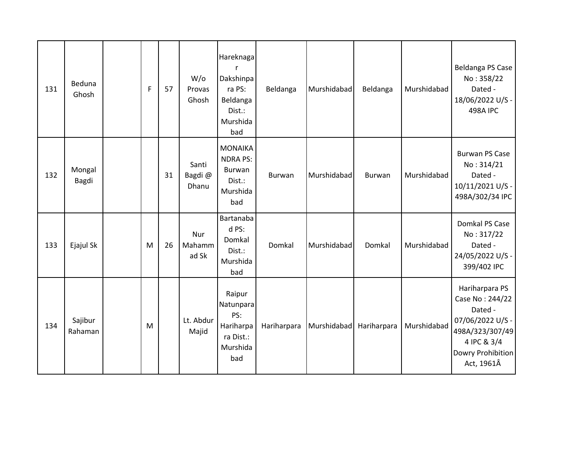| 131 | Beduna<br>Ghosh    | F | 57 | $W$ /o<br>Provas<br>Ghosh | Hareknaga<br>r<br>Dakshinpa<br>ra PS:<br>Beldanga<br>Dist.:<br>Murshida<br>bad | Beldanga    | Murshidabad | Beldanga    | Murshidabad | Beldanga PS Case<br>No: 358/22<br>Dated -<br>18/06/2022 U/S -<br><b>498A IPC</b>                                                      |
|-----|--------------------|---|----|---------------------------|--------------------------------------------------------------------------------|-------------|-------------|-------------|-------------|---------------------------------------------------------------------------------------------------------------------------------------|
| 132 | Mongal<br>Bagdi    |   | 31 | Santi<br>Bagdi@<br>Dhanu  | <b>MONAIKA</b><br><b>NDRA PS:</b><br>Burwan<br>Dist.:<br>Murshida<br>bad       | Burwan      | Murshidabad | Burwan      | Murshidabad | <b>Burwan PS Case</b><br>No: 314/21<br>Dated -<br>10/11/2021 U/S -<br>498A/302/34 IPC                                                 |
| 133 | Ejajul Sk          | M | 26 | Nur<br>Mahamm<br>ad Sk    | Bartanaba<br>d PS:<br>Domkal<br>Dist.:<br>Murshida<br>bad                      | Domkal      | Murshidabad | Domkal      | Murshidabad | Domkal PS Case<br>No: 317/22<br>Dated -<br>24/05/2022 U/S -<br>399/402 IPC                                                            |
| 134 | Sajibur<br>Rahaman | M |    | Lt. Abdur<br>Majid        | Raipur<br>Natunpara<br>PS:<br>Hariharpa<br>ra Dist.:<br>Murshida<br>bad        | Hariharpara | Murshidabad | Hariharpara | Murshidabad | Hariharpara PS<br>Case No: 244/22<br>Dated -<br>07/06/2022 U/S -<br>498A/323/307/49<br>4 IPC & 3/4<br>Dowry Prohibition<br>Act, 1961Â |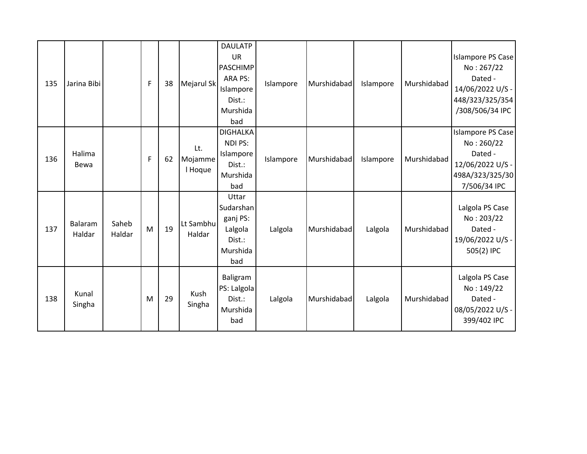| 135 | Jarina Bibi       |                 | F | 38 | Mejarul Sk                | <b>DAULATP</b><br><b>UR</b><br><b>PASCHIMP</b><br>ARA PS:<br>Islampore<br>Dist.:<br>Murshida<br>bad | Islampore | Murshidabad | Islampore | Murshidabad | Islampore PS Case<br>No: 267/22<br>Dated -<br>14/06/2022 U/S -<br>448/323/325/354<br>/308/506/34 IPC |
|-----|-------------------|-----------------|---|----|---------------------------|-----------------------------------------------------------------------------------------------------|-----------|-------------|-----------|-------------|------------------------------------------------------------------------------------------------------|
| 136 | Halima<br>Bewa    |                 | F | 62 | Lt.<br>Mojamme<br>I Hoque | <b>DIGHALKA</b><br>NDI PS:<br>Islampore<br>Dist.:<br>Murshida<br>bad                                | Islampore | Murshidabad | Islampore | Murshidabad | Islampore PS Case<br>No: 260/22<br>Dated -<br>12/06/2022 U/S -<br>498A/323/325/30<br>7/506/34 IPC    |
| 137 | Balaram<br>Haldar | Saheb<br>Haldar | M | 19 | Lt Sambhu<br>Haldar       | Uttar<br>Sudarshan<br>ganj PS:<br>Lalgola<br>Dist.:<br>Murshida<br>bad                              | Lalgola   | Murshidabad | Lalgola   | Murshidabad | Lalgola PS Case<br>No: 203/22<br>Dated -<br>19/06/2022 U/S -<br>505(2) IPC                           |
| 138 | Kunal<br>Singha   |                 | M | 29 | Kush<br>Singha            | Baligram<br>PS: Lalgola<br>Dist.:<br>Murshida<br>bad                                                | Lalgola   | Murshidabad | Lalgola   | Murshidabad | Lalgola PS Case<br>No: 149/22<br>Dated -<br>08/05/2022 U/S -<br>399/402 IPC                          |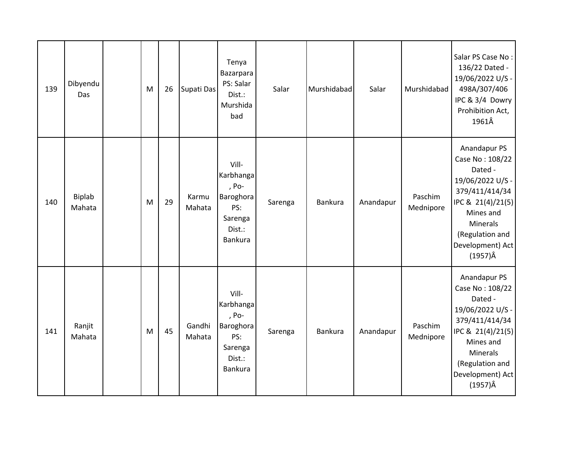| 139 | Dibyendu<br>Das  | M | 26 | Supati Das       | Tenya<br>Bazarpara<br>PS: Salar<br>Dist.:<br>Murshida<br>bad                    | Salar   | Murshidabad | Salar     | Murshidabad          | Salar PS Case No:<br>136/22 Dated -<br>19/06/2022 U/S -<br>498A/307/406<br>IPC & 3/4 Dowry<br>Prohibition Act,<br>1961Â                                                                         |
|-----|------------------|---|----|------------------|---------------------------------------------------------------------------------|---------|-------------|-----------|----------------------|-------------------------------------------------------------------------------------------------------------------------------------------------------------------------------------------------|
| 140 | Biplab<br>Mahata | M | 29 | Karmu<br>Mahata  | Vill-<br>Karbhanga<br>, Po-<br>Baroghora<br>PS:<br>Sarenga<br>Dist.:<br>Bankura | Sarenga | Bankura     | Anandapur | Paschim<br>Mednipore | Anandapur PS<br>Case No: 108/22<br>Dated -<br>19/06/2022 U/S -<br>379/411/414/34<br>IPC & 21(4)/21(5)<br>Mines and<br><b>Minerals</b><br>(Regulation and<br>Development) Act<br>$(1957)\hat{A}$ |
| 141 | Ranjit<br>Mahata | M | 45 | Gandhi<br>Mahata | Vill-<br>Karbhanga<br>, Po-<br>Baroghora<br>PS:<br>Sarenga<br>Dist.:<br>Bankura | Sarenga | Bankura     | Anandapur | Paschim<br>Mednipore | Anandapur PS<br>Case No: 108/22<br>Dated -<br>19/06/2022 U/S -<br>379/411/414/34<br>IPC & 21(4)/21(5)<br>Mines and<br><b>Minerals</b><br>(Regulation and<br>Development) Act<br>$(1957)\hat{A}$ |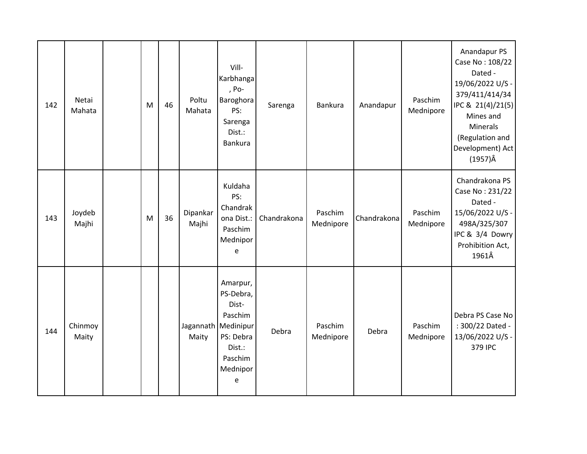| 142 | Netai<br>Mahata  | M | 46 | Poltu<br>Mahata    | Vill-<br>Karbhanga<br>, Po-<br>Baroghora<br>PS:<br>Sarenga<br>Dist.:<br><b>Bankura</b>                    | Sarenga     | Bankura              | Anandapur   | Paschim<br>Mednipore | Anandapur PS<br>Case No: 108/22<br>Dated -<br>19/06/2022 U/S -<br>379/411/414/34<br>IPC & 21(4)/21(5)<br>Mines and<br><b>Minerals</b><br>(Regulation and<br>Development) Act<br>$(1957)\hat{A}$ |
|-----|------------------|---|----|--------------------|-----------------------------------------------------------------------------------------------------------|-------------|----------------------|-------------|----------------------|-------------------------------------------------------------------------------------------------------------------------------------------------------------------------------------------------|
| 143 | Joydeb<br>Majhi  | M | 36 | Dipankar<br>Majhi  | Kuldaha<br>PS:<br>Chandrak<br>ona Dist.:<br>Paschim<br>Mednipor<br>e                                      | Chandrakona | Paschim<br>Mednipore | Chandrakona | Paschim<br>Mednipore | Chandrakona PS<br>Case No: 231/22<br>Dated -<br>15/06/2022 U/S -<br>498A/325/307<br>IPC & 3/4 Dowry<br>Prohibition Act,<br>1961Â                                                                |
| 144 | Chinmoy<br>Maity |   |    | Jagannath<br>Maity | Amarpur,<br>PS-Debra,<br>Dist-<br>Paschim<br>Medinipur<br>PS: Debra<br>Dist.:<br>Paschim<br>Mednipor<br>e | Debra       | Paschim<br>Mednipore | Debra       | Paschim<br>Mednipore | Debra PS Case No<br>: 300/22 Dated -<br>13/06/2022 U/S -<br>379 IPC                                                                                                                             |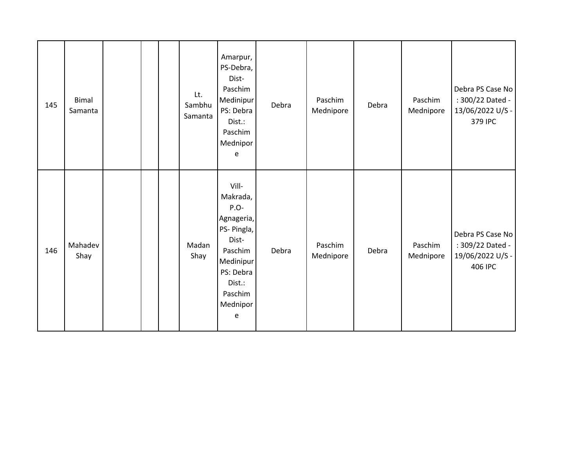| 145 | <b>Bimal</b><br>Samanta |  | Lt.<br>Sambhu<br>Samanta | Amarpur,<br>PS-Debra,<br>Dist-<br>Paschim<br>Medinipur<br>PS: Debra<br>Dist.:<br>Paschim<br>Mednipor<br>e                                  | Debra | Paschim<br>Mednipore | Debra | Paschim<br>Mednipore | Debra PS Case No<br>: 300/22 Dated -<br>13/06/2022 U/S -<br>379 IPC |
|-----|-------------------------|--|--------------------------|--------------------------------------------------------------------------------------------------------------------------------------------|-------|----------------------|-------|----------------------|---------------------------------------------------------------------|
| 146 | Mahadev<br>Shay         |  | Madan<br>Shay            | Vill-<br>Makrada,<br>P.O-<br>Agnageria,<br>PS- Pingla,<br>Dist-<br>Paschim<br>Medinipur<br>PS: Debra<br>Dist.:<br>Paschim<br>Mednipor<br>e | Debra | Paschim<br>Mednipore | Debra | Paschim<br>Mednipore | Debra PS Case No<br>: 309/22 Dated -<br>19/06/2022 U/S -<br>406 IPC |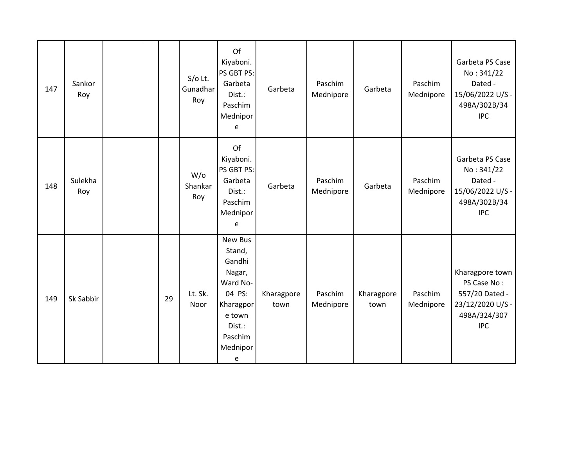| 147 | Sankor<br>Roy  |  |    | $S/O$ Lt.<br>Gunadhar<br>Roy    | Of<br>Kiyaboni.<br>PS GBT PS:<br>Garbeta<br>Dist.:<br>Paschim<br>Mednipor<br>e                                           | Garbeta            | Paschim<br>Mednipore | Garbeta            | Paschim<br>Mednipore | Garbeta PS Case<br>No: 341/22<br>Dated -<br>15/06/2022 U/S -<br>498A/302B/34<br><b>IPC</b>         |
|-----|----------------|--|----|---------------------------------|--------------------------------------------------------------------------------------------------------------------------|--------------------|----------------------|--------------------|----------------------|----------------------------------------------------------------------------------------------------|
| 148 | Sulekha<br>Roy |  |    | $W$ / $\circ$<br>Shankar<br>Roy | Of<br>Kiyaboni.<br>PS GBT PS:<br>Garbeta<br>Dist.:<br>Paschim<br>Mednipor<br>e                                           | Garbeta            | Paschim<br>Mednipore | Garbeta            | Paschim<br>Mednipore | Garbeta PS Case<br>No: 341/22<br>Dated -<br>15/06/2022 U/S -<br>498A/302B/34<br><b>IPC</b>         |
| 149 | Sk Sabbir      |  | 29 | Lt. Sk.<br>Noor                 | New Bus<br>Stand,<br>Gandhi<br>Nagar,<br>Ward No-<br>04 PS:<br>Kharagpor<br>e town<br>Dist.:<br>Paschim<br>Mednipor<br>e | Kharagpore<br>town | Paschim<br>Mednipore | Kharagpore<br>town | Paschim<br>Mednipore | Kharagpore town<br>PS Case No:<br>557/20 Dated -<br>23/12/2020 U/S -<br>498A/324/307<br><b>IPC</b> |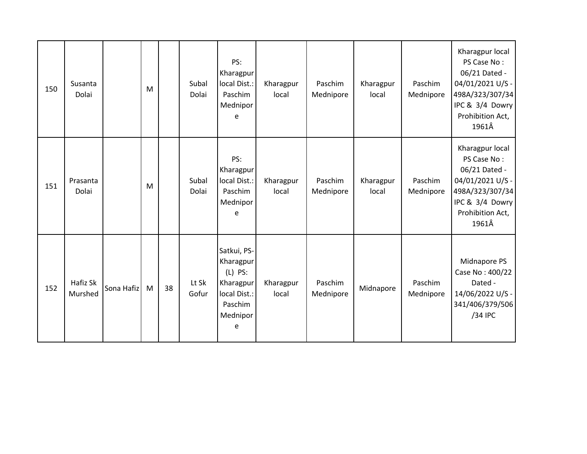| 150 | Susanta<br>Dolai    |            | M |    | Subal<br>Dolai | PS:<br>Kharagpur<br>local Dist.:<br>Paschim<br>Mednipor<br>e                                   | Kharagpur<br>local | Paschim<br>Mednipore | Kharagpur<br>local | Paschim<br>Mednipore | Kharagpur local<br>PS Case No:<br>06/21 Dated -<br>04/01/2021 U/S -<br>498A/323/307/34<br>IPC & 3/4 Dowry<br>Prohibition Act,<br>1961Â |
|-----|---------------------|------------|---|----|----------------|------------------------------------------------------------------------------------------------|--------------------|----------------------|--------------------|----------------------|----------------------------------------------------------------------------------------------------------------------------------------|
| 151 | Prasanta<br>Dolai   |            | M |    | Subal<br>Dolai | PS:<br>Kharagpur<br>local Dist.:<br>Paschim<br>Mednipor<br>e                                   | Kharagpur<br>local | Paschim<br>Mednipore | Kharagpur<br>local | Paschim<br>Mednipore | Kharagpur local<br>PS Case No:<br>06/21 Dated -<br>04/01/2021 U/S -<br>498A/323/307/34<br>IPC & 3/4 Dowry<br>Prohibition Act,<br>1961Â |
| 152 | Hafiz Sk<br>Murshed | Sona Hafiz | M | 38 | Lt Sk<br>Gofur | Satkui, PS-<br>Kharagpur<br>$(L)$ PS:<br>Kharagpur<br>local Dist.:<br>Paschim<br>Mednipor<br>e | Kharagpur<br>local | Paschim<br>Mednipore | Midnapore          | Paschim<br>Mednipore | Midnapore PS<br>Case No: 400/22<br>Dated -<br>14/06/2022 U/S -<br>341/406/379/506<br>/34 IPC                                           |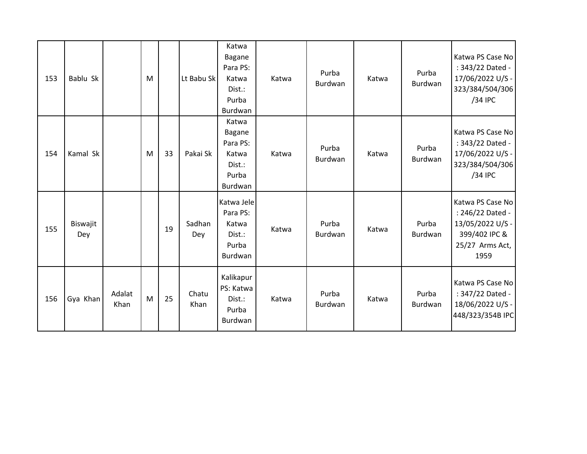| 153 | Bablu Sk        |                | M |    | Lt Babu Sk    | Katwa<br><b>Bagane</b><br>Para PS:<br>Katwa<br>Dist.:<br>Purba<br>Burdwan | Katwa | Purba<br><b>Burdwan</b> | Katwa | Purba<br><b>Burdwan</b> | Katwa PS Case No<br>: 343/22 Dated -<br>17/06/2022 U/S -<br>323/384/504/306<br>/34 IPC               |
|-----|-----------------|----------------|---|----|---------------|---------------------------------------------------------------------------|-------|-------------------------|-------|-------------------------|------------------------------------------------------------------------------------------------------|
| 154 | Kamal Sk        |                | M | 33 | Pakai Sk      | Katwa<br><b>Bagane</b><br>Para PS:<br>Katwa<br>Dist.:<br>Purba<br>Burdwan | Katwa | Purba<br><b>Burdwan</b> | Katwa | Purba<br>Burdwan        | Katwa PS Case No<br>: 343/22 Dated -<br>17/06/2022 U/S -<br>323/384/504/306<br>/34 IPC               |
| 155 | Biswajit<br>Dey |                |   | 19 | Sadhan<br>Dey | Katwa Jele<br>Para PS:<br>Katwa<br>Dist.:<br>Purba<br>Burdwan             | Katwa | Purba<br>Burdwan        | Katwa | Purba<br>Burdwan        | Katwa PS Case No<br>: 246/22 Dated -<br>13/05/2022 U/S -<br>399/402 IPC &<br>25/27 Arms Act,<br>1959 |
| 156 | Gya Khan        | Adalat<br>Khan | M | 25 | Chatu<br>Khan | Kalikapur<br>PS: Katwa<br>Dist.:<br>Purba<br>Burdwan                      | Katwa | Purba<br>Burdwan        | Katwa | Purba<br>Burdwan        | Katwa PS Case No<br>: 347/22 Dated -<br>18/06/2022 U/S -<br>448/323/354B IPC                         |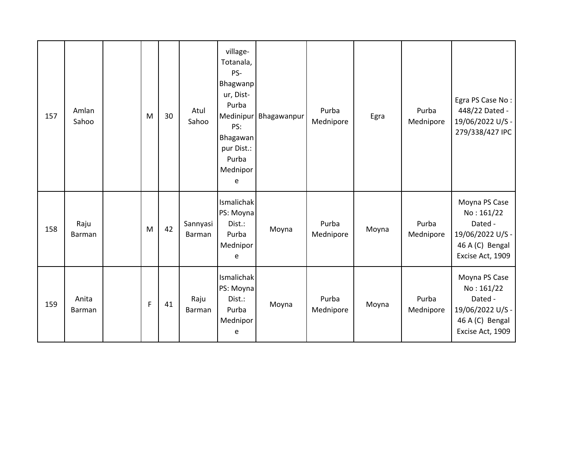| 157 | Amlan<br>Sahoo  | M | 30 | Atul<br>Sahoo      | village-<br>Totanala,<br>PS-<br><b>Bhagwanp</b><br>ur, Dist-<br>Purba<br>PS:<br>Bhagawan<br>pur Dist.:<br>Purba<br>Mednipor<br>e | Medinipur Bhagawanpur | Purba<br>Mednipore | Egra  | Purba<br>Mednipore | Egra PS Case No:<br>448/22 Dated -<br>19/06/2022 U/S -<br>279/338/427 IPC                         |
|-----|-----------------|---|----|--------------------|----------------------------------------------------------------------------------------------------------------------------------|-----------------------|--------------------|-------|--------------------|---------------------------------------------------------------------------------------------------|
| 158 | Raju<br>Barman  | M | 42 | Sannyasi<br>Barman | Ismalichak<br>PS: Moyna<br>Dist.:<br>Purba<br>Mednipor<br>e                                                                      | Moyna                 | Purba<br>Mednipore | Moyna | Purba<br>Mednipore | Moyna PS Case<br>No: 161/22<br>Dated -<br>19/06/2022 U/S -<br>46 A (C) Bengal<br>Excise Act, 1909 |
| 159 | Anita<br>Barman | F | 41 | Raju<br>Barman     | Ismalichak<br>PS: Moyna<br>Dist.:<br>Purba<br>Mednipor<br>e                                                                      | Moyna                 | Purba<br>Mednipore | Moyna | Purba<br>Mednipore | Moyna PS Case<br>No: 161/22<br>Dated -<br>19/06/2022 U/S -<br>46 A (C) Bengal<br>Excise Act, 1909 |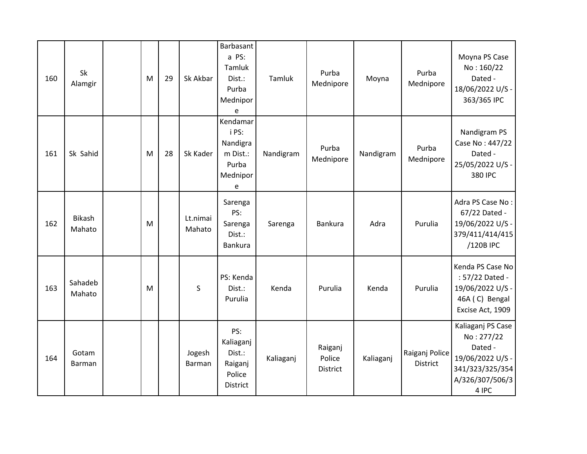| 160 | Sk<br>Alamgir           | M | 29 | Sk Akbar           | Barbasant<br>a PS:<br>Tamluk<br>Dist.:<br>Purba<br>Mednipor<br>е    | Tamluk    | Purba<br>Mednipore            | Moyna     | Purba<br>Mednipore                | Moyna PS Case<br>No: 160/22<br>Dated -<br>18/06/2022 U/S -<br>363/365 IPC                                     |
|-----|-------------------------|---|----|--------------------|---------------------------------------------------------------------|-----------|-------------------------------|-----------|-----------------------------------|---------------------------------------------------------------------------------------------------------------|
| 161 | Sk Sahid                | M | 28 | Sk Kader           | Kendamar<br>i PS:<br>Nandigra<br>m Dist.:<br>Purba<br>Mednipor<br>e | Nandigram | Purba<br>Mednipore            | Nandigram | Purba<br>Mednipore                | Nandigram PS<br>Case No: 447/22<br>Dated -<br>25/05/2022 U/S -<br>380 IPC                                     |
| 162 | <b>Bikash</b><br>Mahato | M |    | Lt.nimai<br>Mahato | Sarenga<br>PS:<br>Sarenga<br>Dist.:<br>Bankura                      | Sarenga   | Bankura                       | Adra      | Purulia                           | Adra PS Case No:<br>67/22 Dated -<br>19/06/2022 U/S -<br>379/411/414/415<br>/120B IPC                         |
| 163 | Sahadeb<br>Mahato       | M |    | $\sf S$            | PS: Kenda<br>Dist.:<br>Purulia                                      | Kenda     | Purulia                       | Kenda     | Purulia                           | Kenda PS Case No<br>: 57/22 Dated -<br>19/06/2022 U/S -<br>46A (C) Bengal<br>Excise Act, 1909                 |
| 164 | Gotam<br>Barman         |   |    | Jogesh<br>Barman   | PS:<br>Kaliaganj<br>Dist.:<br>Raiganj<br>Police<br><b>District</b>  | Kaliaganj | Raiganj<br>Police<br>District | Kaliaganj | Raiganj Police<br><b>District</b> | Kaliaganj PS Case<br>No: 277/22<br>Dated -<br>19/06/2022 U/S -<br>341/323/325/354<br>A/326/307/506/3<br>4 IPC |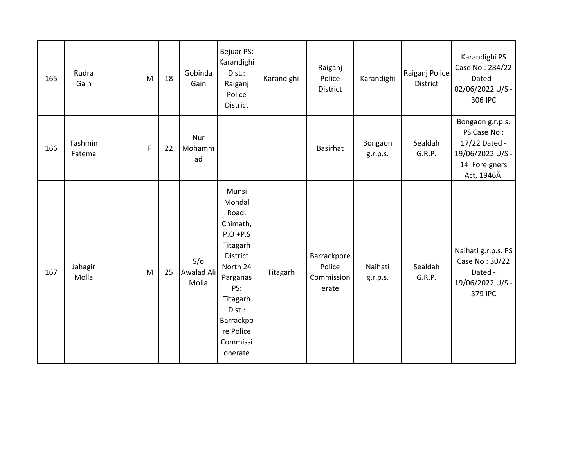| 165 | Rudra<br>Gain     | M | 18 | Gobinda<br>Gain            | Bejuar PS:<br>Karandighi<br>Dist.:<br>Raiganj<br>Police<br><b>District</b>                                                                                                        | Karandighi | Raiganj<br>Police<br>District                | Karandighi          | Raiganj Police<br>District | Karandighi PS<br>Case No: 284/22<br>Dated -<br>02/06/2022 U/S -<br>306 IPC                          |
|-----|-------------------|---|----|----------------------------|-----------------------------------------------------------------------------------------------------------------------------------------------------------------------------------|------------|----------------------------------------------|---------------------|----------------------------|-----------------------------------------------------------------------------------------------------|
| 166 | Tashmin<br>Fatema | F | 22 | Nur<br>Mohamm<br>ad        |                                                                                                                                                                                   |            | Basirhat                                     | Bongaon<br>g.r.p.s. | Sealdah<br>G.R.P.          | Bongaon g.r.p.s.<br>PS Case No:<br>17/22 Dated -<br>19/06/2022 U/S -<br>14 Foreigners<br>Act, 1946Â |
| 167 | Jahagir<br>Molla  | M | 25 | S/O<br>Awalad Ali<br>Molla | Munsi<br>Mondal<br>Road,<br>Chimath,<br>$P.O + P.S$<br>Titagarh<br>District<br>North 24<br>Parganas<br>PS:<br>Titagarh<br>Dist.:<br>Barrackpo<br>re Police<br>Commissi<br>onerate | Titagarh   | Barrackpore<br>Police<br>Commission<br>erate | Naihati<br>g.r.p.s. | Sealdah<br>G.R.P.          | Naihati g.r.p.s. PS<br>Case No: 30/22<br>Dated -<br>19/06/2022 U/S -<br>379 IPC                     |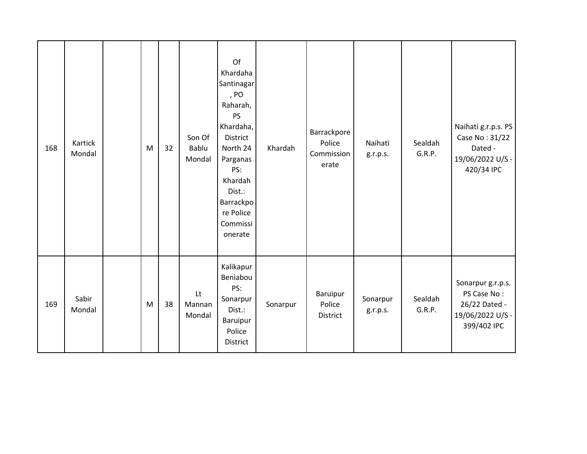| 168 | Kartick<br>Mondal | M | 32 | Son Of<br>Bablu<br>Mondal | Of<br>Khardaha<br>Santinagar<br>, PO<br>Raharah,<br>PS<br>Khardaha,<br>District<br>North 24<br>Parganas<br>PS:<br>Khardah<br>Dist.:<br>Barrackpo<br>re Police<br>Commissi<br>onerate | Khardah  | Barrackpore<br>Police<br>Commission<br>erate | Naihati<br>g.r.p.s.  | Sealdah<br>G.R.P. | Naihati g.r.p.s. PS<br>Case No: 31/22<br>Dated -<br>19/06/2022 U/S -<br>420/34 IPC   |
|-----|-------------------|---|----|---------------------------|--------------------------------------------------------------------------------------------------------------------------------------------------------------------------------------|----------|----------------------------------------------|----------------------|-------------------|--------------------------------------------------------------------------------------|
| 169 | Sabir<br>Mondal   | M | 38 | Lt<br>Mannan<br>Mondal    | Kalikapur<br>Beniabou<br>PS:<br>Sonarpur<br>Dist.:<br>Baruipur<br>Police<br>District                                                                                                 | Sonarpur | Baruipur<br>Police<br>District               | Sonarpur<br>g.r.p.s. | Sealdah<br>G.R.P. | Sonarpur g.r.p.s.<br>PS Case No:<br>26/22 Dated -<br>19/06/2022 U/S -<br>399/402 IPC |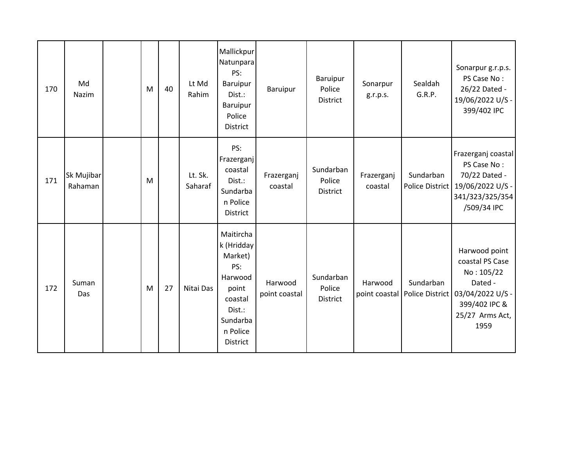| 170 | Md<br>Nazim           | M | 40 | Lt Md<br>Rahim     | Mallickpur<br>Natunpara<br>PS:<br>Baruipur<br>Dist.:<br>Baruipur<br>Police<br><b>District</b>                          | Baruipur                 | Baruipur<br>Police<br>District  | Sonarpur<br>g.r.p.s.  | Sealdah<br>G.R.P.                            | Sonarpur g.r.p.s.<br>PS Case No:<br>26/22 Dated -<br>19/06/2022 U/S -<br>399/402 IPC                                      |
|-----|-----------------------|---|----|--------------------|------------------------------------------------------------------------------------------------------------------------|--------------------------|---------------------------------|-----------------------|----------------------------------------------|---------------------------------------------------------------------------------------------------------------------------|
| 171 | Sk Mujibar<br>Rahaman | M |    | Lt. Sk.<br>Saharaf | PS:<br>Frazerganj<br>coastal<br>Dist.:<br>Sundarba<br>n Police<br>District                                             | Frazerganj<br>coastal    | Sundarban<br>Police<br>District | Frazerganj<br>coastal | Sundarban<br>Police District                 | Frazerganj coastal<br>PS Case No:<br>70/22 Dated -<br>19/06/2022 U/S -<br>341/323/325/354<br>/509/34 IPC                  |
| 172 | Suman<br>Das          | M | 27 | Nitai Das          | Maitircha<br>k (Hridday<br>Market)<br>PS:<br>Harwood<br>point<br>coastal<br>Dist.:<br>Sundarba<br>n Police<br>District | Harwood<br>point coastal | Sundarban<br>Police<br>District | Harwood               | Sundarban<br>point coastal   Police District | Harwood point<br>coastal PS Case<br>No: 105/22<br>Dated -<br>03/04/2022 U/S -<br>399/402 IPC &<br>25/27 Arms Act,<br>1959 |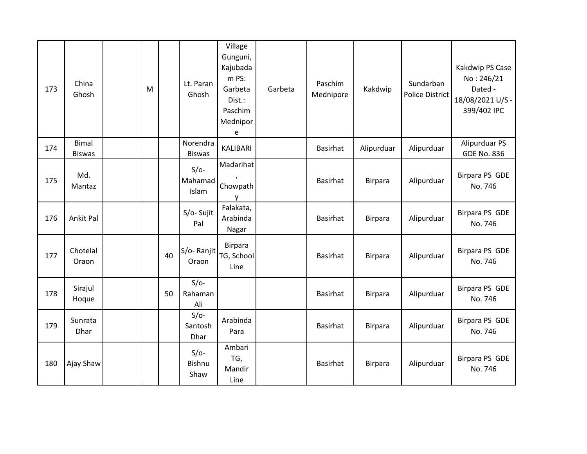| 173 | China<br>Ghosh                | M |    | Lt. Paran<br>Ghosh              | Village<br>Gunguni,<br>Kajubada<br>m PS:<br>Garbeta<br>Dist.:<br>Paschim<br>Mednipor<br>e | Garbeta | Paschim<br>Mednipore | Kakdwip        | Sundarban<br><b>Police District</b> | Kakdwip PS Case<br>No: 246/21<br>Dated -<br>18/08/2021 U/S -<br>399/402 IPC |
|-----|-------------------------------|---|----|---------------------------------|-------------------------------------------------------------------------------------------|---------|----------------------|----------------|-------------------------------------|-----------------------------------------------------------------------------|
| 174 | <b>Bimal</b><br><b>Biswas</b> |   |    | Norendra<br><b>Biswas</b>       | KALIBARI                                                                                  |         | <b>Basirhat</b>      | Alipurduar     | Alipurduar                          | Alipurduar PS<br><b>GDE No. 836</b>                                         |
| 175 | Md.<br>Mantaz                 |   |    | $S/O-$<br>Mahamad<br>Islam      | Madarihat<br>Chowpath<br>y                                                                |         | Basirhat             | <b>Birpara</b> | Alipurduar                          | Birpara PS GDE<br>No. 746                                                   |
| 176 | Ankit Pal                     |   |    | S/o-Sujit<br>Pal                | Falakata,<br>Arabinda<br>Nagar                                                            |         | <b>Basirhat</b>      | <b>Birpara</b> | Alipurduar                          | Birpara PS GDE<br>No. 746                                                   |
| 177 | Chotelal<br>Oraon             |   | 40 | S/o-Ranjit<br>Oraon             | Birpara<br>TG, School<br>Line                                                             |         | <b>Basirhat</b>      | <b>Birpara</b> | Alipurduar                          | Birpara PS GDE<br>No. 746                                                   |
| 178 | Sirajul<br>Hoque              |   | 50 | $S/O-$<br>Rahaman<br>Ali        |                                                                                           |         | <b>Basirhat</b>      | <b>Birpara</b> | Alipurduar                          | Birpara PS GDE<br>No. 746                                                   |
| 179 | Sunrata<br>Dhar               |   |    | $S/O-$<br>Santosh<br>Dhar       | Arabinda<br>Para                                                                          |         | <b>Basirhat</b>      | <b>Birpara</b> | Alipurduar                          | Birpara PS GDE<br>No. 746                                                   |
| 180 | Ajay Shaw                     |   |    | $S/O-$<br><b>Bishnu</b><br>Shaw | Ambari<br>TG,<br>Mandir<br>Line                                                           |         | Basirhat             | <b>Birpara</b> | Alipurduar                          | <b>Birpara PS GDE</b><br>No. 746                                            |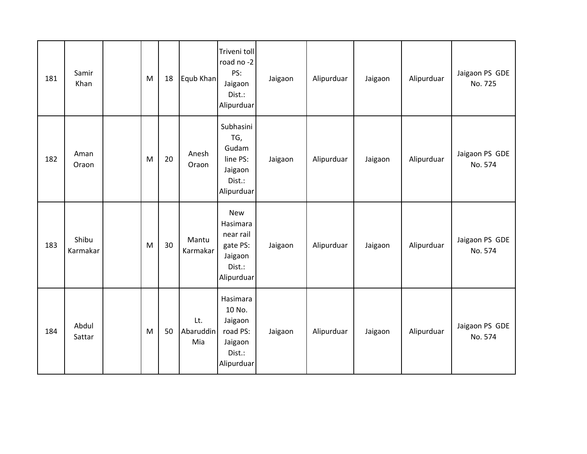| 181 | Samir<br>Khan     | M | 18 | Equb Khan               | Triveni toll<br>road no-2<br>PS:<br>Jaigaon<br>Dist.:<br>Alipurduar                | Jaigaon | Alipurduar | Jaigaon | Alipurduar | Jaigaon PS GDE<br>No. 725 |
|-----|-------------------|---|----|-------------------------|------------------------------------------------------------------------------------|---------|------------|---------|------------|---------------------------|
| 182 | Aman<br>Oraon     | M | 20 | Anesh<br>Oraon          | Subhasini<br>TG,<br>Gudam<br>line PS:<br>Jaigaon<br>Dist.:<br>Alipurduar           | Jaigaon | Alipurduar | Jaigaon | Alipurduar | Jaigaon PS GDE<br>No. 574 |
| 183 | Shibu<br>Karmakar | M | 30 | Mantu<br>Karmakar       | <b>New</b><br>Hasimara<br>near rail<br>gate PS:<br>Jaigaon<br>Dist.:<br>Alipurduar | Jaigaon | Alipurduar | Jaigaon | Alipurduar | Jaigaon PS GDE<br>No. 574 |
| 184 | Abdul<br>Sattar   | M | 50 | Lt.<br>Abaruddin<br>Mia | Hasimara<br>10 No.<br>Jaigaon<br>road PS:<br>Jaigaon<br>Dist.:<br>Alipurduar       | Jaigaon | Alipurduar | Jaigaon | Alipurduar | Jaigaon PS GDE<br>No. 574 |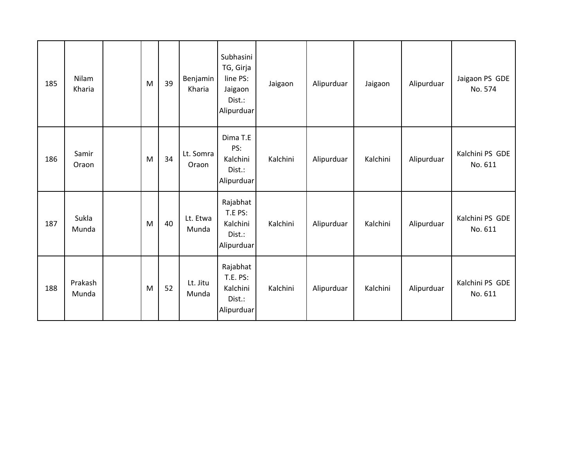| 185 | <b>Nilam</b><br>Kharia | M | 39 | Benjamin<br>Kharia | Subhasini<br>TG, Girja<br>line PS:<br>Jaigaon<br>Dist.:<br>Alipurduar | Jaigaon  | Alipurduar | Jaigaon  | Alipurduar | Jaigaon PS GDE<br>No. 574  |
|-----|------------------------|---|----|--------------------|-----------------------------------------------------------------------|----------|------------|----------|------------|----------------------------|
| 186 | Samir<br>Oraon         | M | 34 | Lt. Somra<br>Oraon | Dima T.E<br>PS:<br>Kalchini<br>Dist.:<br>Alipurduar                   | Kalchini | Alipurduar | Kalchini | Alipurduar | Kalchini PS GDE<br>No. 611 |
| 187 | Sukla<br>Munda         | M | 40 | Lt. Etwa<br>Munda  | Rajabhat<br>T.E PS:<br>Kalchini<br>Dist.:<br>Alipurduar               | Kalchini | Alipurduar | Kalchini | Alipurduar | Kalchini PS GDE<br>No. 611 |
| 188 | Prakash<br>Munda       | M | 52 | Lt. Jitu<br>Munda  | Rajabhat<br>T.E. PS:<br>Kalchini<br>Dist.:<br>Alipurduar              | Kalchini | Alipurduar | Kalchini | Alipurduar | Kalchini PS GDE<br>No. 611 |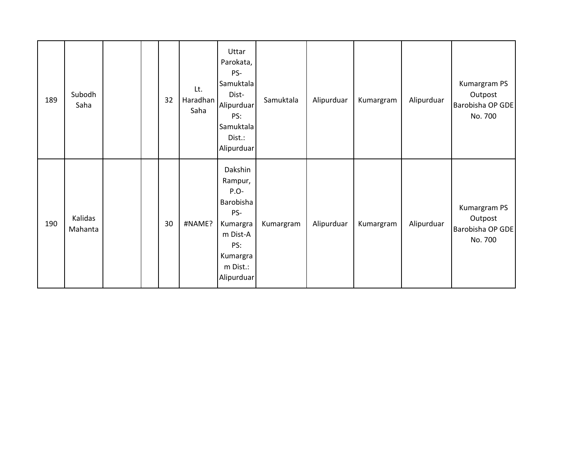| 189 | Subodh<br>Saha     |  | 32 | Lt.<br>Haradhan<br>Saha | Uttar<br>Parokata,<br>PS-<br>Samuktala<br>Dist-<br>Alipurduar<br>PS:<br>Samuktala<br>Dist.:<br>Alipurduar             | Samuktala | Alipurduar | Kumargram | Alipurduar | Kumargram PS<br>Outpost<br>Barobisha OP GDE<br>No. 700 |
|-----|--------------------|--|----|-------------------------|-----------------------------------------------------------------------------------------------------------------------|-----------|------------|-----------|------------|--------------------------------------------------------|
| 190 | Kalidas<br>Mahanta |  | 30 | #NAME?                  | Dakshin<br>Rampur,<br>$P.O-$<br>Barobisha<br>PS-<br>Kumargra<br>m Dist-A<br>PS:<br>Kumargra<br>m Dist.:<br>Alipurduar | Kumargram | Alipurduar | Kumargram | Alipurduar | Kumargram PS<br>Outpost<br>Barobisha OP GDE<br>No. 700 |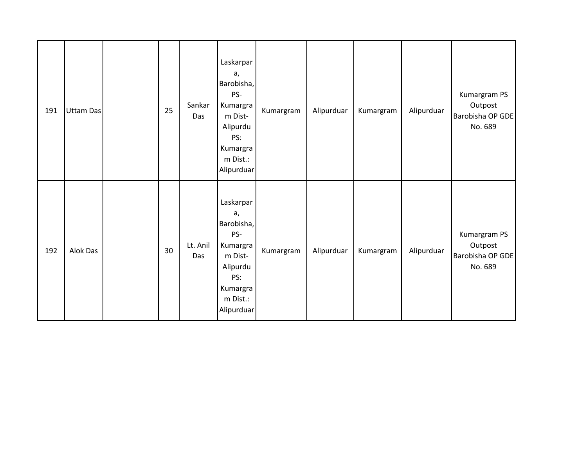| 191 | Uttam Das |  | 25 | Sankar<br>Das   | Laskarpar<br>a,<br>Barobisha,<br>PS-<br>Kumargra<br>m Dist-<br>Alipurdu<br>PS:<br>Kumargra<br>m Dist.:<br>Alipurduar | Kumargram | Alipurduar | Kumargram | Alipurduar | Kumargram PS<br>Outpost<br>Barobisha OP GDE<br>No. 689 |
|-----|-----------|--|----|-----------------|----------------------------------------------------------------------------------------------------------------------|-----------|------------|-----------|------------|--------------------------------------------------------|
| 192 | Alok Das  |  | 30 | Lt. Anil<br>Das | Laskarpar<br>a,<br>Barobisha,<br>PS-<br>Kumargra<br>m Dist-<br>Alipurdu<br>PS:<br>Kumargra<br>m Dist.:<br>Alipurduar | Kumargram | Alipurduar | Kumargram | Alipurduar | Kumargram PS<br>Outpost<br>Barobisha OP GDE<br>No. 689 |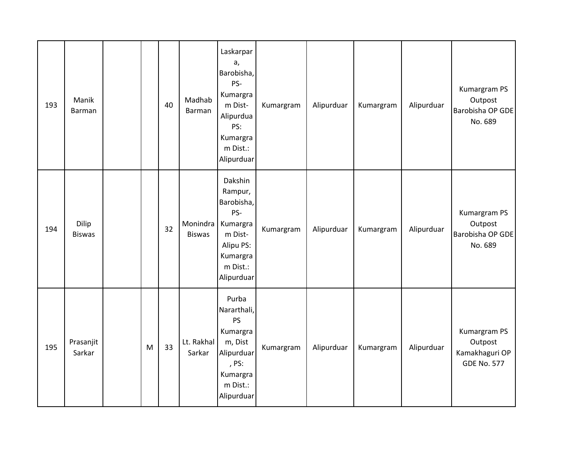| 193 | Manik<br>Barman        |   | 40 | Madhab<br>Barman          | Laskarpar<br>a,<br>Barobisha,<br>PS-<br>Kumargra<br>m Dist-<br>Alipurdua<br>PS:<br>Kumargra<br>m Dist.:<br>Alipurduar | Kumargram | Alipurduar | Kumargram | Alipurduar | Kumargram PS<br>Outpost<br>Barobisha OP GDE<br>No. 689          |
|-----|------------------------|---|----|---------------------------|-----------------------------------------------------------------------------------------------------------------------|-----------|------------|-----------|------------|-----------------------------------------------------------------|
| 194 | Dilip<br><b>Biswas</b> |   | 32 | Monindra<br><b>Biswas</b> | Dakshin<br>Rampur,<br>Barobisha,<br>PS-<br>Kumargra<br>m Dist-<br>Alipu PS:<br>Kumargra<br>m Dist.:<br>Alipurduar     | Kumargram | Alipurduar | Kumargram | Alipurduar | Kumargram PS<br>Outpost<br>Barobisha OP GDE<br>No. 689          |
| 195 | Prasanjit<br>Sarkar    | M | 33 | Lt. Rakhal<br>Sarkar      | Purba<br>Nararthali,<br>PS<br>Kumargra<br>m, Dist<br>Alipurduar<br>, PS:<br>Kumargra<br>m Dist.:<br>Alipurduar        | Kumargram | Alipurduar | Kumargram | Alipurduar | Kumargram PS<br>Outpost<br>Kamakhaguri OP<br><b>GDE No. 577</b> |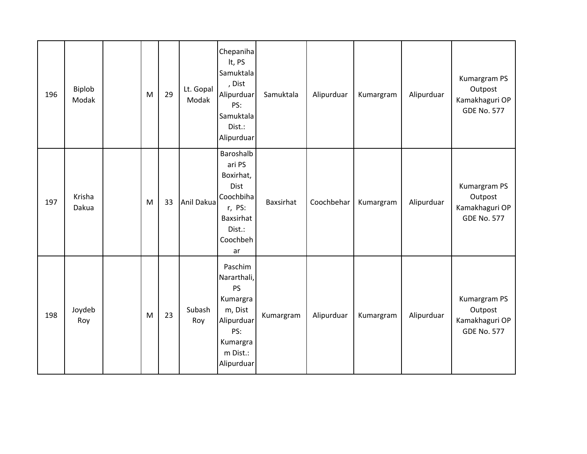| 196 | Biplob<br>Modak | M | 29 | Lt. Gopal<br>Modak | Chepaniha<br>It, PS<br>Samuktala<br>, Dist<br>Alipurduar<br>PS:<br>Samuktala<br>Dist.:<br>Alipurduar                  | Samuktala        | Alipurduar | Kumargram | Alipurduar | Kumargram PS<br>Outpost<br>Kamakhaguri OP<br><b>GDE No. 577</b> |
|-----|-----------------|---|----|--------------------|-----------------------------------------------------------------------------------------------------------------------|------------------|------------|-----------|------------|-----------------------------------------------------------------|
| 197 | Krisha<br>Dakua | M | 33 | Anil Dakua         | Baroshalb<br>ari PS<br>Boxirhat,<br>Dist<br>Coochbiha<br>r, PS:<br>Baxsirhat<br>Dist.:<br>Coochbeh<br>ar              | <b>Baxsirhat</b> | Coochbehar | Kumargram | Alipurduar | Kumargram PS<br>Outpost<br>Kamakhaguri OP<br><b>GDE No. 577</b> |
| 198 | Joydeb<br>Roy   | M | 23 | Subash<br>Roy      | Paschim<br>Nararthali,<br><b>PS</b><br>Kumargra<br>m, Dist<br>Alipurduar<br>PS:<br>Kumargra<br>m Dist.:<br>Alipurduar | Kumargram        | Alipurduar | Kumargram | Alipurduar | Kumargram PS<br>Outpost<br>Kamakhaguri OP<br><b>GDE No. 577</b> |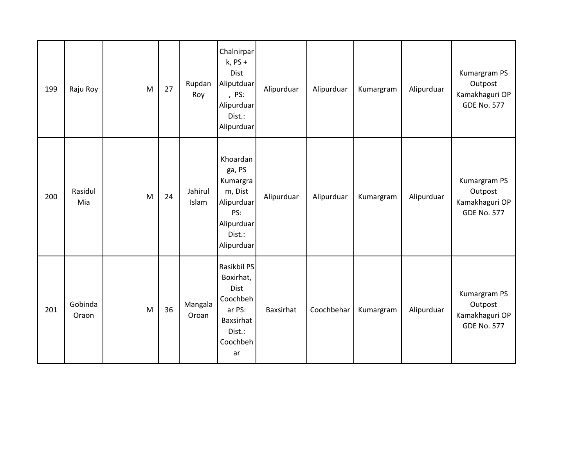| 199 | Raju Roy         | M | 27 | Rupdan<br>Roy    | Chalnirpar<br>$k$ , PS +<br>Dist<br>Aliputduar<br>, PS:<br>Alipurduar<br>Dist.:<br>Alipurduar        | Alipurduar | Alipurduar | Kumargram | Alipurduar | Kumargram PS<br>Outpost<br>Kamakhaguri OP<br><b>GDE No. 577</b> |
|-----|------------------|---|----|------------------|------------------------------------------------------------------------------------------------------|------------|------------|-----------|------------|-----------------------------------------------------------------|
| 200 | Rasidul<br>Mia   | M | 24 | Jahirul<br>Islam | Khoardan<br>ga, PS<br>Kumargra<br>m, Dist<br>Alipurduar<br>PS:<br>Alipurduar<br>Dist.:<br>Alipurduar | Alipurduar | Alipurduar | Kumargram | Alipurduar | Kumargram PS<br>Outpost<br>Kamakhaguri OP<br><b>GDE No. 577</b> |
| 201 | Gobinda<br>Oraon | M | 36 | Mangala<br>Oroan | Rasikbil PS<br>Boxirhat,<br>Dist<br>Coochbeh<br>ar PS:<br>Baxsirhat<br>Dist.:<br>Coochbeh<br>ar      | Baxsirhat  | Coochbehar | Kumargram | Alipurduar | Kumargram PS<br>Outpost<br>Kamakhaguri OP<br><b>GDE No. 577</b> |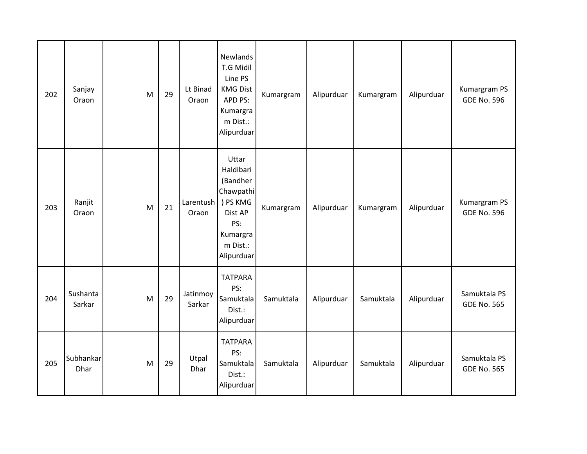| 202 | Sanjay<br>Oraon    | M | 29 | Lt Binad<br>Oraon  | Newlands<br>T.G Midil<br>Line PS<br><b>KMG Dist</b><br>APD PS:<br>Kumargra<br>m Dist.:<br>Alipurduar            | Kumargram | Alipurduar | Kumargram | Alipurduar | Kumargram PS<br><b>GDE No. 596</b> |
|-----|--------------------|---|----|--------------------|-----------------------------------------------------------------------------------------------------------------|-----------|------------|-----------|------------|------------------------------------|
| 203 | Ranjit<br>Oraon    | M | 21 | Larentush<br>Oraon | Uttar<br>Haldibari<br>(Bandher<br>Chawpathi<br>) PS KMG<br>Dist AP<br>PS:<br>Kumargra<br>m Dist.:<br>Alipurduar | Kumargram | Alipurduar | Kumargram | Alipurduar | Kumargram PS<br><b>GDE No. 596</b> |
| 204 | Sushanta<br>Sarkar | M | 29 | Jatinmoy<br>Sarkar | <b>TATPARA</b><br>PS:<br>Samuktala<br>Dist.:<br>Alipurduar                                                      | Samuktala | Alipurduar | Samuktala | Alipurduar | Samuktala PS<br><b>GDE No. 565</b> |
| 205 | Subhankar<br>Dhar  | M | 29 | Utpal<br>Dhar      | <b>TATPARA</b><br>PS:<br>Samuktala<br>Dist.:<br>Alipurduar                                                      | Samuktala | Alipurduar | Samuktala | Alipurduar | Samuktala PS<br><b>GDE No. 565</b> |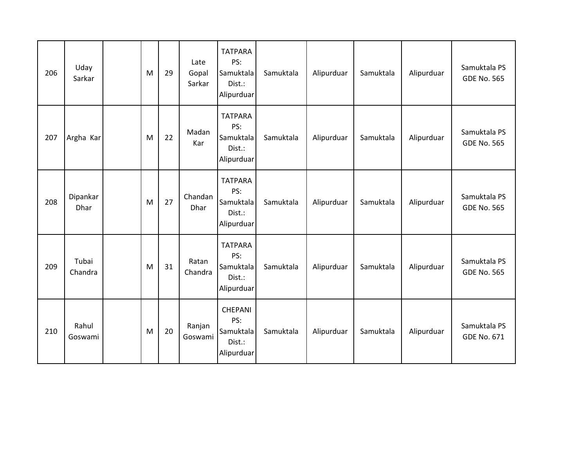| 206 | Uday<br>Sarkar   | M | 29 | Late<br>Gopal<br>Sarkar | <b>TATPARA</b><br>PS:<br>Samuktala<br>Dist.:<br>Alipurduar | Samuktala | Alipurduar | Samuktala | Alipurduar | Samuktala PS<br><b>GDE No. 565</b> |
|-----|------------------|---|----|-------------------------|------------------------------------------------------------|-----------|------------|-----------|------------|------------------------------------|
| 207 | Argha Kar        | M | 22 | Madan<br>Kar            | <b>TATPARA</b><br>PS:<br>Samuktala<br>Dist.:<br>Alipurduar | Samuktala | Alipurduar | Samuktala | Alipurduar | Samuktala PS<br><b>GDE No. 565</b> |
| 208 | Dipankar<br>Dhar | M | 27 | Chandan<br>Dhar         | <b>TATPARA</b><br>PS:<br>Samuktala<br>Dist.:<br>Alipurduar | Samuktala | Alipurduar | Samuktala | Alipurduar | Samuktala PS<br><b>GDE No. 565</b> |
| 209 | Tubai<br>Chandra | M | 31 | Ratan<br>Chandra        | <b>TATPARA</b><br>PS:<br>Samuktala<br>Dist.:<br>Alipurduar | Samuktala | Alipurduar | Samuktala | Alipurduar | Samuktala PS<br><b>GDE No. 565</b> |
| 210 | Rahul<br>Goswami | M | 20 | Ranjan<br>Goswami       | CHEPANI<br>PS:<br>Samuktala<br>Dist.:<br>Alipurduar        | Samuktala | Alipurduar | Samuktala | Alipurduar | Samuktala PS<br><b>GDE No. 671</b> |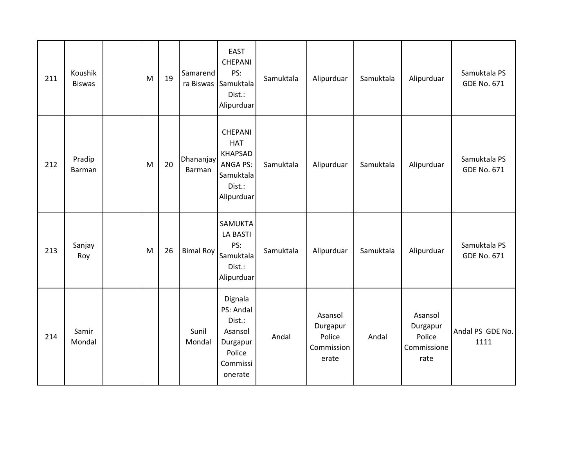| 211 | Koushik<br><b>Biswas</b> | M | 19 | Samarend            | <b>EAST</b><br><b>CHEPANI</b><br>PS:<br>ra Biswas Samuktala<br>Dist.:<br>Alipurduar             | Samuktala | Alipurduar                                           | Samuktala | Alipurduar                                           | Samuktala PS<br><b>GDE No. 671</b> |
|-----|--------------------------|---|----|---------------------|-------------------------------------------------------------------------------------------------|-----------|------------------------------------------------------|-----------|------------------------------------------------------|------------------------------------|
| 212 | Pradip<br><b>Barman</b>  | M | 20 | Dhananjay<br>Barman | CHEPANI<br><b>HAT</b><br><b>KHAPSAD</b><br><b>ANGA PS:</b><br>Samuktala<br>Dist.:<br>Alipurduar | Samuktala | Alipurduar                                           | Samuktala | Alipurduar                                           | Samuktala PS<br><b>GDE No. 671</b> |
| 213 | Sanjay<br>Roy            | M | 26 | <b>Bimal Roy</b>    | SAMUKTA<br><b>LA BASTI</b><br>PS:<br>Samuktala<br>Dist.:<br>Alipurduar                          | Samuktala | Alipurduar                                           | Samuktala | Alipurduar                                           | Samuktala PS<br><b>GDE No. 671</b> |
| 214 | Samir<br>Mondal          |   |    | Sunil<br>Mondal     | Dignala<br>PS: Andal<br>Dist.:<br>Asansol<br>Durgapur<br>Police<br>Commissi<br>onerate          | Andal     | Asansol<br>Durgapur<br>Police<br>Commission<br>erate | Andal     | Asansol<br>Durgapur<br>Police<br>Commissione<br>rate | Andal PS GDE No.<br>1111           |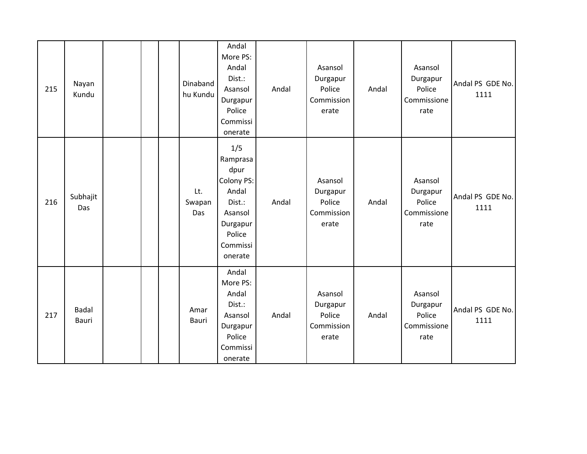| 215 | Nayan<br>Kundu        |  | Dinaband<br>hu Kundu | Andal<br>More PS:<br>Andal<br>Dist.:<br>Asansol<br>Durgapur<br>Police<br>Commissi<br>onerate                     | Andal | Asansol<br>Durgapur<br>Police<br>Commission<br>erate | Andal | Asansol<br>Durgapur<br>Police<br>Commissione<br>rate | Andal PS GDE No.<br>1111 |
|-----|-----------------------|--|----------------------|------------------------------------------------------------------------------------------------------------------|-------|------------------------------------------------------|-------|------------------------------------------------------|--------------------------|
| 216 | Subhajit<br>Das       |  | Lt.<br>Swapan<br>Das | 1/5<br>Ramprasa<br>dpur<br>Colony PS:<br>Andal<br>Dist.:<br>Asansol<br>Durgapur<br>Police<br>Commissi<br>onerate | Andal | Asansol<br>Durgapur<br>Police<br>Commission<br>erate | Andal | Asansol<br>Durgapur<br>Police<br>Commissione<br>rate | Andal PS GDE No.<br>1111 |
| 217 | <b>Badal</b><br>Bauri |  | Amar<br>Bauri        | Andal<br>More PS:<br>Andal<br>Dist.:<br>Asansol<br>Durgapur<br>Police<br>Commissi<br>onerate                     | Andal | Asansol<br>Durgapur<br>Police<br>Commission<br>erate | Andal | Asansol<br>Durgapur<br>Police<br>Commissione<br>rate | Andal PS GDE No.<br>1111 |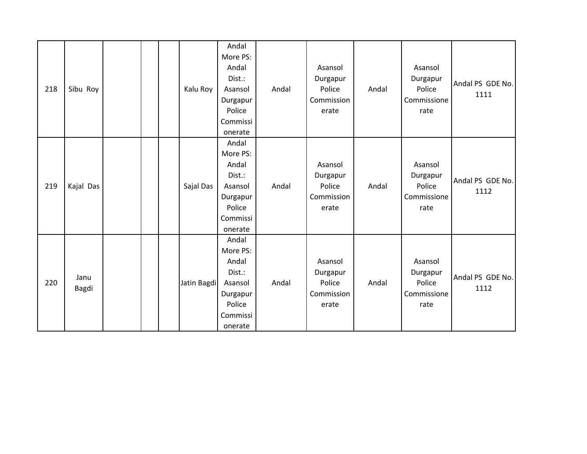| 218 | Sibu Roy      |  | Kalu Roy    | Andal<br>More PS:<br>Andal<br>Dist.:<br>Asansol<br>Durgapur<br>Police<br>Commissi<br>onerate | Andal | Asansol<br>Durgapur<br>Police<br>Commission<br>erate | Andal | Asansol<br>Durgapur<br>Police<br>Commissione<br>rate | Andal PS GDE No.<br>1111 |
|-----|---------------|--|-------------|----------------------------------------------------------------------------------------------|-------|------------------------------------------------------|-------|------------------------------------------------------|--------------------------|
| 219 | Kajal Das     |  | Sajal Das   | Andal<br>More PS:<br>Andal<br>Dist.:<br>Asansol<br>Durgapur<br>Police<br>Commissi<br>onerate | Andal | Asansol<br>Durgapur<br>Police<br>Commission<br>erate | Andal | Asansol<br>Durgapur<br>Police<br>Commissione<br>rate | Andal PS GDE No.<br>1112 |
| 220 | Janu<br>Bagdi |  | Jatin Bagdi | Andal<br>More PS:<br>Andal<br>Dist.:<br>Asansol<br>Durgapur<br>Police<br>Commissi<br>onerate | Andal | Asansol<br>Durgapur<br>Police<br>Commission<br>erate | Andal | Asansol<br>Durgapur<br>Police<br>Commissione<br>rate | Andal PS GDE No.<br>1112 |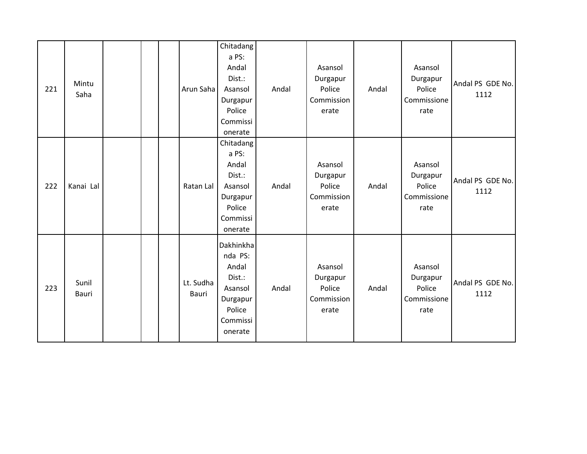| 221 | Mintu<br>Saha  |  | Arun Saha          | Chitadang<br>a PS:<br>Andal<br>Dist.:<br>Asansol<br>Durgapur<br>Police<br>Commissi<br>onerate   | Andal | Asansol<br>Durgapur<br>Police<br>Commission<br>erate | Andal | Asansol<br>Durgapur<br>Police<br>Commissione<br>rate | Andal PS GDE No.<br>1112 |
|-----|----------------|--|--------------------|-------------------------------------------------------------------------------------------------|-------|------------------------------------------------------|-------|------------------------------------------------------|--------------------------|
| 222 | Kanai Lal      |  | Ratan Lal          | Chitadang<br>a PS:<br>Andal<br>Dist.:<br>Asansol<br>Durgapur<br>Police<br>Commissi<br>onerate   | Andal | Asansol<br>Durgapur<br>Police<br>Commission<br>erate | Andal | Asansol<br>Durgapur<br>Police<br>Commissione<br>rate | Andal PS GDE No.<br>1112 |
| 223 | Sunil<br>Bauri |  | Lt. Sudha<br>Bauri | Dakhinkha<br>nda PS:<br>Andal<br>Dist.:<br>Asansol<br>Durgapur<br>Police<br>Commissi<br>onerate | Andal | Asansol<br>Durgapur<br>Police<br>Commission<br>erate | Andal | Asansol<br>Durgapur<br>Police<br>Commissione<br>rate | Andal PS GDE No.<br>1112 |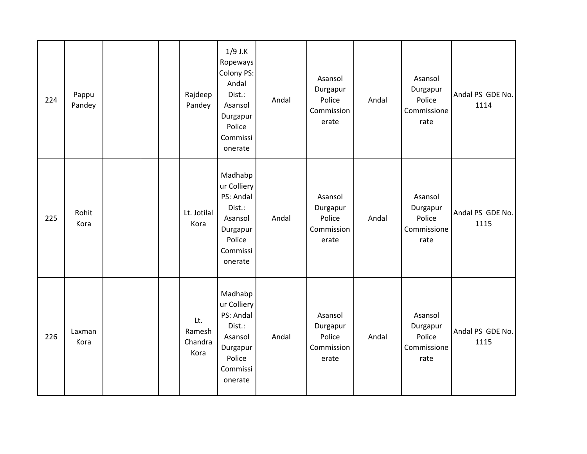| 224 | Pappu<br>Pandey |  | Rajdeep<br>Pandey                | $1/9$ J.K<br>Ropeways<br>Colony PS:<br>Andal<br>Dist.:<br>Asansol<br>Durgapur<br>Police<br>Commissi<br>onerate | Andal | Asansol<br>Durgapur<br>Police<br>Commission<br>erate | Andal | Asansol<br>Durgapur<br>Police<br>Commissione<br>rate | Andal PS GDE No.<br>1114 |
|-----|-----------------|--|----------------------------------|----------------------------------------------------------------------------------------------------------------|-------|------------------------------------------------------|-------|------------------------------------------------------|--------------------------|
| 225 | Rohit<br>Kora   |  | Lt. Jotilal<br>Kora              | Madhabp<br>ur Colliery<br>PS: Andal<br>Dist.:<br>Asansol<br>Durgapur<br>Police<br>Commissi<br>onerate          | Andal | Asansol<br>Durgapur<br>Police<br>Commission<br>erate | Andal | Asansol<br>Durgapur<br>Police<br>Commissione<br>rate | Andal PS GDE No.<br>1115 |
| 226 | Laxman<br>Kora  |  | Lt.<br>Ramesh<br>Chandra<br>Kora | Madhabp<br>ur Colliery<br>PS: Andal<br>Dist.:<br>Asansol<br>Durgapur<br>Police<br>Commissi<br>onerate          | Andal | Asansol<br>Durgapur<br>Police<br>Commission<br>erate | Andal | Asansol<br>Durgapur<br>Police<br>Commissione<br>rate | Andal PS GDE No.<br>1115 |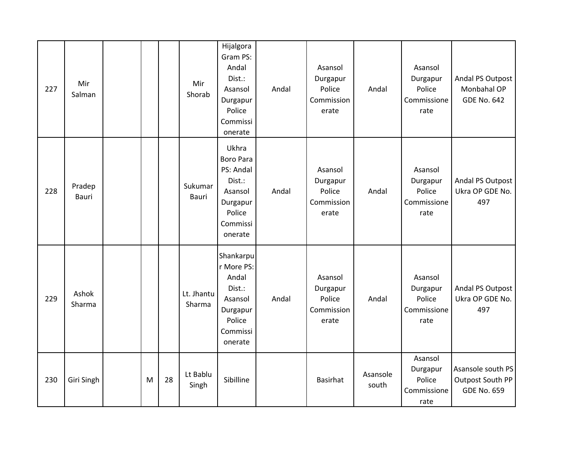| 227 | Mir<br>Salman   |   |    | Mir<br>Shorab        | Hijalgora<br>Gram PS:<br>Andal<br>Dist.:<br>Asansol<br>Durgapur<br>Police<br>Commissi<br>onerate         | Andal | Asansol<br>Durgapur<br>Police<br>Commission<br>erate | Andal             | Asansol<br>Durgapur<br>Police<br>Commissione<br>rate | Andal PS Outpost<br>Monbahal OP<br><b>GDE No. 642</b>       |
|-----|-----------------|---|----|----------------------|----------------------------------------------------------------------------------------------------------|-------|------------------------------------------------------|-------------------|------------------------------------------------------|-------------------------------------------------------------|
| 228 | Pradep<br>Bauri |   |    | Sukumar<br>Bauri     | Ukhra<br><b>Boro Para</b><br>PS: Andal<br>Dist.:<br>Asansol<br>Durgapur<br>Police<br>Commissi<br>onerate | Andal | Asansol<br>Durgapur<br>Police<br>Commission<br>erate | Andal             | Asansol<br>Durgapur<br>Police<br>Commissione<br>rate | Andal PS Outpost<br>Ukra OP GDE No.<br>497                  |
| 229 | Ashok<br>Sharma |   |    | Lt. Jhantu<br>Sharma | Shankarpu<br>r More PS:<br>Andal<br>Dist.:<br>Asansol<br>Durgapur<br>Police<br>Commissi<br>onerate       | Andal | Asansol<br>Durgapur<br>Police<br>Commission<br>erate | Andal             | Asansol<br>Durgapur<br>Police<br>Commissione<br>rate | Andal PS Outpost<br>Ukra OP GDE No.<br>497                  |
| 230 | Giri Singh      | M | 28 | Lt Bablu<br>Singh    | Sibilline                                                                                                |       | Basirhat                                             | Asansole<br>south | Asansol<br>Durgapur<br>Police<br>Commissione<br>rate | Asansole south PS<br>Outpost South PP<br><b>GDE No. 659</b> |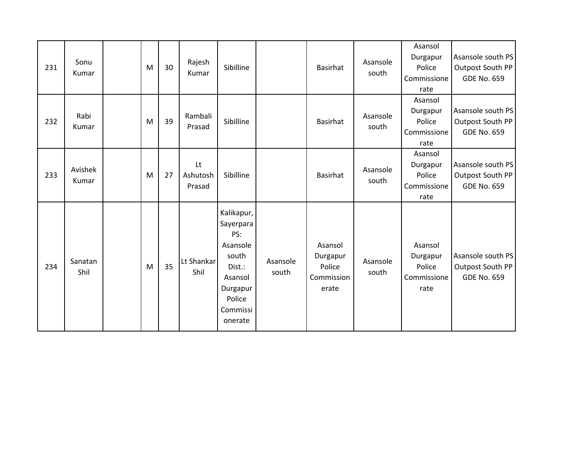| 231 | Sonu<br>Kumar    | M | 30 | Rajesh<br>Kumar          | Sibilline                                                                                                             |                   | Basirhat                                             | Asansole<br>south | Asansol<br>Durgapur<br>Police<br>Commissione<br>rate | Asansole south PS<br>Outpost South PP<br><b>GDE No. 659</b> |
|-----|------------------|---|----|--------------------------|-----------------------------------------------------------------------------------------------------------------------|-------------------|------------------------------------------------------|-------------------|------------------------------------------------------|-------------------------------------------------------------|
| 232 | Rabi<br>Kumar    | M | 39 | Rambali<br>Prasad        | Sibilline                                                                                                             |                   | Basirhat                                             | Asansole<br>south | Asansol<br>Durgapur<br>Police<br>Commissione<br>rate | Asansole south PS<br>Outpost South PP<br><b>GDE No. 659</b> |
| 233 | Avishek<br>Kumar | M | 27 | Lt<br>Ashutosh<br>Prasad | Sibilline                                                                                                             |                   | Basirhat                                             | Asansole<br>south | Asansol<br>Durgapur<br>Police<br>Commissione<br>rate | Asansole south PS<br>Outpost South PP<br><b>GDE No. 659</b> |
| 234 | Sanatan<br>Shil  | M | 35 | Lt Shankar<br>Shil       | Kalikapur,<br>Sayerpara<br>PS:<br>Asansole<br>south<br>Dist.:<br>Asansol<br>Durgapur<br>Police<br>Commissi<br>onerate | Asansole<br>south | Asansol<br>Durgapur<br>Police<br>Commission<br>erate | Asansole<br>south | Asansol<br>Durgapur<br>Police<br>Commissione<br>rate | Asansole south PS<br>Outpost South PP<br><b>GDE No. 659</b> |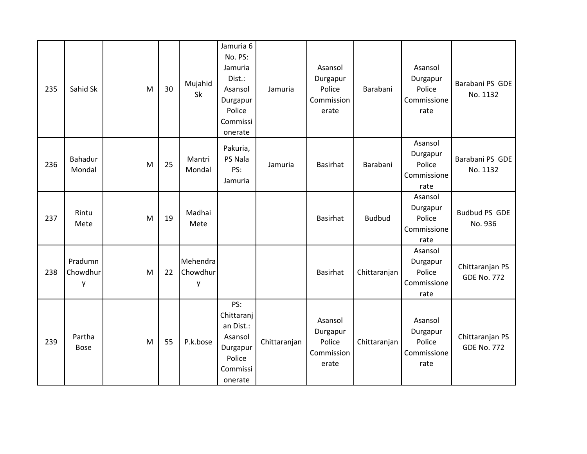| 235 | Sahid Sk                 | M | 30 | Mujahid<br>Sk             | Jamuria 6<br>No. PS:<br>Jamuria<br>Dist.:<br>Asansol<br>Durgapur<br>Police<br>Commissi<br>onerate | Jamuria      | Asansol<br>Durgapur<br>Police<br>Commission<br>erate | Barabani      | Asansol<br>Durgapur<br>Police<br>Commissione<br>rate | Barabani PS GDE<br>No. 1132           |
|-----|--------------------------|---|----|---------------------------|---------------------------------------------------------------------------------------------------|--------------|------------------------------------------------------|---------------|------------------------------------------------------|---------------------------------------|
| 236 | Bahadur<br>Mondal        | M | 25 | Mantri<br>Mondal          | Pakuria,<br>PS Nala<br>PS:<br>Jamuria                                                             | Jamuria      | <b>Basirhat</b>                                      | Barabani      | Asansol<br>Durgapur<br>Police<br>Commissione<br>rate | Barabani PS GDE<br>No. 1132           |
| 237 | Rintu<br>Mete            | M | 19 | Madhai<br>Mete            |                                                                                                   |              | Basirhat                                             | <b>Budbud</b> | Asansol<br>Durgapur<br>Police<br>Commissione<br>rate | <b>Budbud PS GDE</b><br>No. 936       |
| 238 | Pradumn<br>Chowdhur<br>y | M | 22 | Mehendra<br>Chowdhur<br>y |                                                                                                   |              | <b>Basirhat</b>                                      | Chittaranjan  | Asansol<br>Durgapur<br>Police<br>Commissione<br>rate | Chittaranjan PS<br><b>GDE No. 772</b> |
| 239 | Partha<br><b>Bose</b>    | M | 55 | P.k.bose                  | PS:<br>Chittaranj<br>an Dist.:<br>Asansol<br>Durgapur<br>Police<br>Commissi<br>onerate            | Chittaranjan | Asansol<br>Durgapur<br>Police<br>Commission<br>erate | Chittaranjan  | Asansol<br>Durgapur<br>Police<br>Commissione<br>rate | Chittaranjan PS<br><b>GDE No. 772</b> |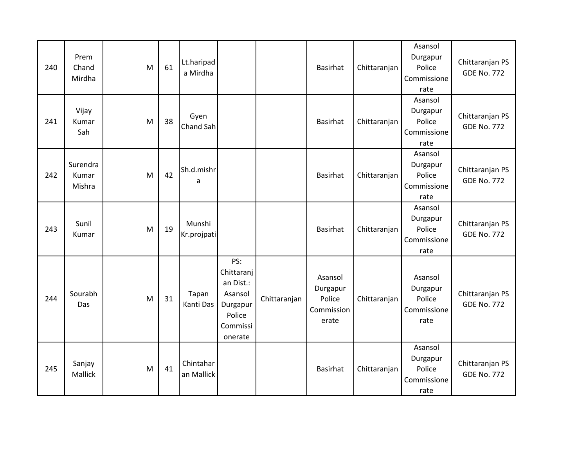| 240 | Prem<br>Chand<br>Mirdha     | M | 61 | Lt.haripad<br>a Mirdha  |                                                                                        |              | Basirhat                                             | Chittaranjan | Asansol<br>Durgapur<br>Police<br>Commissione<br>rate | Chittaranjan PS<br><b>GDE No. 772</b> |
|-----|-----------------------------|---|----|-------------------------|----------------------------------------------------------------------------------------|--------------|------------------------------------------------------|--------------|------------------------------------------------------|---------------------------------------|
| 241 | Vijay<br>Kumar<br>Sah       | M | 38 | Gyen<br>Chand Sah       |                                                                                        |              | Basirhat                                             | Chittaranjan | Asansol<br>Durgapur<br>Police<br>Commissione<br>rate | Chittaranjan PS<br><b>GDE No. 772</b> |
| 242 | Surendra<br>Kumar<br>Mishra | M | 42 | Sh.d.mishr<br>a         |                                                                                        |              | <b>Basirhat</b>                                      | Chittaranjan | Asansol<br>Durgapur<br>Police<br>Commissione<br>rate | Chittaranjan PS<br><b>GDE No. 772</b> |
| 243 | Sunil<br>Kumar              | M | 19 | Munshi<br>Kr.projpati   |                                                                                        |              | Basirhat                                             | Chittaranjan | Asansol<br>Durgapur<br>Police<br>Commissione<br>rate | Chittaranjan PS<br><b>GDE No. 772</b> |
| 244 | Sourabh<br>Das              | M | 31 | Tapan<br>Kanti Das      | PS:<br>Chittaranj<br>an Dist.:<br>Asansol<br>Durgapur<br>Police<br>Commissi<br>onerate | Chittaranjan | Asansol<br>Durgapur<br>Police<br>Commission<br>erate | Chittaranjan | Asansol<br>Durgapur<br>Police<br>Commissione<br>rate | Chittaranjan PS<br><b>GDE No. 772</b> |
| 245 | Sanjay<br>Mallick           | M | 41 | Chintahar<br>an Mallick |                                                                                        |              | Basirhat                                             | Chittaranjan | Asansol<br>Durgapur<br>Police<br>Commissione<br>rate | Chittaranjan PS<br><b>GDE No. 772</b> |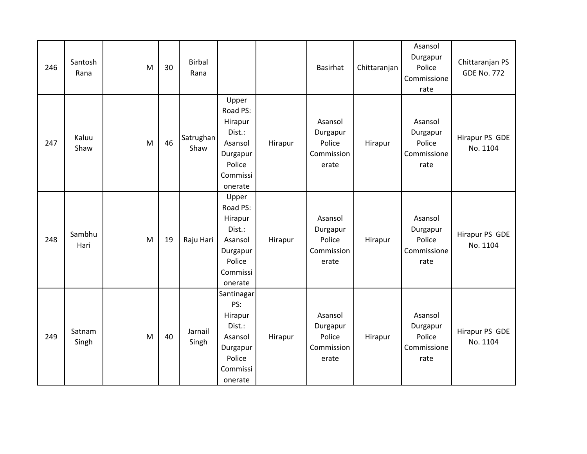| 246 | Santosh<br>Rana | M | 30 | <b>Birbal</b><br>Rana |                                                                                                |         | <b>Basirhat</b>                                      | Chittaranjan | Asansol<br>Durgapur<br>Police<br>Commissione<br>rate | Chittaranjan PS<br><b>GDE No. 772</b> |
|-----|-----------------|---|----|-----------------------|------------------------------------------------------------------------------------------------|---------|------------------------------------------------------|--------------|------------------------------------------------------|---------------------------------------|
| 247 | Kaluu<br>Shaw   | M | 46 | Satrughan<br>Shaw     | Upper<br>Road PS:<br>Hirapur<br>Dist.:<br>Asansol<br>Durgapur<br>Police<br>Commissi<br>onerate | Hirapur | Asansol<br>Durgapur<br>Police<br>Commission<br>erate | Hirapur      | Asansol<br>Durgapur<br>Police<br>Commissione<br>rate | Hirapur PS GDE<br>No. 1104            |
| 248 | Sambhu<br>Hari  | M | 19 | Raju Hari             | Upper<br>Road PS:<br>Hirapur<br>Dist.:<br>Asansol<br>Durgapur<br>Police<br>Commissi<br>onerate | Hirapur | Asansol<br>Durgapur<br>Police<br>Commission<br>erate | Hirapur      | Asansol<br>Durgapur<br>Police<br>Commissione<br>rate | Hirapur PS GDE<br>No. 1104            |
| 249 | Satnam<br>Singh | M | 40 | Jarnail<br>Singh      | Santinagar<br>PS:<br>Hirapur<br>Dist.:<br>Asansol<br>Durgapur<br>Police<br>Commissi<br>onerate | Hirapur | Asansol<br>Durgapur<br>Police<br>Commission<br>erate | Hirapur      | Asansol<br>Durgapur<br>Police<br>Commissione<br>rate | Hirapur PS GDE<br>No. 1104            |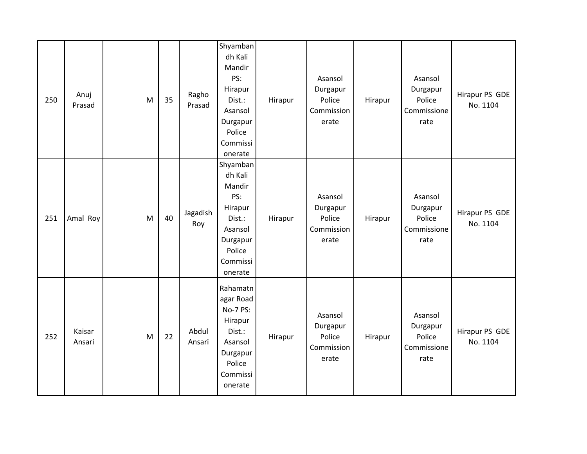| 250 | Anuj<br>Prasad   | M | 35 | Ragho<br>Prasad | Shyamban<br>dh Kali<br>Mandir<br>PS:<br>Hirapur<br>Dist.:<br>Asansol<br>Durgapur<br>Police<br>Commissi<br>onerate | Hirapur | Asansol<br>Durgapur<br>Police<br>Commission<br>erate | Hirapur | Asansol<br>Durgapur<br>Police<br>Commissione<br>rate | Hirapur PS GDE<br>No. 1104 |
|-----|------------------|---|----|-----------------|-------------------------------------------------------------------------------------------------------------------|---------|------------------------------------------------------|---------|------------------------------------------------------|----------------------------|
| 251 | Amal Roy         | M | 40 | Jagadish<br>Roy | Shyamban<br>dh Kali<br>Mandir<br>PS:<br>Hirapur<br>Dist.:<br>Asansol<br>Durgapur<br>Police<br>Commissi<br>onerate | Hirapur | Asansol<br>Durgapur<br>Police<br>Commission<br>erate | Hirapur | Asansol<br>Durgapur<br>Police<br>Commissione<br>rate | Hirapur PS GDE<br>No. 1104 |
| 252 | Kaisar<br>Ansari | M | 22 | Abdul<br>Ansari | Rahamatn<br>agar Road<br>No-7 PS:<br>Hirapur<br>Dist.:<br>Asansol<br>Durgapur<br>Police<br>Commissi<br>onerate    | Hirapur | Asansol<br>Durgapur<br>Police<br>Commission<br>erate | Hirapur | Asansol<br>Durgapur<br>Police<br>Commissione<br>rate | Hirapur PS GDE<br>No. 1104 |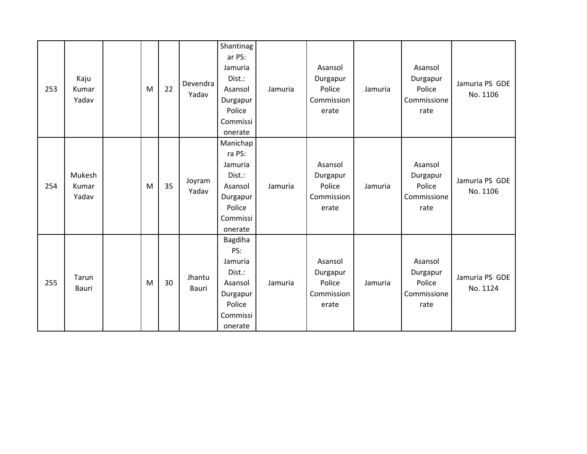| 253 | Kaju<br>Kumar<br>Yadav   | M | 22 | Devendra<br>Yadav      | Shantinag<br>ar PS:<br>Jamuria<br>Dist.:<br>Asansol<br>Durgapur<br>Police<br>Commissi<br>onerate | Jamuria | Asansol<br>Durgapur<br>Police<br>Commission<br>erate | Jamuria | Asansol<br>Durgapur<br>Police<br>Commissione<br>rate | Jamuria PS GDE<br>No. 1106 |
|-----|--------------------------|---|----|------------------------|--------------------------------------------------------------------------------------------------|---------|------------------------------------------------------|---------|------------------------------------------------------|----------------------------|
| 254 | Mukesh<br>Kumar<br>Yadav | M | 35 | Joyram<br>Yadav        | Manichap<br>ra PS:<br>Jamuria<br>Dist.:<br>Asansol<br>Durgapur<br>Police<br>Commissi<br>onerate  | Jamuria | Asansol<br>Durgapur<br>Police<br>Commission<br>erate | Jamuria | Asansol<br>Durgapur<br>Police<br>Commissione<br>rate | Jamuria PS GDE<br>No. 1106 |
| 255 | Tarun<br>Bauri           | M | 30 | Jhantu<br><b>Bauri</b> | Bagdiha<br>PS:<br>Jamuria<br>Dist.:<br>Asansol<br>Durgapur<br>Police<br>Commissi<br>onerate      | Jamuria | Asansol<br>Durgapur<br>Police<br>Commission<br>erate | Jamuria | Asansol<br>Durgapur<br>Police<br>Commissione<br>rate | Jamuria PS GDE<br>No. 1124 |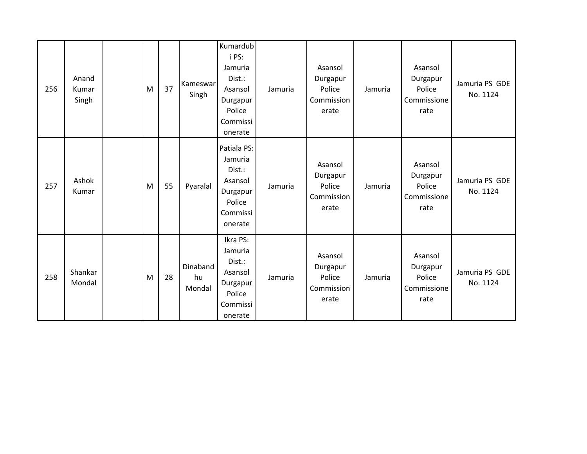| 256 | Anand<br>Kumar<br>Singh | M | 37 | Kameswar<br>Singh        | Kumardub<br>i PS:<br>Jamuria<br>Dist.:<br>Asansol<br>Durgapur<br>Police<br>Commissi<br>onerate | Jamuria | Asansol<br>Durgapur<br>Police<br>Commission<br>erate | Jamuria | Asansol<br>Durgapur<br>Police<br>Commissione<br>rate | Jamuria PS GDE<br>No. 1124 |
|-----|-------------------------|---|----|--------------------------|------------------------------------------------------------------------------------------------|---------|------------------------------------------------------|---------|------------------------------------------------------|----------------------------|
| 257 | Ashok<br>Kumar          | M | 55 | Pyaralal                 | Patiala PS:<br>Jamuria<br>Dist.:<br>Asansol<br>Durgapur<br>Police<br>Commissi<br>onerate       | Jamuria | Asansol<br>Durgapur<br>Police<br>Commission<br>erate | Jamuria | Asansol<br>Durgapur<br>Police<br>Commissione<br>rate | Jamuria PS GDE<br>No. 1124 |
| 258 | Shankar<br>Mondal       | M | 28 | Dinaband<br>hu<br>Mondal | Ikra PS:<br>Jamuria<br>Dist.:<br>Asansol<br>Durgapur<br>Police<br>Commissi<br>onerate          | Jamuria | Asansol<br>Durgapur<br>Police<br>Commission<br>erate | Jamuria | Asansol<br>Durgapur<br>Police<br>Commissione<br>rate | Jamuria PS GDE<br>No. 1124 |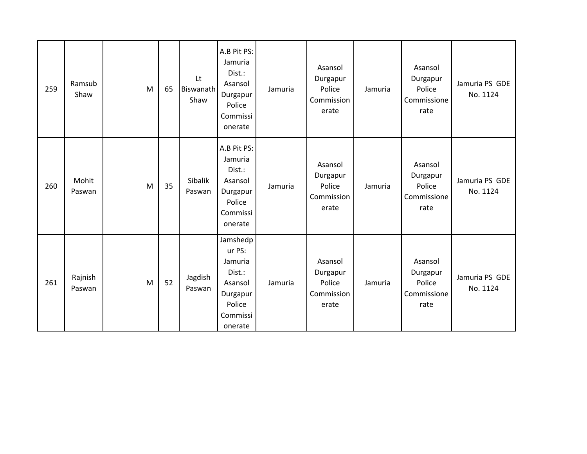| 259 | Ramsub<br>Shaw    | M | 65 | Lt<br>Biswanath<br>Shaw | A.B Pit PS:<br>Jamuria<br>Dist.:<br>Asansol<br>Durgapur<br>Police<br>Commissi<br>onerate        | Jamuria | Asansol<br>Durgapur<br>Police<br>Commission<br>erate | Jamuria | Asansol<br>Durgapur<br>Police<br>Commissione<br>rate | Jamuria PS GDE<br>No. 1124 |
|-----|-------------------|---|----|-------------------------|-------------------------------------------------------------------------------------------------|---------|------------------------------------------------------|---------|------------------------------------------------------|----------------------------|
| 260 | Mohit<br>Paswan   | M | 35 | Sibalik<br>Paswan       | A.B Pit PS:<br>Jamuria<br>Dist.:<br>Asansol<br>Durgapur<br>Police<br>Commissi<br>onerate        | Jamuria | Asansol<br>Durgapur<br>Police<br>Commission<br>erate | Jamuria | Asansol<br>Durgapur<br>Police<br>Commissione<br>rate | Jamuria PS GDE<br>No. 1124 |
| 261 | Rajnish<br>Paswan | M | 52 | Jagdish<br>Paswan       | Jamshedp<br>ur PS:<br>Jamuria<br>Dist.:<br>Asansol<br>Durgapur<br>Police<br>Commissi<br>onerate | Jamuria | Asansol<br>Durgapur<br>Police<br>Commission<br>erate | Jamuria | Asansol<br>Durgapur<br>Police<br>Commissione<br>rate | Jamuria PS GDE<br>No. 1124 |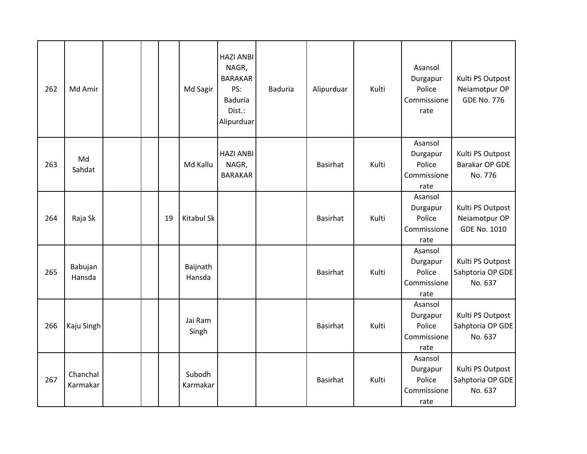| 262 | Md Amir              |  |    | Md Sagir           | <b>HAZI ANBI</b><br>NAGR,<br><b>BARAKAR</b><br>PS:<br><b>Baduria</b><br>Dist.:<br>Alipurduar | <b>Baduria</b> | Alipurduar      | Kulti | Asansol<br>Durgapur<br>Police<br>Commissione<br>rate | Kulti PS Outpost<br>Neiamotpur OP<br><b>GDE No. 776</b>  |
|-----|----------------------|--|----|--------------------|----------------------------------------------------------------------------------------------|----------------|-----------------|-------|------------------------------------------------------|----------------------------------------------------------|
| 263 | Md<br>Sahdat         |  |    | Md Kallu           | <b>HAZI ANBI</b><br>NAGR,<br><b>BARAKAR</b>                                                  |                | Basirhat        | Kulti | Asansol<br>Durgapur<br>Police<br>Commissione<br>rate | Kulti PS Outpost<br>Barakar OP GDE<br>No. 776            |
| 264 | Raja Sk              |  | 19 | <b>Kitabul Sk</b>  |                                                                                              |                | <b>Basirhat</b> | Kulti | Asansol<br>Durgapur<br>Police<br>Commissione<br>rate | Kulti PS Outpost<br>Neiamotpur OP<br><b>GDE No. 1010</b> |
| 265 | Babujan<br>Hansda    |  |    | Baijnath<br>Hansda |                                                                                              |                | <b>Basirhat</b> | Kulti | Asansol<br>Durgapur<br>Police<br>Commissione<br>rate | Kulti PS Outpost<br>Sahptoria OP GDE<br>No. 637          |
| 266 | Kaju Singh           |  |    | Jai Ram<br>Singh   |                                                                                              |                | <b>Basirhat</b> | Kulti | Asansol<br>Durgapur<br>Police<br>Commissione<br>rate | Kulti PS Outpost<br>Sahptoria OP GDE<br>No. 637          |
| 267 | Chanchal<br>Karmakar |  |    | Subodh<br>Karmakar |                                                                                              |                | <b>Basirhat</b> | Kulti | Asansol<br>Durgapur<br>Police<br>Commissione<br>rate | Kulti PS Outpost<br>Sahptoria OP GDE<br>No. 637          |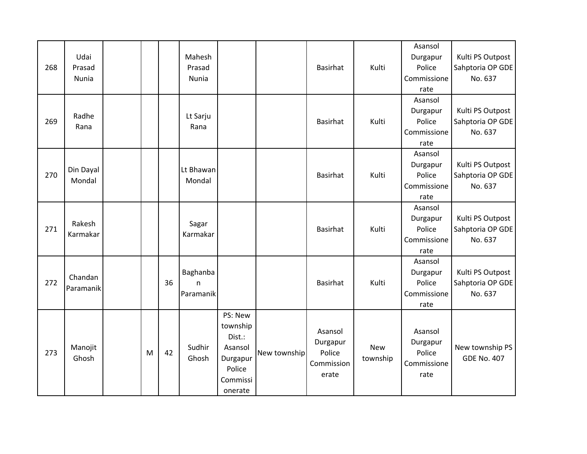| 268 | Udai<br>Prasad<br>Nunia |   |    | Mahesh<br>Prasad<br>Nunia        |                                                                                       |              | Basirhat                                             | Kulti                  | Asansol<br>Durgapur<br>Police<br>Commissione<br>rate | Kulti PS Outpost<br>Sahptoria OP GDE<br>No. 637 |
|-----|-------------------------|---|----|----------------------------------|---------------------------------------------------------------------------------------|--------------|------------------------------------------------------|------------------------|------------------------------------------------------|-------------------------------------------------|
| 269 | Radhe<br>Rana           |   |    | Lt Sarju<br>Rana                 |                                                                                       |              | <b>Basirhat</b>                                      | Kulti                  | Asansol<br>Durgapur<br>Police<br>Commissione<br>rate | Kulti PS Outpost<br>Sahptoria OP GDE<br>No. 637 |
| 270 | Din Dayal<br>Mondal     |   |    | Lt Bhawan<br>Mondal              |                                                                                       |              | <b>Basirhat</b>                                      | Kulti                  | Asansol<br>Durgapur<br>Police<br>Commissione<br>rate | Kulti PS Outpost<br>Sahptoria OP GDE<br>No. 637 |
| 271 | Rakesh<br>Karmakar      |   |    | Sagar<br>Karmakar                |                                                                                       |              | Basirhat                                             | Kulti                  | Asansol<br>Durgapur<br>Police<br>Commissione<br>rate | Kulti PS Outpost<br>Sahptoria OP GDE<br>No. 637 |
| 272 | Chandan<br>Paramanik    |   | 36 | Baghanba<br>$\sf n$<br>Paramanik |                                                                                       |              | <b>Basirhat</b>                                      | Kulti                  | Asansol<br>Durgapur<br>Police<br>Commissione<br>rate | Kulti PS Outpost<br>Sahptoria OP GDE<br>No. 637 |
| 273 | Manojit<br>Ghosh        | M | 42 | Sudhir<br>Ghosh                  | PS: New<br>township<br>Dist.:<br>Asansol<br>Durgapur<br>Police<br>Commissi<br>onerate | New township | Asansol<br>Durgapur<br>Police<br>Commission<br>erate | <b>New</b><br>township | Asansol<br>Durgapur<br>Police<br>Commissione<br>rate | New township PS<br><b>GDE No. 407</b>           |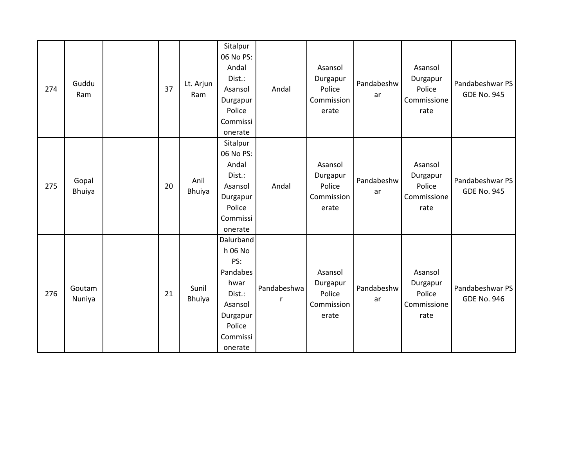| 274 | Guddu<br>Ram           | 37 | Lt. Arjun<br>Ram       | Sitalpur<br>06 No PS:<br>Andal<br>Dist.:<br>Asansol<br>Durgapur<br>Police<br>Commissi<br>onerate                  | Andal            | Asansol<br>Durgapur<br>Police<br>Commission<br>erate | Pandabeshw<br>ar | Asansol<br>Durgapur<br>Police<br>Commissione<br>rate | Pandabeshwar PS<br><b>GDE No. 945</b> |
|-----|------------------------|----|------------------------|-------------------------------------------------------------------------------------------------------------------|------------------|------------------------------------------------------|------------------|------------------------------------------------------|---------------------------------------|
| 275 | Gopal<br><b>Bhuiya</b> | 20 | Anil<br>Bhuiya         | Sitalpur<br>06 No PS:<br>Andal<br>Dist.:<br>Asansol<br>Durgapur<br>Police<br>Commissi<br>onerate                  | Andal            | Asansol<br>Durgapur<br>Police<br>Commission<br>erate | Pandabeshw<br>ar | Asansol<br>Durgapur<br>Police<br>Commissione<br>rate | Pandabeshwar PS<br><b>GDE No. 945</b> |
| 276 | Goutam<br>Nuniya       | 21 | Sunil<br><b>Bhuiya</b> | Dalurband<br>h 06 No<br>PS:<br>Pandabes<br>hwar<br>Dist.:<br>Asansol<br>Durgapur<br>Police<br>Commissi<br>onerate | Pandabeshwa<br>r | Asansol<br>Durgapur<br>Police<br>Commission<br>erate | Pandabeshw<br>ar | Asansol<br>Durgapur<br>Police<br>Commissione<br>rate | Pandabeshwar PS<br><b>GDE No. 946</b> |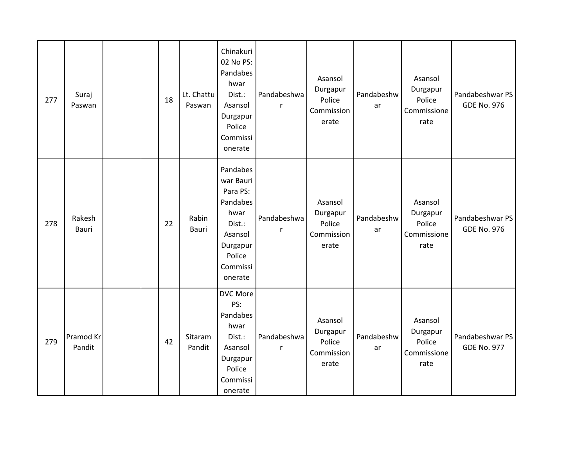| 277 | Suraj<br>Paswan     |  | 18 | Lt. Chattu<br>Paswan | Chinakuri<br>02 No PS:<br>Pandabes<br>hwar<br>Dist.:<br>Asansol<br>Durgapur<br>Police<br>Commissi<br>onerate            | Pandabeshwa<br>r | Asansol<br>Durgapur<br>Police<br>Commission<br>erate | Pandabeshw<br>ar | Asansol<br>Durgapur<br>Police<br>Commissione<br>rate | Pandabeshwar PS<br><b>GDE No. 976</b> |
|-----|---------------------|--|----|----------------------|-------------------------------------------------------------------------------------------------------------------------|------------------|------------------------------------------------------|------------------|------------------------------------------------------|---------------------------------------|
| 278 | Rakesh<br>Bauri     |  | 22 | Rabin<br>Bauri       | Pandabes<br>war Bauri<br>Para PS:<br>Pandabes<br>hwar<br>Dist.:<br>Asansol<br>Durgapur<br>Police<br>Commissi<br>onerate | Pandabeshwa<br>r | Asansol<br>Durgapur<br>Police<br>Commission<br>erate | Pandabeshw<br>ar | Asansol<br>Durgapur<br>Police<br>Commissione<br>rate | Pandabeshwar PS<br><b>GDE No. 976</b> |
| 279 | Pramod Kr<br>Pandit |  | 42 | Sitaram<br>Pandit    | <b>DVC More</b><br>PS:<br>Pandabes<br>hwar<br>Dist.:<br>Asansol<br>Durgapur<br>Police<br>Commissi<br>onerate            | Pandabeshwa<br>r | Asansol<br>Durgapur<br>Police<br>Commission<br>erate | Pandabeshw<br>ar | Asansol<br>Durgapur<br>Police<br>Commissione<br>rate | Pandabeshwar PS<br><b>GDE No. 977</b> |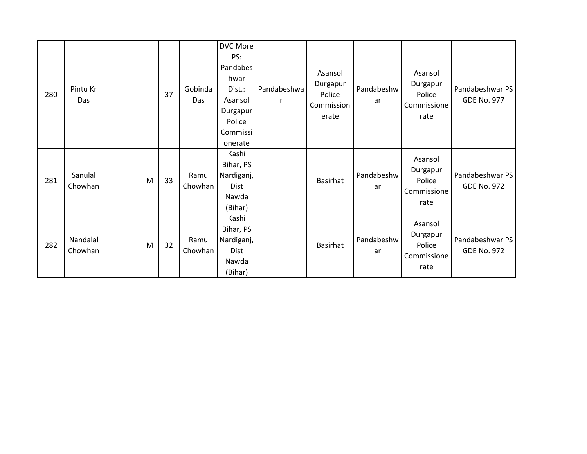| 280 | Pintu Kr<br>Das     |   | 37 | Gobinda<br><b>Das</b> | <b>DVC More</b><br>PS:<br>Pandabes<br>hwar<br>Dist.:<br>Asansol<br>Durgapur<br>Police<br>Commissi<br>onerate | Pandabeshwa | Asansol<br>Durgapur<br>Police<br>Commission<br>erate | Pandabeshw<br>ar | Asansol<br>Durgapur<br>Police<br>Commissione<br>rate | Pandabeshwar PS<br><b>GDE No. 977</b> |
|-----|---------------------|---|----|-----------------------|--------------------------------------------------------------------------------------------------------------|-------------|------------------------------------------------------|------------------|------------------------------------------------------|---------------------------------------|
| 281 | Sanulal<br>Chowhan  | M | 33 | Ramu<br>Chowhan       | Kashi<br>Bihar, PS<br>Nardiganj,<br>Dist<br>Nawda<br>(Bihar)                                                 |             | <b>Basirhat</b>                                      | Pandabeshw<br>ar | Asansol<br>Durgapur<br>Police<br>Commissione<br>rate | Pandabeshwar PS<br><b>GDE No. 972</b> |
| 282 | Nandalal<br>Chowhan | M | 32 | Ramu<br>Chowhan       | Kashi<br>Bihar, PS<br>Nardiganj,<br>Dist<br>Nawda<br>(Bihar)                                                 |             | <b>Basirhat</b>                                      | Pandabeshw<br>ar | Asansol<br>Durgapur<br>Police<br>Commissione<br>rate | Pandabeshwar PS<br><b>GDE No. 972</b> |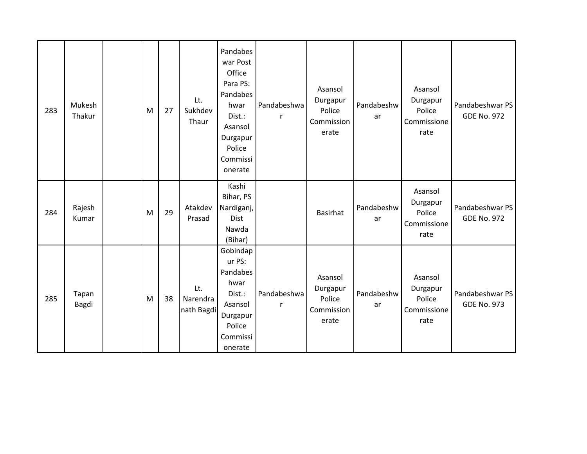| 283 | Mukesh<br>Thakur | M | 27 | Lt.<br>Sukhdev<br>Thaur       | Pandabes<br>war Post<br>Office<br>Para PS:<br>Pandabes<br>hwar<br>Dist.:<br>Asansol<br>Durgapur<br>Police<br>Commissi<br>onerate | Pandabeshwa<br>r | Asansol<br>Durgapur<br>Police<br>Commission<br>erate | Pandabeshw<br>ar | Asansol<br>Durgapur<br>Police<br>Commissione<br>rate | Pandabeshwar PS<br><b>GDE No. 972</b> |
|-----|------------------|---|----|-------------------------------|----------------------------------------------------------------------------------------------------------------------------------|------------------|------------------------------------------------------|------------------|------------------------------------------------------|---------------------------------------|
| 284 | Rajesh<br>Kumar  | M | 29 | Atakdev<br>Prasad             | Kashi<br>Bihar, PS<br>Nardiganj,<br>Dist<br>Nawda<br>(Bihar)                                                                     |                  | <b>Basirhat</b>                                      | Pandabeshw<br>ar | Asansol<br>Durgapur<br>Police<br>Commissione<br>rate | Pandabeshwar PS<br><b>GDE No. 972</b> |
| 285 | Tapan<br>Bagdi   | M | 38 | Lt.<br>Narendra<br>nath Bagdi | Gobindap<br>ur PS:<br>Pandabes<br>hwar<br>Dist.:<br>Asansol<br>Durgapur<br>Police<br>Commissi<br>onerate                         | Pandabeshwa<br>r | Asansol<br>Durgapur<br>Police<br>Commission<br>erate | Pandabeshw<br>ar | Asansol<br>Durgapur<br>Police<br>Commissione<br>rate | Pandabeshwar PS<br><b>GDE No. 973</b> |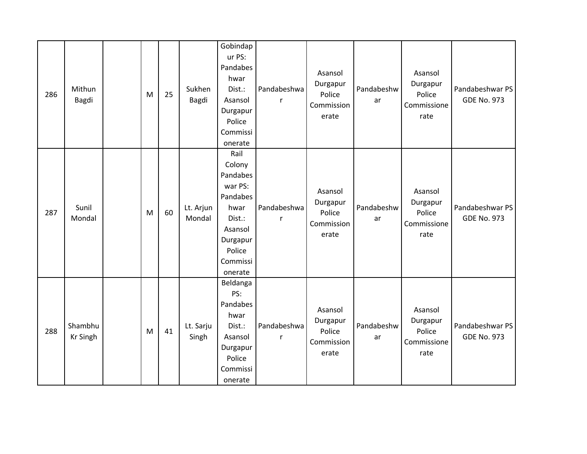| 286 | Mithun<br>Bagdi            | M | 25 | Sukhen<br>Bagdi     | Gobindap<br>ur PS:<br>Pandabes<br>hwar<br>Dist.:<br>Asansol<br>Durgapur<br>Police<br>Commissi<br>onerate                    | Pandabeshwa<br>r | Asansol<br>Durgapur<br>Police<br>Commission<br>erate | Pandabeshw<br>ar | Asansol<br>Durgapur<br>Police<br>Commissione<br>rate | Pandabeshwar PS<br><b>GDE No. 973</b> |
|-----|----------------------------|---|----|---------------------|-----------------------------------------------------------------------------------------------------------------------------|------------------|------------------------------------------------------|------------------|------------------------------------------------------|---------------------------------------|
| 287 | Sunil<br>Mondal            | M | 60 | Lt. Arjun<br>Mondal | Rail<br>Colony<br>Pandabes<br>war PS:<br>Pandabes<br>hwar<br>Dist.:<br>Asansol<br>Durgapur<br>Police<br>Commissi<br>onerate | Pandabeshwa      | Asansol<br>Durgapur<br>Police<br>Commission<br>erate | Pandabeshw<br>ar | Asansol<br>Durgapur<br>Police<br>Commissione<br>rate | Pandabeshwar PS<br><b>GDE No. 973</b> |
| 288 | Shambhu<br><b>Kr Singh</b> | M | 41 | Lt. Sarju<br>Singh  | Beldanga<br>PS:<br>Pandabes<br>hwar<br>Dist.:<br>Asansol<br>Durgapur<br>Police<br>Commissi<br>onerate                       | Pandabeshwa<br>r | Asansol<br>Durgapur<br>Police<br>Commission<br>erate | Pandabeshw<br>ar | Asansol<br>Durgapur<br>Police<br>Commissione<br>rate | Pandabeshwar PS<br><b>GDE No. 973</b> |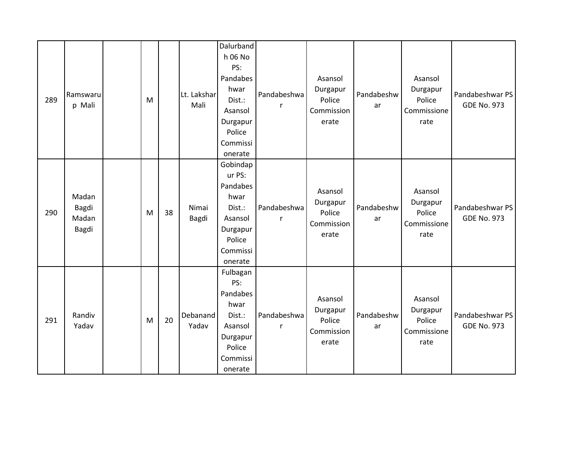| 289 | Ramswaru<br>p Mali               | M |    | Lt. Lakshar<br>Mali | Dalurband<br>h 06 No<br>PS:<br>Pandabes<br>hwar<br>Dist.:<br>Asansol<br>Durgapur<br>Police<br>Commissi<br>onerate | Pandabeshwa                | Asansol<br>Durgapur<br>Police<br>Commission<br>erate | Pandabeshw<br>ar | Asansol<br>Durgapur<br>Police<br>Commissione<br>rate | Pandabeshwar PS<br><b>GDE No. 973</b> |
|-----|----------------------------------|---|----|---------------------|-------------------------------------------------------------------------------------------------------------------|----------------------------|------------------------------------------------------|------------------|------------------------------------------------------|---------------------------------------|
| 290 | Madan<br>Bagdi<br>Madan<br>Bagdi | M | 38 | Nimai<br>Bagdi      | Gobindap<br>ur PS:<br>Pandabes<br>hwar<br>Dist.:<br>Asansol<br>Durgapur<br>Police<br>Commissi<br>onerate          | Pandabeshwa<br>$\mathsf r$ | Asansol<br>Durgapur<br>Police<br>Commission<br>erate | Pandabeshw<br>ar | Asansol<br>Durgapur<br>Police<br>Commissione<br>rate | Pandabeshwar PS<br><b>GDE No. 973</b> |
| 291 | Randiv<br>Yadav                  | M | 20 | Debanand<br>Yadav   | Fulbagan<br>PS:<br>Pandabes<br>hwar<br>Dist.:<br>Asansol<br>Durgapur<br>Police<br>Commissi<br>onerate             | Pandabeshwa<br>r           | Asansol<br>Durgapur<br>Police<br>Commission<br>erate | Pandabeshw<br>ar | Asansol<br>Durgapur<br>Police<br>Commissione<br>rate | Pandabeshwar PS<br><b>GDE No. 973</b> |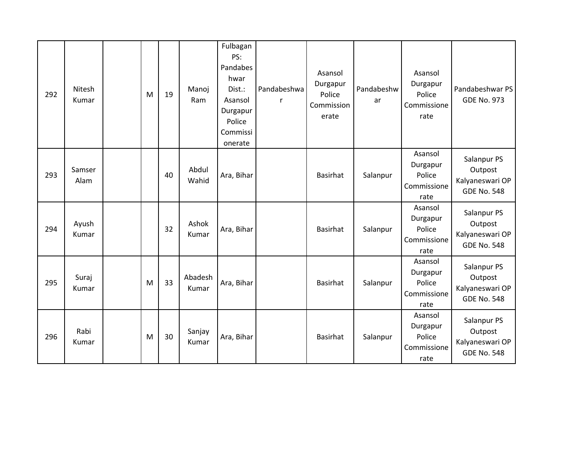| 292 | Nitesh<br>Kumar | M | 19 | Manoj<br>Ram     | Fulbagan<br>PS:<br>Pandabes<br>hwar<br>Dist.:<br>Asansol<br>Durgapur<br>Police<br>Commissi<br>onerate | Pandabeshwa<br>r | Asansol<br>Durgapur<br>Police<br>Commission<br>erate | Pandabeshw<br>ar | Asansol<br>Durgapur<br>Police<br>Commissione<br>rate | Pandabeshwar PS<br><b>GDE No. 973</b>                           |
|-----|-----------------|---|----|------------------|-------------------------------------------------------------------------------------------------------|------------------|------------------------------------------------------|------------------|------------------------------------------------------|-----------------------------------------------------------------|
| 293 | Samser<br>Alam  |   | 40 | Abdul<br>Wahid   | Ara, Bihar                                                                                            |                  | Basirhat                                             | Salanpur         | Asansol<br>Durgapur<br>Police<br>Commissione<br>rate | Salanpur PS<br>Outpost<br>Kalyaneswari OP<br><b>GDE No. 548</b> |
| 294 | Ayush<br>Kumar  |   | 32 | Ashok<br>Kumar   | Ara, Bihar                                                                                            |                  | Basirhat                                             | Salanpur         | Asansol<br>Durgapur<br>Police<br>Commissione<br>rate | Salanpur PS<br>Outpost<br>Kalyaneswari OP<br><b>GDE No. 548</b> |
| 295 | Suraj<br>Kumar  | M | 33 | Abadesh<br>Kumar | Ara, Bihar                                                                                            |                  | Basirhat                                             | Salanpur         | Asansol<br>Durgapur<br>Police<br>Commissione<br>rate | Salanpur PS<br>Outpost<br>Kalyaneswari OP<br><b>GDE No. 548</b> |
| 296 | Rabi<br>Kumar   | M | 30 | Sanjay<br>Kumar  | Ara, Bihar                                                                                            |                  | Basirhat                                             | Salanpur         | Asansol<br>Durgapur<br>Police<br>Commissione<br>rate | Salanpur PS<br>Outpost<br>Kalyaneswari OP<br><b>GDE No. 548</b> |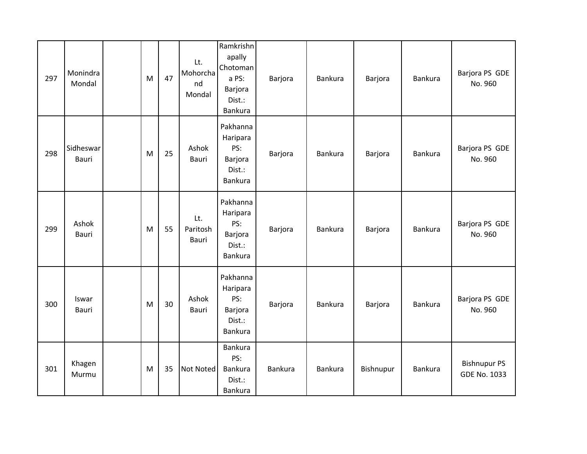| 297 | Monindra<br>Mondal | M | 47 | Lt.<br>Mohorcha<br>nd<br>Mondal | Ramkrishn<br>apally<br>Chotoman<br>a PS:<br>Barjora<br>Dist.:<br>Bankura | Barjora | Bankura | Barjora   | Bankura        | Barjora PS GDE<br>No. 960                  |
|-----|--------------------|---|----|---------------------------------|--------------------------------------------------------------------------|---------|---------|-----------|----------------|--------------------------------------------|
| 298 | Sidheswar<br>Bauri | M | 25 | Ashok<br><b>Bauri</b>           | Pakhanna<br>Haripara<br>PS:<br>Barjora<br>Dist.:<br><b>Bankura</b>       | Barjora | Bankura | Barjora   | <b>Bankura</b> | Barjora PS GDE<br>No. 960                  |
| 299 | Ashok<br>Bauri     | M | 55 | Lt.<br>Paritosh<br>Bauri        | Pakhanna<br>Haripara<br>PS:<br>Barjora<br>Dist.:<br><b>Bankura</b>       | Barjora | Bankura | Barjora   | <b>Bankura</b> | Barjora PS GDE<br>No. 960                  |
| 300 | Iswar<br>Bauri     | M | 30 | Ashok<br>Bauri                  | Pakhanna<br>Haripara<br>PS:<br>Barjora<br>Dist.:<br><b>Bankura</b>       | Barjora | Bankura | Barjora   | Bankura        | Barjora PS GDE<br>No. 960                  |
| 301 | Khagen<br>Murmu    | M | 35 | <b>Not Noted</b>                | <b>Bankura</b><br>PS:<br>Bankura<br>Dist.:<br><b>Bankura</b>             | Bankura | Bankura | Bishnupur | Bankura        | <b>Bishnupur PS</b><br><b>GDE No. 1033</b> |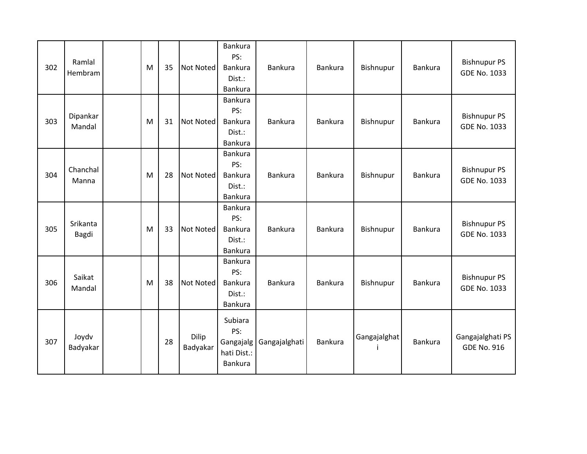| 302 | Ramlal<br>Hembram  | M | 35 | <b>Not Noted</b>  | <b>Bankura</b><br>PS:<br>Bankura<br>Dist.:<br>Bankura | Bankura       | Bankura | Bishnupur    | Bankura | <b>Bishnupur PS</b><br><b>GDE No. 1033</b> |
|-----|--------------------|---|----|-------------------|-------------------------------------------------------|---------------|---------|--------------|---------|--------------------------------------------|
| 303 | Dipankar<br>Mandal | M | 31 | <b>Not Noted</b>  | Bankura<br>PS:<br>Bankura<br>Dist.:<br>Bankura        | Bankura       | Bankura | Bishnupur    | Bankura | <b>Bishnupur PS</b><br><b>GDE No. 1033</b> |
| 304 | Chanchal<br>Manna  | M | 28 | <b>Not Noted</b>  | Bankura<br>PS:<br>Bankura<br>Dist.:<br>Bankura        | Bankura       | Bankura | Bishnupur    | Bankura | <b>Bishnupur PS</b><br><b>GDE No. 1033</b> |
| 305 | Srikanta<br>Bagdi  | M | 33 | <b>Not Noted</b>  | Bankura<br>PS:<br>Bankura<br>Dist.:<br>Bankura        | Bankura       | Bankura | Bishnupur    | Bankura | <b>Bishnupur PS</b><br><b>GDE No. 1033</b> |
| 306 | Saikat<br>Mandal   | M | 38 | <b>Not Noted</b>  | Bankura<br>PS:<br>Bankura<br>Dist.:<br>Bankura        | Bankura       | Bankura | Bishnupur    | Bankura | <b>Bishnupur PS</b><br><b>GDE No. 1033</b> |
| 307 | Joydv<br>Badyakar  |   | 28 | Dilip<br>Badyakar | Subiara<br>PS:<br>Gangajalg<br>hati Dist.:<br>Bankura | Gangajalghati | Bankura | Gangajalghat | Bankura | Gangajalghati PS<br><b>GDE No. 916</b>     |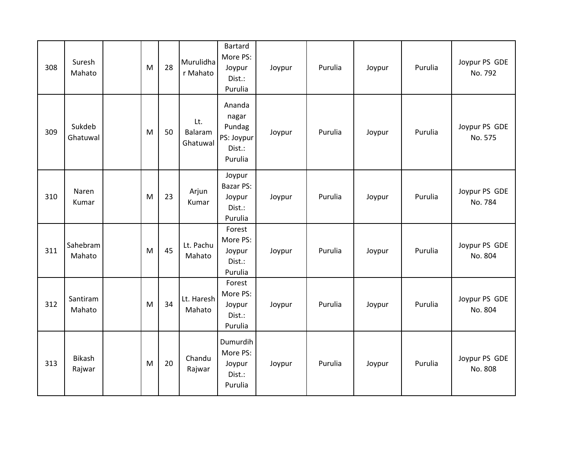| 308 | Suresh<br>Mahato   | M | 28 | Murulidha<br>r Mahato      | <b>Bartard</b><br>More PS:<br>Joypur<br>Dist.:<br>Purulia    | Joypur | Purulia | Joypur | Purulia | Joypur PS GDE<br>No. 792 |
|-----|--------------------|---|----|----------------------------|--------------------------------------------------------------|--------|---------|--------|---------|--------------------------|
| 309 | Sukdeb<br>Ghatuwal | M | 50 | Lt.<br>Balaram<br>Ghatuwal | Ananda<br>nagar<br>Pundag<br>PS: Joypur<br>Dist.:<br>Purulia | Joypur | Purulia | Joypur | Purulia | Joypur PS GDE<br>No. 575 |
| 310 | Naren<br>Kumar     | M | 23 | Arjun<br>Kumar             | Joypur<br><b>Bazar PS:</b><br>Joypur<br>Dist.:<br>Purulia    | Joypur | Purulia | Joypur | Purulia | Joypur PS GDE<br>No. 784 |
| 311 | Sahebram<br>Mahato | M | 45 | Lt. Pachu<br>Mahato        | Forest<br>More PS:<br>Joypur<br>Dist.:<br>Purulia            | Joypur | Purulia | Joypur | Purulia | Joypur PS GDE<br>No. 804 |
| 312 | Santiram<br>Mahato | M | 34 | Lt. Haresh<br>Mahato       | Forest<br>More PS:<br>Joypur<br>Dist.:<br>Purulia            | Joypur | Purulia | Joypur | Purulia | Joypur PS GDE<br>No. 804 |
| 313 | Bikash<br>Rajwar   | M | 20 | Chandu<br>Rajwar           | Dumurdih<br>More PS:<br>Joypur<br>Dist.:<br>Purulia          | Joypur | Purulia | Joypur | Purulia | Joypur PS GDE<br>No. 808 |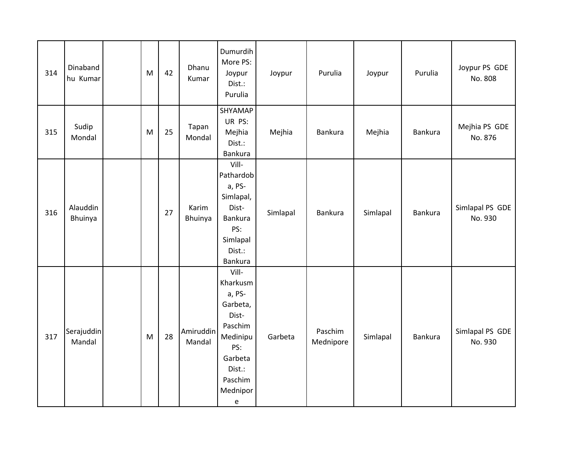| 314 | Dinaband<br>hu Kumar | M | 42 | Dhanu<br>Kumar      | Dumurdih<br>More PS:<br>Joypur<br>Dist.:<br>Purulia                                                                             | Joypur   | Purulia              | Joypur   | Purulia        | Joypur PS GDE<br>No. 808   |
|-----|----------------------|---|----|---------------------|---------------------------------------------------------------------------------------------------------------------------------|----------|----------------------|----------|----------------|----------------------------|
| 315 | Sudip<br>Mondal      | M | 25 | Tapan<br>Mondal     | SHYAMAP<br>UR PS:<br>Mejhia<br>Dist.:<br><b>Bankura</b>                                                                         | Mejhia   | Bankura              | Mejhia   | <b>Bankura</b> | Mejhia PS GDE<br>No. 876   |
| 316 | Alauddin<br>Bhuinya  |   | 27 | Karim<br>Bhuinya    | Vill-<br>Pathardob<br>a, PS-<br>Simlapal,<br>Dist-<br><b>Bankura</b><br>PS:<br>Simlapal<br>Dist.:<br><b>Bankura</b>             | Simlapal | <b>Bankura</b>       | Simlapal | <b>Bankura</b> | Simlapal PS GDE<br>No. 930 |
| 317 | Serajuddin<br>Mandal | M | 28 | Amiruddin<br>Mandal | Vill-<br>Kharkusm<br>a, PS-<br>Garbeta,<br>Dist-<br>Paschim<br>Medinipu<br>PS:<br>Garbeta<br>Dist.:<br>Paschim<br>Mednipor<br>e | Garbeta  | Paschim<br>Mednipore | Simlapal | <b>Bankura</b> | Simlapal PS GDE<br>No. 930 |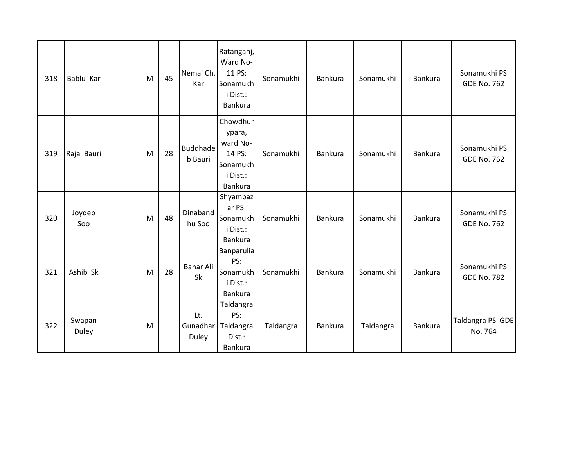| 318 | Bablu Kar       | M | 45 | Nemai Ch.<br>Kar           | Ratanganj,<br>Ward No-<br>11 PS:<br>Sonamukh<br>i Dist.:<br>Bankura         | Sonamukhi | Bankura | Sonamukhi | <b>Bankura</b> | Sonamukhi PS<br><b>GDE No. 762</b> |
|-----|-----------------|---|----|----------------------------|-----------------------------------------------------------------------------|-----------|---------|-----------|----------------|------------------------------------|
| 319 | Raja Bauri      | M | 28 | <b>Buddhade</b><br>b Bauri | Chowdhur<br>ypara,<br>ward No-<br>14 PS:<br>Sonamukh<br>i Dist.:<br>Bankura | Sonamukhi | Bankura | Sonamukhi | <b>Bankura</b> | Sonamukhi PS<br><b>GDE No. 762</b> |
| 320 | Joydeb<br>Soo   | M | 48 | Dinaband<br>hu Soo         | Shyambaz<br>ar PS:<br>Sonamukh<br>i Dist.:<br><b>Bankura</b>                | Sonamukhi | Bankura | Sonamukhi | <b>Bankura</b> | Sonamukhi PS<br><b>GDE No. 762</b> |
| 321 | Ashib Sk        | M | 28 | Bahar Ali<br>Sk            | Banparulia<br>PS:<br>Sonamukh<br>i Dist.:<br>Bankura                        | Sonamukhi | Bankura | Sonamukhi | Bankura        | Sonamukhi PS<br><b>GDE No. 782</b> |
| 322 | Swapan<br>Duley | M |    | Lt.<br>Gunadhar<br>Duley   | Taldangra<br>PS:<br>Taldangra<br>Dist.:<br>Bankura                          | Taldangra | Bankura | Taldangra | <b>Bankura</b> | Taldangra PS GDE<br>No. 764        |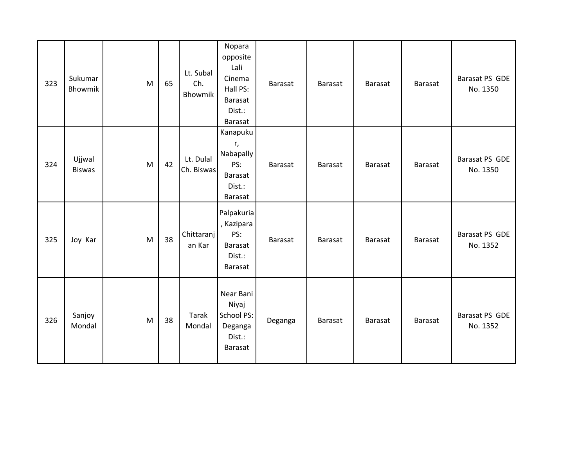| 323 | Sukumar<br>Bhowmik      | M | 65 | Lt. Subal<br>Ch.<br>Bhowmik | Nopara<br>opposite<br>Lali<br>Cinema<br>Hall PS:<br>Barasat<br>Dist.:<br>Barasat | Barasat | Barasat | Barasat | <b>Barasat</b> | Barasat PS GDE<br>No. 1350 |
|-----|-------------------------|---|----|-----------------------------|----------------------------------------------------------------------------------|---------|---------|---------|----------------|----------------------------|
| 324 | Ujjwal<br><b>Biswas</b> | M | 42 | Lt. Dulal<br>Ch. Biswas     | Kanapuku<br>r,<br>Nabapally<br>PS:<br>Barasat<br>Dist.:<br>Barasat               | Barasat | Barasat | Barasat | Barasat        | Barasat PS GDE<br>No. 1350 |
| 325 | Joy Kar                 | M | 38 | Chittaranj<br>an Kar        | Palpakuria<br>, Kazipara<br>PS:<br>Barasat<br>Dist.:<br>Barasat                  | Barasat | Barasat | Barasat | Barasat        | Barasat PS GDE<br>No. 1352 |
| 326 | Sanjoy<br>Mondal        | M | 38 | Tarak<br>Mondal             | Near Bani<br>Niyaj<br>School PS:<br>Deganga<br>Dist.:<br>Barasat                 | Deganga | Barasat | Barasat | <b>Barasat</b> | Barasat PS GDE<br>No. 1352 |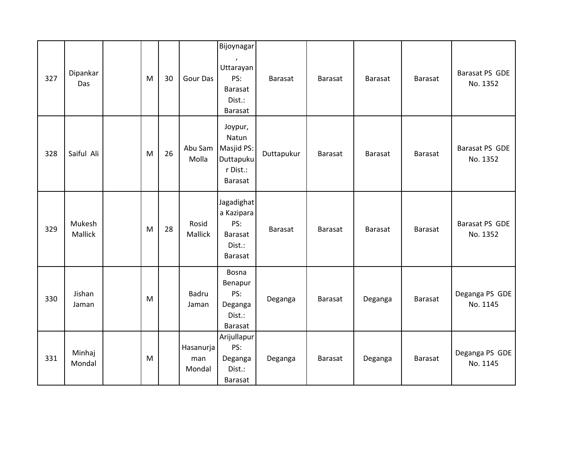| 327 | Dipankar<br>Das   | M | 30 | <b>Gour Das</b>            | Bijoynagar<br>$\pmb{\cdot}$<br>Uttarayan<br>PS:<br>Barasat<br>Dist.:<br><b>Barasat</b> | <b>Barasat</b> | <b>Barasat</b> | <b>Barasat</b> | <b>Barasat</b> | Barasat PS GDE<br>No. 1352 |
|-----|-------------------|---|----|----------------------------|----------------------------------------------------------------------------------------|----------------|----------------|----------------|----------------|----------------------------|
| 328 | Saiful Ali        | M | 26 | Abu Sam<br>Molla           | Joypur,<br>Natun<br>Masjid PS:<br>Duttapuku<br>r Dist.:<br>Barasat                     | Duttapukur     | <b>Barasat</b> | Barasat        | <b>Barasat</b> | Barasat PS GDE<br>No. 1352 |
| 329 | Mukesh<br>Mallick | M | 28 | Rosid<br>Mallick           | Jagadighat<br>a Kazipara<br>PS:<br>Barasat<br>Dist.:<br>Barasat                        | <b>Barasat</b> | <b>Barasat</b> | <b>Barasat</b> | <b>Barasat</b> | Barasat PS GDE<br>No. 1352 |
| 330 | Jishan<br>Jaman   | M |    | <b>Badru</b><br>Jaman      | Bosna<br>Benapur<br>PS:<br>Deganga<br>Dist.:<br>Barasat                                | Deganga        | <b>Barasat</b> | Deganga        | <b>Barasat</b> | Deganga PS GDE<br>No. 1145 |
| 331 | Minhaj<br>Mondal  | M |    | Hasanurja<br>man<br>Mondal | Arijullapur<br>PS:<br>Deganga<br>Dist.:<br>Barasat                                     | Deganga        | <b>Barasat</b> | Deganga        | <b>Barasat</b> | Deganga PS GDE<br>No. 1145 |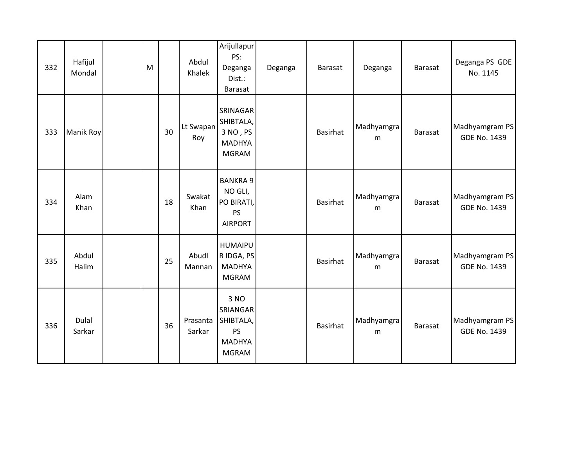| 332 | Hafijul<br>Mondal | M |    | Abdul<br>Khalek    | Arijullapur<br>PS:<br>Deganga<br>Dist.:<br>Barasat                          | Deganga | <b>Barasat</b> | Deganga         | <b>Barasat</b> | Deganga PS GDE<br>No. 1145            |
|-----|-------------------|---|----|--------------------|-----------------------------------------------------------------------------|---------|----------------|-----------------|----------------|---------------------------------------|
| 333 | Manik Roy         |   | 30 | Lt Swapan<br>Roy   | SRINAGAR<br>SHIBTALA,<br>3 NO, PS<br>MADHYA<br><b>MGRAM</b>                 |         | Basirhat       | Madhyamgra<br>m | <b>Barasat</b> | Madhyamgram PS<br><b>GDE No. 1439</b> |
| 334 | Alam<br>Khan      |   | 18 | Swakat<br>Khan     | <b>BANKRA 9</b><br>NO GLI,<br>PO BIRATI,<br><b>PS</b><br><b>AIRPORT</b>     |         | Basirhat       | Madhyamgra<br>m | <b>Barasat</b> | Madhyamgram PS<br><b>GDE No. 1439</b> |
| 335 | Abdul<br>Halim    |   | 25 | Abudl<br>Mannan    | <b>HUMAIPU</b><br>R IDGA, PS<br><b>MADHYA</b><br><b>MGRAM</b>               |         | Basirhat       | Madhyamgra<br>m | <b>Barasat</b> | Madhyamgram PS<br><b>GDE No. 1439</b> |
| 336 | Dulal<br>Sarkar   |   | 36 | Prasanta<br>Sarkar | 3 NO<br>SRIANGAR<br>SHIBTALA,<br><b>PS</b><br><b>MADHYA</b><br><b>MGRAM</b> |         | Basirhat       | Madhyamgra<br>m | <b>Barasat</b> | Madhyamgram PS<br><b>GDE No. 1439</b> |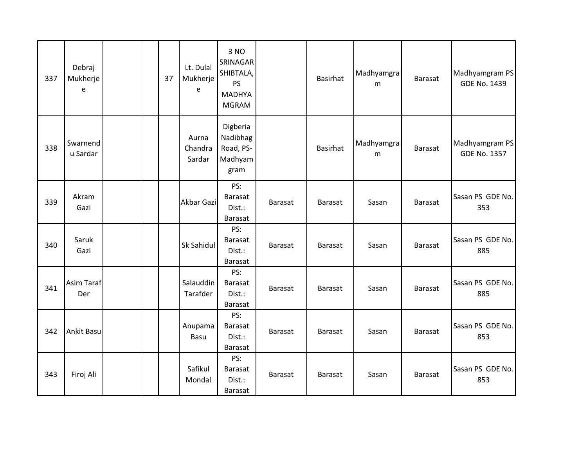| 337 | Debraj<br>Mukherje<br>e  |  | 37 | Lt. Dulal<br>Mukherje<br>e | 3 NO<br>SRINAGAR<br>SHIBTALA,<br><b>PS</b><br><b>MADHYA</b><br><b>MGRAM</b> |                | Basirhat        | Madhyamgra<br>m | Barasat        | Madhyamgram PS<br><b>GDE No. 1439</b> |
|-----|--------------------------|--|----|----------------------------|-----------------------------------------------------------------------------|----------------|-----------------|-----------------|----------------|---------------------------------------|
| 338 | Swarnend<br>u Sardar     |  |    | Aurna<br>Chandra<br>Sardar | Digberia<br>Nadibhag<br>Road, PS-<br>Madhyam<br>gram                        |                | <b>Basirhat</b> | Madhyamgra<br>m | <b>Barasat</b> | Madhyamgram PS<br><b>GDE No. 1357</b> |
| 339 | Akram<br>Gazi            |  |    | Akbar Gazi                 | PS:<br>Barasat<br>Dist.:<br>Barasat                                         | <b>Barasat</b> | Barasat         | Sasan           | <b>Barasat</b> | Sasan PS GDE No.<br>353               |
| 340 | Saruk<br>Gazi            |  |    | Sk Sahidul                 | PS:<br>Barasat<br>Dist.:<br>Barasat                                         | <b>Barasat</b> | Barasat         | Sasan           | Barasat        | Sasan PS GDE No.<br>885               |
| 341 | <b>Asim Taraf</b><br>Der |  |    | Salauddin<br>Tarafder      | PS:<br>Barasat<br>Dist.:<br>Barasat                                         | <b>Barasat</b> | Barasat         | Sasan           | <b>Barasat</b> | Sasan PS GDE No.<br>885               |
| 342 | <b>Ankit Basu</b>        |  |    | Anupama<br>Basu            | PS:<br><b>Barasat</b><br>Dist.:<br>Barasat                                  | <b>Barasat</b> | Barasat         | Sasan           | Barasat        | Sasan PS GDE No.<br>853               |
| 343 | Firoj Ali                |  |    | Safikul<br>Mondal          | PS:<br>Barasat<br>Dist.:<br>Barasat                                         | Barasat        | Barasat         | Sasan           | <b>Barasat</b> | Sasan PS GDE No.<br>853               |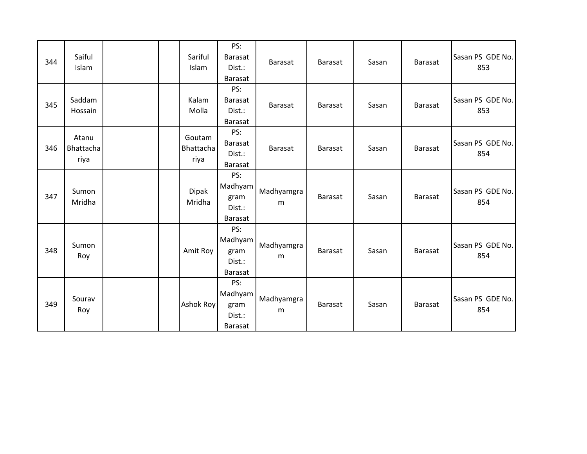| 344 | Saiful<br>Islam            | Sariful<br>Islam            | PS:<br>Barasat<br>Dist.:<br><b>Barasat</b>         | Barasat         | Barasat        | Sasan | <b>Barasat</b> | Sasan PS GDE No.<br>853 |
|-----|----------------------------|-----------------------------|----------------------------------------------------|-----------------|----------------|-------|----------------|-------------------------|
| 345 | Saddam<br>Hossain          | Kalam<br>Molla              | PS:<br><b>Barasat</b><br>Dist.:<br>Barasat         | <b>Barasat</b>  | <b>Barasat</b> | Sasan | <b>Barasat</b> | Sasan PS GDE No.<br>853 |
| 346 | Atanu<br>Bhattacha<br>riya | Goutam<br>Bhattacha<br>riya | PS:<br>Barasat<br>Dist.:<br>Barasat                | Barasat         | <b>Barasat</b> | Sasan | <b>Barasat</b> | Sasan PS GDE No.<br>854 |
| 347 | Sumon<br>Mridha            | Dipak<br>Mridha             | PS:<br>Madhyam<br>gram<br>Dist.:<br>Barasat        | Madhyamgra<br>m | <b>Barasat</b> | Sasan | <b>Barasat</b> | Sasan PS GDE No.<br>854 |
| 348 | Sumon<br>Roy               | Amit Roy                    | PS:<br>Madhyam<br>gram<br>Dist.:<br>Barasat        | Madhyamgra<br>m | <b>Barasat</b> | Sasan | <b>Barasat</b> | Sasan PS GDE No.<br>854 |
| 349 | Sourav<br>Roy              | Ashok Roy                   | PS:<br>Madhyam<br>gram<br>Dist.:<br><b>Barasat</b> | Madhyamgra<br>m | <b>Barasat</b> | Sasan | <b>Barasat</b> | Sasan PS GDE No.<br>854 |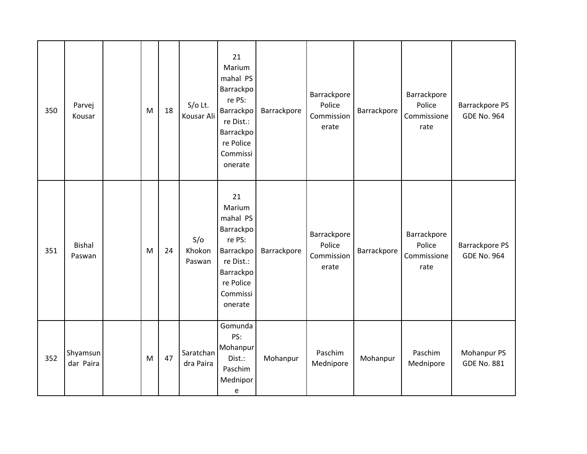| 350 | Parvej<br>Kousar        | M | 18 | $S/O$ Lt.<br>Kousar Ali | 21<br>Marium<br>mahal PS<br>Barrackpo<br>re PS:<br>Barrackpo<br>re Dist.:<br>Barrackpo<br>re Police<br>Commissi<br>onerate | Barrackpore | Barrackpore<br>Police<br>Commission<br>erate | Barrackpore | Barrackpore<br>Police<br>Commissione<br>rate | <b>Barrackpore PS</b><br><b>GDE No. 964</b> |
|-----|-------------------------|---|----|-------------------------|----------------------------------------------------------------------------------------------------------------------------|-------------|----------------------------------------------|-------------|----------------------------------------------|---------------------------------------------|
| 351 | <b>Bishal</b><br>Paswan | M | 24 | S/O<br>Khokon<br>Paswan | 21<br>Marium<br>mahal PS<br>Barrackpo<br>re PS:<br>Barrackpo<br>re Dist.:<br>Barrackpo<br>re Police<br>Commissi<br>onerate | Barrackpore | Barrackpore<br>Police<br>Commission<br>erate | Barrackpore | Barrackpore<br>Police<br>Commissione<br>rate | <b>Barrackpore PS</b><br><b>GDE No. 964</b> |
| 352 | Shyamsun<br>dar Paira   | M | 47 | Saratchan<br>dra Paira  | Gomunda<br>PS:<br>Mohanpur<br>Dist.:<br>Paschim<br>Mednipor<br>e                                                           | Mohanpur    | Paschim<br>Mednipore                         | Mohanpur    | Paschim<br>Mednipore                         | Mohanpur PS<br><b>GDE No. 881</b>           |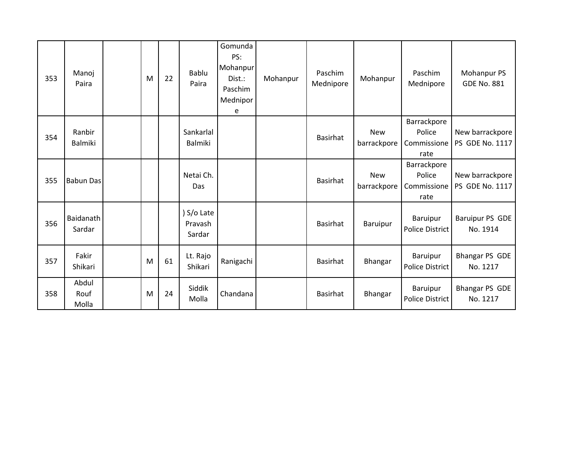| 353 | Manoj<br>Paira           | M | 22 | Bablu<br>Paira                  | Gomunda<br>PS:<br>Mohanpur<br>Dist.:<br>Paschim<br>Mednipor<br>e | Mohanpur | Paschim<br>Mednipore | Mohanpur                  | Paschim<br>Mednipore                         | Mohanpur PS<br><b>GDE No. 881</b>         |
|-----|--------------------------|---|----|---------------------------------|------------------------------------------------------------------|----------|----------------------|---------------------------|----------------------------------------------|-------------------------------------------|
| 354 | Ranbir<br><b>Balmiki</b> |   |    | Sankarlal<br><b>Balmiki</b>     |                                                                  |          | <b>Basirhat</b>      | <b>New</b><br>barrackpore | Barrackpore<br>Police<br>Commissione<br>rate | New barrackpore<br><b>PS GDE No. 1117</b> |
| 355 | <b>Babun Das</b>         |   |    | Netai Ch.<br>Das                |                                                                  |          | Basirhat             | <b>New</b><br>barrackpore | Barrackpore<br>Police<br>Commissione<br>rate | New barrackpore<br><b>PS GDE No. 1117</b> |
| 356 | Baidanath<br>Sardar      |   |    | ) S/o Late<br>Pravash<br>Sardar |                                                                  |          | Basirhat             | Baruipur                  | Baruipur<br><b>Police District</b>           | <b>Baruipur PS GDE</b><br>No. 1914        |
| 357 | Fakir<br>Shikari         | M | 61 | Lt. Rajo<br>Shikari             | Ranigachi                                                        |          | Basirhat             | Bhangar                   | Baruipur<br><b>Police District</b>           | <b>Bhangar PS GDE</b><br>No. 1217         |
| 358 | Abdul<br>Rouf<br>Molla   | M | 24 | Siddik<br>Molla                 | Chandana                                                         |          | Basirhat             | Bhangar                   | Baruipur<br><b>Police District</b>           | <b>Bhangar PS GDE</b><br>No. 1217         |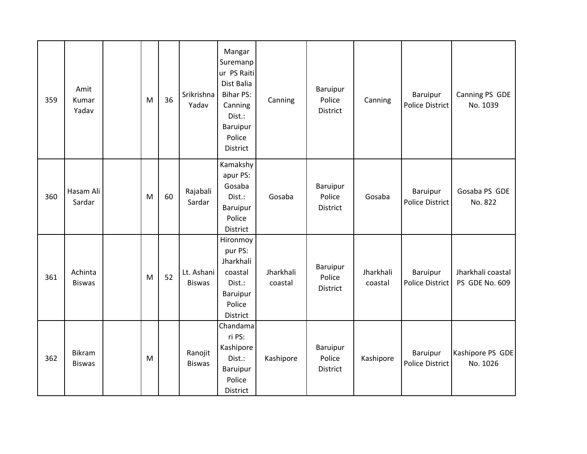| 359 | Amit<br>Kumar<br>Yadav   | M | 36 | Srikrishna<br>Yadav         | Mangar<br>Suremanp<br>ur PS Raiti<br>Dist Balia<br><b>Bihar PS:</b><br>Canning<br>Dist.:<br><b>Baruipur</b><br>Police<br>District | Canning              | Baruipur<br>Police<br>District        | Canning              | <b>Baruipur</b><br>Police District | Canning PS GDE<br>No. 1039          |
|-----|--------------------------|---|----|-----------------------------|-----------------------------------------------------------------------------------------------------------------------------------|----------------------|---------------------------------------|----------------------|------------------------------------|-------------------------------------|
| 360 | Hasam Ali<br>Sardar      | M | 60 | Rajabali<br>Sardar          | Kamakshy<br>apur PS:<br>Gosaba<br>Dist.:<br>Baruipur<br>Police<br><b>District</b>                                                 | Gosaba               | Baruipur<br>Police<br><b>District</b> | Gosaba               | Baruipur<br><b>Police District</b> | Gosaba PS GDE<br>No. 822            |
| 361 | Achinta<br><b>Biswas</b> | M | 52 | Lt. Ashani<br><b>Biswas</b> | Hironmoy<br>pur PS:<br>Jharkhali<br>coastal<br>Dist.:<br>Baruipur<br>Police<br>District                                           | Jharkhali<br>coastal | Baruipur<br>Police<br>District        | Jharkhali<br>coastal | Baruipur<br><b>Police District</b> | Jharkhali coastal<br>PS GDE No. 609 |
| 362 | Bikram<br><b>Biswas</b>  | M |    | Ranojit<br><b>Biswas</b>    | Chandama<br>ri PS:<br>Kashipore<br>Dist.:<br>Baruipur<br>Police<br>District                                                       | Kashipore            | Baruipur<br>Police<br>District        | Kashipore            | Baruipur<br><b>Police District</b> | Kashipore PS GDE<br>No. 1026        |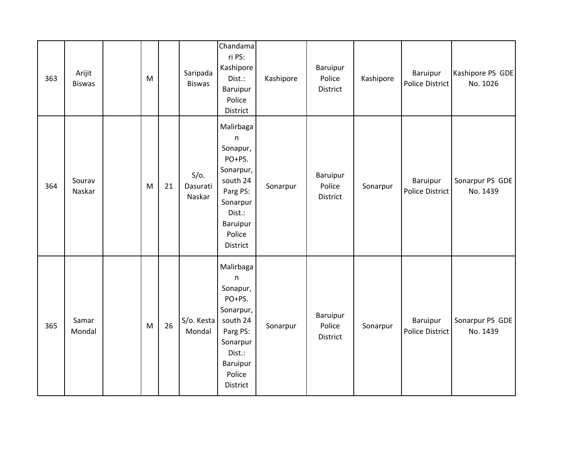| 363 | Arijit<br><b>Biswas</b> | M |    | Saripada<br><b>Biswas</b>     | Chandama<br>ri PS:<br>Kashipore<br>Dist.:<br>Baruipur<br>Police<br>District                                                                  | Kashipore | Baruipur<br>Police<br>District | Kashipore | Baruipur<br>Police District        | Kashipore PS GDE<br>No. 1026 |
|-----|-------------------------|---|----|-------------------------------|----------------------------------------------------------------------------------------------------------------------------------------------|-----------|--------------------------------|-----------|------------------------------------|------------------------------|
| 364 | Sourav<br>Naskar        | M | 21 | $S/O$ .<br>Dasurati<br>Naskar | Malirbaga<br>$\mathsf{n}$<br>Sonapur,<br>PO+PS.<br>Sonarpur,<br>south 24<br>Parg PS:<br>Sonarpur<br>Dist.:<br>Baruipur<br>Police<br>District | Sonarpur  | Baruipur<br>Police<br>District | Sonarpur  | Baruipur<br>Police District        | Sonarpur PS GDE<br>No. 1439  |
| 365 | Samar<br>Mondal         | M | 26 | S/o. Kesta<br>Mondal          | Malirbaga<br>$\sf n$<br>Sonapur,<br>PO+PS.<br>Sonarpur,<br>south 24<br>Parg PS:<br>Sonarpur<br>Dist.:<br>Baruipur<br>Police<br>District      | Sonarpur  | Baruipur<br>Police<br>District | Sonarpur  | Baruipur<br><b>Police District</b> | Sonarpur PS GDE<br>No. 1439  |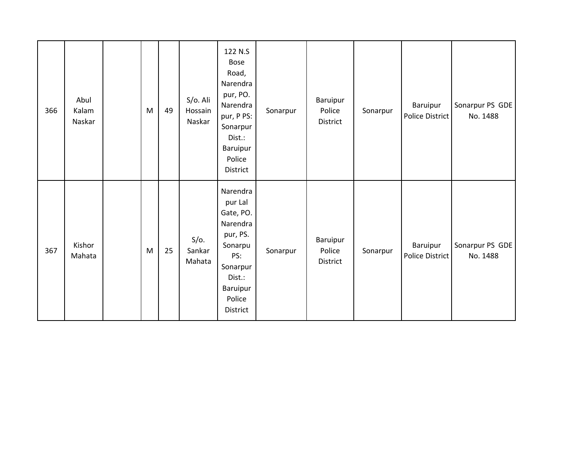| 366 | Abul<br>Kalam<br>Naskar | ${\sf M}$ | 49 | S/o. Ali<br>Hossain<br>Naskar | 122 N.S<br><b>Bose</b><br>Road,<br>Narendra<br>pur, PO.<br>Narendra<br>pur, P PS:<br>Sonarpur<br>Dist.:<br>Baruipur<br>Police<br>District | Sonarpur | Baruipur<br>Police<br>District | Sonarpur | Baruipur<br>Police District | Sonarpur PS GDE<br>No. 1488 |
|-----|-------------------------|-----------|----|-------------------------------|-------------------------------------------------------------------------------------------------------------------------------------------|----------|--------------------------------|----------|-----------------------------|-----------------------------|
| 367 | Kishor<br>Mahata        | M         | 25 | $S/O$ .<br>Sankar<br>Mahata   | Narendra<br>pur Lal<br>Gate, PO.<br>Narendra<br>pur, PS.<br>Sonarpu<br>PS:<br>Sonarpur<br>Dist.:<br>Baruipur<br>Police<br>District        | Sonarpur | Baruipur<br>Police<br>District | Sonarpur | Baruipur<br>Police District | Sonarpur PS GDE<br>No. 1488 |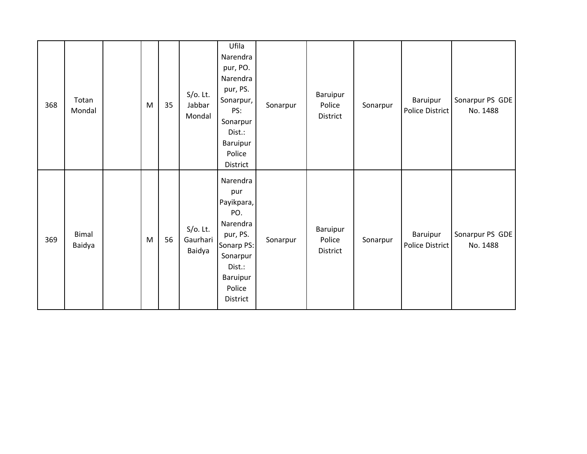| 368 | Totan<br>Mondal        | M | 35 | $S/O$ . Lt.<br>Jabbar<br>Mondal   | Ufila<br>Narendra<br>pur, PO.<br>Narendra<br>pur, PS.<br>Sonarpur,<br>PS:<br>Sonarpur<br>Dist.:<br>Baruipur<br>Police<br>District  | Sonarpur | Baruipur<br>Police<br>District | Sonarpur | Baruipur<br>Police District | Sonarpur PS GDE<br>No. 1488 |
|-----|------------------------|---|----|-----------------------------------|------------------------------------------------------------------------------------------------------------------------------------|----------|--------------------------------|----------|-----------------------------|-----------------------------|
| 369 | <b>Bimal</b><br>Baidya | M | 56 | $S/O$ . Lt.<br>Gaurhari<br>Baidya | Narendra<br>pur<br>Payikpara,<br>PO.<br>Narendra<br>pur, PS.<br>Sonarp PS:<br>Sonarpur<br>Dist.:<br>Baruipur<br>Police<br>District | Sonarpur | Baruipur<br>Police<br>District | Sonarpur | Baruipur<br>Police District | Sonarpur PS GDE<br>No. 1488 |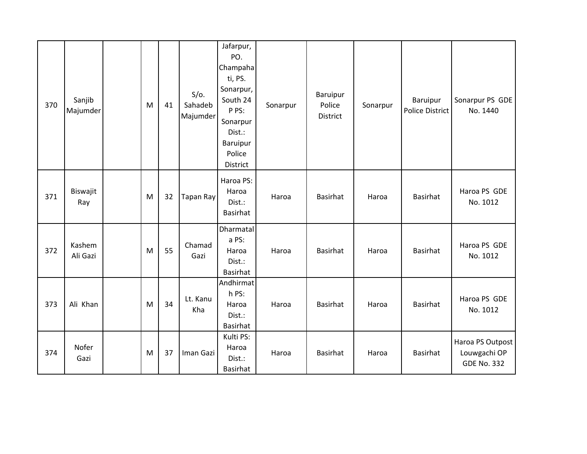| 370 | Sanjib<br>Majumder | M | 41 | $S/O$ .<br>Sahadeb<br>Majumder | Jafarpur,<br>PO.<br>Champaha<br>ti, PS.<br>Sonarpur,<br>South 24<br>P PS:<br>Sonarpur<br>Dist.:<br>Baruipur<br>Police<br>District | Sonarpur | Baruipur<br>Police<br><b>District</b> | Sonarpur | Baruipur<br><b>Police District</b> | Sonarpur PS GDE<br>No. 1440                            |
|-----|--------------------|---|----|--------------------------------|-----------------------------------------------------------------------------------------------------------------------------------|----------|---------------------------------------|----------|------------------------------------|--------------------------------------------------------|
| 371 | Biswajit<br>Ray    | M | 32 | Tapan Ray                      | Haroa PS:<br>Haroa<br>Dist.:<br><b>Basirhat</b>                                                                                   | Haroa    | Basirhat                              | Haroa    | Basirhat                           | Haroa PS GDE<br>No. 1012                               |
| 372 | Kashem<br>Ali Gazi | M | 55 | Chamad<br>Gazi                 | Dharmatal<br>a PS:<br>Haroa<br>Dist.:<br>Basirhat                                                                                 | Haroa    | Basirhat                              | Haroa    | Basirhat                           | Haroa PS GDE<br>No. 1012                               |
| 373 | Ali Khan           | M | 34 | Lt. Kanu<br>Kha                | Andhirmat<br>h PS:<br>Haroa<br>Dist.:<br><b>Basirhat</b>                                                                          | Haroa    | Basirhat                              | Haroa    | Basirhat                           | Haroa PS GDE<br>No. 1012                               |
| 374 | Nofer<br>Gazi      | M | 37 | Iman Gazi                      | Kulti PS:<br>Haroa<br>Dist.:<br><b>Basirhat</b>                                                                                   | Haroa    | <b>Basirhat</b>                       | Haroa    | <b>Basirhat</b>                    | Haroa PS Outpost<br>Louwgachi OP<br><b>GDE No. 332</b> |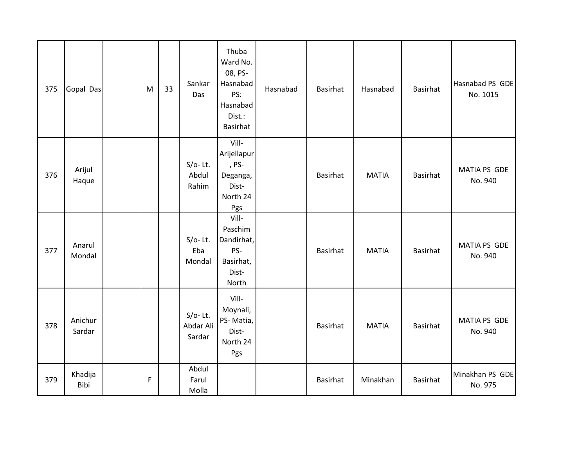| 375 | Gopal Das         | M | 33 | Sankar<br>Das                     | Thuba<br>Ward No.<br>08, PS-<br>Hasnabad<br>PS:<br>Hasnabad<br>Dist.:<br>Basirhat | Hasnabad | Basirhat | Hasnabad     | <b>Basirhat</b> | Hasnabad PS GDE<br>No. 1015    |
|-----|-------------------|---|----|-----------------------------------|-----------------------------------------------------------------------------------|----------|----------|--------------|-----------------|--------------------------------|
| 376 | Arijul<br>Haque   |   |    | $S/O-$ Lt.<br>Abdul<br>Rahim      | Vill-<br>Arijellapur<br>, PS-<br>Deganga,<br>Dist-<br>North 24<br>Pgs             |          | Basirhat | <b>MATIA</b> | Basirhat        | MATIA PS GDE<br>No. 940        |
| 377 | Anarul<br>Mondal  |   |    | $S/O-$ Lt.<br>Eba<br>Mondal       | Vill-<br>Paschim<br>Dandirhat,<br>PS-<br>Basirhat,<br>Dist-<br>North              |          | Basirhat | <b>MATIA</b> | Basirhat        | <b>MATIA PS GDE</b><br>No. 940 |
| 378 | Anichur<br>Sardar |   |    | $S/O-$ Lt.<br>Abdar Ali<br>Sardar | Vill-<br>Moynali,<br>PS-Matia,<br>Dist-<br>North 24<br>Pgs                        |          | Basirhat | <b>MATIA</b> | <b>Basirhat</b> | MATIA PS GDE<br>No. 940        |
| 379 | Khadija<br>Bibi   | F |    | Abdul<br>Farul<br>Molla           |                                                                                   |          | Basirhat | Minakhan     | <b>Basirhat</b> | Minakhan PS GDE<br>No. 975     |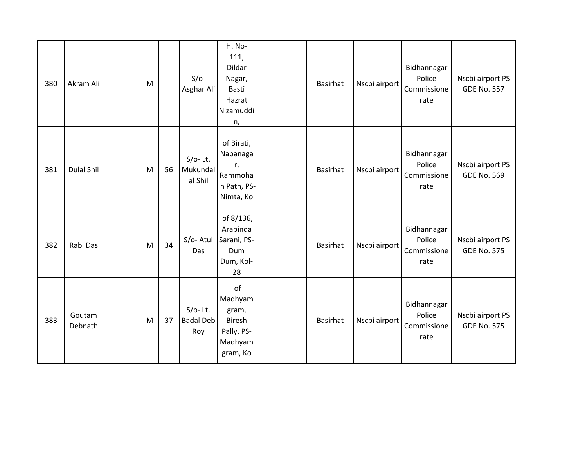| 380 | Akram Ali         | M |    | $S/O-$<br>Asghar Ali                  | H. No-<br>111,<br>Dildar<br>Nagar,<br>Basti<br>Hazrat<br>Nizamuddi<br>n,     | Basirhat        | Nscbi airport | Bidhannagar<br>Police<br>Commissione<br>rate | Nscbi airport PS<br><b>GDE No. 557</b> |
|-----|-------------------|---|----|---------------------------------------|------------------------------------------------------------------------------|-----------------|---------------|----------------------------------------------|----------------------------------------|
| 381 | <b>Dulal Shil</b> | M | 56 | $S/O-$ Lt.<br>Mukundal<br>al Shil     | of Birati,<br>Nabanaga<br>r,<br>Rammoha<br>n Path, PS-<br>Nimta, Ko          | Basirhat        | Nscbi airport | Bidhannagar<br>Police<br>Commissione<br>rate | Nscbi airport PS<br><b>GDE No. 569</b> |
| 382 | Rabi Das          | M | 34 | $S/O-Atul$<br>Das                     | of 8/136,<br>Arabinda<br>Sarani, PS-<br>Dum<br>Dum, Kol-<br>28               | <b>Basirhat</b> | Nscbi airport | Bidhannagar<br>Police<br>Commissione<br>rate | Nscbi airport PS<br><b>GDE No. 575</b> |
| 383 | Goutam<br>Debnath | M | 37 | $S/O-$ Lt.<br><b>Badal Deb</b><br>Roy | of<br>Madhyam<br>gram,<br><b>Biresh</b><br>Pally, PS-<br>Madhyam<br>gram, Ko | Basirhat        | Nscbi airport | Bidhannagar<br>Police<br>Commissione<br>rate | Nscbi airport PS<br><b>GDE No. 575</b> |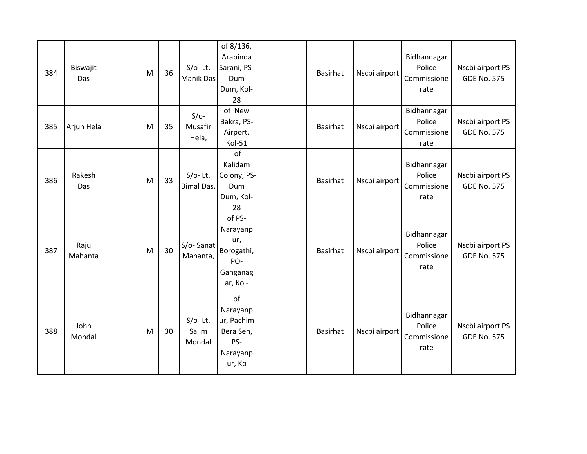| 384 | Biswajit<br>Das | M | 36 | $S/O-$ Lt.<br>Manik Das       | of 8/136,<br>Arabinda<br>Sarani, PS-<br>Dum<br>Dum, Kol-<br>28         | Basirhat        | Nscbi airport | Bidhannagar<br>Police<br>Commissione<br>rate | Nscbi airport PS<br><b>GDE No. 575</b> |
|-----|-----------------|---|----|-------------------------------|------------------------------------------------------------------------|-----------------|---------------|----------------------------------------------|----------------------------------------|
| 385 | Arjun Hela      | M | 35 | $S/O-$<br>Musafir<br>Hela,    | of New<br>Bakra, PS-<br>Airport,<br>Kol-51                             | <b>Basirhat</b> | Nscbi airport | Bidhannagar<br>Police<br>Commissione<br>rate | Nscbi airport PS<br><b>GDE No. 575</b> |
| 386 | Rakesh<br>Das   | M | 33 | $S/O-$ Lt.<br>Bimal Das,      | of<br>Kalidam<br>Colony, PS-<br>Dum<br>Dum, Kol-<br>28                 | <b>Basirhat</b> | Nscbi airport | Bidhannagar<br>Police<br>Commissione<br>rate | Nscbi airport PS<br><b>GDE No. 575</b> |
| 387 | Raju<br>Mahanta | M | 30 | S/o-Sanat<br>Mahanta,         | of PS-<br>Narayanp<br>ur,<br>Borogathi,<br>PO-<br>Ganganag<br>ar, Kol- | <b>Basirhat</b> | Nscbi airport | Bidhannagar<br>Police<br>Commissione<br>rate | Nscbi airport PS<br><b>GDE No. 575</b> |
| 388 | John<br>Mondal  | M | 30 | $S/O-$ Lt.<br>Salim<br>Mondal | of<br>Narayanp<br>ur, Pachim<br>Bera Sen,<br>PS-<br>Narayanp<br>ur, Ko | <b>Basirhat</b> | Nscbi airport | Bidhannagar<br>Police<br>Commissione<br>rate | Nscbi airport PS<br><b>GDE No. 575</b> |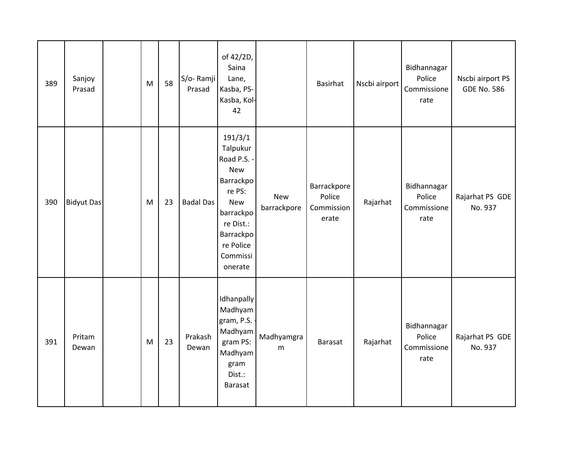| 389 | Sanjoy<br>Prasad  | M | 58 | S/o-Ramji<br>Prasad | of 42/2D,<br>Saina<br>Lane,<br>Kasba, PS-<br>Kasba, Kol-<br>42                                                                                                   |                           | <b>Basirhat</b>                              | Nscbi airport | Bidhannagar<br>Police<br>Commissione<br>rate | Nscbi airport PS<br><b>GDE No. 586</b> |
|-----|-------------------|---|----|---------------------|------------------------------------------------------------------------------------------------------------------------------------------------------------------|---------------------------|----------------------------------------------|---------------|----------------------------------------------|----------------------------------------|
| 390 | <b>Bidyut Das</b> | M | 23 | <b>Badal Das</b>    | 191/3/1<br>Talpukur<br>Road P.S. -<br><b>New</b><br>Barrackpo<br>re PS:<br><b>New</b><br>barrackpo<br>re Dist.:<br>Barrackpo<br>re Police<br>Commissi<br>onerate | <b>New</b><br>barrackpore | Barrackpore<br>Police<br>Commission<br>erate | Rajarhat      | Bidhannagar<br>Police<br>Commissione<br>rate | Rajarhat PS GDE<br>No. 937             |
| 391 | Pritam<br>Dewan   | M | 23 | Prakash<br>Dewan    | Idhanpally<br>Madhyam<br>gram, P.S.<br>Madhyam<br>gram PS:<br>Madhyam<br>gram<br>Dist.:<br>Barasat                                                               | Madhyamgra<br>m           | <b>Barasat</b>                               | Rajarhat      | Bidhannagar<br>Police<br>Commissione<br>rate | Rajarhat PS GDE<br>No. 937             |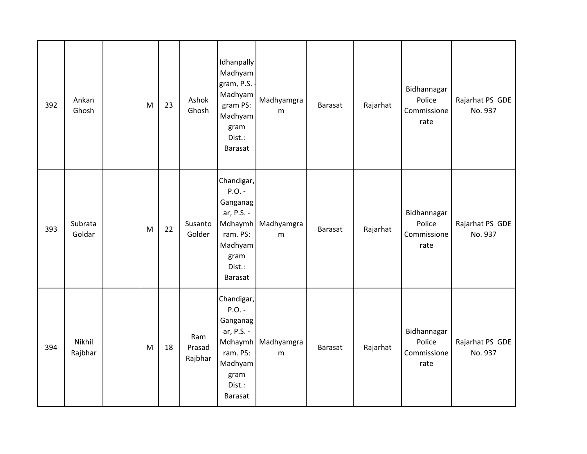| 392 | Ankan<br>Ghosh    | M | 23 | Ashok<br>Ghosh           | Idhanpally<br>Madhyam<br>gram, P.S.<br>Madhyam<br>gram PS:<br>Madhyam<br>gram<br>Dist.:<br><b>Barasat</b>              | Madhyamgra<br>m | <b>Barasat</b> | Rajarhat | Bidhannagar<br>Police<br>Commissione<br>rate | Rajarhat PS GDE<br>No. 937 |
|-----|-------------------|---|----|--------------------------|------------------------------------------------------------------------------------------------------------------------|-----------------|----------------|----------|----------------------------------------------|----------------------------|
| 393 | Subrata<br>Goldar | M | 22 | Susanto<br>Golder        | Chandigar,<br>$P.O. -$<br>Ganganag<br>ar, P.S. -<br>Mdhaymh<br>ram. PS:<br>Madhyam<br>gram<br>Dist.:<br><b>Barasat</b> | Madhyamgra<br>m | <b>Barasat</b> | Rajarhat | Bidhannagar<br>Police<br>Commissione<br>rate | Rajarhat PS GDE<br>No. 937 |
| 394 | Nikhil<br>Rajbhar | M | 18 | Ram<br>Prasad<br>Rajbhar | Chandigar,<br>$P.O. -$<br>Ganganag<br>ar, P.S. -<br>Mdhaymh<br>ram. PS:<br>Madhyam<br>gram<br>Dist.:<br>Barasat        | Madhyamgra<br>m | <b>Barasat</b> | Rajarhat | Bidhannagar<br>Police<br>Commissione<br>rate | Rajarhat PS GDE<br>No. 937 |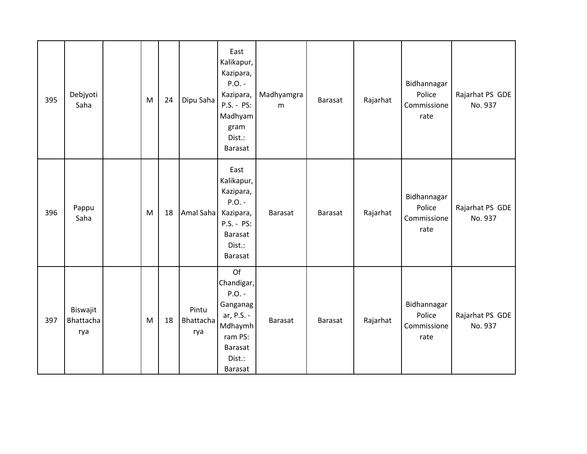| 395 | Debjyoti<br>Saha             | M | 24 | Dipu Saha                 | East<br>Kalikapur,<br>Kazipara,<br>$P.O. -$<br>Kazipara,<br>P.S. - PS:<br>Madhyam<br>gram<br>Dist.:<br><b>Barasat</b> | Madhyamgra<br>m | <b>Barasat</b> | Rajarhat | Bidhannagar<br>Police<br>Commissione<br>rate | Rajarhat PS GDE<br>No. 937 |
|-----|------------------------------|---|----|---------------------------|-----------------------------------------------------------------------------------------------------------------------|-----------------|----------------|----------|----------------------------------------------|----------------------------|
| 396 | Pappu<br>Saha                | M | 18 | Amal Saha                 | East<br>Kalikapur,<br>Kazipara,<br>$P.O. -$<br>Kazipara,<br>P.S. - PS:<br>Barasat<br>Dist.:<br>Barasat                | Barasat         | <b>Barasat</b> | Rajarhat | Bidhannagar<br>Police<br>Commissione<br>rate | Rajarhat PS GDE<br>No. 937 |
| 397 | Biswajit<br>Bhattacha<br>rya | M | 18 | Pintu<br>Bhattacha<br>rya | Of<br>Chandigar,<br>$P.O. -$<br>Ganganag<br>ar, P.S. -<br>Mdhaymh<br>ram PS:<br>Barasat<br>Dist.:<br>Barasat          | Barasat         | <b>Barasat</b> | Rajarhat | Bidhannagar<br>Police<br>Commissione<br>rate | Rajarhat PS GDE<br>No. 937 |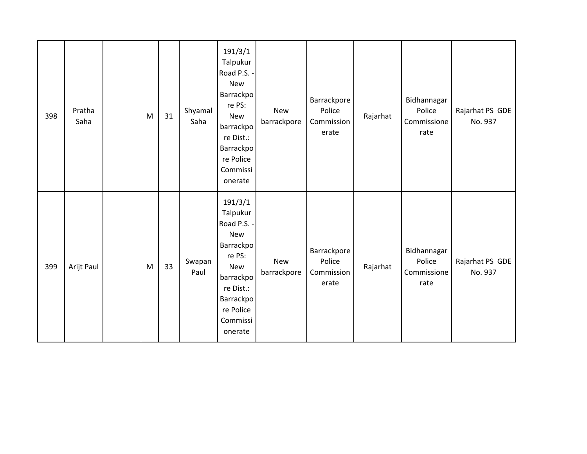| 398 | Pratha<br>Saha | M | 31 | Shyamal<br>Saha | 191/3/1<br>Talpukur<br>Road P.S. -<br>New<br>Barrackpo<br>re PS:<br><b>New</b><br>barrackpo<br>re Dist.:<br>Barrackpo<br>re Police<br>Commissi<br>onerate        | <b>New</b><br>barrackpore | Barrackpore<br>Police<br>Commission<br>erate | Rajarhat | Bidhannagar<br>Police<br>Commissione<br>rate | Rajarhat PS GDE<br>No. 937 |
|-----|----------------|---|----|-----------------|------------------------------------------------------------------------------------------------------------------------------------------------------------------|---------------------------|----------------------------------------------|----------|----------------------------------------------|----------------------------|
| 399 | Arijt Paul     | M | 33 | Swapan<br>Paul  | 191/3/1<br>Talpukur<br>Road P.S. -<br><b>New</b><br>Barrackpo<br>re PS:<br><b>New</b><br>barrackpo<br>re Dist.:<br>Barrackpo<br>re Police<br>Commissi<br>onerate | <b>New</b><br>barrackpore | Barrackpore<br>Police<br>Commission<br>erate | Rajarhat | Bidhannagar<br>Police<br>Commissione<br>rate | Rajarhat PS GDE<br>No. 937 |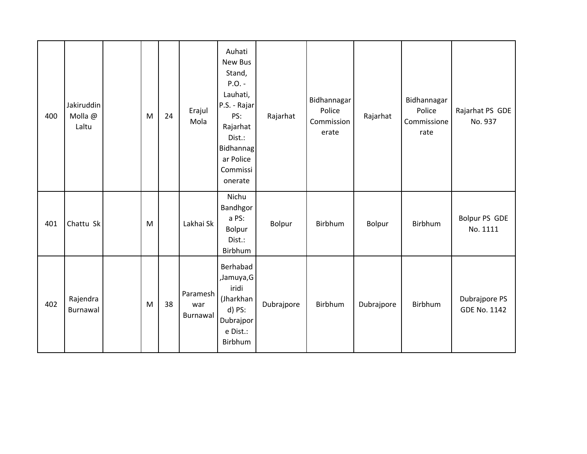| 400 | Jakiruddin<br>Molla @<br>Laltu | M | 24 | Erajul<br>Mola              | Auhati<br>New Bus<br>Stand,<br>$P.O. -$<br>Lauhati,<br>P.S. - Rajar<br>PS:<br>Rajarhat<br>Dist.:<br><b>Bidhannag</b><br>ar Police<br>Commissi<br>onerate | Rajarhat   | Bidhannagar<br>Police<br>Commission<br>erate | Rajarhat   | Bidhannagar<br>Police<br>Commissione<br>rate | Rajarhat PS GDE<br>No. 937           |
|-----|--------------------------------|---|----|-----------------------------|----------------------------------------------------------------------------------------------------------------------------------------------------------|------------|----------------------------------------------|------------|----------------------------------------------|--------------------------------------|
| 401 | Chattu Sk                      | M |    | Lakhai Sk                   | Nichu<br>Bandhgor<br>a PS:<br>Bolpur<br>Dist.:<br>Birbhum                                                                                                | Bolpur     | Birbhum                                      | Bolpur     | Birbhum                                      | Bolpur PS GDE<br>No. 1111            |
| 402 | Rajendra<br>Burnawal           | M | 38 | Paramesh<br>war<br>Burnawal | Berhabad<br>,Jamuya,G<br>iridi<br>(Jharkhan<br>$d)$ PS:<br>Dubrajpor<br>e Dist.:<br>Birbhum                                                              | Dubrajpore | Birbhum                                      | Dubrajpore | Birbhum                                      | Dubrajpore PS<br><b>GDE No. 1142</b> |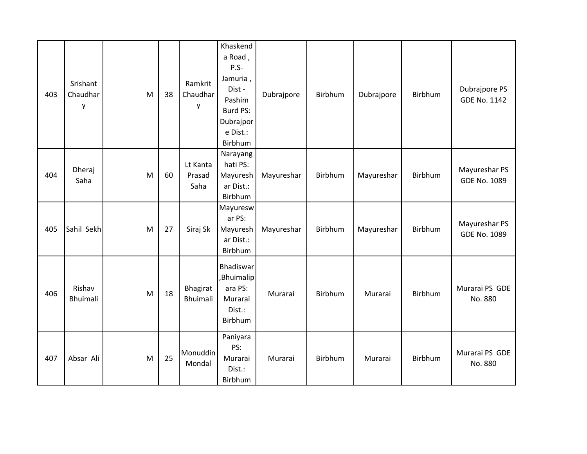| 403 | Srishant<br>Chaudhar<br>y | M | 38 | Ramkrit<br>Chaudhar<br>y   | Khaskend<br>a Road,<br>$P.S-$<br>Jamuria,<br>Dist-<br>Pashim<br>Burd PS:<br>Dubrajpor<br>e Dist.:<br>Birbhum | Dubrajpore | Birbhum | Dubrajpore | Birbhum | Dubrajpore PS<br><b>GDE No. 1142</b> |
|-----|---------------------------|---|----|----------------------------|--------------------------------------------------------------------------------------------------------------|------------|---------|------------|---------|--------------------------------------|
| 404 | Dheraj<br>Saha            | M | 60 | Lt Kanta<br>Prasad<br>Saha | Narayang<br>hati PS:<br>Mayuresh<br>ar Dist.:<br>Birbhum                                                     | Mayureshar | Birbhum | Mayureshar | Birbhum | Mayureshar PS<br>GDE No. 1089        |
| 405 | Sahil Sekh                | M | 27 | Siraj Sk                   | Mayuresw<br>ar PS:<br>Mayuresh<br>ar Dist.:<br>Birbhum                                                       | Mayureshar | Birbhum | Mayureshar | Birbhum | Mayureshar PS<br><b>GDE No. 1089</b> |
| 406 | Rishav<br>Bhuimali        | M | 18 | Bhagirat<br>Bhuimali       | Bhadiswar<br>,Bhuimalip<br>ara PS:<br>Murarai<br>Dist.:<br>Birbhum                                           | Murarai    | Birbhum | Murarai    | Birbhum | Murarai PS GDE<br>No. 880            |
| 407 | Absar Ali                 | M | 25 | Monuddin<br>Mondal         | Paniyara<br>PS:<br>Murarai<br>Dist.:<br>Birbhum                                                              | Murarai    | Birbhum | Murarai    | Birbhum | Murarai PS GDE<br>No. 880            |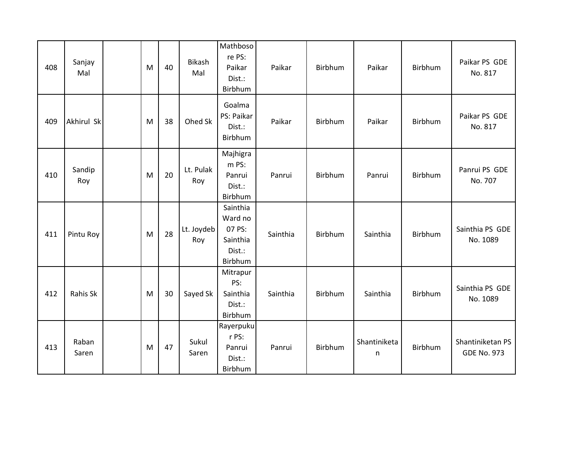| 408 | Sanjay<br>Mal  | M | 40 | <b>Bikash</b><br>Mal | Mathboso<br>re PS:<br>Paikar<br>Dist.:<br>Birbhum              | Paikar   | Birbhum | Paikar            | Birbhum | Paikar PS GDE<br>No. 817               |
|-----|----------------|---|----|----------------------|----------------------------------------------------------------|----------|---------|-------------------|---------|----------------------------------------|
| 409 | Akhirul Sk     | M | 38 | Ohed Sk              | Goalma<br>PS: Paikar<br>Dist.:<br>Birbhum                      | Paikar   | Birbhum | Paikar            | Birbhum | Paikar PS GDE<br>No. 817               |
| 410 | Sandip<br>Roy  | M | 20 | Lt. Pulak<br>Roy     | Majhigra<br>m PS:<br>Panrui<br>Dist.:<br>Birbhum               | Panrui   | Birbhum | Panrui            | Birbhum | Panrui PS GDE<br>No. 707               |
| 411 | Pintu Roy      | M | 28 | Lt. Joydeb<br>Roy    | Sainthia<br>Ward no<br>07 PS:<br>Sainthia<br>Dist.:<br>Birbhum | Sainthia | Birbhum | Sainthia          | Birbhum | Sainthia PS GDE<br>No. 1089            |
| 412 | Rahis Sk       | M | 30 | Sayed Sk             | Mitrapur<br>PS:<br>Sainthia<br>Dist.:<br>Birbhum               | Sainthia | Birbhum | Sainthia          | Birbhum | Sainthia PS GDE<br>No. 1089            |
| 413 | Raban<br>Saren | M | 47 | Sukul<br>Saren       | Rayerpuku<br>r PS:<br>Panrui<br>Dist.:<br>Birbhum              | Panrui   | Birbhum | Shantiniketa<br>n | Birbhum | Shantiniketan PS<br><b>GDE No. 973</b> |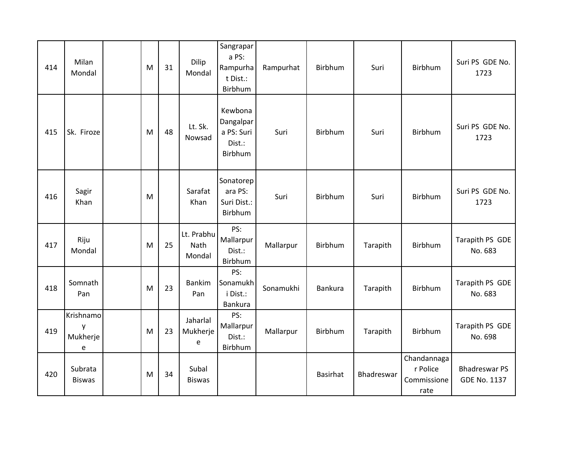| 414 | Milan<br>Mondal                         | M | 31 | Dilip<br>Mondal              | Sangrapar<br>a PS:<br>Rampurha<br>t Dist.:<br>Birbhum   | Rampurhat | Birbhum  | Suri       | Birbhum                                        | Suri PS GDE No.<br>1723                     |
|-----|-----------------------------------------|---|----|------------------------------|---------------------------------------------------------|-----------|----------|------------|------------------------------------------------|---------------------------------------------|
| 415 | Sk. Firoze                              | M | 48 | Lt. Sk.<br>Nowsad            | Kewbona<br>Dangalpar<br>a PS: Suri<br>Dist.:<br>Birbhum | Suri      | Birbhum  | Suri       | Birbhum                                        | Suri PS GDE No.<br>1723                     |
| 416 | Sagir<br>Khan                           | M |    | Sarafat<br>Khan              | Sonatorep<br>ara PS:<br>Suri Dist.:<br>Birbhum          | Suri      | Birbhum  | Suri       | Birbhum                                        | Suri PS GDE No.<br>1723                     |
| 417 | Riju<br>Mondal                          | M | 25 | Lt. Prabhu<br>Nath<br>Mondal | PS:<br>Mallarpur<br>Dist.:<br>Birbhum                   | Mallarpur | Birbhum  | Tarapith   | Birbhum                                        | Tarapith PS GDE<br>No. 683                  |
| 418 | Somnath<br>Pan                          | M | 23 | <b>Bankim</b><br>Pan         | PS:<br>Sonamukh<br>i Dist.:<br>Bankura                  | Sonamukhi | Bankura  | Tarapith   | Birbhum                                        | Tarapith PS GDE<br>No. 683                  |
| 419 | Krishnamo<br>у<br>Mukherje<br>${\bf e}$ | M | 23 | Jaharlal<br>Mukherje<br>e    | PS:<br>Mallarpur<br>Dist.:<br>Birbhum                   | Mallarpur | Birbhum  | Tarapith   | Birbhum                                        | Tarapith PS GDE<br>No. 698                  |
| 420 | Subrata<br><b>Biswas</b>                | M | 34 | Subal<br><b>Biswas</b>       |                                                         |           | Basirhat | Bhadreswar | Chandannaga<br>r Police<br>Commissione<br>rate | <b>Bhadreswar PS</b><br><b>GDE No. 1137</b> |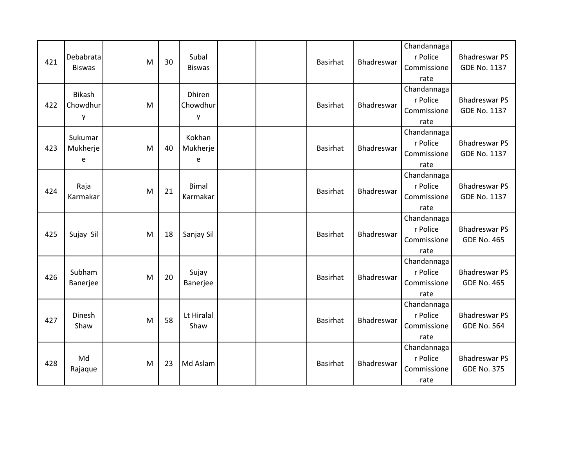| 421 | Debabrata<br><b>Biswas</b> | M | 30 | Subal<br><b>Biswas</b>         |  | <b>Basirhat</b> | Bhadreswar        | Chandannaga<br>r Police<br>Commissione<br>rate | <b>Bhadreswar PS</b><br>GDE No. 1137        |
|-----|----------------------------|---|----|--------------------------------|--|-----------------|-------------------|------------------------------------------------|---------------------------------------------|
| 422 | Bikash<br>Chowdhur<br>у    | M |    | <b>Dhiren</b><br>Chowdhur<br>y |  | Basirhat        | Bhadreswar        | Chandannaga<br>r Police<br>Commissione<br>rate | <b>Bhadreswar PS</b><br><b>GDE No. 1137</b> |
| 423 | Sukumar<br>Mukherje<br>e   | M | 40 | Kokhan<br>Mukherje<br>e        |  | <b>Basirhat</b> | <b>Bhadreswar</b> | Chandannaga<br>r Police<br>Commissione<br>rate | <b>Bhadreswar PS</b><br><b>GDE No. 1137</b> |
| 424 | Raja<br>Karmakar           | M | 21 | <b>Bimal</b><br>Karmakar       |  | <b>Basirhat</b> | Bhadreswar        | Chandannaga<br>r Police<br>Commissione<br>rate | <b>Bhadreswar PS</b><br><b>GDE No. 1137</b> |
| 425 | Sujay Sil                  | M | 18 | Sanjay Sil                     |  | Basirhat        | Bhadreswar        | Chandannaga<br>r Police<br>Commissione<br>rate | <b>Bhadreswar PS</b><br><b>GDE No. 465</b>  |
| 426 | Subham<br>Banerjee         | M | 20 | Sujay<br>Banerjee              |  | <b>Basirhat</b> | Bhadreswar        | Chandannaga<br>r Police<br>Commissione<br>rate | <b>Bhadreswar PS</b><br><b>GDE No. 465</b>  |
| 427 | Dinesh<br>Shaw             | M | 58 | Lt Hiralal<br>Shaw             |  | <b>Basirhat</b> | Bhadreswar        | Chandannaga<br>r Police<br>Commissione<br>rate | <b>Bhadreswar PS</b><br><b>GDE No. 564</b>  |
| 428 | Md<br>Rajaque              | M | 23 | Md Aslam                       |  | <b>Basirhat</b> | Bhadreswar        | Chandannaga<br>r Police<br>Commissione<br>rate | <b>Bhadreswar PS</b><br><b>GDE No. 375</b>  |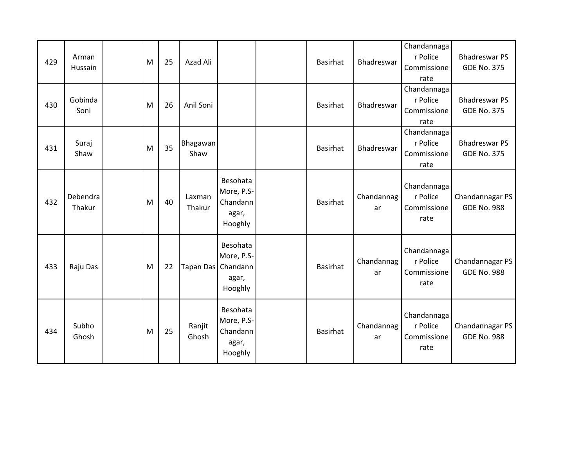| 429 | Arman<br>Hussain   | M | 25 | Azad Ali         |                                                                    | Basirhat        | Bhadreswar        | Chandannaga<br>r Police<br>Commissione<br>rate | <b>Bhadreswar PS</b><br><b>GDE No. 375</b> |
|-----|--------------------|---|----|------------------|--------------------------------------------------------------------|-----------------|-------------------|------------------------------------------------|--------------------------------------------|
| 430 | Gobinda<br>Soni    | M | 26 | Anil Soni        |                                                                    | <b>Basirhat</b> | Bhadreswar        | Chandannaga<br>r Police<br>Commissione<br>rate | <b>Bhadreswar PS</b><br><b>GDE No. 375</b> |
| 431 | Suraj<br>Shaw      | M | 35 | Bhagawan<br>Shaw |                                                                    | Basirhat        | <b>Bhadreswar</b> | Chandannaga<br>r Police<br>Commissione<br>rate | <b>Bhadreswar PS</b><br><b>GDE No. 375</b> |
| 432 | Debendra<br>Thakur | M | 40 | Laxman<br>Thakur | Besohata<br>More, P.S-<br>Chandann<br>agar,<br>Hooghly             | <b>Basirhat</b> | Chandannag<br>ar  | Chandannaga<br>r Police<br>Commissione<br>rate | Chandannagar PS<br><b>GDE No. 988</b>      |
| 433 | Raju Das           | M | 22 |                  | Besohata<br>More, P.S-<br>Tapan Das   Chandann<br>agar,<br>Hooghly | <b>Basirhat</b> | Chandannag<br>ar  | Chandannaga<br>r Police<br>Commissione<br>rate | Chandannagar PS<br><b>GDE No. 988</b>      |
| 434 | Subho<br>Ghosh     | M | 25 | Ranjit<br>Ghosh  | Besohata<br>More, P.S-<br>Chandann<br>agar,<br>Hooghly             | <b>Basirhat</b> | Chandannag<br>ar  | Chandannaga<br>r Police<br>Commissione<br>rate | Chandannagar PS<br><b>GDE No. 988</b>      |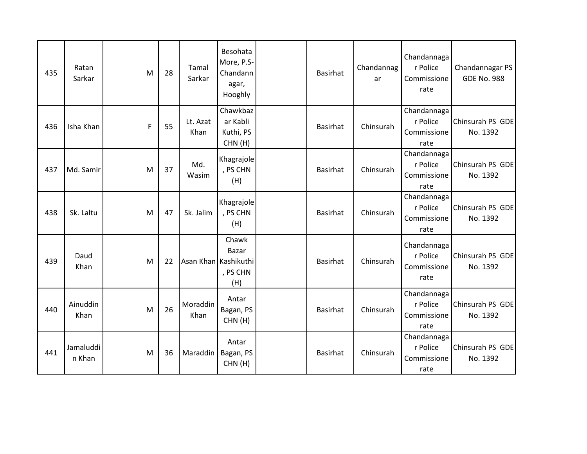| 435 | Ratan<br>Sarkar     | M | 28 | Tamal<br>Sarkar  | Besohata<br>More, P.S-<br>Chandann<br>agar,<br>Hooghly    | <b>Basirhat</b> | Chandannag<br>ar | Chandannaga<br>r Police<br>Commissione<br>rate | Chandannagar PS<br><b>GDE No. 988</b> |
|-----|---------------------|---|----|------------------|-----------------------------------------------------------|-----------------|------------------|------------------------------------------------|---------------------------------------|
| 436 | Isha Khan           | F | 55 | Lt. Azat<br>Khan | Chawkbaz<br>ar Kabli<br>Kuthi, PS<br>CHN(H)               | <b>Basirhat</b> | Chinsurah        | Chandannaga<br>r Police<br>Commissione<br>rate | Chinsurah PS GDE<br>No. 1392          |
| 437 | Md. Samir           | M | 37 | Md.<br>Wasim     | Khagrajole<br>, PS CHN<br>(H)                             | <b>Basirhat</b> | Chinsurah        | Chandannaga<br>r Police<br>Commissione<br>rate | Chinsurah PS GDE<br>No. 1392          |
| 438 | Sk. Laltu           | M | 47 | Sk. Jalim        | Khagrajole<br>, PS CHN<br>(H)                             | <b>Basirhat</b> | Chinsurah        | Chandannaga<br>r Police<br>Commissione<br>rate | Chinsurah PS GDE<br>No. 1392          |
| 439 | Daud<br>Khan        | M | 22 |                  | Chawk<br>Bazar<br>Asan Khan Kashikuthi<br>, PS CHN<br>(H) | <b>Basirhat</b> | Chinsurah        | Chandannaga<br>r Police<br>Commissione<br>rate | Chinsurah PS GDE<br>No. 1392          |
| 440 | Ainuddin<br>Khan    | M | 26 | Moraddin<br>Khan | Antar<br>Bagan, PS<br>CHN(H)                              | <b>Basirhat</b> | Chinsurah        | Chandannaga<br>r Police<br>Commissione<br>rate | Chinsurah PS GDE<br>No. 1392          |
| 441 | Jamaluddi<br>n Khan | M | 36 | Maraddin         | Antar<br>Bagan, PS<br>CHN(H)                              | <b>Basirhat</b> | Chinsurah        | Chandannaga<br>r Police<br>Commissione<br>rate | Chinsurah PS GDE<br>No. 1392          |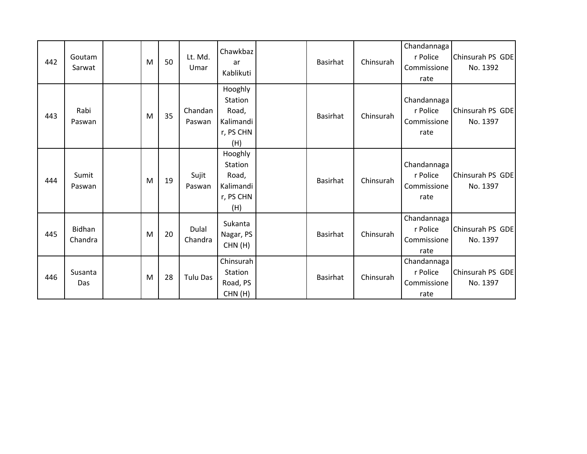| 442 | Goutam<br>Sarwat  | M | 50 | Lt. Md.<br>Umar   | Chawkbaz<br>ar<br>Kablikuti                                  | Basirhat        | Chinsurah | Chandannaga<br>r Police<br>Commissione<br>rate | Chinsurah PS GDE<br>No. 1392 |
|-----|-------------------|---|----|-------------------|--------------------------------------------------------------|-----------------|-----------|------------------------------------------------|------------------------------|
| 443 | Rabi<br>Paswan    | M | 35 | Chandan<br>Paswan | Hooghly<br>Station<br>Road,<br>Kalimandi<br>r, PS CHN<br>(H) | <b>Basirhat</b> | Chinsurah | Chandannaga<br>r Police<br>Commissione<br>rate | Chinsurah PS GDE<br>No. 1397 |
| 444 | Sumit<br>Paswan   | M | 19 | Sujit<br>Paswan   | Hooghly<br>Station<br>Road,<br>Kalimandi<br>r, PS CHN<br>(H) | <b>Basirhat</b> | Chinsurah | Chandannaga<br>r Police<br>Commissione<br>rate | Chinsurah PS GDE<br>No. 1397 |
| 445 | Bidhan<br>Chandra | M | 20 | Dulal<br>Chandra  | Sukanta<br>Nagar, PS<br>CHN(H)                               | <b>Basirhat</b> | Chinsurah | Chandannaga<br>r Police<br>Commissione<br>rate | Chinsurah PS GDE<br>No. 1397 |
| 446 | Susanta<br>Das    | M | 28 | Tulu Das          | Chinsurah<br>Station<br>Road, PS<br>CHN(H)                   | <b>Basirhat</b> | Chinsurah | Chandannaga<br>r Police<br>Commissione<br>rate | Chinsurah PS GDE<br>No. 1397 |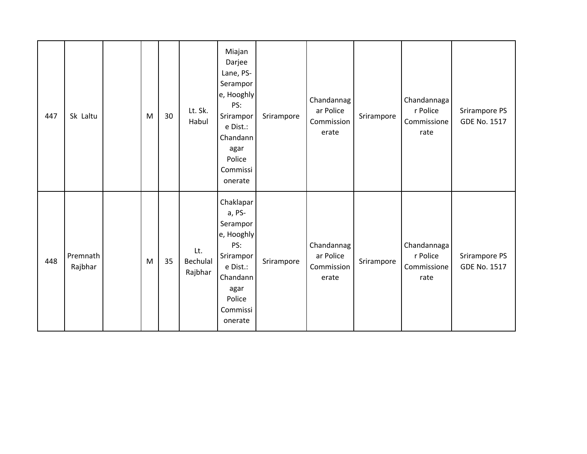| 447 | Sk Laltu            | M         | 30 | Lt. Sk.<br>Habul           | Miajan<br>Darjee<br>Lane, PS-<br>Serampor<br>e, Hooghly<br>PS:<br>Srirampor<br>e Dist.:<br>Chandann<br>agar<br>Police<br>Commissi<br>onerate | Srirampore | Chandannag<br>ar Police<br>Commission<br>erate | Srirampore | Chandannaga<br>r Police<br>Commissione<br>rate | Srirampore PS<br><b>GDE No. 1517</b> |
|-----|---------------------|-----------|----|----------------------------|----------------------------------------------------------------------------------------------------------------------------------------------|------------|------------------------------------------------|------------|------------------------------------------------|--------------------------------------|
| 448 | Premnath<br>Rajbhar | ${\sf M}$ | 35 | Lt.<br>Bechulal<br>Rajbhar | Chaklapar<br>a, PS-<br>Serampor<br>e, Hooghly<br>PS:<br>Srirampor<br>e Dist.:<br>Chandann<br>agar<br>Police<br>Commissi<br>onerate           | Srirampore | Chandannag<br>ar Police<br>Commission<br>erate | Srirampore | Chandannaga<br>r Police<br>Commissione<br>rate | Srirampore PS<br><b>GDE No. 1517</b> |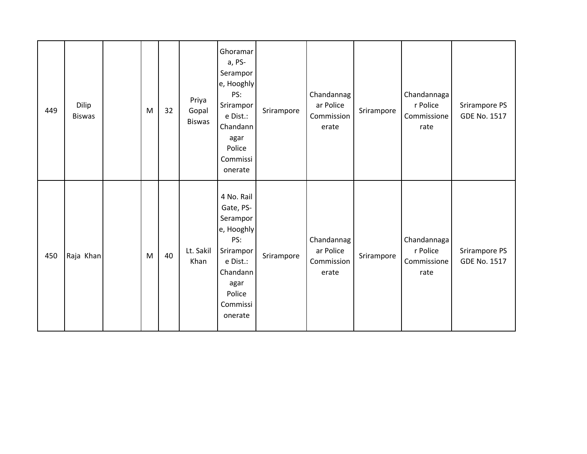| 449 | Dilip<br><b>Biswas</b> | M | 32 | Priya<br>Gopal<br><b>Biswas</b> | Ghoramar<br>a, PS-<br>Serampor<br>e, Hooghly<br>PS:<br>Srirampor<br>e Dist.:<br>Chandann<br>agar<br>Police<br>Commissi<br>onerate      | Srirampore | Chandannag<br>ar Police<br>Commission<br>erate | Srirampore | Chandannaga<br>r Police<br>Commissione<br>rate | Srirampore PS<br><b>GDE No. 1517</b> |
|-----|------------------------|---|----|---------------------------------|----------------------------------------------------------------------------------------------------------------------------------------|------------|------------------------------------------------|------------|------------------------------------------------|--------------------------------------|
| 450 | Raja Khan              | M | 40 | Lt. Sakil<br>Khan               | 4 No. Rail<br>Gate, PS-<br>Serampor<br>e, Hooghly<br>PS:<br>Srirampor<br>e Dist.:<br>Chandann<br>agar<br>Police<br>Commissi<br>onerate | Srirampore | Chandannag<br>ar Police<br>Commission<br>erate | Srirampore | Chandannaga<br>r Police<br>Commissione<br>rate | Srirampore PS<br><b>GDE No. 1517</b> |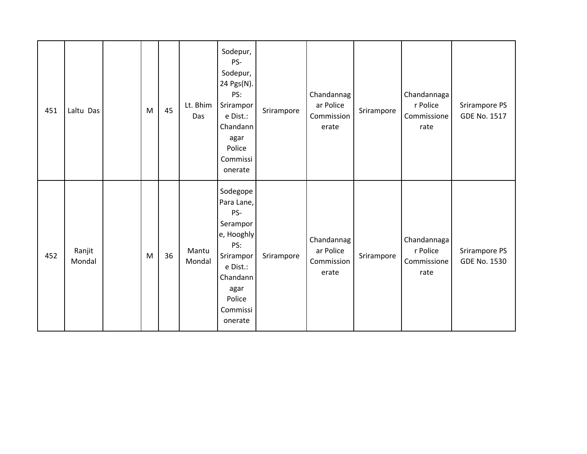| 451 | Laltu Das        | M | 45 | Lt. Bhim<br>Das | Sodepur,<br>PS-<br>Sodepur,<br>24 Pgs(N).<br>PS:<br>Srirampor<br>e Dist.:<br>Chandann<br>agar<br>Police<br>Commissi<br>onerate               | Srirampore | Chandannag<br>ar Police<br>Commission<br>erate | Srirampore | Chandannaga<br>r Police<br>Commissione<br>rate | Srirampore PS<br><b>GDE No. 1517</b> |
|-----|------------------|---|----|-----------------|----------------------------------------------------------------------------------------------------------------------------------------------|------------|------------------------------------------------|------------|------------------------------------------------|--------------------------------------|
| 452 | Ranjit<br>Mondal | M | 36 | Mantu<br>Mondal | Sodegope<br>Para Lane,<br>PS-<br>Serampor<br>e, Hooghly<br>PS:<br>Srirampor<br>e Dist.:<br>Chandann<br>agar<br>Police<br>Commissi<br>onerate | Srirampore | Chandannag<br>ar Police<br>Commission<br>erate | Srirampore | Chandannaga<br>r Police<br>Commissione<br>rate | Srirampore PS<br><b>GDE No. 1530</b> |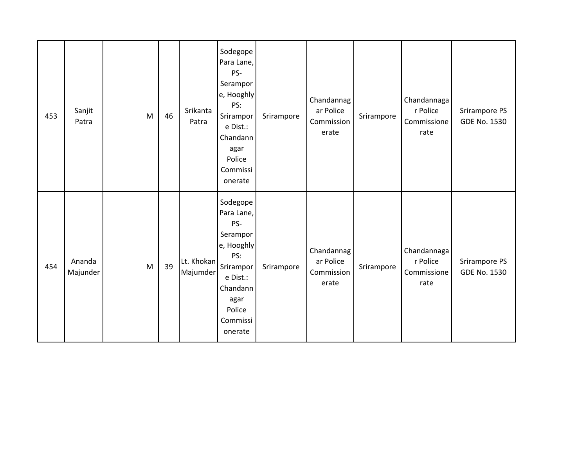| 453 | Sanjit<br>Patra    | M | 46 | Srikanta<br>Patra      | Sodegope<br>Para Lane,<br>PS-<br>Serampor<br>e, Hooghly<br>PS:<br>Srirampor<br>e Dist.:<br>Chandann<br>agar<br>Police<br>Commissi<br>onerate | Srirampore | Chandannag<br>ar Police<br>Commission<br>erate | Srirampore | Chandannaga<br>r Police<br>Commissione<br>rate | Srirampore PS<br>GDE No. 1530        |
|-----|--------------------|---|----|------------------------|----------------------------------------------------------------------------------------------------------------------------------------------|------------|------------------------------------------------|------------|------------------------------------------------|--------------------------------------|
| 454 | Ananda<br>Majunder | M | 39 | Lt. Khokan<br>Majumder | Sodegope<br>Para Lane,<br>PS-<br>Serampor<br>e, Hooghly<br>PS:<br>Srirampor<br>e Dist.:<br>Chandann<br>agar<br>Police<br>Commissi<br>onerate | Srirampore | Chandannag<br>ar Police<br>Commission<br>erate | Srirampore | Chandannaga<br>r Police<br>Commissione<br>rate | Srirampore PS<br><b>GDE No. 1530</b> |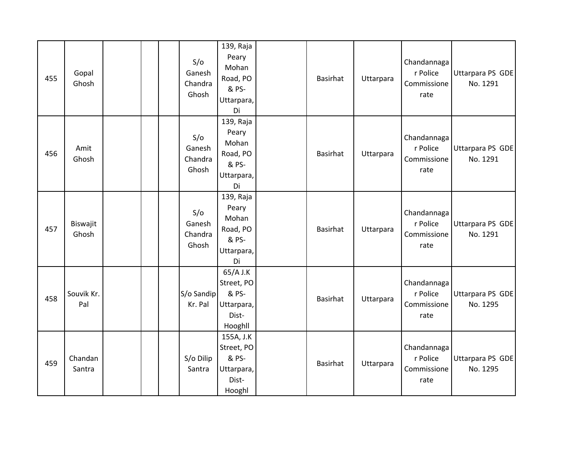| 455 | Gopal<br>Ghosh    | S/O<br>Ganesh<br>Chandra<br>Ghosh | 139, Raja<br>Peary<br>Mohan<br>Road, PO<br>& PS-<br>Uttarpara,<br>Di | Basirhat | Uttarpara | Chandannaga<br>r Police<br>Commissione<br>rate | Uttarpara PS GDE<br>No. 1291 |
|-----|-------------------|-----------------------------------|----------------------------------------------------------------------|----------|-----------|------------------------------------------------|------------------------------|
| 456 | Amit<br>Ghosh     | S/O<br>Ganesh<br>Chandra<br>Ghosh | 139, Raja<br>Peary<br>Mohan<br>Road, PO<br>& PS-<br>Uttarpara,<br>Di | Basirhat | Uttarpara | Chandannaga<br>r Police<br>Commissione<br>rate | Uttarpara PS GDE<br>No. 1291 |
| 457 | Biswajit<br>Ghosh | S/O<br>Ganesh<br>Chandra<br>Ghosh | 139, Raja<br>Peary<br>Mohan<br>Road, PO<br>& PS-<br>Uttarpara,<br>Di | Basirhat | Uttarpara | Chandannaga<br>r Police<br>Commissione<br>rate | Uttarpara PS GDE<br>No. 1291 |
| 458 | Souvik Kr.<br>Pal | S/o Sandip<br>Kr. Pal             | 65/A J.K<br>Street, PO<br>& PS-<br>Uttarpara,<br>Dist-<br>Hooghll    | Basirhat | Uttarpara | Chandannaga<br>r Police<br>Commissione<br>rate | Uttarpara PS GDE<br>No. 1295 |
| 459 | Chandan<br>Santra | S/o Dilip<br>Santra               | 155A, J.K<br>Street, PO<br>& PS-<br>Uttarpara,<br>Dist-<br>Hooghl    | Basirhat | Uttarpara | Chandannaga<br>r Police<br>Commissione<br>rate | Uttarpara PS GDE<br>No. 1295 |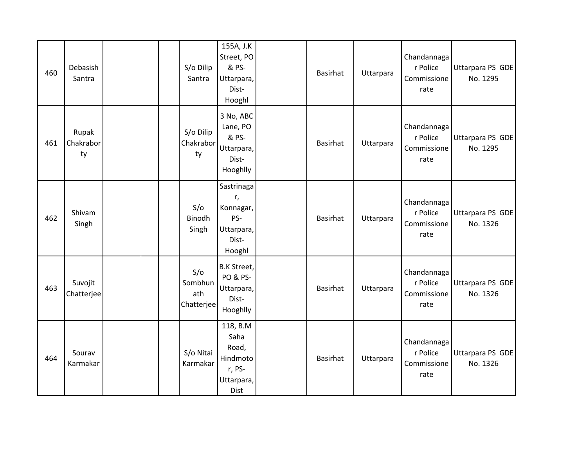| 460 | Debasish<br>Santra       | S/o Dilip<br>Santra                 | 155A, J.K<br>Street, PO<br>& PS-<br>Uttarpara,<br>Dist-<br>Hooghl            | Basirhat        | Uttarpara | Chandannaga<br>r Police<br>Commissione<br>rate | Uttarpara PS GDE<br>No. 1295 |
|-----|--------------------------|-------------------------------------|------------------------------------------------------------------------------|-----------------|-----------|------------------------------------------------|------------------------------|
| 461 | Rupak<br>Chakrabor<br>ty | S/o Dilip<br>Chakrabor<br>ty        | 3 No, ABC<br>Lane, PO<br>& PS-<br>Uttarpara,<br>Dist-<br>Hooghlly            | Basirhat        | Uttarpara | Chandannaga<br>r Police<br>Commissione<br>rate | Uttarpara PS GDE<br>No. 1295 |
| 462 | Shivam<br>Singh          | S/O<br>Binodh<br>Singh              | Sastrinaga<br>r,<br>Konnagar,<br>PS-<br>Uttarpara,<br>Dist-<br>Hooghl        | Basirhat        | Uttarpara | Chandannaga<br>r Police<br>Commissione<br>rate | Uttarpara PS GDE<br>No. 1326 |
| 463 | Suvojit<br>Chatterjee    | S/O<br>Sombhun<br>ath<br>Chatterjee | <b>B.K Street,</b><br><b>PO &amp; PS-</b><br>Uttarpara,<br>Dist-<br>Hooghlly | Basirhat        | Uttarpara | Chandannaga<br>r Police<br>Commissione<br>rate | Uttarpara PS GDE<br>No. 1326 |
| 464 | Sourav<br>Karmakar       | S/o Nitai<br>Karmakar               | 118, B.M<br>Saha<br>Road,<br>Hindmoto<br>r, PS-<br>Uttarpara,<br><b>Dist</b> | <b>Basirhat</b> | Uttarpara | Chandannaga<br>r Police<br>Commissione<br>rate | Uttarpara PS GDE<br>No. 1326 |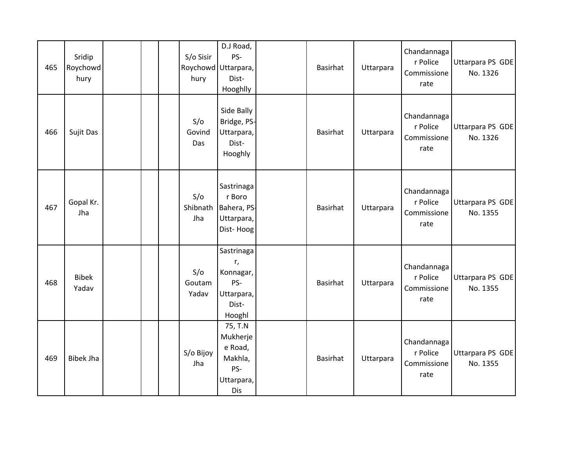| 465 | Sridip<br>Roychowd<br>hury |  | S/o Sisir<br>hury      | D.J Road,<br>PS-<br>Roychowd Uttarpara,<br>Dist-<br>Hooghlly          | Basirhat        | Uttarpara | Chandannaga<br>r Police<br>Commissione<br>rate | Uttarpara PS GDE<br>No. 1326 |
|-----|----------------------------|--|------------------------|-----------------------------------------------------------------------|-----------------|-----------|------------------------------------------------|------------------------------|
| 466 | Sujit Das                  |  | S/O<br>Govind<br>Das   | Side Bally<br>Bridge, PS-<br>Uttarpara,<br>Dist-<br>Hooghly           | <b>Basirhat</b> | Uttarpara | Chandannaga<br>r Police<br>Commissione<br>rate | Uttarpara PS GDE<br>No. 1326 |
| 467 | Gopal Kr.<br>Jha           |  | S/O<br>Shibnath<br>Jha | Sastrinaga<br>r Boro<br>Bahera, PS-<br>Uttarpara,<br>Dist-Hoog        | Basirhat        | Uttarpara | Chandannaga<br>r Police<br>Commissione<br>rate | Uttarpara PS GDE<br>No. 1355 |
| 468 | <b>Bibek</b><br>Yadav      |  | S/O<br>Goutam<br>Yadav | Sastrinaga<br>r,<br>Konnagar,<br>PS-<br>Uttarpara,<br>Dist-<br>Hooghl | Basirhat        | Uttarpara | Chandannaga<br>r Police<br>Commissione<br>rate | Uttarpara PS GDE<br>No. 1355 |
| 469 | <b>Bibek Jha</b>           |  | S/o Bijoy<br>Jha       | 75, T.N<br>Mukherje<br>e Road,<br>Makhla,<br>PS-<br>Uttarpara,<br>Dis | Basirhat        | Uttarpara | Chandannaga<br>r Police<br>Commissione<br>rate | Uttarpara PS GDE<br>No. 1355 |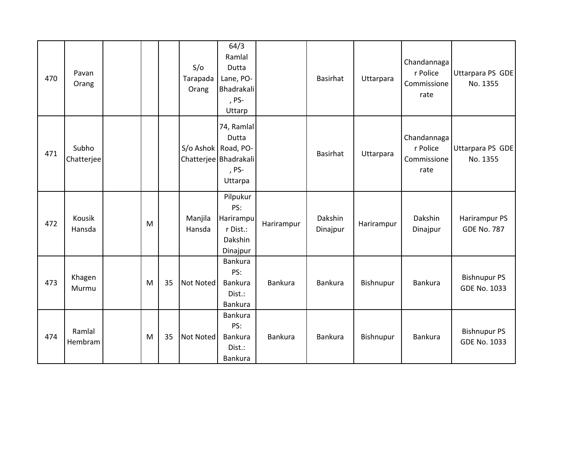| 470 | Pavan<br>Orang      |   |    | S/O<br>Tarapada<br>Orang | 64/3<br>Ramlal<br>Dutta<br>Lane, PO-<br>Bhadrakali<br>, PS-<br>Uttarp |            | Basirhat            | Uttarpara  | Chandannaga<br>r Police<br>Commissione<br>rate | Uttarpara PS GDE<br>No. 1355               |
|-----|---------------------|---|----|--------------------------|-----------------------------------------------------------------------|------------|---------------------|------------|------------------------------------------------|--------------------------------------------|
| 471 | Subho<br>Chatterjee |   |    | S/o Ashok Road, PO-      | 74, Ramlal<br>Dutta<br>Chatterjee Bhadrakali<br>, PS-<br>Uttarpa      |            | Basirhat            | Uttarpara  | Chandannaga<br>r Police<br>Commissione<br>rate | Uttarpara PS GDE<br>No. 1355               |
| 472 | Kousik<br>Hansda    | M |    | Manjila<br>Hansda        | Pilpukur<br>PS:<br>Harirampu<br>r Dist.:<br>Dakshin<br>Dinajpur       | Harirampur | Dakshin<br>Dinajpur | Harirampur | Dakshin<br>Dinajpur                            | Harirampur PS<br><b>GDE No. 787</b>        |
| 473 | Khagen<br>Murmu     | M | 35 | <b>Not Noted</b>         | Bankura<br>PS:<br>Bankura<br>Dist.:<br>Bankura                        | Bankura    | Bankura             | Bishnupur  | Bankura                                        | <b>Bishnupur PS</b><br><b>GDE No. 1033</b> |
| 474 | Ramlal<br>Hembram   | M | 35 | <b>Not Noted</b>         | Bankura<br>PS:<br>Bankura<br>Dist.:<br>Bankura                        | Bankura    | Bankura             | Bishnupur  | Bankura                                        | <b>Bishnupur PS</b><br><b>GDE No. 1033</b> |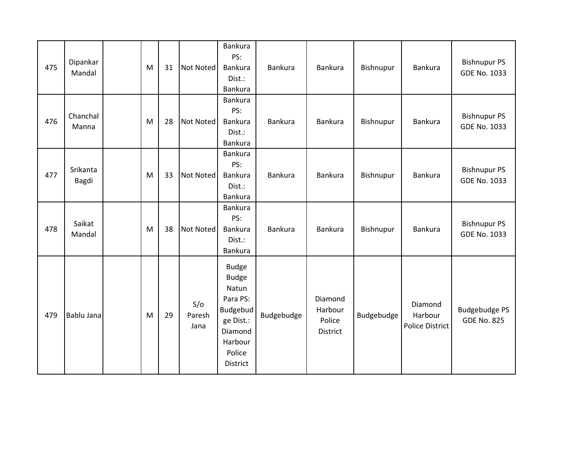| 475 | Dipankar<br>Mandal | M | 31 | <b>Not Noted</b>      | <b>Bankura</b><br>PS:<br>Bankura<br>Dist.:<br>Bankura                                                                         | Bankura    | Bankura                                  | Bishnupur  | Bankura                                      | <b>Bishnupur PS</b><br><b>GDE No. 1033</b> |
|-----|--------------------|---|----|-----------------------|-------------------------------------------------------------------------------------------------------------------------------|------------|------------------------------------------|------------|----------------------------------------------|--------------------------------------------|
| 476 | Chanchal<br>Manna  | M | 28 | <b>Not Noted</b>      | Bankura<br>PS:<br>Bankura<br>Dist.:<br>Bankura                                                                                | Bankura    | Bankura                                  | Bishnupur  | Bankura                                      | <b>Bishnupur PS</b><br><b>GDE No. 1033</b> |
| 477 | Srikanta<br>Bagdi  | M | 33 | <b>Not Noted</b>      | Bankura<br>PS:<br>Bankura<br>Dist.:<br>Bankura                                                                                | Bankura    | Bankura                                  | Bishnupur  | Bankura                                      | <b>Bishnupur PS</b><br><b>GDE No. 1033</b> |
| 478 | Saikat<br>Mandal   | M | 38 | <b>Not Noted</b>      | Bankura<br>PS:<br>Bankura<br>Dist.:<br>Bankura                                                                                | Bankura    | Bankura                                  | Bishnupur  | Bankura                                      | <b>Bishnupur PS</b><br><b>GDE No. 1033</b> |
| 479 | Bablu Jana         | M | 29 | S/O<br>Paresh<br>Jana | <b>Budge</b><br><b>Budge</b><br>Natun<br>Para PS:<br>Budgebud<br>ge Dist.:<br>Diamond<br>Harbour<br>Police<br><b>District</b> | Budgebudge | Diamond<br>Harbour<br>Police<br>District | Budgebudge | Diamond<br>Harbour<br><b>Police District</b> | <b>Budgebudge PS</b><br><b>GDE No. 825</b> |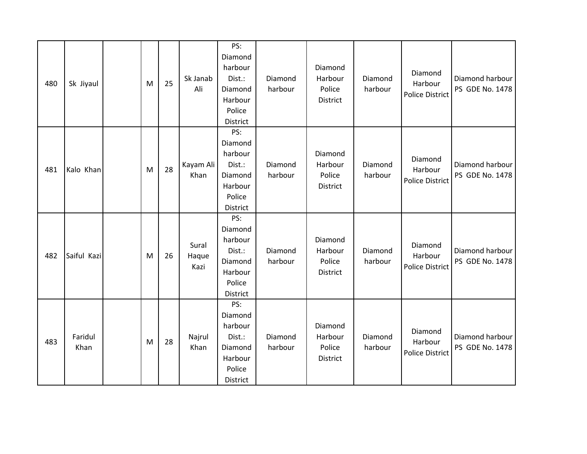| 480 | Sk Jiyaul       | M | 25 | Sk Janab<br>Ali        | PS:<br>Diamond<br>harbour<br>Dist.:<br>Diamond<br>Harbour<br>Police<br>District | Diamond<br>harbour | Diamond<br>Harbour<br>Police<br>District | Diamond<br>harbour | Diamond<br>Harbour<br><b>Police District</b> | Diamond harbour<br>PS GDE No. 1478 |
|-----|-----------------|---|----|------------------------|---------------------------------------------------------------------------------|--------------------|------------------------------------------|--------------------|----------------------------------------------|------------------------------------|
| 481 | Kalo Khan       | M | 28 | Kayam Ali<br>Khan      | PS:<br>Diamond<br>harbour<br>Dist.:<br>Diamond<br>Harbour<br>Police<br>District | Diamond<br>harbour | Diamond<br>Harbour<br>Police<br>District | Diamond<br>harbour | Diamond<br>Harbour<br><b>Police District</b> | Diamond harbour<br>PS GDE No. 1478 |
| 482 | Saiful Kazi     | M | 26 | Sural<br>Haque<br>Kazi | PS:<br>Diamond<br>harbour<br>Dist.:<br>Diamond<br>Harbour<br>Police<br>District | Diamond<br>harbour | Diamond<br>Harbour<br>Police<br>District | Diamond<br>harbour | Diamond<br>Harbour<br><b>Police District</b> | Diamond harbour<br>PS GDE No. 1478 |
| 483 | Faridul<br>Khan | M | 28 | Najrul<br>Khan         | PS:<br>Diamond<br>harbour<br>Dist.:<br>Diamond<br>Harbour<br>Police<br>District | Diamond<br>harbour | Diamond<br>Harbour<br>Police<br>District | Diamond<br>harbour | Diamond<br>Harbour<br><b>Police District</b> | Diamond harbour<br>PS GDE No. 1478 |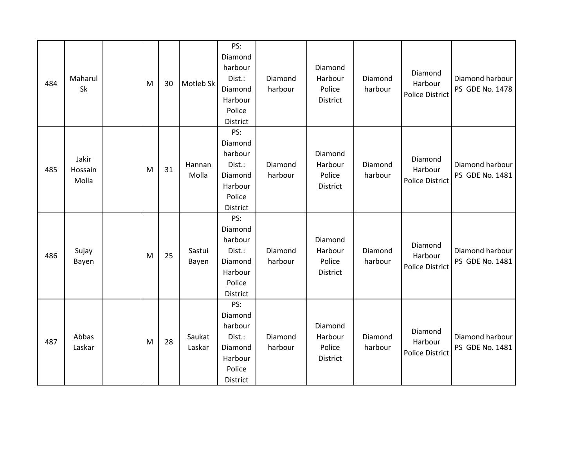| 484 | Maharul<br>Sk             | M | 30 | Motleb Sk        | PS:<br>Diamond<br>harbour<br>Dist.:<br>Diamond<br>Harbour<br>Police<br>District        | Diamond<br>harbour | Diamond<br>Harbour<br>Police<br>District | Diamond<br>harbour | Diamond<br>Harbour<br><b>Police District</b> | Diamond harbour<br>PS GDE No. 1478 |
|-----|---------------------------|---|----|------------------|----------------------------------------------------------------------------------------|--------------------|------------------------------------------|--------------------|----------------------------------------------|------------------------------------|
| 485 | Jakir<br>Hossain<br>Molla | M | 31 | Hannan<br>Molla  | PS:<br>Diamond<br>harbour<br>Dist.:<br>Diamond<br>Harbour<br>Police<br>District        | Diamond<br>harbour | Diamond<br>Harbour<br>Police<br>District | Diamond<br>harbour | Diamond<br>Harbour<br><b>Police District</b> | Diamond harbour<br>PS GDE No. 1481 |
| 486 | Sujay<br>Bayen            | M | 25 | Sastui<br>Bayen  | PS:<br>Diamond<br>harbour<br>Dist.:<br>Diamond<br>Harbour<br>Police<br>District        | Diamond<br>harbour | Diamond<br>Harbour<br>Police<br>District | Diamond<br>harbour | Diamond<br>Harbour<br><b>Police District</b> | Diamond harbour<br>PS GDE No. 1481 |
| 487 | Abbas<br>Laskar           | M | 28 | Saukat<br>Laskar | PS:<br>Diamond<br>harbour<br>Dist.:<br>Diamond<br>Harbour<br>Police<br><b>District</b> | Diamond<br>harbour | Diamond<br>Harbour<br>Police<br>District | Diamond<br>harbour | Diamond<br>Harbour<br><b>Police District</b> | Diamond harbour<br>PS GDE No. 1481 |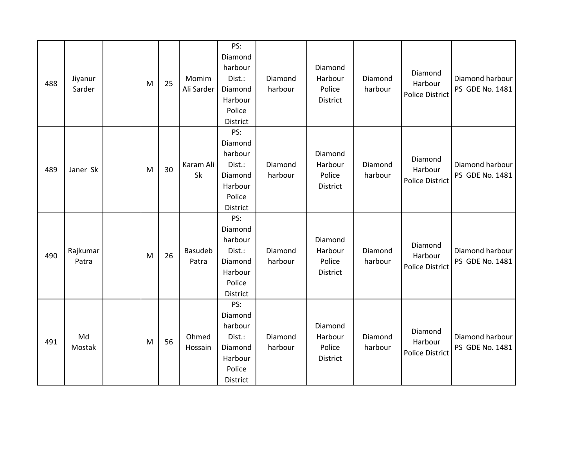| 488 | Jiyanur<br>Sarder | M | 25 | Momim<br>Ali Sarder | PS:<br>Diamond<br>harbour<br>Dist.:<br>Diamond<br>Harbour<br>Police<br>District        | Diamond<br>harbour | Diamond<br>Harbour<br>Police<br>District | Diamond<br>harbour | Diamond<br>Harbour<br><b>Police District</b> | Diamond harbour<br>PS GDE No. 1481 |
|-----|-------------------|---|----|---------------------|----------------------------------------------------------------------------------------|--------------------|------------------------------------------|--------------------|----------------------------------------------|------------------------------------|
| 489 | Janer Sk          | M | 30 | Karam Ali<br>Sk     | PS:<br>Diamond<br>harbour<br>Dist.:<br>Diamond<br>Harbour<br>Police<br><b>District</b> | Diamond<br>harbour | Diamond<br>Harbour<br>Police<br>District | Diamond<br>harbour | Diamond<br>Harbour<br><b>Police District</b> | Diamond harbour<br>PS GDE No. 1481 |
| 490 | Rajkumar<br>Patra | M | 26 | Basudeb<br>Patra    | PS:<br>Diamond<br>harbour<br>Dist.:<br>Diamond<br>Harbour<br>Police<br>District        | Diamond<br>harbour | Diamond<br>Harbour<br>Police<br>District | Diamond<br>harbour | Diamond<br>Harbour<br><b>Police District</b> | Diamond harbour<br>PS GDE No. 1481 |
| 491 | Md<br>Mostak      | M | 56 | Ohmed<br>Hossain    | PS:<br>Diamond<br>harbour<br>Dist.:<br>Diamond<br>Harbour<br>Police<br>District        | Diamond<br>harbour | Diamond<br>Harbour<br>Police<br>District | Diamond<br>harbour | Diamond<br>Harbour<br><b>Police District</b> | Diamond harbour<br>PS GDE No. 1481 |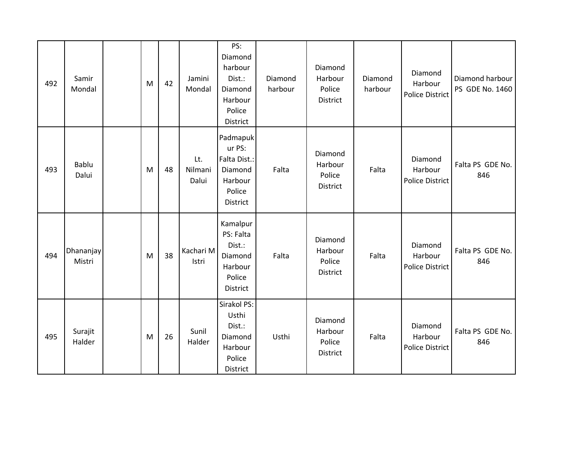| 492 | Samir<br>Mondal     | M | 42 | Jamini<br>Mondal        | PS:<br>Diamond<br>harbour<br>Dist.:<br>Diamond<br>Harbour<br>Police<br>District       | Diamond<br>harbour | Diamond<br>Harbour<br>Police<br>District | Diamond<br>harbour | Diamond<br>Harbour<br><b>Police District</b> | Diamond harbour<br>PS GDE No. 1460 |
|-----|---------------------|---|----|-------------------------|---------------------------------------------------------------------------------------|--------------------|------------------------------------------|--------------------|----------------------------------------------|------------------------------------|
| 493 | Bablu<br>Dalui      | M | 48 | Lt.<br>Nilmani<br>Dalui | Padmapuk<br>ur PS:<br>Falta Dist.:<br>Diamond<br>Harbour<br>Police<br><b>District</b> | Falta              | Diamond<br>Harbour<br>Police<br>District | Falta              | Diamond<br>Harbour<br><b>Police District</b> | Falta PS GDE No.<br>846            |
| 494 | Dhananjay<br>Mistri | M | 38 | Kachari M<br>Istri      | Kamalpur<br>PS: Falta<br>Dist.:<br>Diamond<br>Harbour<br>Police<br>District           | Falta              | Diamond<br>Harbour<br>Police<br>District | Falta              | Diamond<br>Harbour<br><b>Police District</b> | Falta PS GDE No.<br>846            |
| 495 | Surajit<br>Halder   | M | 26 | Sunil<br>Halder         | Sirakol PS:<br>Usthi<br>Dist.:<br>Diamond<br>Harbour<br>Police<br><b>District</b>     | Usthi              | Diamond<br>Harbour<br>Police<br>District | Falta              | Diamond<br>Harbour<br>Police District        | Falta PS GDE No.<br>846            |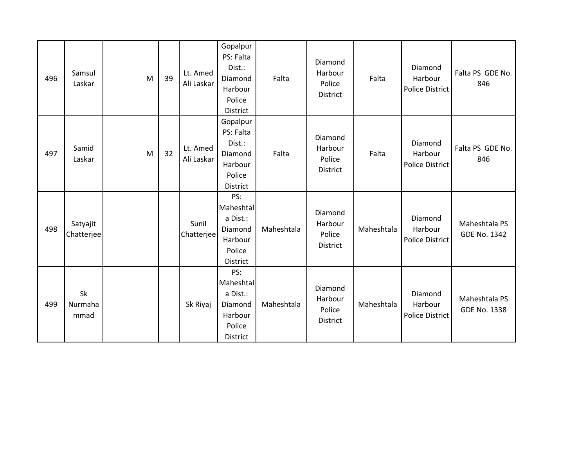| 496 | Samsul<br>Laskar       | M | 39 | Lt. Amed<br>Ali Laskar | Gopalpur<br>PS: Falta<br>Dist.:<br>Diamond<br>Harbour<br>Police<br><b>District</b> | Falta      | Diamond<br>Harbour<br>Police<br>District | Falta      | Diamond<br>Harbour<br><b>Police District</b> | Falta PS GDE No.<br>846              |
|-----|------------------------|---|----|------------------------|------------------------------------------------------------------------------------|------------|------------------------------------------|------------|----------------------------------------------|--------------------------------------|
| 497 | Samid<br>Laskar        | M | 32 | Lt. Amed<br>Ali Laskar | Gopalpur<br>PS: Falta<br>Dist.:<br>Diamond<br>Harbour<br>Police<br><b>District</b> | Falta      | Diamond<br>Harbour<br>Police<br>District | Falta      | Diamond<br>Harbour<br><b>Police District</b> | Falta PS GDE No.<br>846              |
| 498 | Satyajit<br>Chatterjee |   |    | Sunil<br>Chatterjee    | PS:<br>Maheshtal<br>a Dist.:<br>Diamond<br>Harbour<br>Police<br>District           | Maheshtala | Diamond<br>Harbour<br>Police<br>District | Maheshtala | Diamond<br>Harbour<br><b>Police District</b> | Maheshtala PS<br><b>GDE No. 1342</b> |
| 499 | Sk<br>Nurmaha<br>mmad  |   |    | Sk Riyaj               | PS:<br>Maheshtal<br>a Dist.:<br>Diamond<br>Harbour<br>Police<br><b>District</b>    | Maheshtala | Diamond<br>Harbour<br>Police<br>District | Maheshtala | Diamond<br>Harbour<br><b>Police District</b> | Maheshtala PS<br><b>GDE No. 1338</b> |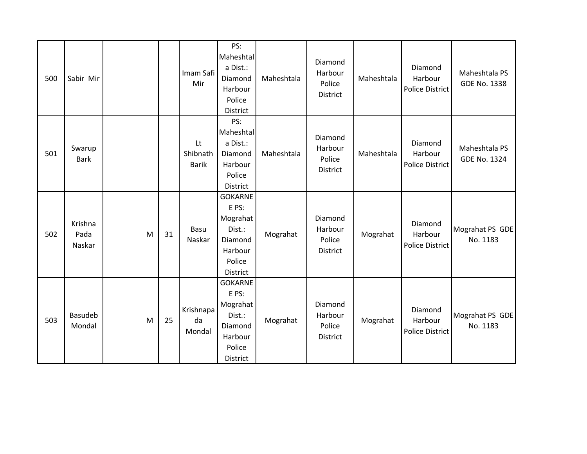| 500 | Sabir Mir                 |   |    | Imam Safi<br>Mir               | PS:<br>Maheshtal<br>a Dist.:<br>Diamond<br>Harbour<br>Police<br><b>District</b>                  | Maheshtala | Diamond<br>Harbour<br>Police<br>District | Maheshtala | Diamond<br>Harbour<br><b>Police District</b> | Maheshtala PS<br><b>GDE No. 1338</b> |
|-----|---------------------------|---|----|--------------------------------|--------------------------------------------------------------------------------------------------|------------|------------------------------------------|------------|----------------------------------------------|--------------------------------------|
| 501 | Swarup<br><b>Bark</b>     |   |    | Lt<br>Shibnath<br><b>Barik</b> | PS:<br>Maheshtal<br>a Dist.:<br>Diamond<br>Harbour<br>Police<br>District                         | Maheshtala | Diamond<br>Harbour<br>Police<br>District | Maheshtala | Diamond<br>Harbour<br>Police District        | Maheshtala PS<br><b>GDE No. 1324</b> |
| 502 | Krishna<br>Pada<br>Naskar | M | 31 | Basu<br>Naskar                 | <b>GOKARNE</b><br>E PS:<br>Mograhat<br>Dist.:<br>Diamond<br>Harbour<br>Police<br><b>District</b> | Mograhat   | Diamond<br>Harbour<br>Police<br>District | Mograhat   | Diamond<br>Harbour<br>Police District        | Mograhat PS GDE<br>No. 1183          |
| 503 | <b>Basudeb</b><br>Mondal  | M | 25 | Krishnapa<br>da<br>Mondal      | <b>GOKARNE</b><br>E PS:<br>Mograhat<br>Dist.:<br>Diamond<br>Harbour<br>Police<br>District        | Mograhat   | Diamond<br>Harbour<br>Police<br>District | Mograhat   | Diamond<br>Harbour<br><b>Police District</b> | Mograhat PS GDE<br>No. 1183          |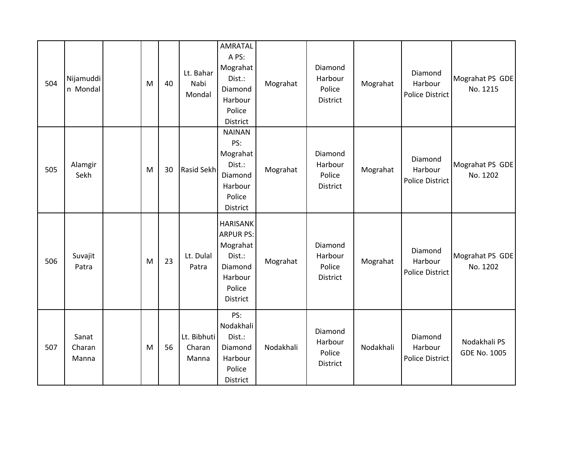| 504 | Nijamuddi<br>n Mondal    | M | 40 | Lt. Bahar<br>Nabi<br>Mondal    | <b>AMRATAL</b><br>A PS:<br>Mograhat<br>Dist.:<br>Diamond<br>Harbour<br>Police<br>District                    | Mograhat  | Diamond<br>Harbour<br>Police<br>District | Mograhat  | Diamond<br>Harbour<br><b>Police District</b> | Mograhat PS GDE<br>No. 1215         |
|-----|--------------------------|---|----|--------------------------------|--------------------------------------------------------------------------------------------------------------|-----------|------------------------------------------|-----------|----------------------------------------------|-------------------------------------|
| 505 | Alamgir<br>Sekh          | M | 30 | <b>Rasid Sekh</b>              | <b>NAINAN</b><br>PS:<br>Mograhat<br>Dist.:<br>Diamond<br>Harbour<br>Police<br>District                       | Mograhat  | Diamond<br>Harbour<br>Police<br>District | Mograhat  | Diamond<br>Harbour<br><b>Police District</b> | Mograhat PS GDE<br>No. 1202         |
| 506 | Suvajit<br>Patra         | M | 23 | Lt. Dulal<br>Patra             | <b>HARISANK</b><br><b>ARPUR PS:</b><br>Mograhat<br>Dist.:<br>Diamond<br>Harbour<br>Police<br><b>District</b> | Mograhat  | Diamond<br>Harbour<br>Police<br>District | Mograhat  | Diamond<br>Harbour<br><b>Police District</b> | Mograhat PS GDE<br>No. 1202         |
| 507 | Sanat<br>Charan<br>Manna | M | 56 | Lt. Bibhuti<br>Charan<br>Manna | PS:<br>Nodakhali<br>Dist.:<br>Diamond<br>Harbour<br>Police<br>District                                       | Nodakhali | Diamond<br>Harbour<br>Police<br>District | Nodakhali | Diamond<br>Harbour<br><b>Police District</b> | Nodakhali PS<br><b>GDE No. 1005</b> |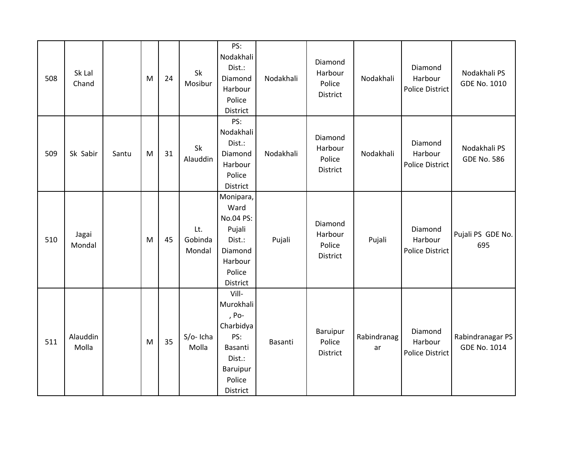| 508 | Sk Lal<br>Chand   |       | M | 24 | Sk<br>Mosibur            | PS:<br>Nodakhali<br>Dist.:<br>Diamond<br>Harbour<br>Police<br>District                                 | Nodakhali | Diamond<br>Harbour<br>Police<br>District | Nodakhali         | Diamond<br>Harbour<br><b>Police District</b> | Nodakhali PS<br><b>GDE No. 1010</b>     |
|-----|-------------------|-------|---|----|--------------------------|--------------------------------------------------------------------------------------------------------|-----------|------------------------------------------|-------------------|----------------------------------------------|-----------------------------------------|
| 509 | Sk Sabir          | Santu | M | 31 | Sk<br>Alauddin           | PS:<br>Nodakhali<br>Dist.:<br>Diamond<br>Harbour<br>Police<br>District                                 | Nodakhali | Diamond<br>Harbour<br>Police<br>District | Nodakhali         | Diamond<br>Harbour<br><b>Police District</b> | Nodakhali PS<br><b>GDE No. 586</b>      |
| 510 | Jagai<br>Mondal   |       | M | 45 | Lt.<br>Gobinda<br>Mondal | Monipara,<br>Ward<br>No.04 PS:<br>Pujali<br>Dist.:<br>Diamond<br>Harbour<br>Police<br>District         | Pujali    | Diamond<br>Harbour<br>Police<br>District | Pujali            | Diamond<br>Harbour<br><b>Police District</b> | Pujali PS GDE No.<br>695                |
| 511 | Alauddin<br>Molla |       | M | 35 | S/o-Icha<br>Molla        | Vill-<br>Murokhali<br>, Po-<br>Charbidya<br>PS:<br>Basanti<br>Dist.:<br>Baruipur<br>Police<br>District | Basanti   | Baruipur<br>Police<br>District           | Rabindranag<br>ar | Diamond<br>Harbour<br><b>Police District</b> | Rabindranagar PS<br><b>GDE No. 1014</b> |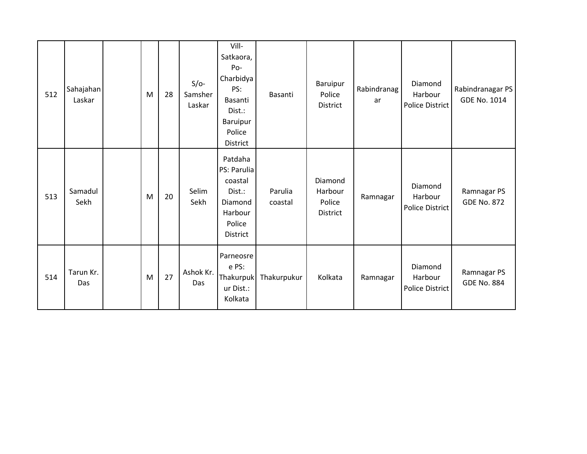| 512 | Sahajahan<br>Laskar | M | 28 | $S/O-$<br>Samsher<br>Laskar | Vill-<br>Satkaora,<br>Po-<br>Charbidya<br>PS:<br>Basanti<br>Dist.:<br>Baruipur<br>Police<br>District | Basanti            | Baruipur<br>Police<br>District                  | Rabindranag<br>ar | Diamond<br>Harbour<br><b>Police District</b> | Rabindranagar PS<br>GDE No. 1014  |
|-----|---------------------|---|----|-----------------------------|------------------------------------------------------------------------------------------------------|--------------------|-------------------------------------------------|-------------------|----------------------------------------------|-----------------------------------|
| 513 | Samadul<br>Sekh     | M | 20 | Selim<br>Sekh               | Patdaha<br>PS: Parulia<br>coastal<br>Dist.:<br>Diamond<br>Harbour<br>Police<br>District              | Parulia<br>coastal | Diamond<br>Harbour<br>Police<br><b>District</b> | Ramnagar          | Diamond<br>Harbour<br><b>Police District</b> | Ramnagar PS<br><b>GDE No. 872</b> |
| 514 | Tarun Kr.<br>Das    | M | 27 | Ashok Kr.<br>Das            | Parneosre<br>e PS:<br><b>Thakurpuk</b><br>ur Dist.:<br>Kolkata                                       | Thakurpukur        | Kolkata                                         | Ramnagar          | Diamond<br>Harbour<br>Police District        | Ramnagar PS<br><b>GDE No. 884</b> |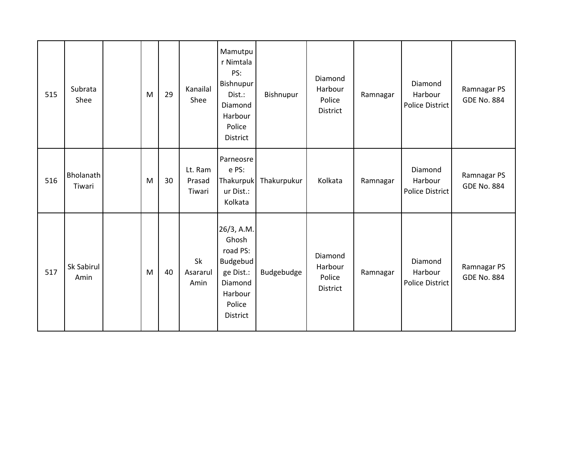| 515 | Subrata<br>Shee     | M | 29 | Kanailal<br>Shee            | Mamutpu<br>r Nimtala<br>PS:<br>Bishnupur<br>Dist.:<br>Diamond<br>Harbour<br>Police<br>District              | Bishnupur   | Diamond<br>Harbour<br>Police<br><b>District</b> | Ramnagar | Diamond<br>Harbour<br>Police District        | Ramnagar PS<br><b>GDE No. 884</b> |
|-----|---------------------|---|----|-----------------------------|-------------------------------------------------------------------------------------------------------------|-------------|-------------------------------------------------|----------|----------------------------------------------|-----------------------------------|
| 516 | Bholanath<br>Tiwari | M | 30 | Lt. Ram<br>Prasad<br>Tiwari | Parneosre<br>e PS:<br>Thakurpuk<br>ur Dist.:<br>Kolkata                                                     | Thakurpukur | Kolkata                                         | Ramnagar | Diamond<br>Harbour<br>Police District        | Ramnagar PS<br><b>GDE No. 884</b> |
| 517 | Sk Sabirul<br>Amin  | M | 40 | Sk<br>Asararul<br>Amin      | 26/3, A.M.<br>Ghosh<br>road PS:<br>Budgebud<br>ge Dist.:<br>Diamond<br>Harbour<br>Police<br><b>District</b> | Budgebudge  | Diamond<br>Harbour<br>Police<br>District        | Ramnagar | Diamond<br>Harbour<br><b>Police District</b> | Ramnagar PS<br><b>GDE No. 884</b> |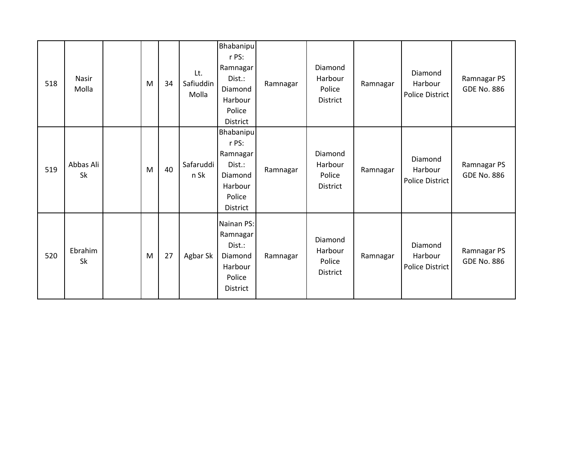| 518 | Nasir<br>Molla  | M | 34 | Lt.<br>Safiuddin<br>Molla | <b>Bhabanipu</b><br>r PS:<br>Ramnagar<br>Dist.:<br>Diamond<br>Harbour<br>Police<br>District | Ramnagar | Diamond<br>Harbour<br>Police<br>District        | Ramnagar | Diamond<br>Harbour<br>Police District | Ramnagar PS<br><b>GDE No. 886</b> |
|-----|-----------------|---|----|---------------------------|---------------------------------------------------------------------------------------------|----------|-------------------------------------------------|----------|---------------------------------------|-----------------------------------|
| 519 | Abbas Ali<br>Sk | M | 40 | Safaruddi<br>n Sk         | Bhabanipu<br>r PS:<br>Ramnagar<br>Dist.:<br>Diamond<br>Harbour<br>Police<br><b>District</b> | Ramnagar | Diamond<br>Harbour<br>Police<br>District        | Ramnagar | Diamond<br>Harbour<br>Police District | Ramnagar PS<br><b>GDE No. 886</b> |
| 520 | Ebrahim<br>Sk   | M | 27 | Agbar Sk                  | Nainan PS:<br>Ramnagar<br>Dist.:<br>Diamond<br>Harbour<br>Police<br>District                | Ramnagar | Diamond<br>Harbour<br>Police<br><b>District</b> | Ramnagar | Diamond<br>Harbour<br>Police District | Ramnagar PS<br><b>GDE No. 886</b> |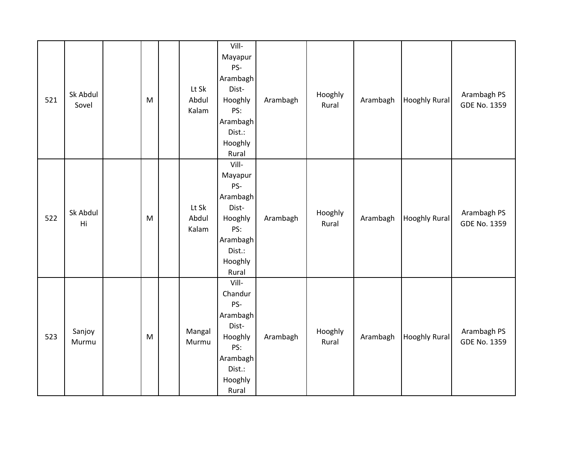| 521 | Sk Abdul<br>Sovel | ${\sf M}$ | Lt Sk<br>Abdul<br>Kalam | Vill-<br>Mayapur<br>PS-<br>Arambagh<br>Dist-<br>Hooghly<br>PS:<br>Arambagh<br>Dist.:<br>Hooghly<br>Rural | Arambagh | Hooghly<br>Rural | Arambagh | <b>Hooghly Rural</b> | Arambagh PS<br><b>GDE No. 1359</b> |
|-----|-------------------|-----------|-------------------------|----------------------------------------------------------------------------------------------------------|----------|------------------|----------|----------------------|------------------------------------|
| 522 | Sk Abdul<br>Hi    | ${\sf M}$ | Lt Sk<br>Abdul<br>Kalam | Vill-<br>Mayapur<br>PS-<br>Arambagh<br>Dist-<br>Hooghly<br>PS:<br>Arambagh<br>Dist.:<br>Hooghly<br>Rural | Arambagh | Hooghly<br>Rural | Arambagh | <b>Hooghly Rural</b> | Arambagh PS<br><b>GDE No. 1359</b> |
| 523 | Sanjoy<br>Murmu   | M         | Mangal<br>Murmu         | Vill-<br>Chandur<br>PS-<br>Arambagh<br>Dist-<br>Hooghly<br>PS:<br>Arambagh<br>Dist.:<br>Hooghly<br>Rural | Arambagh | Hooghly<br>Rural | Arambagh | <b>Hooghly Rural</b> | Arambagh PS<br><b>GDE No. 1359</b> |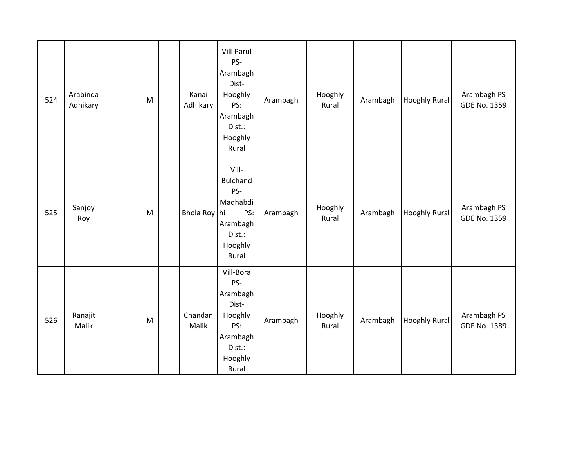| 524 | Arabinda<br>Adhikary | M         | Kanai<br>Adhikary | Vill-Parul<br>PS-<br>Arambagh<br>Dist-<br>Hooghly<br>PS:<br>Arambagh<br>Dist.:<br>Hooghly<br>Rural | Arambagh | Hooghly<br>Rural | Arambagh | <b>Hooghly Rural</b> | Arambagh PS<br><b>GDE No. 1359</b> |
|-----|----------------------|-----------|-------------------|----------------------------------------------------------------------------------------------------|----------|------------------|----------|----------------------|------------------------------------|
| 525 | Sanjoy<br>Roy        | ${\sf M}$ | Bhola Roy hi      | Vill-<br><b>Bulchand</b><br>PS-<br>Madhabdi<br>PS:<br>Arambagh<br>Dist.:<br>Hooghly<br>Rural       | Arambagh | Hooghly<br>Rural | Arambagh | <b>Hooghly Rural</b> | Arambagh PS<br><b>GDE No. 1359</b> |
| 526 | Ranajit<br>Malik     | ${\sf M}$ | Chandan<br>Malik  | Vill-Bora<br>PS-<br>Arambagh<br>Dist-<br>Hooghly<br>PS:<br>Arambagh<br>Dist.:<br>Hooghly<br>Rural  | Arambagh | Hooghly<br>Rural | Arambagh | <b>Hooghly Rural</b> | Arambagh PS<br><b>GDE No. 1389</b> |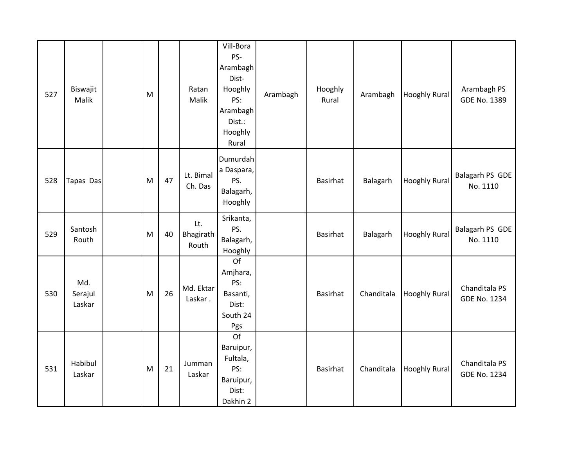| 527 | Biswajit<br>Malik        | M |    | Ratan<br>Malik            | Vill-Bora<br>PS-<br>Arambagh<br>Dist-<br>Hooghly<br>PS:<br>Arambagh<br>Dist.:<br>Hooghly<br>Rural | Arambagh | Hooghly<br>Rural | Arambagh   | <b>Hooghly Rural</b> | Arambagh PS<br><b>GDE No. 1389</b>   |
|-----|--------------------------|---|----|---------------------------|---------------------------------------------------------------------------------------------------|----------|------------------|------------|----------------------|--------------------------------------|
| 528 | Tapas Das                | M | 47 | Lt. Bimal<br>Ch. Das      | Dumurdah<br>a Daspara,<br>PS.<br>Balagarh,<br>Hooghly                                             |          | Basirhat         | Balagarh   | <b>Hooghly Rural</b> | Balagarh PS GDE<br>No. 1110          |
| 529 | Santosh<br>Routh         | M | 40 | Lt.<br>Bhagirath<br>Routh | Srikanta,<br>PS.<br>Balagarh,<br>Hooghly                                                          |          | Basirhat         | Balagarh   | <b>Hooghly Rural</b> | Balagarh PS GDE<br>No. 1110          |
| 530 | Md.<br>Serajul<br>Laskar | M | 26 | Md. Ektar<br>Laskar.      | Of<br>Amjhara,<br>PS:<br>Basanti,<br>Dist:<br>South 24<br>Pgs                                     |          | Basirhat         | Chanditala | <b>Hooghly Rural</b> | Chanditala PS<br><b>GDE No. 1234</b> |
| 531 | Habibul<br>Laskar        | M | 21 | Jumman<br>Laskar          | Of<br>Baruipur,<br>Fultala,<br>PS:<br>Baruipur,<br>Dist:<br>Dakhin 2                              |          | <b>Basirhat</b>  | Chanditala | <b>Hooghly Rural</b> | Chanditala PS<br><b>GDE No. 1234</b> |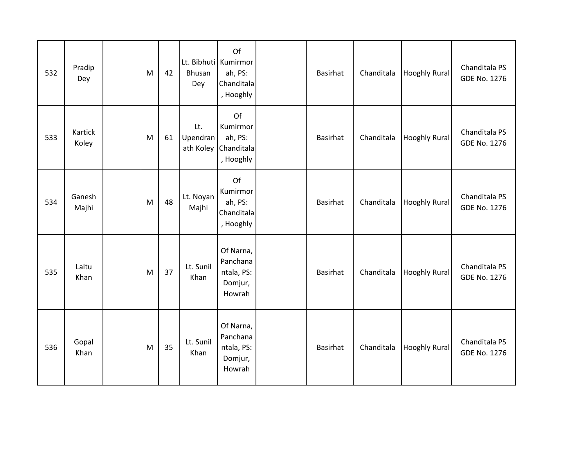| 532 | Pradip<br>Dey    | M | 42 | Bhusan<br>Dey                | Of<br>Lt. Bibhuti Kumirmor<br>ah, PS:<br>Chanditala<br>, Hooghly | <b>Basirhat</b> | Chanditala | <b>Hooghly Rural</b> | Chanditala PS<br><b>GDE No. 1276</b> |
|-----|------------------|---|----|------------------------------|------------------------------------------------------------------|-----------------|------------|----------------------|--------------------------------------|
| 533 | Kartick<br>Koley | M | 61 | Lt.<br>Upendran<br>ath Koley | Of<br>Kumirmor<br>ah, PS:<br>Chanditala<br>, Hooghly             | Basirhat        | Chanditala | <b>Hooghly Rural</b> | Chanditala PS<br><b>GDE No. 1276</b> |
| 534 | Ganesh<br>Majhi  | M | 48 | Lt. Noyan<br>Majhi           | Of<br>Kumirmor<br>ah, PS:<br>Chanditala<br>, Hooghly             | Basirhat        | Chanditala | <b>Hooghly Rural</b> | Chanditala PS<br><b>GDE No. 1276</b> |
| 535 | Laltu<br>Khan    | M | 37 | Lt. Sunil<br>Khan            | Of Narna,<br>Panchana<br>ntala, PS:<br>Domjur,<br>Howrah         | <b>Basirhat</b> | Chanditala | <b>Hooghly Rural</b> | Chanditala PS<br><b>GDE No. 1276</b> |
| 536 | Gopal<br>Khan    | M | 35 | Lt. Sunil<br>Khan            | Of Narna,<br>Panchana<br>ntala, PS:<br>Domjur,<br>Howrah         | <b>Basirhat</b> | Chanditala | <b>Hooghly Rural</b> | Chanditala PS<br><b>GDE No. 1276</b> |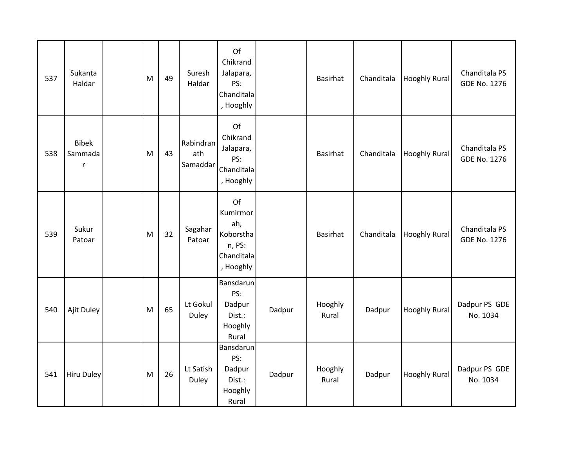| 537 | Sukanta<br>Haldar                       | M | 49 | Suresh<br>Haldar             | Of<br>Chikrand<br>Jalapara,<br>PS:<br>Chanditala<br>, Hooghly           |        | <b>Basirhat</b>  | Chanditala | <b>Hooghly Rural</b> | Chanditala PS<br><b>GDE No. 1276</b> |
|-----|-----------------------------------------|---|----|------------------------------|-------------------------------------------------------------------------|--------|------------------|------------|----------------------|--------------------------------------|
| 538 | <b>Bibek</b><br>Sammada<br>$\mathsf{r}$ | M | 43 | Rabindran<br>ath<br>Samaddar | Of<br>Chikrand<br>Jalapara,<br>PS:<br>Chanditala<br>, Hooghly           |        | <b>Basirhat</b>  | Chanditala | <b>Hooghly Rural</b> | Chanditala PS<br><b>GDE No. 1276</b> |
| 539 | Sukur<br>Patoar                         | M | 32 | Sagahar<br>Patoar            | Of<br>Kumirmor<br>ah,<br>Koborstha<br>n, PS:<br>Chanditala<br>, Hooghly |        | <b>Basirhat</b>  | Chanditala | <b>Hooghly Rural</b> | Chanditala PS<br><b>GDE No. 1276</b> |
| 540 | Ajit Duley                              | M | 65 | Lt Gokul<br>Duley            | Bansdarun<br>PS:<br>Dadpur<br>Dist.:<br>Hooghly<br>Rural                | Dadpur | Hooghly<br>Rural | Dadpur     | <b>Hooghly Rural</b> | Dadpur PS GDE<br>No. 1034            |
| 541 | <b>Hiru Duley</b>                       | M | 26 | Lt Satish<br>Duley           | Bansdarun<br>PS:<br>Dadpur<br>Dist.:<br>Hooghly<br>Rural                | Dadpur | Hooghly<br>Rural | Dadpur     | <b>Hooghly Rural</b> | Dadpur PS GDE<br>No. 1034            |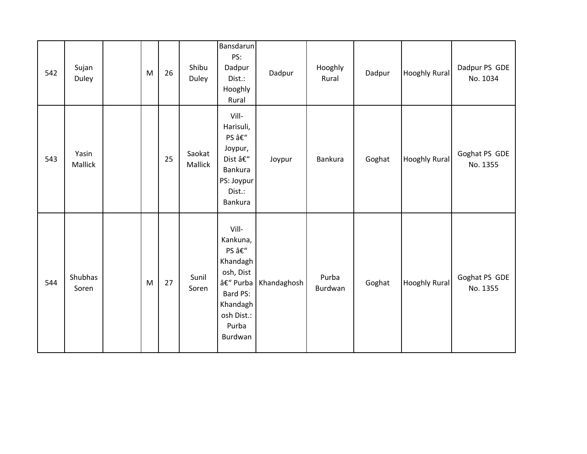| 542 | Sujan<br>Duley   | M | 26 | Shibu<br>Duley    | <b>Bansdarun</b><br>PS:<br>Dadpur<br>Dist.:<br>Hooghly<br>Rural                                                         | Dadpur      | Hooghly<br>Rural | Dadpur | <b>Hooghly Rural</b> | Dadpur PS GDE<br>No. 1034 |
|-----|------------------|---|----|-------------------|-------------------------------------------------------------------------------------------------------------------------|-------------|------------------|--------|----------------------|---------------------------|
| 543 | Yasin<br>Mallick |   | 25 | Saokat<br>Mallick | Vill-<br>Harisuli,<br>PS –<br>Joypur,<br>Dist –<br><b>Bankura</b><br>PS: Joypur<br>Dist.:<br><b>Bankura</b>             | Joypur      | <b>Bankura</b>   | Goghat | Hooghly Rural        | Goghat PS GDE<br>No. 1355 |
| 544 | Shubhas<br>Soren | M | 27 | Sunil<br>Soren    | Vill-<br>Kankuna,<br>PS –<br>Khandagh<br>osh, Dist<br>– Purba<br>Bard PS:<br>Khandagh<br>osh Dist.:<br>Purba<br>Burdwan | Khandaghosh | Purba<br>Burdwan | Goghat | <b>Hooghly Rural</b> | Goghat PS GDE<br>No. 1355 |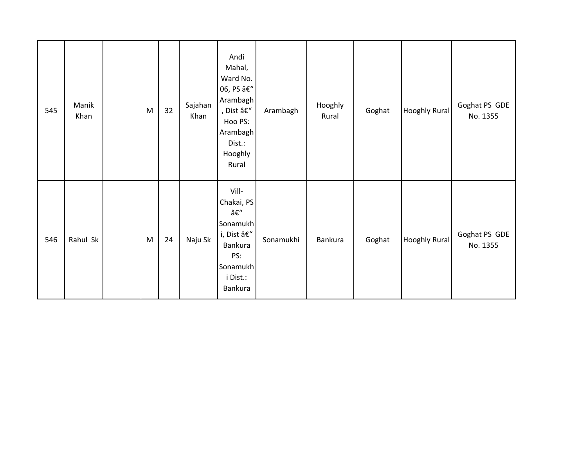| 545 | Manik<br>Khan | M | 32 | Sajahan<br>Khan | Andi<br>Mahal,<br>Ward No.<br>06, PS –<br>Arambagh<br>, Dist $\hat{\mathsf{a}} \mathsf{E}''$<br>Hoo PS:<br>Arambagh<br>Dist.:<br>Hooghly<br>Rural | Arambagh  | Hooghly<br>Rural | Goghat | <b>Hooghly Rural</b> | Goghat PS GDE<br>No. 1355 |
|-----|---------------|---|----|-----------------|---------------------------------------------------------------------------------------------------------------------------------------------------|-----------|------------------|--------|----------------------|---------------------------|
| 546 | Rahul Sk      | M | 24 | Naju Sk         | Vill-<br>Chakai, PS<br>–<br>Sonamukh<br>i, Dist –<br>Bankura<br>PS:<br>Sonamukh<br>i Dist.:<br>Bankura                                            | Sonamukhi | Bankura          | Goghat | <b>Hooghly Rural</b> | Goghat PS GDE<br>No. 1355 |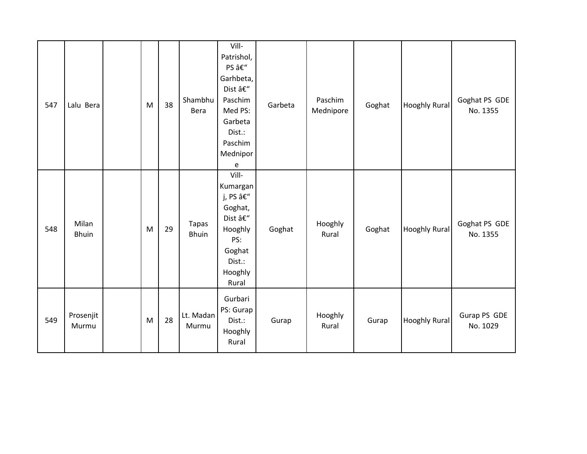| 547 | Lalu Bera             | M | 38 | Shambhu<br>Bera              | Vill-<br>Patrishol,<br>PS –<br>Garhbeta,<br>Dist –<br>Paschim<br>Med PS:<br>Garbeta<br>Dist.:<br>Paschim<br>Mednipor<br>e | Garbeta | Paschim<br>Mednipore | Goghat | <b>Hooghly Rural</b> | Goghat PS GDE<br>No. 1355 |
|-----|-----------------------|---|----|------------------------------|---------------------------------------------------------------------------------------------------------------------------|---------|----------------------|--------|----------------------|---------------------------|
| 548 | Milan<br><b>Bhuin</b> | M | 29 | <b>Tapas</b><br><b>Bhuin</b> | Vill-<br>Kumargan<br>j, PS –<br>Goghat,<br>Dist –<br>Hooghly<br>PS:<br>Goghat<br>Dist.:<br>Hooghly<br>Rural               | Goghat  | Hooghly<br>Rural     | Goghat | <b>Hooghly Rural</b> | Goghat PS GDE<br>No. 1355 |
| 549 | Prosenjit<br>Murmu    | M | 28 | Lt. Madan<br>Murmu           | Gurbari<br>PS: Gurap<br>Dist.:<br>Hooghly<br>Rural                                                                        | Gurap   | Hooghly<br>Rural     | Gurap  | <b>Hooghly Rural</b> | Gurap PS GDE<br>No. 1029  |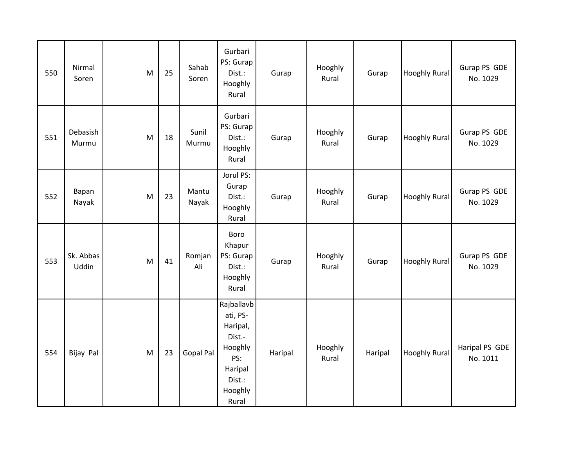| 550 | Nirmal<br>Soren    | M | 25 | Sahab<br>Soren | Gurbari<br>PS: Gurap<br>Dist.:<br>Hooghly<br>Rural                                                      | Gurap   | Hooghly<br>Rural | Gurap   | Hooghly Rural        | Gurap PS GDE<br>No. 1029   |
|-----|--------------------|---|----|----------------|---------------------------------------------------------------------------------------------------------|---------|------------------|---------|----------------------|----------------------------|
| 551 | Debasish<br>Murmu  | M | 18 | Sunil<br>Murmu | Gurbari<br>PS: Gurap<br>Dist.:<br>Hooghly<br>Rural                                                      | Gurap   | Hooghly<br>Rural | Gurap   | <b>Hooghly Rural</b> | Gurap PS GDE<br>No. 1029   |
| 552 | Bapan<br>Nayak     | M | 23 | Mantu<br>Nayak | Jorul PS:<br>Gurap<br>Dist.:<br>Hooghly<br>Rural                                                        | Gurap   | Hooghly<br>Rural | Gurap   | Hooghly Rural        | Gurap PS GDE<br>No. 1029   |
| 553 | Sk. Abbas<br>Uddin | M | 41 | Romjan<br>Ali  | Boro<br>Khapur<br>PS: Gurap<br>Dist.:<br>Hooghly<br>Rural                                               | Gurap   | Hooghly<br>Rural | Gurap   | <b>Hooghly Rural</b> | Gurap PS GDE<br>No. 1029   |
| 554 | Bijay Pal          | M | 23 | Gopal Pal      | Rajballavb<br>ati, PS-<br>Haripal,<br>Dist.-<br>Hooghly<br>PS:<br>Haripal<br>Dist.:<br>Hooghly<br>Rural | Haripal | Hooghly<br>Rural | Haripal | <b>Hooghly Rural</b> | Haripal PS GDE<br>No. 1011 |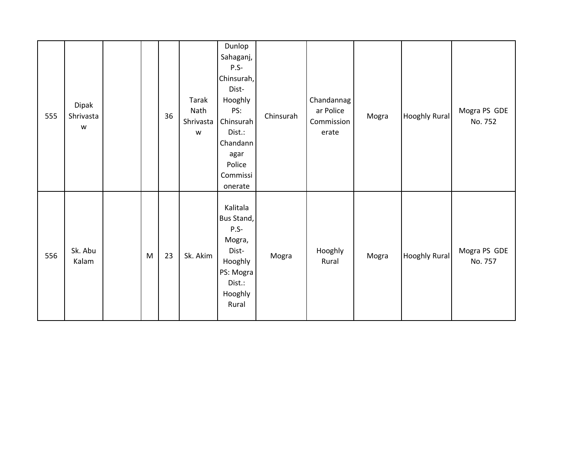| 555 | Dipak<br>Shrivasta<br>$\mathsf{W}% _{T}=\mathsf{W}_{T}\!\left( a,b\right) ,\ \mathsf{W}_{T}=\mathsf{W}_{T} \!\left( a,b\right) ,$ |   | 36 | Tarak<br>Nath<br>Shrivasta<br>$\mathsf{W}% _{T}=\mathsf{W}_{T}\!\left( a,b\right) ,\ \mathsf{W}_{T}=\mathsf{W}_{T}$ | Dunlop<br>Sahaganj,<br>$P.S-$<br>Chinsurah,<br>Dist-<br>Hooghly<br>PS:<br>Chinsurah<br>Dist.:<br>Chandann<br>agar<br>Police<br>Commissi<br>onerate | Chinsurah | Chandannag<br>ar Police<br>Commission<br>erate | Mogra | <b>Hooghly Rural</b> | Mogra PS GDE<br>No. 752 |
|-----|-----------------------------------------------------------------------------------------------------------------------------------|---|----|---------------------------------------------------------------------------------------------------------------------|----------------------------------------------------------------------------------------------------------------------------------------------------|-----------|------------------------------------------------|-------|----------------------|-------------------------|
| 556 | Sk. Abu<br>Kalam                                                                                                                  | M | 23 | Sk. Akim                                                                                                            | Kalitala<br>Bus Stand,<br>$P.S-$<br>Mogra,<br>Dist-<br>Hooghly<br>PS: Mogra<br>Dist.:<br>Hooghly<br>Rural                                          | Mogra     | Hooghly<br>Rural                               | Mogra | <b>Hooghly Rural</b> | Mogra PS GDE<br>No. 757 |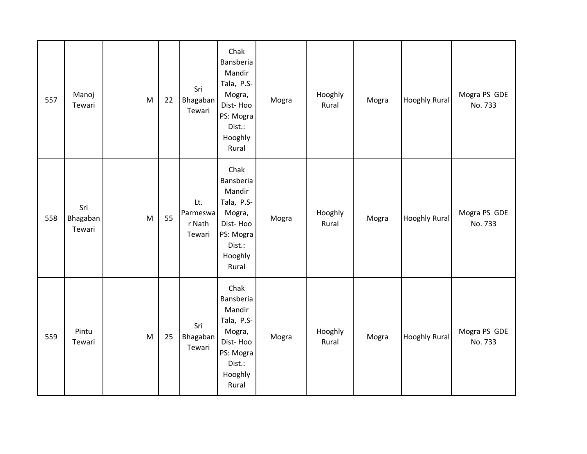| 557 | Manoj<br>Tewari           | M | 22 | Sri<br>Bhagaban<br>Tewari           | Chak<br>Bansberia<br>Mandir<br>Tala, P.S-<br>Mogra,<br>Dist-Hoo<br>PS: Mogra<br>Dist.:<br>Hooghly<br>Rural | Mogra | Hooghly<br>Rural | Mogra | <b>Hooghly Rural</b> | Mogra PS GDE<br>No. 733 |
|-----|---------------------------|---|----|-------------------------------------|------------------------------------------------------------------------------------------------------------|-------|------------------|-------|----------------------|-------------------------|
| 558 | Sri<br>Bhagaban<br>Tewari | M | 55 | Lt.<br>Parmeswa<br>r Nath<br>Tewari | Chak<br>Bansberia<br>Mandir<br>Tala, P.S-<br>Mogra,<br>Dist-Hoo<br>PS: Mogra<br>Dist.:<br>Hooghly<br>Rural | Mogra | Hooghly<br>Rural | Mogra | <b>Hooghly Rural</b> | Mogra PS GDE<br>No. 733 |
| 559 | Pintu<br>Tewari           | M | 25 | Sri<br>Bhagaban<br>Tewari           | Chak<br>Bansberia<br>Mandir<br>Tala, P.S-<br>Mogra,<br>Dist-Hoo<br>PS: Mogra<br>Dist.:<br>Hooghly<br>Rural | Mogra | Hooghly<br>Rural | Mogra | <b>Hooghly Rural</b> | Mogra PS GDE<br>No. 733 |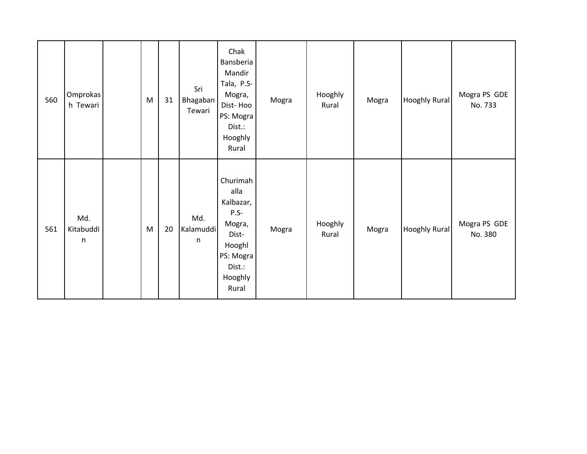| 560 | Omprokas<br>h Tewari        | M | 31 | Sri<br>Bhagaban<br>Tewari | Chak<br>Bansberia<br>Mandir<br>Tala, P.S-<br>Mogra,<br>Dist-Hoo<br>PS: Mogra<br>Dist.:<br>Hooghly<br>Rural      | Mogra | Hooghly<br>Rural | Mogra | <b>Hooghly Rural</b> | Mogra PS GDE<br>No. 733 |
|-----|-----------------------------|---|----|---------------------------|-----------------------------------------------------------------------------------------------------------------|-------|------------------|-------|----------------------|-------------------------|
| 561 | Md.<br>Kitabuddi<br>$\sf n$ | M | 20 | Md.<br>Kalamuddi<br>n     | Churimah<br>alla<br>Kalbazar,<br>$P.S-$<br>Mogra,<br>Dist-<br>Hooghl<br>PS: Mogra<br>Dist.:<br>Hooghly<br>Rural | Mogra | Hooghly<br>Rural | Mogra | <b>Hooghly Rural</b> | Mogra PS GDE<br>No. 380 |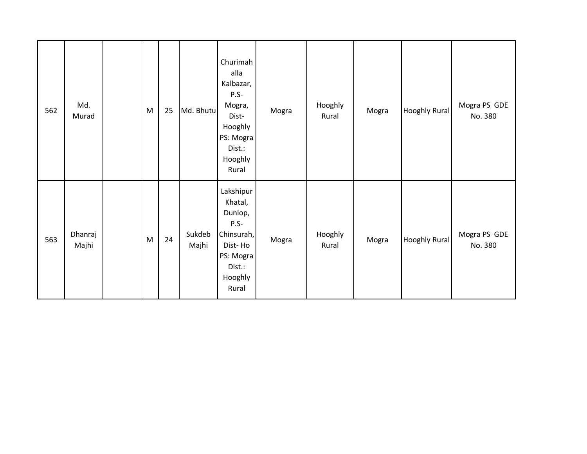| 562 | Md.<br>Murad     | ${\sf M}$ | 25 | Md. Bhutu       | Churimah<br>alla<br>Kalbazar,<br>$P.S-$<br>Mogra,<br>Dist-<br>Hooghly<br>PS: Mogra<br>Dist.:<br>Hooghly<br>Rural | Mogra | Hooghly<br>Rural | Mogra | <b>Hooghly Rural</b> | Mogra PS GDE<br>No. 380 |
|-----|------------------|-----------|----|-----------------|------------------------------------------------------------------------------------------------------------------|-------|------------------|-------|----------------------|-------------------------|
| 563 | Dhanraj<br>Majhi | M         | 24 | Sukdeb<br>Majhi | Lakshipur<br>Khatal,<br>Dunlop,<br>$P.S-$<br>Chinsurah,<br>Dist-Ho<br>PS: Mogra<br>Dist.:<br>Hooghly<br>Rural    | Mogra | Hooghly<br>Rural | Mogra | <b>Hooghly Rural</b> | Mogra PS GDE<br>No. 380 |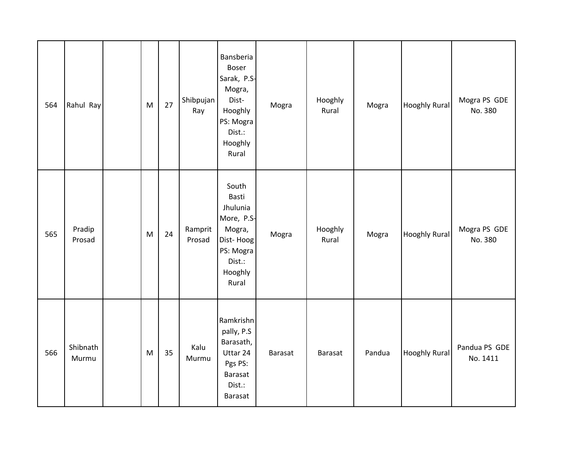| 564 | Rahul Ray         | M | 27 | Shibpujan<br>Ray  | Bansberia<br>Boser<br>Sarak, P.S-<br>Mogra,<br>Dist-<br>Hooghly<br>PS: Mogra<br>Dist.:<br>Hooghly<br>Rural | Mogra   | Hooghly<br>Rural | Mogra  | <b>Hooghly Rural</b> | Mogra PS GDE<br>No. 380   |
|-----|-------------------|---|----|-------------------|------------------------------------------------------------------------------------------------------------|---------|------------------|--------|----------------------|---------------------------|
| 565 | Pradip<br>Prosad  | M | 24 | Ramprit<br>Prosad | South<br>Basti<br>Jhulunia<br>More, P.S-<br>Mogra,<br>Dist-Hoog<br>PS: Mogra<br>Dist.:<br>Hooghly<br>Rural | Mogra   | Hooghly<br>Rural | Mogra  | <b>Hooghly Rural</b> | Mogra PS GDE<br>No. 380   |
| 566 | Shibnath<br>Murmu | M | 35 | Kalu<br>Murmu     | Ramkrishn<br>pally, P.S<br>Barasath,<br>Uttar 24<br>Pgs PS:<br>Barasat<br>Dist.:<br><b>Barasat</b>         | Barasat | Barasat          | Pandua | <b>Hooghly Rural</b> | Pandua PS GDE<br>No. 1411 |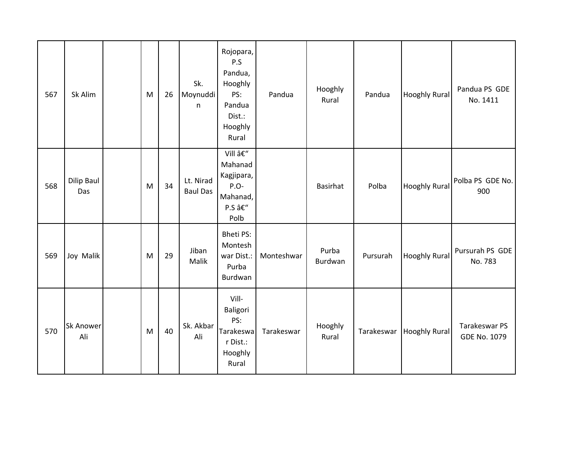| 567 | Sk Alim                  | M | 26 | Sk.<br>Moynuddi<br>n         | Rojopara,<br>P.S<br>Pandua,<br>Hooghly<br>PS:<br>Pandua<br>Dist.:<br>Hooghly<br>Rural | Pandua     | Hooghly<br>Rural | Pandua     | <b>Hooghly Rural</b> | Pandua PS GDE<br>No. 1411     |
|-----|--------------------------|---|----|------------------------------|---------------------------------------------------------------------------------------|------------|------------------|------------|----------------------|-------------------------------|
| 568 | <b>Dilip Baul</b><br>Das | M | 34 | Lt. Nirad<br><b>Baul Das</b> | Vill –<br>Mahanad<br>Kagjipara,<br>P.O-<br>Mahanad,<br>P.S –<br>Polb                  |            | Basirhat         | Polba      | <b>Hooghly Rural</b> | Polba PS GDE No.<br>900       |
| 569 | Joy Malik                | M | 29 | Jiban<br>Malik               | <b>Bheti PS:</b><br>Montesh<br>war Dist.:<br>Purba<br>Burdwan                         | Monteshwar | Purba<br>Burdwan | Pursurah   | <b>Hooghly Rural</b> | Pursurah PS GDE<br>No. 783    |
| 570 | <b>Sk Anower</b><br>Ali  | M | 40 | Sk. Akbar<br>Ali             | Vill-<br>Baligori<br>PS:<br>Tarakeswa<br>r Dist.:<br>Hooghly<br>Rural                 | Tarakeswar | Hooghly<br>Rural | Tarakeswar | <b>Hooghly Rural</b> | Tarakeswar PS<br>GDE No. 1079 |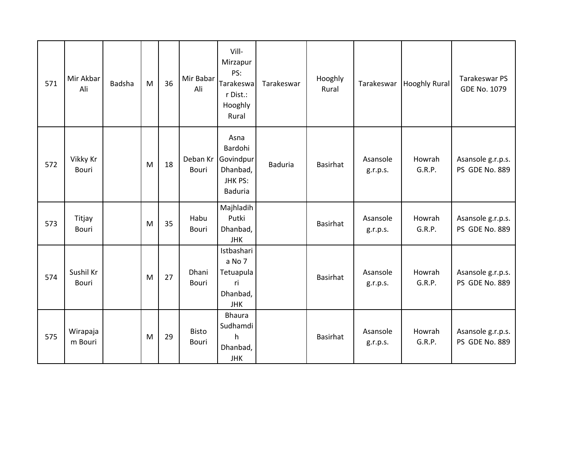| 571 | Mir Akbar<br>Ali    | Badsha | M | 36 | Mir Babar<br>Ali         | Vill-<br>Mirzapur<br>PS:<br>Tarakeswa<br>r Dist.:<br>Hooghly<br>Rural | Tarakeswar     | Hooghly<br>Rural | Tarakeswar           | <b>Hooghly Rural</b> | Tarakeswar PS<br><b>GDE No. 1079</b> |
|-----|---------------------|--------|---|----|--------------------------|-----------------------------------------------------------------------|----------------|------------------|----------------------|----------------------|--------------------------------------|
| 572 | Vikky Kr<br>Bouri   |        | M | 18 | Deban Kr<br><b>Bouri</b> | Asna<br>Bardohi<br>Govindpur<br>Dhanbad,<br>JHK PS:<br><b>Baduria</b> | <b>Baduria</b> | <b>Basirhat</b>  | Asansole<br>g.r.p.s. | Howrah<br>G.R.P.     | Asansole g.r.p.s.<br>PS GDE No. 889  |
| 573 | Titjay<br>Bouri     |        | M | 35 | Habu<br>Bouri            | Majhladih<br>Putki<br>Dhanbad,<br>JHK                                 |                | Basirhat         | Asansole<br>g.r.p.s. | Howrah<br>G.R.P.     | Asansole g.r.p.s.<br>PS GDE No. 889  |
| 574 | Sushil Kr<br>Bouri  |        | M | 27 | Dhani<br>Bouri           | Istbashari<br>a No 7<br>Tetuapula<br>ri<br>Dhanbad,<br><b>JHK</b>     |                | Basirhat         | Asansole<br>g.r.p.s. | Howrah<br>G.R.P.     | Asansole g.r.p.s.<br>PS GDE No. 889  |
| 575 | Wirapaja<br>m Bouri |        | M | 29 | <b>Bisto</b><br>Bouri    | <b>Bhaura</b><br>Sudhamdi<br>h<br>Dhanbad,<br><b>JHK</b>              |                | <b>Basirhat</b>  | Asansole<br>g.r.p.s. | Howrah<br>G.R.P.     | Asansole g.r.p.s.<br>PS GDE No. 889  |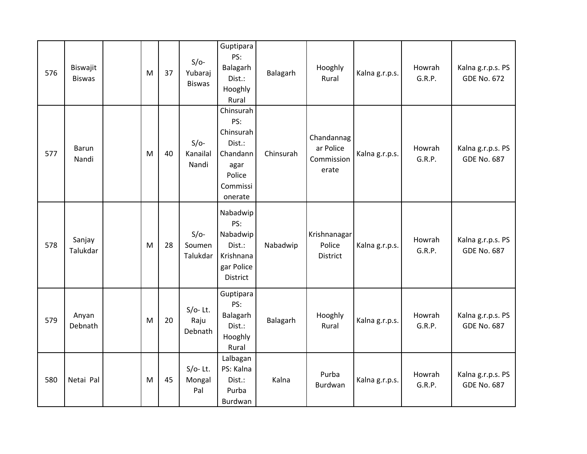| 576 | Biswajit<br><b>Biswas</b> | M | 37 | $S/O-$<br>Yubaraj<br><b>Biswas</b> | Guptipara<br>PS:<br>Balagarh<br>Dist.:<br>Hooghly<br>Rural                                   | Balagarh  | Hooghly<br>Rural                               | Kalna g.r.p.s. | Howrah<br>G.R.P. | Kalna g.r.p.s. PS<br><b>GDE No. 672</b> |
|-----|---------------------------|---|----|------------------------------------|----------------------------------------------------------------------------------------------|-----------|------------------------------------------------|----------------|------------------|-----------------------------------------|
| 577 | <b>Barun</b><br>Nandi     | M | 40 | $S/O-$<br>Kanailal<br>Nandi        | Chinsurah<br>PS:<br>Chinsurah<br>Dist.:<br>Chandann<br>agar<br>Police<br>Commissi<br>onerate | Chinsurah | Chandannag<br>ar Police<br>Commission<br>erate | Kalna g.r.p.s. | Howrah<br>G.R.P. | Kalna g.r.p.s. PS<br><b>GDE No. 687</b> |
| 578 | Sanjay<br>Talukdar        | M | 28 | $S/O-$<br>Soumen<br>Talukdar       | Nabadwip<br>PS:<br>Nabadwip<br>Dist.:<br>Krishnana<br>gar Police<br>District                 | Nabadwip  | Krishnanagar<br>Police<br>District             | Kalna g.r.p.s. | Howrah<br>G.R.P. | Kalna g.r.p.s. PS<br><b>GDE No. 687</b> |
| 579 | Anyan<br>Debnath          | M | 20 | $S/O-$ Lt.<br>Raju<br>Debnath      | Guptipara<br>PS:<br>Balagarh<br>Dist.:<br>Hooghly<br>Rural                                   | Balagarh  | Hooghly<br>Rural                               | Kalna g.r.p.s. | Howrah<br>G.R.P. | Kalna g.r.p.s. PS<br><b>GDE No. 687</b> |
| 580 | Netai Pal                 | M | 45 | $S/O-$ Lt.<br>Mongal<br>Pal        | Lalbagan<br>PS: Kalna<br>Dist.:<br>Purba<br>Burdwan                                          | Kalna     | Purba<br>Burdwan                               | Kalna g.r.p.s. | Howrah<br>G.R.P. | Kalna g.r.p.s. PS<br><b>GDE No. 687</b> |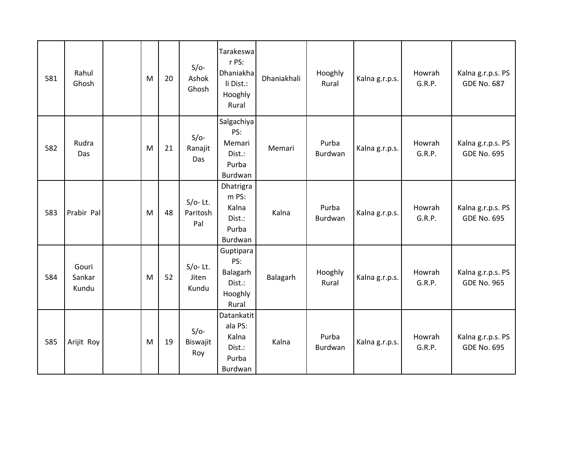| 581 | Rahul<br>Ghosh           | M | 20 | $S/O-$<br>Ashok<br>Ghosh      | Tarakeswa<br>r PS:<br>Dhaniakha<br>li Dist.:<br>Hooghly<br>Rural | Dhaniakhali | Hooghly<br>Rural | Kalna g.r.p.s. | Howrah<br>G.R.P. | Kalna g.r.p.s. PS<br><b>GDE No. 687</b> |
|-----|--------------------------|---|----|-------------------------------|------------------------------------------------------------------|-------------|------------------|----------------|------------------|-----------------------------------------|
| 582 | Rudra<br>Das             | M | 21 | $S/O-$<br>Ranajit<br>Das      | Salgachiya<br>PS:<br>Memari<br>Dist.:<br>Purba<br>Burdwan        | Memari      | Purba<br>Burdwan | Kalna g.r.p.s. | Howrah<br>G.R.P. | Kalna g.r.p.s. PS<br><b>GDE No. 695</b> |
| 583 | Prabir Pal               | M | 48 | $S/O-$ Lt.<br>Paritosh<br>Pal | Dhatrigra<br>m PS:<br>Kalna<br>Dist.:<br>Purba<br>Burdwan        | Kalna       | Purba<br>Burdwan | Kalna g.r.p.s. | Howrah<br>G.R.P. | Kalna g.r.p.s. PS<br><b>GDE No. 695</b> |
| 584 | Gouri<br>Sankar<br>Kundu | M | 52 | $S/O-$ Lt.<br>Jiten<br>Kundu  | Guptipara<br>PS:<br>Balagarh<br>Dist.:<br>Hooghly<br>Rural       | Balagarh    | Hooghly<br>Rural | Kalna g.r.p.s. | Howrah<br>G.R.P. | Kalna g.r.p.s. PS<br><b>GDE No. 965</b> |
| 585 | Arijit Roy               | M | 19 | $S/O-$<br>Biswajit<br>Roy     | Datankatit<br>ala PS:<br>Kalna<br>Dist.:<br>Purba<br>Burdwan     | Kalna       | Purba<br>Burdwan | Kalna g.r.p.s. | Howrah<br>G.R.P. | Kalna g.r.p.s. PS<br><b>GDE No. 695</b> |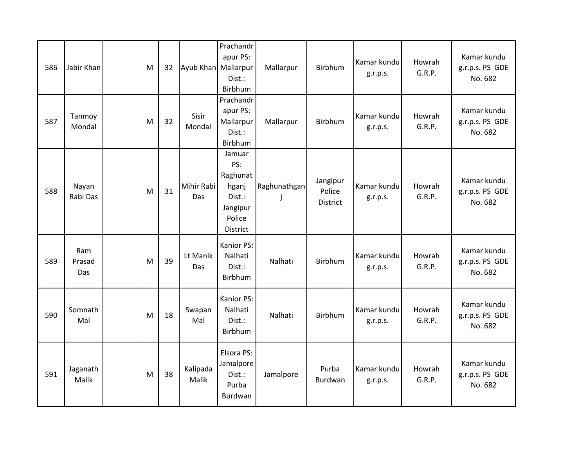| 586 | Jabir Khan           | M | 32 | Ayub Khan Mallarpur | Prachandr<br>apur PS:<br>Dist.:<br>Birbhum                                            | Mallarpur                    | Birbhum                               | Kamar kundu<br>g.r.p.s. | Howrah<br>G.R.P. | Kamar kundu<br>g.r.p.s. PS GDE<br>No. 682 |
|-----|----------------------|---|----|---------------------|---------------------------------------------------------------------------------------|------------------------------|---------------------------------------|-------------------------|------------------|-------------------------------------------|
| 587 | Tanmoy<br>Mondal     | M | 32 | Sisir<br>Mondal     | Prachandr<br>apur PS:<br>Mallarpur<br>Dist.:<br>Birbhum                               | Mallarpur                    | Birbhum                               | Kamar kundu<br>g.r.p.s. | Howrah<br>G.R.P. | Kamar kundu<br>g.r.p.s. PS GDE<br>No. 682 |
| 588 | Nayan<br>Rabi Das    | M | 31 | Mihir Rabi<br>Das   | Jamuar<br>PS:<br>Raghunat<br>hganj<br>Dist.:<br>Jangipur<br>Police<br><b>District</b> | Raghunathgan<br>$\mathbf{I}$ | Jangipur<br>Police<br><b>District</b> | Kamar kundu<br>g.r.p.s. | Howrah<br>G.R.P. | Kamar kundu<br>g.r.p.s. PS GDE<br>No. 682 |
| 589 | Ram<br>Prasad<br>Das | M | 39 | Lt Manik<br>Das     | Kanior PS:<br>Nalhati<br>Dist.:<br>Birbhum                                            | Nalhati                      | Birbhum                               | Kamar kundu<br>g.r.p.s. | Howrah<br>G.R.P. | Kamar kundu<br>g.r.p.s. PS GDE<br>No. 682 |
| 590 | Somnath<br>Mal       | M | 18 | Swapan<br>Mal       | Kanior PS:<br>Nalhati<br>Dist.:<br>Birbhum                                            | Nalhati                      | Birbhum                               | Kamar kundu<br>g.r.p.s. | Howrah<br>G.R.P. | Kamar kundu<br>g.r.p.s. PS GDE<br>No. 682 |
| 591 | Jaganath<br>Malik    | M | 38 | Kalipada<br>Malik   | Elsora PS:<br>Jamalpore<br>Dist.:<br>Purba<br>Burdwan                                 | Jamalpore                    | Purba<br>Burdwan                      | Kamar kundu<br>g.r.p.s. | Howrah<br>G.R.P. | Kamar kundu<br>g.r.p.s. PS GDE<br>No. 682 |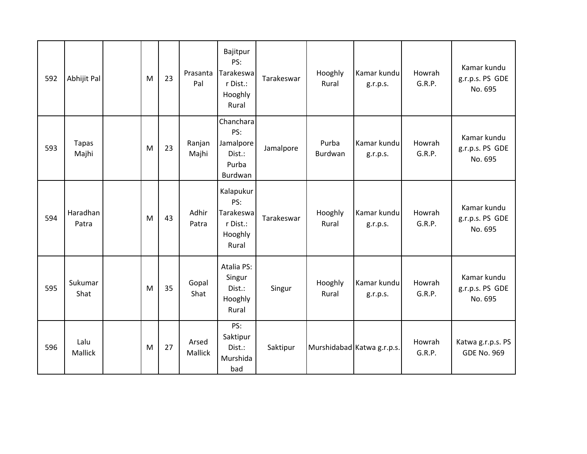| 592 | Abhijit Pal           | M | 23 | Prasanta<br>Pal  | Bajitpur<br>PS:<br>Tarakeswa<br>r Dist.:<br>Hooghly<br>Rural  | Tarakeswar | Hooghly<br>Rural | Kamar kundu<br>g.r.p.s.    | Howrah<br>G.R.P. | Kamar kundu<br>g.r.p.s. PS GDE<br>No. 695 |
|-----|-----------------------|---|----|------------------|---------------------------------------------------------------|------------|------------------|----------------------------|------------------|-------------------------------------------|
| 593 | <b>Tapas</b><br>Majhi | M | 23 | Ranjan<br>Majhi  | Chanchara<br>PS:<br>Jamalpore<br>Dist.:<br>Purba<br>Burdwan   | Jamalpore  | Purba<br>Burdwan | Kamar kundu<br>g.r.p.s.    | Howrah<br>G.R.P. | Kamar kundu<br>g.r.p.s. PS GDE<br>No. 695 |
| 594 | Haradhan<br>Patra     | M | 43 | Adhir<br>Patra   | Kalapukur<br>PS:<br>Tarakeswa<br>r Dist.:<br>Hooghly<br>Rural | Tarakeswar | Hooghly<br>Rural | Kamar kundu<br>g.r.p.s.    | Howrah<br>G.R.P. | Kamar kundu<br>g.r.p.s. PS GDE<br>No. 695 |
| 595 | Sukumar<br>Shat       | M | 35 | Gopal<br>Shat    | Atalia PS:<br>Singur<br>Dist.:<br>Hooghly<br>Rural            | Singur     | Hooghly<br>Rural | Kamar kundu<br>g.r.p.s.    | Howrah<br>G.R.P. | Kamar kundu<br>g.r.p.s. PS GDE<br>No. 695 |
| 596 | Lalu<br>Mallick       | M | 27 | Arsed<br>Mallick | PS:<br>Saktipur<br>Dist.:<br>Murshida<br>bad                  | Saktipur   |                  | Murshidabad Katwa g.r.p.s. | Howrah<br>G.R.P. | Katwa g.r.p.s. PS<br><b>GDE No. 969</b>   |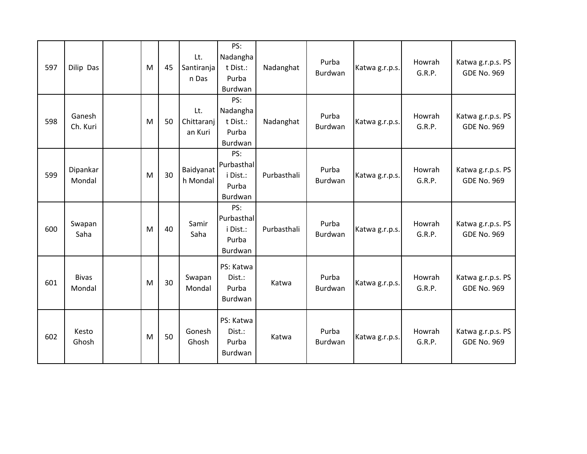| 597 | Dilip Das              | M | 45 | Lt.<br>Santiranja<br>n Das   | PS:<br>Nadangha<br>t Dist.:<br>Purba<br>Burdwan   | Nadanghat   | Purba<br><b>Burdwan</b> | Katwa g.r.p.s. | Howrah<br>G.R.P. | Katwa g.r.p.s. PS<br><b>GDE No. 969</b> |
|-----|------------------------|---|----|------------------------------|---------------------------------------------------|-------------|-------------------------|----------------|------------------|-----------------------------------------|
| 598 | Ganesh<br>Ch. Kuri     | M | 50 | Lt.<br>Chittaranj<br>an Kuri | PS:<br>Nadangha<br>t Dist.:<br>Purba<br>Burdwan   | Nadanghat   | Purba<br>Burdwan        | Katwa g.r.p.s. | Howrah<br>G.R.P. | Katwa g.r.p.s. PS<br><b>GDE No. 969</b> |
| 599 | Dipankar<br>Mondal     | M | 30 | Baidyanat<br>h Mondal        | PS:<br>Purbasthal<br>i Dist.:<br>Purba<br>Burdwan | Purbasthali | Purba<br>Burdwan        | Katwa g.r.p.s. | Howrah<br>G.R.P. | Katwa g.r.p.s. PS<br><b>GDE No. 969</b> |
| 600 | Swapan<br>Saha         | M | 40 | Samir<br>Saha                | PS:<br>Purbasthal<br>i Dist.:<br>Purba<br>Burdwan | Purbasthali | Purba<br><b>Burdwan</b> | Katwa g.r.p.s. | Howrah<br>G.R.P. | Katwa g.r.p.s. PS<br><b>GDE No. 969</b> |
| 601 | <b>Bivas</b><br>Mondal | M | 30 | Swapan<br>Mondal             | PS: Katwa<br>Dist.:<br>Purba<br>Burdwan           | Katwa       | Purba<br>Burdwan        | Katwa g.r.p.s. | Howrah<br>G.R.P. | Katwa g.r.p.s. PS<br><b>GDE No. 969</b> |
| 602 | Kesto<br>Ghosh         | M | 50 | Gonesh<br>Ghosh              | PS: Katwa<br>Dist.:<br>Purba<br>Burdwan           | Katwa       | Purba<br><b>Burdwan</b> | Katwa g.r.p.s. | Howrah<br>G.R.P. | Katwa g.r.p.s. PS<br><b>GDE No. 969</b> |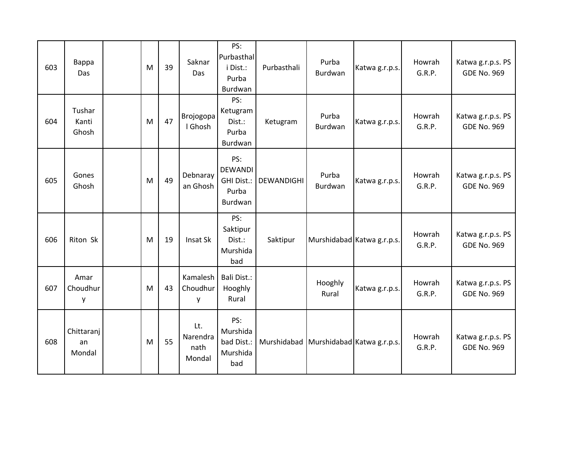| 603 | Bappa<br>Das               | M | 39 | Saknar<br>Das                     | PS:<br>Purbasthal<br>i Dist.:<br>Purba<br>Burdwan              | Purbasthali | Purba<br><b>Burdwan</b> | Katwa g.r.p.s.                         | Howrah<br>G.R.P. | Katwa g.r.p.s. PS<br><b>GDE No. 969</b> |
|-----|----------------------------|---|----|-----------------------------------|----------------------------------------------------------------|-------------|-------------------------|----------------------------------------|------------------|-----------------------------------------|
| 604 | Tushar<br>Kanti<br>Ghosh   | M | 47 | Brojogopa<br>I Ghosh              | PS:<br>Ketugram<br>Dist.:<br>Purba<br>Burdwan                  | Ketugram    | Purba<br>Burdwan        | Katwa g.r.p.s.                         | Howrah<br>G.R.P. | Katwa g.r.p.s. PS<br><b>GDE No. 969</b> |
| 605 | Gones<br>Ghosh             | M | 49 | Debnaray<br>an Ghosh              | PS:<br><b>DEWANDI</b><br><b>GHI Dist.:</b><br>Purba<br>Burdwan | DEWANDIGHI  | Purba<br>Burdwan        | Katwa g.r.p.s.                         | Howrah<br>G.R.P. | Katwa g.r.p.s. PS<br><b>GDE No. 969</b> |
| 606 | Riton Sk                   | M | 19 | Insat Sk                          | PS:<br>Saktipur<br>Dist.:<br>Murshida<br>bad                   | Saktipur    |                         | Murshidabad Katwa g.r.p.s.             | Howrah<br>G.R.P. | Katwa g.r.p.s. PS<br><b>GDE No. 969</b> |
| 607 | Amar<br>Choudhur<br>у      | M | 43 | Kamalesh<br>Choudhur<br>у         | Bali Dist.:<br>Hooghly<br>Rural                                |             | Hooghly<br>Rural        | Katwa g.r.p.s.                         | Howrah<br>G.R.P. | Katwa g.r.p.s. PS<br><b>GDE No. 969</b> |
| 608 | Chittaranj<br>an<br>Mondal | M | 55 | Lt.<br>Narendra<br>nath<br>Mondal | PS:<br>Murshida<br>bad Dist.:<br>Murshida<br>bad               |             |                         | Murshidabad Murshidabad Katwa g.r.p.s. | Howrah<br>G.R.P. | Katwa g.r.p.s. PS<br><b>GDE No. 969</b> |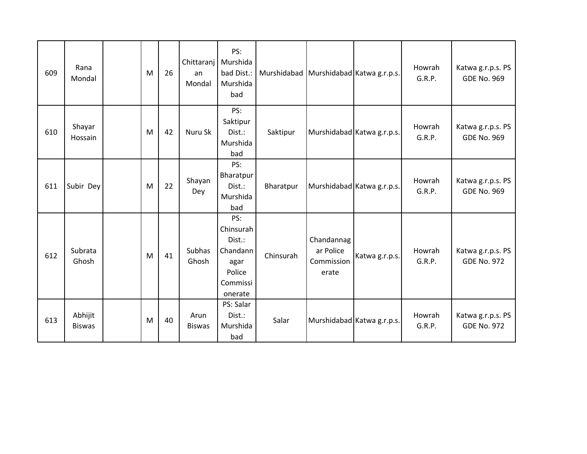| 609 | Rana<br>Mondal           | M | 26 | Chittaranj<br>an<br>Mondal | PS:<br>Murshida<br>bad Dist.:<br>Murshida<br>bad                                | Murshidabad Murshidabad Katwa g.r.p.s. |                                                |                            | Howrah<br>G.R.P. | Katwa g.r.p.s. PS<br><b>GDE No. 969</b> |
|-----|--------------------------|---|----|----------------------------|---------------------------------------------------------------------------------|----------------------------------------|------------------------------------------------|----------------------------|------------------|-----------------------------------------|
| 610 | Shayar<br>Hossain        | M | 42 | Nuru Sk                    | PS:<br>Saktipur<br>Dist.:<br>Murshida<br>bad                                    | Saktipur                               |                                                | Murshidabad Katwa g.r.p.s. | Howrah<br>G.R.P. | Katwa g.r.p.s. PS<br><b>GDE No. 969</b> |
| 611 | Subir Dey                | M | 22 | Shayan<br>Dey              | PS:<br>Bharatpur<br>Dist.:<br>Murshida<br>bad                                   | Bharatpur                              |                                                | Murshidabad Katwa g.r.p.s. | Howrah<br>G.R.P. | Katwa g.r.p.s. PS<br><b>GDE No. 969</b> |
| 612 | Subrata<br>Ghosh         | M | 41 | Subhas<br>Ghosh            | PS:<br>Chinsurah<br>Dist.:<br>Chandann<br>agar<br>Police<br>Commissi<br>onerate | Chinsurah                              | Chandannag<br>ar Police<br>Commission<br>erate | Katwa g.r.p.s.             | Howrah<br>G.R.P. | Katwa g.r.p.s. PS<br><b>GDE No. 972</b> |
| 613 | Abhijit<br><b>Biswas</b> | M | 40 | Arun<br><b>Biswas</b>      | PS: Salar<br>Dist.:<br>Murshida<br>bad                                          | Salar                                  |                                                | Murshidabad Katwa g.r.p.s. | Howrah<br>G.R.P. | Katwa g.r.p.s. PS<br><b>GDE No. 972</b> |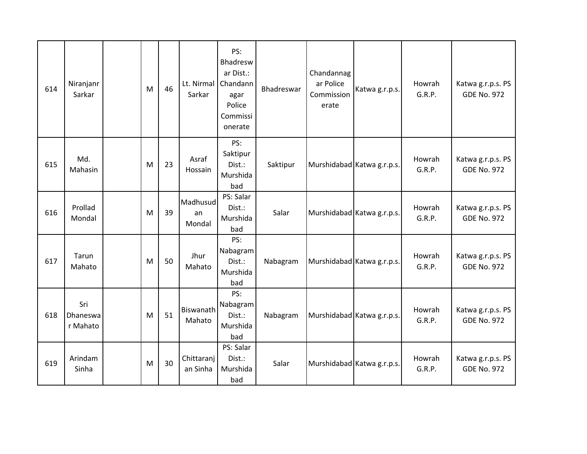| 614 | Niranjanr<br>Sarkar         | M | 46 | Sarkar                   | PS:<br>Bhadresw<br>ar Dist.:<br>Lt. Nirmal   Chandann<br>agar<br>Police<br>Commissi<br>onerate | Bhadreswar | Chandannag<br>ar Police<br>Commission<br>erate | Katwa g.r.p.s.             | Howrah<br>G.R.P. | Katwa g.r.p.s. PS<br><b>GDE No. 972</b> |
|-----|-----------------------------|---|----|--------------------------|------------------------------------------------------------------------------------------------|------------|------------------------------------------------|----------------------------|------------------|-----------------------------------------|
| 615 | Md.<br>Mahasin              | M | 23 | Asraf<br>Hossain         | PS:<br>Saktipur<br>Dist.:<br>Murshida<br>bad                                                   | Saktipur   |                                                | Murshidabad Katwa g.r.p.s. | Howrah<br>G.R.P. | Katwa g.r.p.s. PS<br><b>GDE No. 972</b> |
| 616 | Prollad<br>Mondal           | M | 39 | Madhusud<br>an<br>Mondal | PS: Salar<br>Dist.:<br>Murshida<br>bad                                                         | Salar      |                                                | Murshidabad Katwa g.r.p.s. | Howrah<br>G.R.P. | Katwa g.r.p.s. PS<br><b>GDE No. 972</b> |
| 617 | Tarun<br>Mahato             | M | 50 | Jhur<br>Mahato           | PS:<br>Nabagram<br>Dist.:<br>Murshida<br>bad                                                   | Nabagram   |                                                | Murshidabad Katwa g.r.p.s. | Howrah<br>G.R.P. | Katwa g.r.p.s. PS<br><b>GDE No. 972</b> |
| 618 | Sri<br>Dhaneswa<br>r Mahato | M | 51 | Biswanath<br>Mahato      | PS:<br>Nabagram<br>Dist.:<br>Murshida<br>bad                                                   | Nabagram   |                                                | Murshidabad Katwa g.r.p.s. | Howrah<br>G.R.P. | Katwa g.r.p.s. PS<br><b>GDE No. 972</b> |
| 619 | Arindam<br>Sinha            | M | 30 | Chittaranj<br>an Sinha   | PS: Salar<br>Dist.:<br>Murshida<br>bad                                                         | Salar      |                                                | Murshidabad Katwa g.r.p.s. | Howrah<br>G.R.P. | Katwa g.r.p.s. PS<br><b>GDE No. 972</b> |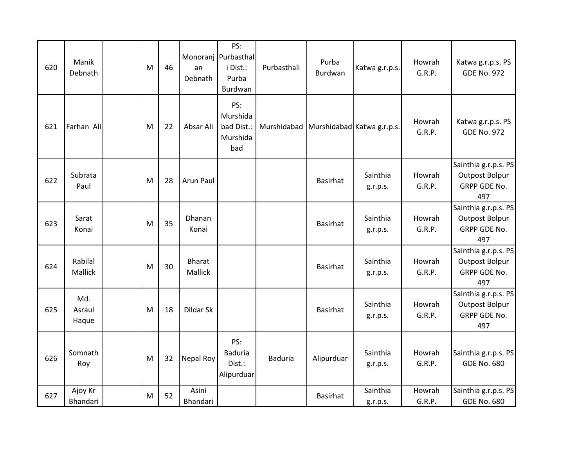| 620 | Manik<br>Debnath       | M | 46 | an<br>Debnath            | PS:<br>Monoranj Purbasthal<br>i Dist.:<br>Purba<br>Burdwan | Purbasthali                            | Purba<br>Burdwan | Katwa g.r.p.s.       | Howrah<br>G.R.P. | Katwa g.r.p.s. PS<br><b>GDE No. 972</b>                              |
|-----|------------------------|---|----|--------------------------|------------------------------------------------------------|----------------------------------------|------------------|----------------------|------------------|----------------------------------------------------------------------|
| 621 | Farhan Ali             | M | 22 | Absar Ali                | PS:<br>Murshida<br>bad Dist.:<br>Murshida<br>bad           | Murshidabad Murshidabad Katwa g.r.p.s. |                  |                      | Howrah<br>G.R.P. | Katwa g.r.p.s. PS<br><b>GDE No. 972</b>                              |
| 622 | Subrata<br>Paul        | M | 28 | Arun Paul                |                                                            |                                        | <b>Basirhat</b>  | Sainthia<br>g.r.p.s. | Howrah<br>G.R.P. | Sainthia g.r.p.s. PS<br>Outpost Bolpur<br>GRPP GDE No.<br>497        |
| 623 | Sarat<br>Konai         | M | 35 | Dhanan<br>Konai          |                                                            |                                        | Basirhat         | Sainthia<br>g.r.p.s. | Howrah<br>G.R.P. | Sainthia g.r.p.s. PS<br>Outpost Bolpur<br>GRPP GDE No.<br>497        |
| 624 | Rabilal<br>Mallick     | M | 30 | <b>Bharat</b><br>Mallick |                                                            |                                        | <b>Basirhat</b>  | Sainthia<br>g.r.p.s. | Howrah<br>G.R.P. | Sainthia g.r.p.s. PS<br><b>Outpost Bolpur</b><br>GRPP GDE No.<br>497 |
| 625 | Md.<br>Asraul<br>Haque | M | 18 | Dildar Sk                |                                                            |                                        | <b>Basirhat</b>  | Sainthia<br>g.r.p.s. | Howrah<br>G.R.P. | Sainthia g.r.p.s. PS<br><b>Outpost Bolpur</b><br>GRPP GDE No.<br>497 |
| 626 | Somnath<br>Roy         | M | 32 | Nepal Roy                | PS:<br>Baduria<br>Dist.:<br>Alipurduar                     | <b>Baduria</b>                         | Alipurduar       | Sainthia<br>g.r.p.s. | Howrah<br>G.R.P. | Sainthia g.r.p.s. PS<br><b>GDE No. 680</b>                           |
| 627 | Ajoy Kr<br>Bhandari    | M | 52 | Asini<br>Bhandari        |                                                            |                                        | <b>Basirhat</b>  | Sainthia<br>g.r.p.s. | Howrah<br>G.R.P. | Sainthia g.r.p.s. PS<br><b>GDE No. 680</b>                           |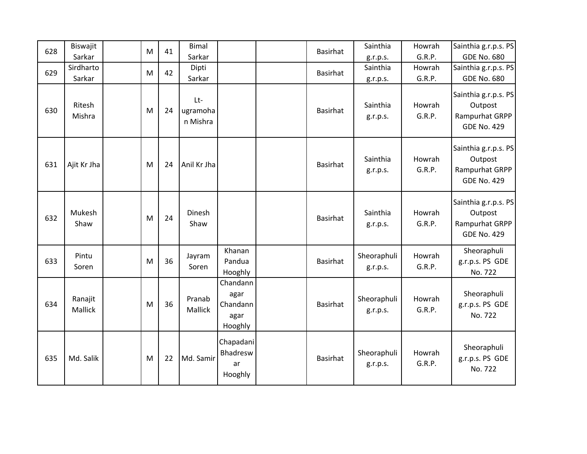| 628 | Biswajit<br>Sarkar  | M | 41 | <b>Bimal</b><br>Sarkar      |                                                 | Basirhat | Sainthia                         | Howrah<br>G.R.P. | Sainthia g.r.p.s. PS<br><b>GDE No. 680</b>                              |
|-----|---------------------|---|----|-----------------------------|-------------------------------------------------|----------|----------------------------------|------------------|-------------------------------------------------------------------------|
| 629 | Sirdharto<br>Sarkar | M | 42 | Dipti<br>Sarkar             |                                                 | Basirhat | g.r.p.s.<br>Sainthia<br>g.r.p.s. | Howrah<br>G.R.P. | Sainthia g.r.p.s. PS<br><b>GDE No. 680</b>                              |
| 630 | Ritesh<br>Mishra    | M | 24 | Lt-<br>ugramoha<br>n Mishra |                                                 | Basirhat | Sainthia<br>g.r.p.s.             | Howrah<br>G.R.P. | Sainthia g.r.p.s. PS<br>Outpost<br>Rampurhat GRPP<br><b>GDE No. 429</b> |
| 631 | Ajit Kr Jha         | M | 24 | Anil Kr Jha                 |                                                 | Basirhat | Sainthia<br>g.r.p.s.             | Howrah<br>G.R.P. | Sainthia g.r.p.s. PS<br>Outpost<br>Rampurhat GRPP<br><b>GDE No. 429</b> |
| 632 | Mukesh<br>Shaw      | M | 24 | Dinesh<br>Shaw              |                                                 | Basirhat | Sainthia<br>g.r.p.s.             | Howrah<br>G.R.P. | Sainthia g.r.p.s. PS<br>Outpost<br>Rampurhat GRPP<br><b>GDE No. 429</b> |
| 633 | Pintu<br>Soren      | M | 36 | Jayram<br>Soren             | Khanan<br>Pandua<br>Hooghly                     | Basirhat | Sheoraphuli<br>g.r.p.s.          | Howrah<br>G.R.P. | Sheoraphuli<br>g.r.p.s. PS GDE<br>No. 722                               |
| 634 | Ranajit<br>Mallick  | M | 36 | Pranab<br>Mallick           | Chandann<br>agar<br>Chandann<br>agar<br>Hooghly | Basirhat | Sheoraphuli<br>g.r.p.s.          | Howrah<br>G.R.P. | Sheoraphuli<br>g.r.p.s. PS GDE<br>No. 722                               |
| 635 | Md. Salik           | M | 22 | Md. Samir                   | Chapadani<br>Bhadresw<br>ar<br>Hooghly          | Basirhat | Sheoraphuli<br>g.r.p.s.          | Howrah<br>G.R.P. | Sheoraphuli<br>g.r.p.s. PS GDE<br>No. 722                               |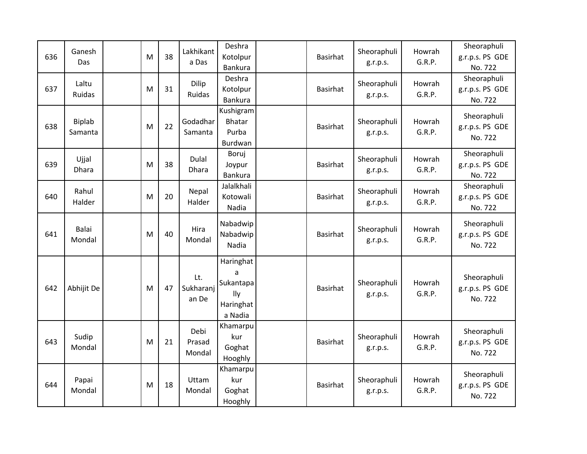| 636 | Ganesh<br>Das            | M | 38 | Lakhikant<br>a Das        | Deshra<br>Kotolpur<br>Bankura                              | Basirhat        | Sheoraphuli<br>g.r.p.s. | Howrah<br>G.R.P. | Sheoraphuli<br>g.r.p.s. PS GDE<br>No. 722 |
|-----|--------------------------|---|----|---------------------------|------------------------------------------------------------|-----------------|-------------------------|------------------|-------------------------------------------|
| 637 | Laltu<br>Ruidas          | M | 31 | Dilip<br>Ruidas           | Deshra<br>Kotolpur<br>Bankura                              | Basirhat        | Sheoraphuli<br>g.r.p.s. | Howrah<br>G.R.P. | Sheoraphuli<br>g.r.p.s. PS GDE<br>No. 722 |
| 638 | <b>Biplab</b><br>Samanta | M | 22 | Godadhar<br>Samanta       | Kushigram<br>Bhatar<br>Purba<br>Burdwan                    | <b>Basirhat</b> | Sheoraphuli<br>g.r.p.s. | Howrah<br>G.R.P. | Sheoraphuli<br>g.r.p.s. PS GDE<br>No. 722 |
| 639 | Ujjal<br>Dhara           | M | 38 | Dulal<br><b>Dhara</b>     | Boruj<br>Joypur<br>Bankura                                 | Basirhat        | Sheoraphuli<br>g.r.p.s. | Howrah<br>G.R.P. | Sheoraphuli<br>g.r.p.s. PS GDE<br>No. 722 |
| 640 | Rahul<br>Halder          | M | 20 | Nepal<br>Halder           | Jalalkhali<br>Kotowali<br>Nadia                            | Basirhat        | Sheoraphuli<br>g.r.p.s. | Howrah<br>G.R.P. | Sheoraphuli<br>g.r.p.s. PS GDE<br>No. 722 |
| 641 | Balai<br>Mondal          | M | 40 | Hira<br>Mondal            | Nabadwip<br>Nabadwip<br>Nadia                              | Basirhat        | Sheoraphuli<br>g.r.p.s. | Howrah<br>G.R.P. | Sheoraphuli<br>g.r.p.s. PS GDE<br>No. 722 |
| 642 | Abhijit De               | M | 47 | Lt.<br>Sukharanj<br>an De | Haringhat<br>a<br>Sukantapa<br>lly<br>Haringhat<br>a Nadia | Basirhat        | Sheoraphuli<br>g.r.p.s. | Howrah<br>G.R.P. | Sheoraphuli<br>g.r.p.s. PS GDE<br>No. 722 |
| 643 | Sudip<br>Mondal          | M | 21 | Debi<br>Prasad<br>Mondal  | Khamarpu<br>kur<br>Goghat<br>Hooghly                       | Basirhat        | Sheoraphuli<br>g.r.p.s. | Howrah<br>G.R.P. | Sheoraphuli<br>g.r.p.s. PS GDE<br>No. 722 |
| 644 | Papai<br>Mondal          | M | 18 | Uttam<br>Mondal           | Khamarpu<br>kur<br>Goghat<br>Hooghly                       | Basirhat        | Sheoraphuli<br>g.r.p.s. | Howrah<br>G.R.P. | Sheoraphuli<br>g.r.p.s. PS GDE<br>No. 722 |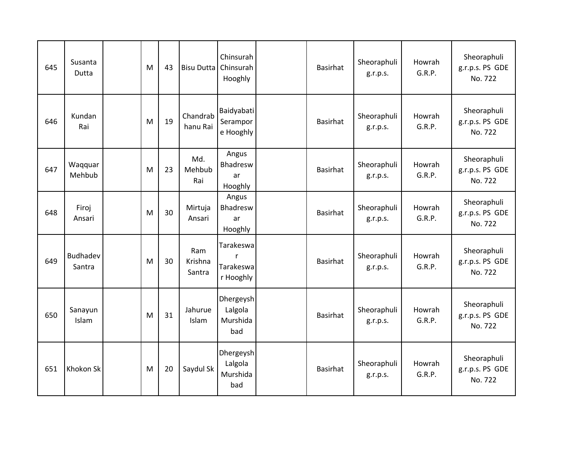| 645 | Susanta<br>Dutta   | M | 43 | Bisu Dutta Chinsurah     | Chinsurah<br>Hooghly                                | <b>Basirhat</b> | Sheoraphuli<br>g.r.p.s. | Howrah<br>G.R.P. | Sheoraphuli<br>g.r.p.s. PS GDE<br>No. 722 |
|-----|--------------------|---|----|--------------------------|-----------------------------------------------------|-----------------|-------------------------|------------------|-------------------------------------------|
| 646 | Kundan<br>Rai      | M | 19 | Chandrab<br>hanu Rai     | Baidyabati<br>Serampor<br>e Hooghly                 | Basirhat        | Sheoraphuli<br>g.r.p.s. | Howrah<br>G.R.P. | Sheoraphuli<br>g.r.p.s. PS GDE<br>No. 722 |
| 647 | Waqquar<br>Mehbub  | M | 23 | Md.<br>Mehbub<br>Rai     | Angus<br>Bhadresw<br>ar<br>Hooghly                  | <b>Basirhat</b> | Sheoraphuli<br>g.r.p.s. | Howrah<br>G.R.P. | Sheoraphuli<br>g.r.p.s. PS GDE<br>No. 722 |
| 648 | Firoj<br>Ansari    | M | 30 | Mirtuja<br>Ansari        | Angus<br>Bhadresw<br>ar<br>Hooghly                  | <b>Basirhat</b> | Sheoraphuli<br>g.r.p.s. | Howrah<br>G.R.P. | Sheoraphuli<br>g.r.p.s. PS GDE<br>No. 722 |
| 649 | Budhadev<br>Santra | M | 30 | Ram<br>Krishna<br>Santra | Tarakeswa<br>$\mathsf{r}$<br>Tarakeswa<br>r Hooghly | <b>Basirhat</b> | Sheoraphuli<br>g.r.p.s. | Howrah<br>G.R.P. | Sheoraphuli<br>g.r.p.s. PS GDE<br>No. 722 |
| 650 | Sanayun<br>Islam   | M | 31 | Jahurue<br>Islam         | Dhergeysh<br>Lalgola<br>Murshida<br>bad             | <b>Basirhat</b> | Sheoraphuli<br>g.r.p.s. | Howrah<br>G.R.P. | Sheoraphuli<br>g.r.p.s. PS GDE<br>No. 722 |
| 651 | Khokon Sk          | M | 20 | Saydul Sk                | Dhergeysh<br>Lalgola<br>Murshida<br>bad             | <b>Basirhat</b> | Sheoraphuli<br>g.r.p.s. | Howrah<br>G.R.P. | Sheoraphuli<br>g.r.p.s. PS GDE<br>No. 722 |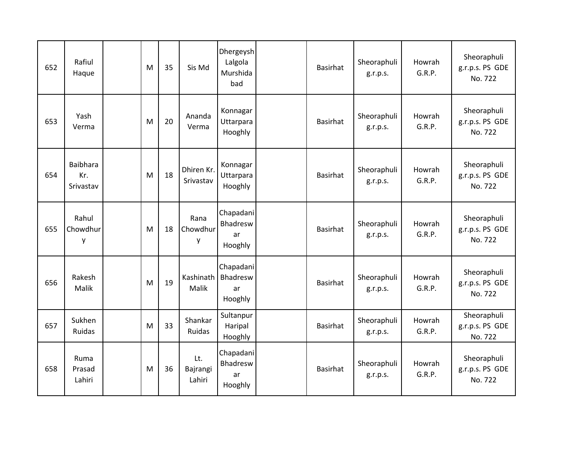| 652 | Rafiul<br>Haque                     | M | 35 | Sis Md                    | Dhergeysh<br>Lalgola<br>Murshida<br>bad | <b>Basirhat</b> | Sheoraphuli<br>g.r.p.s. | Howrah<br>G.R.P. | Sheoraphuli<br>g.r.p.s. PS GDE<br>No. 722 |
|-----|-------------------------------------|---|----|---------------------------|-----------------------------------------|-----------------|-------------------------|------------------|-------------------------------------------|
| 653 | Yash<br>Verma                       | M | 20 | Ananda<br>Verma           | Konnagar<br>Uttarpara<br>Hooghly        | <b>Basirhat</b> | Sheoraphuli<br>g.r.p.s. | Howrah<br>G.R.P. | Sheoraphuli<br>g.r.p.s. PS GDE<br>No. 722 |
| 654 | <b>Baibhara</b><br>Kr.<br>Srivastav | M | 18 | Dhiren Kr.<br>Srivastav   | Konnagar<br>Uttarpara<br>Hooghly        | Basirhat        | Sheoraphuli<br>g.r.p.s. | Howrah<br>G.R.P. | Sheoraphuli<br>g.r.p.s. PS GDE<br>No. 722 |
| 655 | Rahul<br>Chowdhur<br>y              | M | 18 | Rana<br>Chowdhur<br>y     | Chapadani<br>Bhadresw<br>ar<br>Hooghly  | <b>Basirhat</b> | Sheoraphuli<br>g.r.p.s. | Howrah<br>G.R.P. | Sheoraphuli<br>g.r.p.s. PS GDE<br>No. 722 |
| 656 | Rakesh<br>Malik                     | M | 19 | Kashinath<br>Malik        | Chapadani<br>Bhadresw<br>ar<br>Hooghly  | <b>Basirhat</b> | Sheoraphuli<br>g.r.p.s. | Howrah<br>G.R.P. | Sheoraphuli<br>g.r.p.s. PS GDE<br>No. 722 |
| 657 | Sukhen<br>Ruidas                    | M | 33 | Shankar<br>Ruidas         | Sultanpur<br>Haripal<br>Hooghly         | Basirhat        | Sheoraphuli<br>g.r.p.s. | Howrah<br>G.R.P. | Sheoraphuli<br>g.r.p.s. PS GDE<br>No. 722 |
| 658 | Ruma<br>Prasad<br>Lahiri            | M | 36 | Lt.<br>Bajrangi<br>Lahiri | Chapadani<br>Bhadresw<br>ar<br>Hooghly  | Basirhat        | Sheoraphuli<br>g.r.p.s. | Howrah<br>G.R.P. | Sheoraphuli<br>g.r.p.s. PS GDE<br>No. 722 |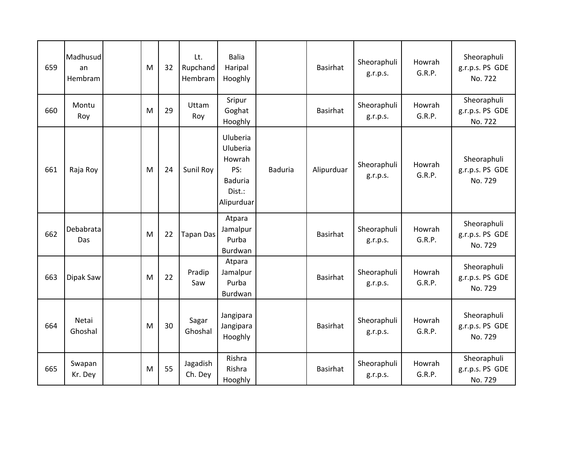| 659 | Madhusud<br>an<br>Hembram | M | 32 | Lt.<br>Rupchand<br>Hembram | <b>Balia</b><br>Haripal<br>Hooghly                                              |                | Basirhat        | Sheoraphuli<br>g.r.p.s. | Howrah<br>G.R.P. | Sheoraphuli<br>g.r.p.s. PS GDE<br>No. 722 |
|-----|---------------------------|---|----|----------------------------|---------------------------------------------------------------------------------|----------------|-----------------|-------------------------|------------------|-------------------------------------------|
| 660 | Montu<br>Roy              | M | 29 | Uttam<br>Roy               | Sripur<br>Goghat<br>Hooghly                                                     |                | Basirhat        | Sheoraphuli<br>g.r.p.s. | Howrah<br>G.R.P. | Sheoraphuli<br>g.r.p.s. PS GDE<br>No. 722 |
| 661 | Raja Roy                  | M | 24 | Sunil Roy                  | Uluberia<br>Uluberia<br>Howrah<br>PS:<br><b>Baduria</b><br>Dist.:<br>Alipurduar | <b>Baduria</b> | Alipurduar      | Sheoraphuli<br>g.r.p.s. | Howrah<br>G.R.P. | Sheoraphuli<br>g.r.p.s. PS GDE<br>No. 729 |
| 662 | Debabrata<br>Das          | M | 22 | <b>Tapan Das</b>           | Atpara<br>Jamalpur<br>Purba<br>Burdwan                                          |                | <b>Basirhat</b> | Sheoraphuli<br>g.r.p.s. | Howrah<br>G.R.P. | Sheoraphuli<br>g.r.p.s. PS GDE<br>No. 729 |
| 663 | Dipak Saw                 | M | 22 | Pradip<br>Saw              | Atpara<br>Jamalpur<br>Purba<br>Burdwan                                          |                | Basirhat        | Sheoraphuli<br>g.r.p.s. | Howrah<br>G.R.P. | Sheoraphuli<br>g.r.p.s. PS GDE<br>No. 729 |
| 664 | Netai<br>Ghoshal          | M | 30 | Sagar<br>Ghoshal           | Jangipara<br>Jangipara<br>Hooghly                                               |                | <b>Basirhat</b> | Sheoraphuli<br>g.r.p.s. | Howrah<br>G.R.P. | Sheoraphuli<br>g.r.p.s. PS GDE<br>No. 729 |
| 665 | Swapan<br>Kr. Dey         | M | 55 | Jagadish<br>Ch. Dey        | Rishra<br>Rishra<br>Hooghly                                                     |                | Basirhat        | Sheoraphuli<br>g.r.p.s. | Howrah<br>G.R.P. | Sheoraphuli<br>g.r.p.s. PS GDE<br>No. 729 |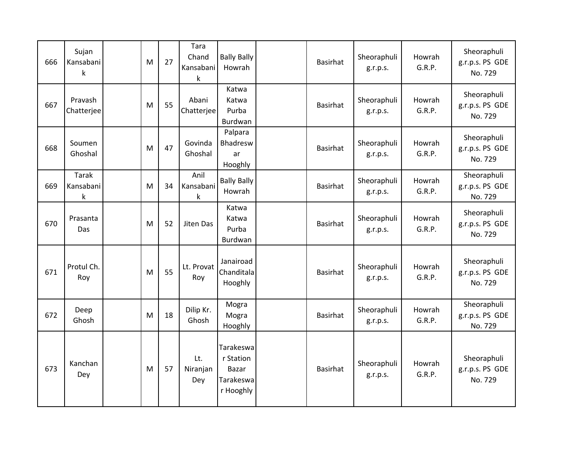| 666 | Sujan<br>Kansabani<br>k       | M | 27 | Tara<br>Chand<br>Kansabani<br>k | <b>Bally Bally</b><br>Howrah                              | <b>Basirhat</b> | Sheoraphuli<br>g.r.p.s. | Howrah<br>G.R.P. | Sheoraphuli<br>g.r.p.s. PS GDE<br>No. 729 |
|-----|-------------------------------|---|----|---------------------------------|-----------------------------------------------------------|-----------------|-------------------------|------------------|-------------------------------------------|
| 667 | Pravash<br>Chatterjee         | M | 55 | Abani<br>Chatterjee             | Katwa<br>Katwa<br>Purba<br>Burdwan                        | Basirhat        | Sheoraphuli<br>g.r.p.s. | Howrah<br>G.R.P. | Sheoraphuli<br>g.r.p.s. PS GDE<br>No. 729 |
| 668 | Soumen<br>Ghoshal             | M | 47 | Govinda<br>Ghoshal              | Palpara<br>Bhadresw<br>ar<br>Hooghly                      | Basirhat        | Sheoraphuli<br>g.r.p.s. | Howrah<br>G.R.P. | Sheoraphuli<br>g.r.p.s. PS GDE<br>No. 729 |
| 669 | Tarak<br>Kansabani<br>$\sf k$ | M | 34 | Anil<br>Kansabani<br>k          | <b>Bally Bally</b><br>Howrah                              | Basirhat        | Sheoraphuli<br>g.r.p.s. | Howrah<br>G.R.P. | Sheoraphuli<br>g.r.p.s. PS GDE<br>No. 729 |
| 670 | Prasanta<br>Das               | M | 52 | Jiten Das                       | Katwa<br>Katwa<br>Purba<br>Burdwan                        | Basirhat        | Sheoraphuli<br>g.r.p.s. | Howrah<br>G.R.P. | Sheoraphuli<br>g.r.p.s. PS GDE<br>No. 729 |
| 671 | Protul Ch.<br>Roy             | M | 55 | Lt. Provat<br>Roy               | Janairoad<br>Chanditala<br>Hooghly                        | Basirhat        | Sheoraphuli<br>g.r.p.s. | Howrah<br>G.R.P. | Sheoraphuli<br>g.r.p.s. PS GDE<br>No. 729 |
| 672 | Deep<br>Ghosh                 | M | 18 | Dilip Kr.<br>Ghosh              | Mogra<br>Mogra<br>Hooghly                                 | Basirhat        | Sheoraphuli<br>g.r.p.s. | Howrah<br>G.R.P. | Sheoraphuli<br>g.r.p.s. PS GDE<br>No. 729 |
| 673 | Kanchan<br>Dey                | M | 57 | Lt.<br>Niranjan<br>Dey          | Tarakeswa<br>r Station<br>Bazar<br>Tarakeswa<br>r Hooghly | Basirhat        | Sheoraphuli<br>g.r.p.s. | Howrah<br>G.R.P. | Sheoraphuli<br>g.r.p.s. PS GDE<br>No. 729 |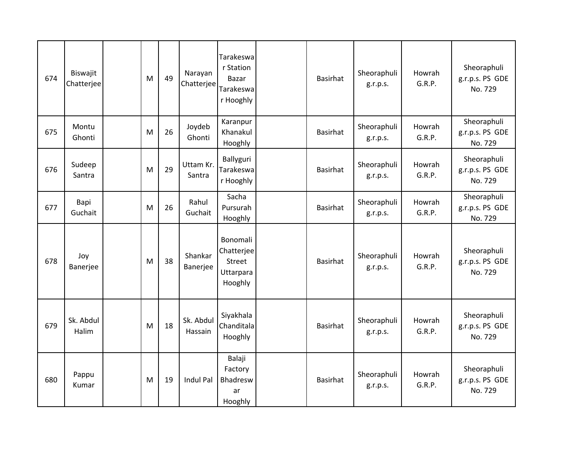| 674 | Biswajit<br>Chatterjee | M | 49 | Narayan<br>Chatterjee | Tarakeswa<br>r Station<br>Bazar<br>Tarakeswa<br>r Hooghly | Basirhat        | Sheoraphuli<br>g.r.p.s. | Howrah<br>G.R.P. | Sheoraphuli<br>g.r.p.s. PS GDE<br>No. 729 |
|-----|------------------------|---|----|-----------------------|-----------------------------------------------------------|-----------------|-------------------------|------------------|-------------------------------------------|
| 675 | Montu<br>Ghonti        | M | 26 | Joydeb<br>Ghonti      | Karanpur<br>Khanakul<br>Hooghly                           | Basirhat        | Sheoraphuli<br>g.r.p.s. | Howrah<br>G.R.P. | Sheoraphuli<br>g.r.p.s. PS GDE<br>No. 729 |
| 676 | Sudeep<br>Santra       | M | 29 | Uttam Kr.<br>Santra   | Ballyguri<br>Tarakeswa<br>r Hooghly                       | <b>Basirhat</b> | Sheoraphuli<br>g.r.p.s. | Howrah<br>G.R.P. | Sheoraphuli<br>g.r.p.s. PS GDE<br>No. 729 |
| 677 | Bapi<br>Guchait        | M | 26 | Rahul<br>Guchait      | Sacha<br>Pursurah<br>Hooghly                              | Basirhat        | Sheoraphuli<br>g.r.p.s. | Howrah<br>G.R.P. | Sheoraphuli<br>g.r.p.s. PS GDE<br>No. 729 |
| 678 | Joy<br>Banerjee        | M | 38 | Shankar<br>Banerjee   | Bonomali<br>Chatterjee<br>Street<br>Uttarpara<br>Hooghly  | Basirhat        | Sheoraphuli<br>g.r.p.s. | Howrah<br>G.R.P. | Sheoraphuli<br>g.r.p.s. PS GDE<br>No. 729 |
| 679 | Sk. Abdul<br>Halim     | M | 18 | Sk. Abdul<br>Hassain  | Siyakhala<br>Chanditala<br>Hooghly                        | <b>Basirhat</b> | Sheoraphuli<br>g.r.p.s. | Howrah<br>G.R.P. | Sheoraphuli<br>g.r.p.s. PS GDE<br>No. 729 |
| 680 | Pappu<br>Kumar         | M | 19 | Indul Pal             | Balaji<br>Factory<br>Bhadresw<br>ar<br>Hooghly            | <b>Basirhat</b> | Sheoraphuli<br>g.r.p.s. | Howrah<br>G.R.P. | Sheoraphuli<br>g.r.p.s. PS GDE<br>No. 729 |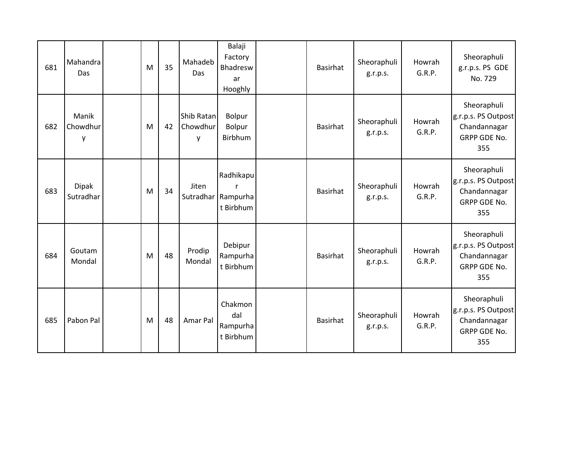| 681 | Mahandra<br>Das           | M | 35 | Mahadeb<br>Das              | Balaji<br>Factory<br>Bhadresw<br>ar<br>Hooghly | <b>Basirhat</b> | Sheoraphuli<br>g.r.p.s. | Howrah<br>G.R.P. | Sheoraphuli<br>g.r.p.s. PS GDE<br>No. 729                                 |
|-----|---------------------------|---|----|-----------------------------|------------------------------------------------|-----------------|-------------------------|------------------|---------------------------------------------------------------------------|
| 682 | Manik<br>Chowdhur<br>у    | M | 42 | Shib Ratan<br>Chowdhur<br>y | Bolpur<br>Bolpur<br>Birbhum                    | <b>Basirhat</b> | Sheoraphuli<br>g.r.p.s. | Howrah<br>G.R.P. | Sheoraphuli<br>g.r.p.s. PS Outpost<br>Chandannagar<br>GRPP GDE No.<br>355 |
| 683 | <b>Dipak</b><br>Sutradhar | M | 34 | Jiten                       | Radhikapu<br>Sutradhar Rampurha<br>t Birbhum   | <b>Basirhat</b> | Sheoraphuli<br>g.r.p.s. | Howrah<br>G.R.P. | Sheoraphuli<br>g.r.p.s. PS Outpost<br>Chandannagar<br>GRPP GDE No.<br>355 |
| 684 | Goutam<br>Mondal          | M | 48 | Prodip<br>Mondal            | Debipur<br>Rampurha<br>t Birbhum               | <b>Basirhat</b> | Sheoraphuli<br>g.r.p.s. | Howrah<br>G.R.P. | Sheoraphuli<br>g.r.p.s. PS Outpost<br>Chandannagar<br>GRPP GDE No.<br>355 |
| 685 | Pabon Pal                 | M | 48 | Amar Pal                    | Chakmon<br>dal<br>Rampurha<br>t Birbhum        | <b>Basirhat</b> | Sheoraphuli<br>g.r.p.s. | Howrah<br>G.R.P. | Sheoraphuli<br>g.r.p.s. PS Outpost<br>Chandannagar<br>GRPP GDE No.<br>355 |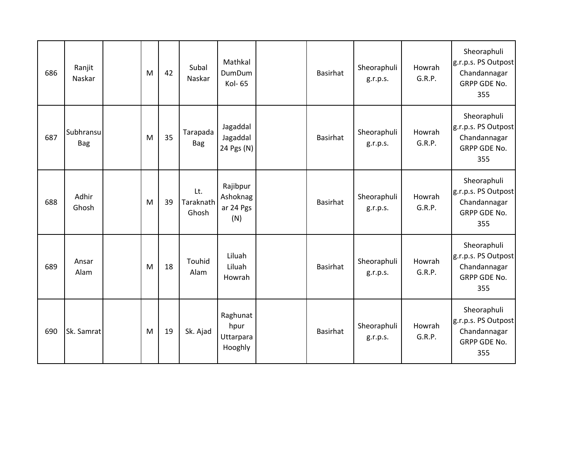| 686 | Ranjit<br>Naskar        | M | 42 | Subal<br>Naskar           | Mathkal<br><b>DumDum</b><br>Kol-65       | <b>Basirhat</b> | Sheoraphuli<br>g.r.p.s. | Howrah<br>G.R.P. | Sheoraphuli<br>g.r.p.s. PS Outpost<br>Chandannagar<br><b>GRPP GDE No.</b><br>355 |
|-----|-------------------------|---|----|---------------------------|------------------------------------------|-----------------|-------------------------|------------------|----------------------------------------------------------------------------------|
| 687 | Subhransu<br><b>Bag</b> | M | 35 | Tarapada<br><b>Bag</b>    | Jagaddal<br>Jagaddal<br>24 Pgs (N)       | Basirhat        | Sheoraphuli<br>g.r.p.s. | Howrah<br>G.R.P. | Sheoraphuli<br>g.r.p.s. PS Outpost<br>Chandannagar<br>GRPP GDE No.<br>355        |
| 688 | Adhir<br>Ghosh          | M | 39 | Lt.<br>Taraknath<br>Ghosh | Rajibpur<br>Ashoknag<br>ar 24 Pgs<br>(N) | <b>Basirhat</b> | Sheoraphuli<br>g.r.p.s. | Howrah<br>G.R.P. | Sheoraphuli<br>g.r.p.s. PS Outpost<br>Chandannagar<br><b>GRPP GDE No.</b><br>355 |
| 689 | Ansar<br>Alam           | M | 18 | Touhid<br>Alam            | Liluah<br>Liluah<br>Howrah               | <b>Basirhat</b> | Sheoraphuli<br>g.r.p.s. | Howrah<br>G.R.P. | Sheoraphuli<br>g.r.p.s. PS Outpost<br>Chandannagar<br>GRPP GDE No.<br>355        |
| 690 | Sk. Samrat              | M | 19 | Sk. Ajad                  | Raghunat<br>hpur<br>Uttarpara<br>Hooghly | <b>Basirhat</b> | Sheoraphuli<br>g.r.p.s. | Howrah<br>G.R.P. | Sheoraphuli<br>g.r.p.s. PS Outpost<br>Chandannagar<br><b>GRPP GDE No.</b><br>355 |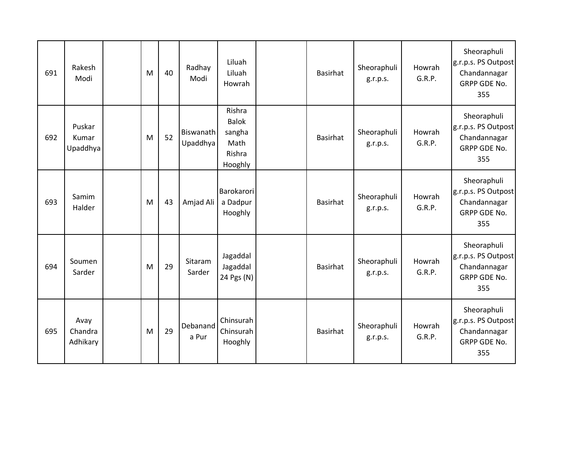| 691 | Rakesh<br>Modi              | M | 40 | Radhay<br>Modi        | Liluah<br>Liluah<br>Howrah                                    | <b>Basirhat</b> | Sheoraphuli<br>g.r.p.s. | Howrah<br>G.R.P. | Sheoraphuli<br>g.r.p.s. PS Outpost<br>Chandannagar<br><b>GRPP GDE No.</b><br>355 |
|-----|-----------------------------|---|----|-----------------------|---------------------------------------------------------------|-----------------|-------------------------|------------------|----------------------------------------------------------------------------------|
| 692 | Puskar<br>Kumar<br>Upaddhya | M | 52 | Biswanath<br>Upaddhya | Rishra<br><b>Balok</b><br>sangha<br>Math<br>Rishra<br>Hooghly | <b>Basirhat</b> | Sheoraphuli<br>g.r.p.s. | Howrah<br>G.R.P. | Sheoraphuli<br>g.r.p.s. PS Outpost<br>Chandannagar<br><b>GRPP GDE No.</b><br>355 |
| 693 | Samim<br>Halder             | M | 43 | Amjad Ali             | Barokarori<br>a Dadpur<br>Hooghly                             | <b>Basirhat</b> | Sheoraphuli<br>g.r.p.s. | Howrah<br>G.R.P. | Sheoraphuli<br>g.r.p.s. PS Outpost<br>Chandannagar<br><b>GRPP GDE No.</b><br>355 |
| 694 | Soumen<br>Sarder            | M | 29 | Sitaram<br>Sarder     | Jagaddal<br>Jagaddal<br>24 Pgs (N)                            | <b>Basirhat</b> | Sheoraphuli<br>g.r.p.s. | Howrah<br>G.R.P. | Sheoraphuli<br>g.r.p.s. PS Outpost<br>Chandannagar<br>GRPP GDE No.<br>355        |
| 695 | Avay<br>Chandra<br>Adhikary | M | 29 | Debanand<br>a Pur     | Chinsurah<br>Chinsurah<br>Hooghly                             | <b>Basirhat</b> | Sheoraphuli<br>g.r.p.s. | Howrah<br>G.R.P. | Sheoraphuli<br>g.r.p.s. PS Outpost<br>Chandannagar<br><b>GRPP GDE No.</b><br>355 |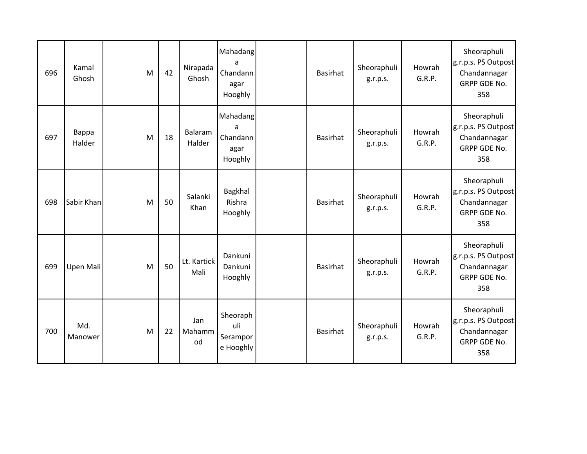| 696 | Kamal<br>Ghosh  | M | 42 | Nirapada<br>Ghosh   | Mahadang<br>a<br>Chandann<br>agar<br>Hooghly | <b>Basirhat</b> | Sheoraphuli<br>g.r.p.s. | Howrah<br>G.R.P. | Sheoraphuli<br>g.r.p.s. PS Outpost<br>Chandannagar<br><b>GRPP GDE No.</b><br>358 |
|-----|-----------------|---|----|---------------------|----------------------------------------------|-----------------|-------------------------|------------------|----------------------------------------------------------------------------------|
| 697 | Bappa<br>Halder | M | 18 | Balaram<br>Halder   | Mahadang<br>a<br>Chandann<br>agar<br>Hooghly | Basirhat        | Sheoraphuli<br>g.r.p.s. | Howrah<br>G.R.P. | Sheoraphuli<br>g.r.p.s. PS Outpost<br>Chandannagar<br>GRPP GDE No.<br>358        |
| 698 | Sabir Khan      | M | 50 | Salanki<br>Khan     | Bagkhal<br>Rishra<br>Hooghly                 | <b>Basirhat</b> | Sheoraphuli<br>g.r.p.s. | Howrah<br>G.R.P. | Sheoraphuli<br>g.r.p.s. PS Outpost<br>Chandannagar<br><b>GRPP GDE No.</b><br>358 |
| 699 | Upen Mali       | M | 50 | Lt. Kartick<br>Mali | Dankuni<br>Dankuni<br>Hooghly                | Basirhat        | Sheoraphuli<br>g.r.p.s. | Howrah<br>G.R.P. | Sheoraphuli<br>g.r.p.s. PS Outpost<br>Chandannagar<br>GRPP GDE No.<br>358        |
| 700 | Md.<br>Manower  | M | 22 | Jan<br>Mahamm<br>od | Sheoraph<br>uli<br>Serampor<br>e Hooghly     | <b>Basirhat</b> | Sheoraphuli<br>g.r.p.s. | Howrah<br>G.R.P. | Sheoraphuli<br>g.r.p.s. PS Outpost<br>Chandannagar<br><b>GRPP GDE No.</b><br>358 |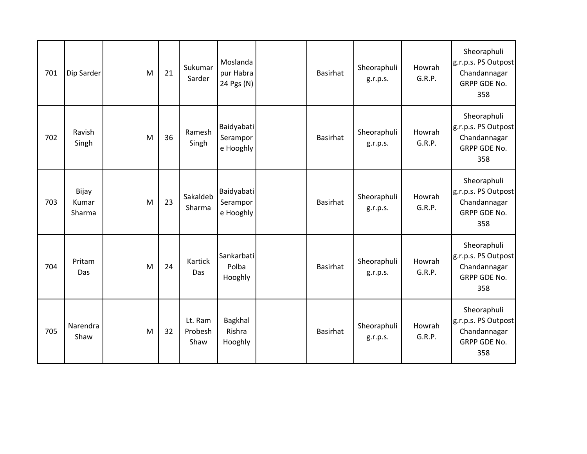| 701 | Dip Sarder               | M | 21 | Sukumar<br>Sarder          | Moslanda<br>pur Habra<br>24 Pgs (N) | <b>Basirhat</b> | Sheoraphuli<br>g.r.p.s. | Howrah<br>G.R.P. | Sheoraphuli<br>g.r.p.s. PS Outpost<br>Chandannagar<br>GRPP GDE No.<br>358        |
|-----|--------------------------|---|----|----------------------------|-------------------------------------|-----------------|-------------------------|------------------|----------------------------------------------------------------------------------|
| 702 | Ravish<br>Singh          | M | 36 | Ramesh<br>Singh            | Baidyabati<br>Serampor<br>e Hooghly | <b>Basirhat</b> | Sheoraphuli<br>g.r.p.s. | Howrah<br>G.R.P. | Sheoraphuli<br>g.r.p.s. PS Outpost<br>Chandannagar<br>GRPP GDE No.<br>358        |
| 703 | Bijay<br>Kumar<br>Sharma | M | 23 | Sakaldeb<br>Sharma         | Baidyabati<br>Serampor<br>e Hooghly | <b>Basirhat</b> | Sheoraphuli<br>g.r.p.s. | Howrah<br>G.R.P. | Sheoraphuli<br>g.r.p.s. PS Outpost<br>Chandannagar<br>GRPP GDE No.<br>358        |
| 704 | Pritam<br>Das            | M | 24 | Kartick<br>Das             | Sankarbati<br>Polba<br>Hooghly      | <b>Basirhat</b> | Sheoraphuli<br>g.r.p.s. | Howrah<br>G.R.P. | Sheoraphuli<br>g.r.p.s. PS Outpost<br>Chandannagar<br><b>GRPP GDE No.</b><br>358 |
| 705 | Narendra<br>Shaw         | M | 32 | Lt. Ram<br>Probesh<br>Shaw | Bagkhal<br>Rishra<br>Hooghly        | <b>Basirhat</b> | Sheoraphuli<br>g.r.p.s. | Howrah<br>G.R.P. | Sheoraphuli<br>g.r.p.s. PS Outpost<br>Chandannagar<br>GRPP GDE No.<br>358        |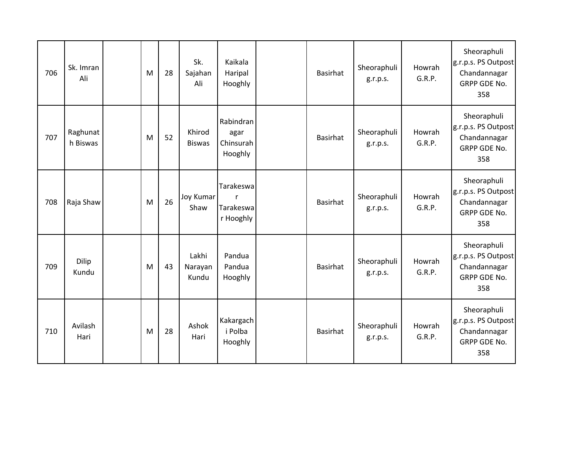| 706 | Sk. Imran<br>Ali     | M | 28 | Sk.<br>Sajahan<br>Ali     | Kaikala<br>Haripal<br>Hooghly             | <b>Basirhat</b> | Sheoraphuli<br>g.r.p.s. | Howrah<br>G.R.P. | Sheoraphuli<br>g.r.p.s. PS Outpost<br>Chandannagar<br><b>GRPP GDE No.</b><br>358 |
|-----|----------------------|---|----|---------------------------|-------------------------------------------|-----------------|-------------------------|------------------|----------------------------------------------------------------------------------|
| 707 | Raghunat<br>h Biswas | M | 52 | Khirod<br><b>Biswas</b>   | Rabindran<br>agar<br>Chinsurah<br>Hooghly | Basirhat        | Sheoraphuli<br>g.r.p.s. | Howrah<br>G.R.P. | Sheoraphuli<br>g.r.p.s. PS Outpost<br>Chandannagar<br>GRPP GDE No.<br>358        |
| 708 | Raja Shaw            | M | 26 | <b>Joy Kumar</b><br>Shaw  | Tarakeswa<br>r<br>Tarakeswa<br>r Hooghly  | <b>Basirhat</b> | Sheoraphuli<br>g.r.p.s. | Howrah<br>G.R.P. | Sheoraphuli<br>g.r.p.s. PS Outpost<br>Chandannagar<br><b>GRPP GDE No.</b><br>358 |
| 709 | Dilip<br>Kundu       | M | 43 | Lakhi<br>Narayan<br>Kundu | Pandua<br>Pandua<br>Hooghly               | <b>Basirhat</b> | Sheoraphuli<br>g.r.p.s. | Howrah<br>G.R.P. | Sheoraphuli<br>g.r.p.s. PS Outpost<br>Chandannagar<br>GRPP GDE No.<br>358        |
| 710 | Avilash<br>Hari      | M | 28 | Ashok<br>Hari             | Kakargach<br>i Polba<br>Hooghly           | <b>Basirhat</b> | Sheoraphuli<br>g.r.p.s. | Howrah<br>G.R.P. | Sheoraphuli<br>g.r.p.s. PS Outpost<br>Chandannagar<br><b>GRPP GDE No.</b><br>358 |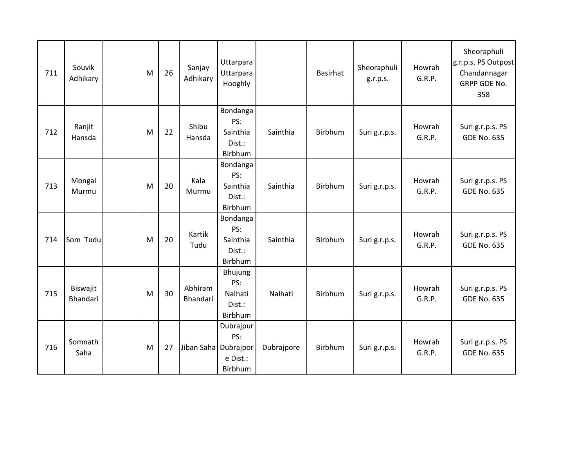| 711 | Souvik<br>Adhikary   | M | 26 | Sanjay<br>Adhikary     | Uttarpara<br>Uttarpara<br>Hooghly                |            | <b>Basirhat</b> | Sheoraphuli<br>g.r.p.s. | Howrah<br>G.R.P. | Sheoraphuli<br>g.r.p.s. PS Outpost<br>Chandannagar<br>GRPP GDE No.<br>358 |
|-----|----------------------|---|----|------------------------|--------------------------------------------------|------------|-----------------|-------------------------|------------------|---------------------------------------------------------------------------|
| 712 | Ranjit<br>Hansda     | M | 22 | Shibu<br>Hansda        | Bondanga<br>PS:<br>Sainthia<br>Dist.:<br>Birbhum | Sainthia   | Birbhum         | Suri g.r.p.s.           | Howrah<br>G.R.P. | Suri g.r.p.s. PS<br><b>GDE No. 635</b>                                    |
| 713 | Mongal<br>Murmu      | M | 20 | Kala<br>Murmu          | Bondanga<br>PS:<br>Sainthia<br>Dist.:<br>Birbhum | Sainthia   | Birbhum         | Suri g.r.p.s.           | Howrah<br>G.R.P. | Suri g.r.p.s. PS<br><b>GDE No. 635</b>                                    |
| 714 | Som Tudu             | M | 20 | Kartik<br>Tudu         | Bondanga<br>PS:<br>Sainthia<br>Dist.:<br>Birbhum | Sainthia   | Birbhum         | Suri g.r.p.s.           | Howrah<br>G.R.P. | Suri g.r.p.s. PS<br><b>GDE No. 635</b>                                    |
| 715 | Biswajit<br>Bhandari | M | 30 | Abhiram<br>Bhandari    | Bhujung<br>PS:<br>Nalhati<br>Dist.:<br>Birbhum   | Nalhati    | Birbhum         | Suri g.r.p.s.           | Howrah<br>G.R.P. | Suri g.r.p.s. PS<br><b>GDE No. 635</b>                                    |
| 716 | Somnath<br>Saha      | M | 27 | Jiban Saha   Dubrajpor | Dubrajpur<br>PS:<br>e Dist.:<br>Birbhum          | Dubrajpore | Birbhum         | Suri g.r.p.s.           | Howrah<br>G.R.P. | Suri g.r.p.s. PS<br><b>GDE No. 635</b>                                    |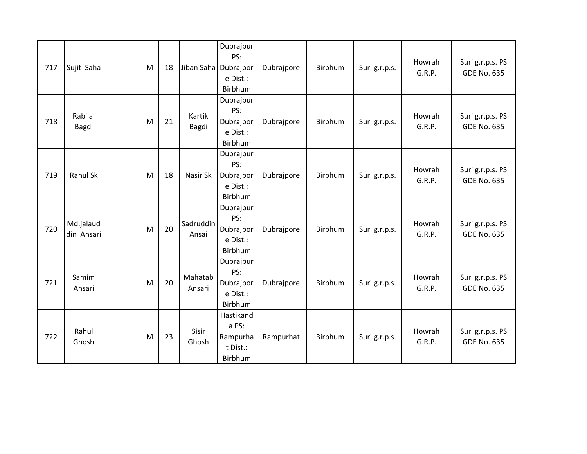| 717 | Sujit Saha              | M | 18 | Jiban Saha   Dubrajpor | Dubrajpur<br>PS:<br>e Dist.:<br>Birbhum               | Dubrajpore | Birbhum | Suri g.r.p.s. | Howrah<br>G.R.P. | Suri g.r.p.s. PS<br><b>GDE No. 635</b> |
|-----|-------------------------|---|----|------------------------|-------------------------------------------------------|------------|---------|---------------|------------------|----------------------------------------|
| 718 | Rabilal<br>Bagdi        | M | 21 | Kartik<br>Bagdi        | Dubrajpur<br>PS:<br>Dubrajpor<br>e Dist.:<br>Birbhum  | Dubrajpore | Birbhum | Suri g.r.p.s. | Howrah<br>G.R.P. | Suri g.r.p.s. PS<br><b>GDE No. 635</b> |
| 719 | Rahul Sk                | M | 18 | Nasir Sk               | Dubrajpur<br>PS:<br>Dubrajpor<br>e Dist.:<br>Birbhum  | Dubrajpore | Birbhum | Suri g.r.p.s. | Howrah<br>G.R.P. | Suri g.r.p.s. PS<br><b>GDE No. 635</b> |
| 720 | Md.jalaud<br>din Ansari | M | 20 | Sadruddin<br>Ansai     | Dubrajpur<br>PS:<br>Dubrajpor<br>e Dist.:<br>Birbhum  | Dubrajpore | Birbhum | Suri g.r.p.s. | Howrah<br>G.R.P. | Suri g.r.p.s. PS<br><b>GDE No. 635</b> |
| 721 | Samim<br>Ansari         | M | 20 | Mahatab<br>Ansari      | Dubrajpur<br>PS:<br>Dubrajpor<br>e Dist.:<br>Birbhum  | Dubrajpore | Birbhum | Suri g.r.p.s. | Howrah<br>G.R.P. | Suri g.r.p.s. PS<br><b>GDE No. 635</b> |
| 722 | Rahul<br>Ghosh          | M | 23 | Sisir<br>Ghosh         | Hastikand<br>a PS:<br>Rampurha<br>t Dist.:<br>Birbhum | Rampurhat  | Birbhum | Suri g.r.p.s. | Howrah<br>G.R.P. | Suri g.r.p.s. PS<br><b>GDE No. 635</b> |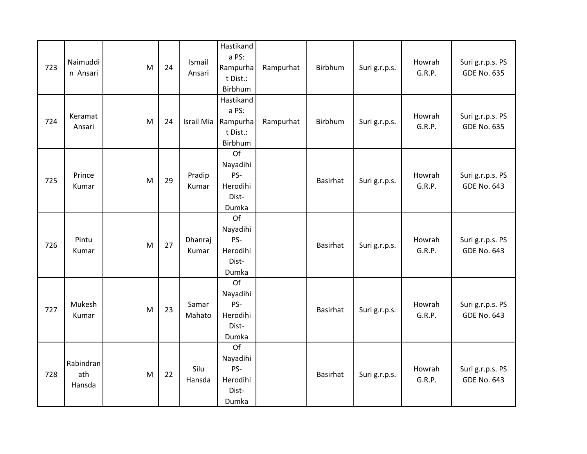| 723 | Naimuddi<br>n Ansari       | M | 24 | Ismail<br>Ansari | Hastikand<br>a PS:<br>Rampurha<br>t Dist.:<br>Birbhum | Rampurhat | Birbhum         | Suri g.r.p.s. | Howrah<br>G.R.P. | Suri g.r.p.s. PS<br><b>GDE No. 635</b> |
|-----|----------------------------|---|----|------------------|-------------------------------------------------------|-----------|-----------------|---------------|------------------|----------------------------------------|
| 724 | Keramat<br>Ansari          | M | 24 | Israil Mia       | Hastikand<br>a PS:<br>Rampurha<br>t Dist.:<br>Birbhum | Rampurhat | Birbhum         | Suri g.r.p.s. | Howrah<br>G.R.P. | Suri g.r.p.s. PS<br><b>GDE No. 635</b> |
| 725 | Prince<br>Kumar            | M | 29 | Pradip<br>Kumar  | Of<br>Nayadihi<br>PS-<br>Herodihi<br>Dist-<br>Dumka   |           | Basirhat        | Suri g.r.p.s. | Howrah<br>G.R.P. | Suri g.r.p.s. PS<br><b>GDE No. 643</b> |
| 726 | Pintu<br>Kumar             | M | 27 | Dhanraj<br>Kumar | Of<br>Nayadihi<br>PS-<br>Herodihi<br>Dist-<br>Dumka   |           | Basirhat        | Suri g.r.p.s. | Howrah<br>G.R.P. | Suri g.r.p.s. PS<br><b>GDE No. 643</b> |
| 727 | Mukesh<br>Kumar            | M | 23 | Samar<br>Mahato  | Of<br>Nayadihi<br>PS-<br>Herodihi<br>Dist-<br>Dumka   |           | <b>Basirhat</b> | Suri g.r.p.s. | Howrah<br>G.R.P. | Suri g.r.p.s. PS<br><b>GDE No. 643</b> |
| 728 | Rabindran<br>ath<br>Hansda | M | 22 | Silu<br>Hansda   | Of<br>Nayadihi<br>PS-<br>Herodihi<br>Dist-<br>Dumka   |           | Basirhat        | Suri g.r.p.s. | Howrah<br>G.R.P. | Suri g.r.p.s. PS<br><b>GDE No. 643</b> |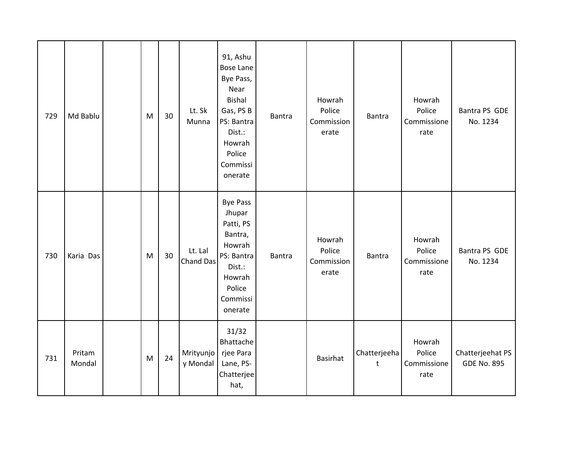| 729 | Md Bablu         | M | 30 | Lt. Sk<br>Munna       | 91, Ashu<br><b>Bose Lane</b><br>Bye Pass,<br>Near<br><b>Bishal</b><br>Gas, PS B<br>PS: Bantra<br>Dist.:<br>Howrah<br>Police<br>Commissi<br>onerate | Bantra | Howrah<br>Police<br>Commission<br>erate | <b>Bantra</b>           | Howrah<br>Police<br>Commissione<br>rate | Bantra PS GDE<br>No. 1234              |
|-----|------------------|---|----|-----------------------|----------------------------------------------------------------------------------------------------------------------------------------------------|--------|-----------------------------------------|-------------------------|-----------------------------------------|----------------------------------------|
| 730 | Karia Das        | M | 30 | Lt. Lal<br>Chand Das  | <b>Bye Pass</b><br>Jhupar<br>Patti, PS<br>Bantra,<br>Howrah<br>PS: Bantra<br>Dist.:<br>Howrah<br>Police<br>Commissi<br>onerate                     | Bantra | Howrah<br>Police<br>Commission<br>erate | <b>Bantra</b>           | Howrah<br>Police<br>Commissione<br>rate | Bantra PS GDE<br>No. 1234              |
| 731 | Pritam<br>Mondal | M | 24 | Mrityunjo<br>y Mondal | 31/32<br>Bhattache<br>rjee Para<br>Lane, PS-<br>Chatterjee<br>hat,                                                                                 |        | <b>Basirhat</b>                         | Chatterjeeha<br>$\sf t$ | Howrah<br>Police<br>Commissione<br>rate | Chatterjeehat PS<br><b>GDE No. 895</b> |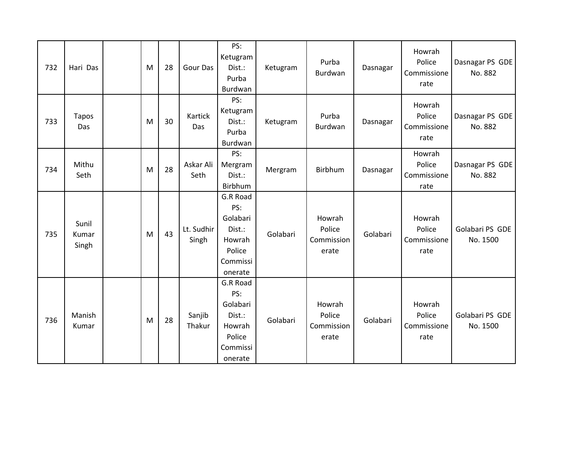| 732 | Hari Das                | M | 28 | Gour Das            | PS:<br>Ketugram<br>Dist.:<br>Purba<br>Burdwan                                    | Ketugram | Purba<br>Burdwan                        | Dasnagar | Howrah<br>Police<br>Commissione<br>rate | Dasnagar PS GDE<br>No. 882  |
|-----|-------------------------|---|----|---------------------|----------------------------------------------------------------------------------|----------|-----------------------------------------|----------|-----------------------------------------|-----------------------------|
| 733 | <b>Tapos</b><br>Das     | M | 30 | Kartick<br>Das      | PS:<br>Ketugram<br>Dist.:<br>Purba<br>Burdwan                                    | Ketugram | Purba<br>Burdwan                        | Dasnagar | Howrah<br>Police<br>Commissione<br>rate | Dasnagar PS GDE<br>No. 882  |
| 734 | Mithu<br>Seth           | M | 28 | Askar Ali<br>Seth   | PS:<br>Mergram<br>Dist.:<br>Birbhum                                              | Mergram  | Birbhum                                 | Dasnagar | Howrah<br>Police<br>Commissione<br>rate | Dasnagar PS GDE<br>No. 882  |
| 735 | Sunil<br>Kumar<br>Singh | M | 43 | Lt. Sudhir<br>Singh | G.R Road<br>PS:<br>Golabari<br>Dist.:<br>Howrah<br>Police<br>Commissi<br>onerate | Golabari | Howrah<br>Police<br>Commission<br>erate | Golabari | Howrah<br>Police<br>Commissione<br>rate | Golabari PS GDE<br>No. 1500 |
| 736 | Manish<br>Kumar         | M | 28 | Sanjib<br>Thakur    | G.R Road<br>PS:<br>Golabari<br>Dist.:<br>Howrah<br>Police<br>Commissi<br>onerate | Golabari | Howrah<br>Police<br>Commission<br>erate | Golabari | Howrah<br>Police<br>Commissione<br>rate | Golabari PS GDE<br>No. 1500 |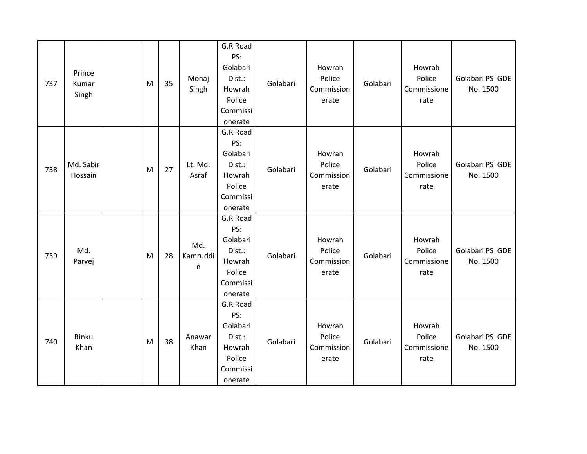| 737 | Prince<br>Kumar<br>Singh | M | 35 | Monaj<br>Singh       | G.R Road<br>PS:<br>Golabari<br>Dist.:<br>Howrah<br>Police<br>Commissi<br>onerate | Golabari | Howrah<br>Police<br>Commission<br>erate | Golabari | Howrah<br>Police<br>Commissione<br>rate | Golabari PS GDE<br>No. 1500 |
|-----|--------------------------|---|----|----------------------|----------------------------------------------------------------------------------|----------|-----------------------------------------|----------|-----------------------------------------|-----------------------------|
| 738 | Md. Sabir<br>Hossain     | M | 27 | Lt. Md.<br>Asraf     | G.R Road<br>PS:<br>Golabari<br>Dist.:<br>Howrah<br>Police<br>Commissi<br>onerate | Golabari | Howrah<br>Police<br>Commission<br>erate | Golabari | Howrah<br>Police<br>Commissione<br>rate | Golabari PS GDE<br>No. 1500 |
| 739 | Md.<br>Parvej            | M | 28 | Md.<br>Kamruddi<br>n | G.R Road<br>PS:<br>Golabari<br>Dist.:<br>Howrah<br>Police<br>Commissi<br>onerate | Golabari | Howrah<br>Police<br>Commission<br>erate | Golabari | Howrah<br>Police<br>Commissione<br>rate | Golabari PS GDE<br>No. 1500 |
| 740 | Rinku<br>Khan            | M | 38 | Anawar<br>Khan       | G.R Road<br>PS:<br>Golabari<br>Dist.:<br>Howrah<br>Police<br>Commissi<br>onerate | Golabari | Howrah<br>Police<br>Commission<br>erate | Golabari | Howrah<br>Police<br>Commissione<br>rate | Golabari PS GDE<br>No. 1500 |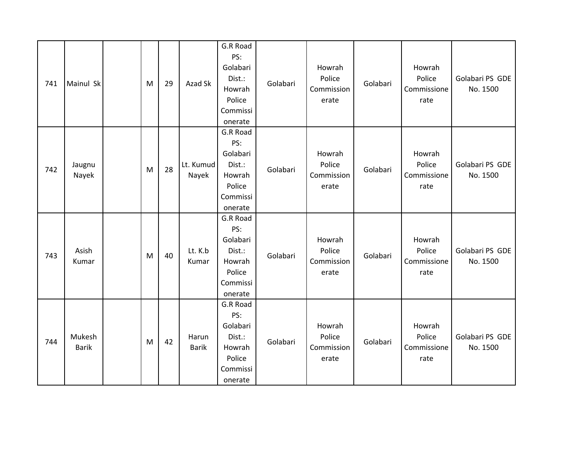| 741 | Mainul Sk              | M | 29 | Azad Sk               | G.R Road<br>PS:<br>Golabari<br>Dist.:<br>Howrah<br>Police<br>Commissi<br>onerate | Golabari | Howrah<br>Police<br>Commission<br>erate | Golabari | Howrah<br>Police<br>Commissione<br>rate | Golabari PS GDE<br>No. 1500 |
|-----|------------------------|---|----|-----------------------|----------------------------------------------------------------------------------|----------|-----------------------------------------|----------|-----------------------------------------|-----------------------------|
| 742 | Jaugnu<br>Nayek        | M | 28 | Lt. Kumud<br>Nayek    | G.R Road<br>PS:<br>Golabari<br>Dist.:<br>Howrah<br>Police<br>Commissi<br>onerate | Golabari | Howrah<br>Police<br>Commission<br>erate | Golabari | Howrah<br>Police<br>Commissione<br>rate | Golabari PS GDE<br>No. 1500 |
| 743 | Asish<br>Kumar         | M | 40 | Lt. K.b<br>Kumar      | G.R Road<br>PS:<br>Golabari<br>Dist.:<br>Howrah<br>Police<br>Commissi<br>onerate | Golabari | Howrah<br>Police<br>Commission<br>erate | Golabari | Howrah<br>Police<br>Commissione<br>rate | Golabari PS GDE<br>No. 1500 |
| 744 | Mukesh<br><b>Barik</b> | M | 42 | Harun<br><b>Barik</b> | G.R Road<br>PS:<br>Golabari<br>Dist.:<br>Howrah<br>Police<br>Commissi<br>onerate | Golabari | Howrah<br>Police<br>Commission<br>erate | Golabari | Howrah<br>Police<br>Commissione<br>rate | Golabari PS GDE<br>No. 1500 |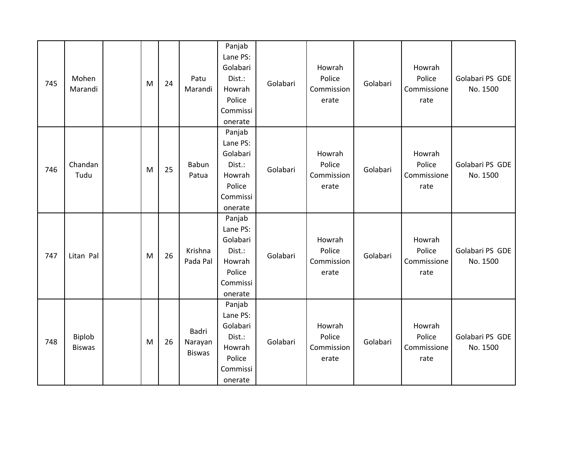| 745 | Mohen<br>Marandi        | M | 24 | Patu<br>Marandi                   | Panjab<br>Lane PS:<br>Golabari<br>Dist.:<br>Howrah<br>Police<br>Commissi<br>onerate | Golabari | Howrah<br>Police<br>Commission<br>erate | Golabari | Howrah<br>Police<br>Commissione<br>rate | Golabari PS GDE<br>No. 1500 |
|-----|-------------------------|---|----|-----------------------------------|-------------------------------------------------------------------------------------|----------|-----------------------------------------|----------|-----------------------------------------|-----------------------------|
| 746 | Chandan<br>Tudu         | M | 25 | Babun<br>Patua                    | Panjab<br>Lane PS:<br>Golabari<br>Dist.:<br>Howrah<br>Police<br>Commissi<br>onerate | Golabari | Howrah<br>Police<br>Commission<br>erate | Golabari | Howrah<br>Police<br>Commissione<br>rate | Golabari PS GDE<br>No. 1500 |
| 747 | Litan Pal               | M | 26 | Krishna<br>Pada Pal               | Panjab<br>Lane PS:<br>Golabari<br>Dist.:<br>Howrah<br>Police<br>Commissi<br>onerate | Golabari | Howrah<br>Police<br>Commission<br>erate | Golabari | Howrah<br>Police<br>Commissione<br>rate | Golabari PS GDE<br>No. 1500 |
| 748 | Biplob<br><b>Biswas</b> | M | 26 | Badri<br>Narayan<br><b>Biswas</b> | Panjab<br>Lane PS:<br>Golabari<br>Dist.:<br>Howrah<br>Police<br>Commissi<br>onerate | Golabari | Howrah<br>Police<br>Commission<br>erate | Golabari | Howrah<br>Police<br>Commissione<br>rate | Golabari PS GDE<br>No. 1500 |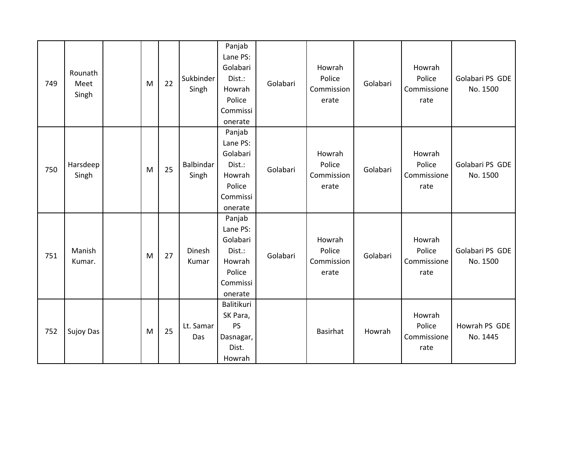| 749 | Rounath<br>Meet<br>Singh | M | 22 | Sukbinder<br>Singh | Panjab<br>Lane PS:<br>Golabari<br>Dist.:<br>Howrah<br>Police<br>Commissi<br>onerate | Golabari | Howrah<br>Police<br>Commission<br>erate | Golabari | Howrah<br>Police<br>Commissione<br>rate | Golabari PS GDE<br>No. 1500 |
|-----|--------------------------|---|----|--------------------|-------------------------------------------------------------------------------------|----------|-----------------------------------------|----------|-----------------------------------------|-----------------------------|
| 750 | Harsdeep<br>Singh        | M | 25 | Balbindar<br>Singh | Panjab<br>Lane PS:<br>Golabari<br>Dist.:<br>Howrah<br>Police<br>Commissi<br>onerate | Golabari | Howrah<br>Police<br>Commission<br>erate | Golabari | Howrah<br>Police<br>Commissione<br>rate | Golabari PS GDE<br>No. 1500 |
| 751 | Manish<br>Kumar.         | M | 27 | Dinesh<br>Kumar    | Panjab<br>Lane PS:<br>Golabari<br>Dist.:<br>Howrah<br>Police<br>Commissi<br>onerate | Golabari | Howrah<br>Police<br>Commission<br>erate | Golabari | Howrah<br>Police<br>Commissione<br>rate | Golabari PS GDE<br>No. 1500 |
| 752 | Sujoy Das                | M | 25 | Lt. Samar<br>Das   | Balitikuri<br>SK Para,<br>PS<br>Dasnagar,<br>Dist.<br>Howrah                        |          | <b>Basirhat</b>                         | Howrah   | Howrah<br>Police<br>Commissione<br>rate | Howrah PS GDE<br>No. 1445   |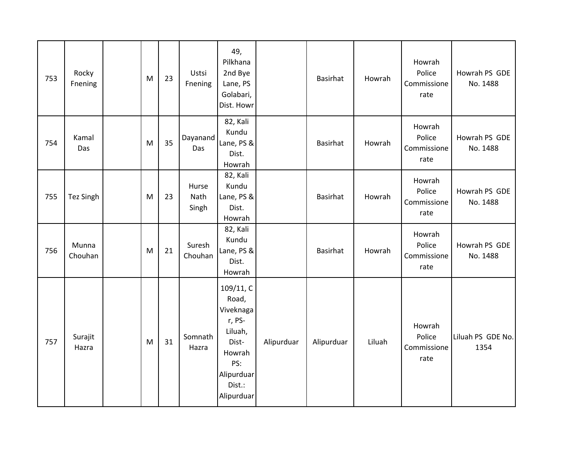| 753 | Rocky<br>Fnening | M | 23 | Ustsi<br>Fnening       | 49,<br>Pilkhana<br>2nd Bye<br>Lane, PS<br>Golabari,<br>Dist. Howr                                                    |            | Basirhat   | Howrah | Howrah<br>Police<br>Commissione<br>rate | Howrah PS GDE<br>No. 1488 |
|-----|------------------|---|----|------------------------|----------------------------------------------------------------------------------------------------------------------|------------|------------|--------|-----------------------------------------|---------------------------|
| 754 | Kamal<br>Das     | M | 35 | Dayanand<br>Das        | 82, Kali<br>Kundu<br>Lane, PS &<br>Dist.<br>Howrah                                                                   |            | Basirhat   | Howrah | Howrah<br>Police<br>Commissione<br>rate | Howrah PS GDE<br>No. 1488 |
| 755 | <b>Tez Singh</b> | M | 23 | Hurse<br>Nath<br>Singh | 82, Kali<br>Kundu<br>Lane, PS &<br>Dist.<br>Howrah                                                                   |            | Basirhat   | Howrah | Howrah<br>Police<br>Commissione<br>rate | Howrah PS GDE<br>No. 1488 |
| 756 | Munna<br>Chouhan | M | 21 | Suresh<br>Chouhan      | 82, Kali<br>Kundu<br>Lane, PS &<br>Dist.<br>Howrah                                                                   |            | Basirhat   | Howrah | Howrah<br>Police<br>Commissione<br>rate | Howrah PS GDE<br>No. 1488 |
| 757 | Surajit<br>Hazra | M | 31 | Somnath<br>Hazra       | 109/11, C<br>Road,<br>Viveknaga<br>r, PS-<br>Liluah,<br>Dist-<br>Howrah<br>PS:<br>Alipurduar<br>Dist.:<br>Alipurduar | Alipurduar | Alipurduar | Liluah | Howrah<br>Police<br>Commissione<br>rate | Liluah PS GDE No.<br>1354 |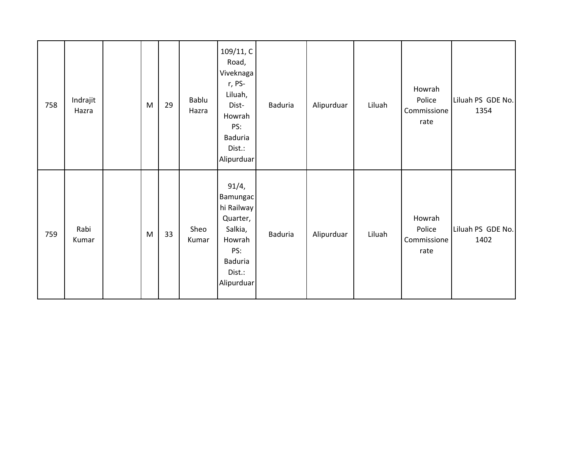| 758 | Indrajit<br>Hazra | M | 29 | Bablu<br>Hazra | 109/11, C<br>Road,<br>Viveknagal<br>r, PS-<br>Liluah,<br>Dist-<br>Howrah<br>PS:<br>Baduria<br>Dist.:<br>Alipurduar | Baduria        | Alipurduar | Liluah | Howrah<br>Police<br>Commissione<br>rate | Liluah PS GDE No.<br>1354 |
|-----|-------------------|---|----|----------------|--------------------------------------------------------------------------------------------------------------------|----------------|------------|--------|-----------------------------------------|---------------------------|
| 759 | Rabi<br>Kumar     | M | 33 | Sheo<br>Kumar  | 91/4,<br>Bamungac<br>hi Railway<br>Quarter,<br>Salkia,<br>Howrah<br>PS:<br>Baduria<br>Dist.:<br>Alipurduar         | <b>Baduria</b> | Alipurduar | Liluah | Howrah<br>Police<br>Commissione<br>rate | Liluah PS GDE No.<br>1402 |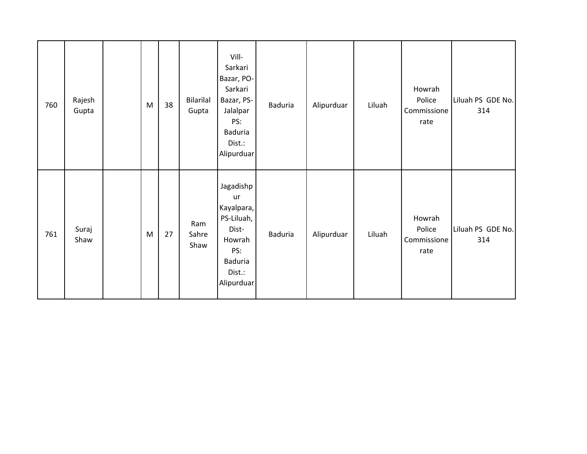| 760 | Rajesh<br>Gupta | M | 38 | <b>Bilarilal</b><br>Gupta | Vill-<br>Sarkari<br>Bazar, PO-<br>Sarkari<br>Bazar, PS-<br>Jalalpar<br>PS:<br>Baduria<br>Dist.:<br>Alipurduar | <b>Baduria</b> | Alipurduar | Liluah | Howrah<br>Police<br>Commissione<br>rate | Liluah PS GDE No.<br>314 |
|-----|-----------------|---|----|---------------------------|---------------------------------------------------------------------------------------------------------------|----------------|------------|--------|-----------------------------------------|--------------------------|
| 761 | Suraj<br>Shaw   | M | 27 | Ram<br>Sahre<br>Shaw      | Jagadishp<br>ur<br>Kayalpara,<br>PS-Liluah,<br>Dist-<br>Howrah<br>PS:<br>Baduria<br>Dist.:<br>Alipurduar      | <b>Baduria</b> | Alipurduar | Liluah | Howrah<br>Police<br>Commissione<br>rate | Liluah PS GDE No.<br>314 |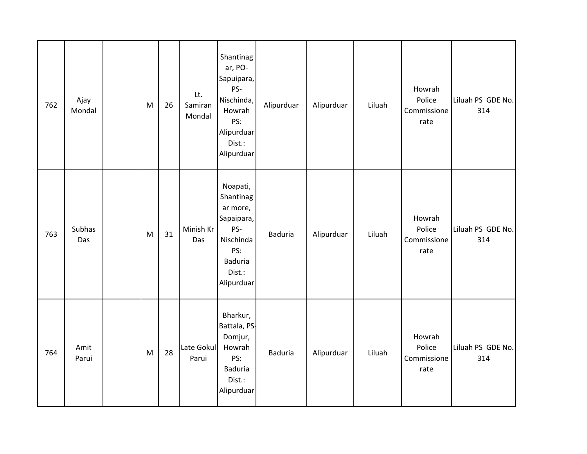| 762 | Ajay<br>Mondal | M | 26 | Lt.<br>Samiran<br>Mondal | Shantinag<br>ar, PO-<br>Sapuipara,<br>PS-<br>Nischinda,<br>Howrah<br>PS:<br>Alipurduar<br>Dist.:<br>Alipurduar | Alipurduar     | Alipurduar | Liluah | Howrah<br>Police<br>Commissione<br>rate | Liluah PS GDE No.<br>314 |
|-----|----------------|---|----|--------------------------|----------------------------------------------------------------------------------------------------------------|----------------|------------|--------|-----------------------------------------|--------------------------|
| 763 | Subhas<br>Das  | M | 31 | Minish Kr<br>Das         | Noapati,<br>Shantinag<br>ar more,<br>Sapaipara,<br>PS-<br>Nischinda<br>PS:<br>Baduria<br>Dist.:<br>Alipurduar  | <b>Baduria</b> | Alipurduar | Liluah | Howrah<br>Police<br>Commissione<br>rate | Liluah PS GDE No.<br>314 |
| 764 | Amit<br>Parui  | M | 28 | Late Gokul<br>Parui      | Bharkur,<br>Battala, PS-<br>Domjur,<br>Howrah<br>PS:<br>Baduria<br>Dist.:<br>Alipurduar                        | <b>Baduria</b> | Alipurduar | Liluah | Howrah<br>Police<br>Commissione<br>rate | Liluah PS GDE No.<br>314 |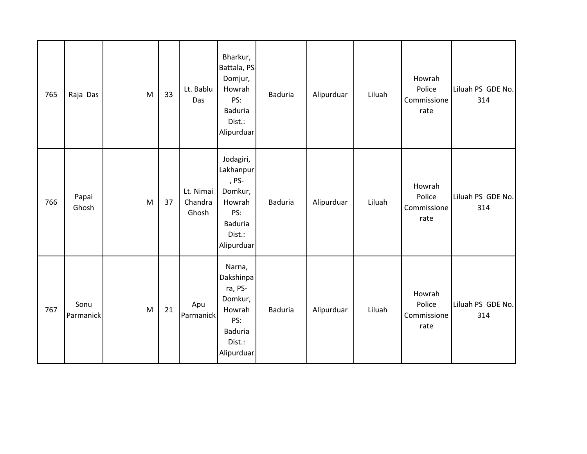| 765 | Raja Das          | M | 33 | Lt. Bablu<br>Das              | Bharkur,<br>Battala, PS-<br>Domjur,<br>Howrah<br>PS:<br><b>Baduria</b><br>Dist.:<br>Alipurduar        | Baduria        | Alipurduar | Liluah | Howrah<br>Police<br>Commissione<br>rate | Liluah PS GDE No.<br>314 |
|-----|-------------------|---|----|-------------------------------|-------------------------------------------------------------------------------------------------------|----------------|------------|--------|-----------------------------------------|--------------------------|
| 766 | Papai<br>Ghosh    | M | 37 | Lt. Nimai<br>Chandra<br>Ghosh | Jodagiri,<br>Lakhanpur<br>, PS-<br>Domkur,<br>Howrah<br>PS:<br><b>Baduria</b><br>Dist.:<br>Alipurduar | <b>Baduria</b> | Alipurduar | Liluah | Howrah<br>Police<br>Commissione<br>rate | Liluah PS GDE No.<br>314 |
| 767 | Sonu<br>Parmanick | M | 21 | Apu<br>Parmanick              | Narna,<br>Dakshinpa<br>ra, PS-<br>Domkur,<br>Howrah<br>PS:<br><b>Baduria</b><br>Dist.:<br>Alipurduar  | Baduria        | Alipurduar | Liluah | Howrah<br>Police<br>Commissione<br>rate | Liluah PS GDE No.<br>314 |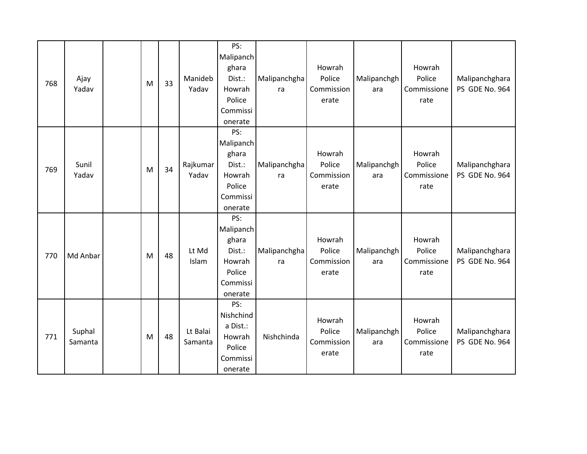| 768 | Ajay<br>Yadav     | M | 33 | Manideb<br>Yadav    | PS:<br>Malipanch<br>ghara<br>Dist.:<br>Howrah<br>Police<br>Commissi<br>onerate | Malipanchgha<br>ra | Howrah<br>Police<br>Commission<br>erate | Malipanchgh<br>ara | Howrah<br>Police<br>Commissione<br>rate | Malipanchghara<br>PS GDE No. 964 |
|-----|-------------------|---|----|---------------------|--------------------------------------------------------------------------------|--------------------|-----------------------------------------|--------------------|-----------------------------------------|----------------------------------|
| 769 | Sunil<br>Yadav    | M | 34 | Rajkumar<br>Yadav   | PS:<br>Malipanch<br>ghara<br>Dist.:<br>Howrah<br>Police<br>Commissi<br>onerate | Malipanchgha<br>ra | Howrah<br>Police<br>Commission<br>erate | Malipanchgh<br>ara | Howrah<br>Police<br>Commissione<br>rate | Malipanchghara<br>PS GDE No. 964 |
| 770 | Md Anbar          | M | 48 | Lt Md<br>Islam      | PS:<br>Malipanch<br>ghara<br>Dist.:<br>Howrah<br>Police<br>Commissi<br>onerate | Malipanchgha<br>ra | Howrah<br>Police<br>Commission<br>erate | Malipanchgh<br>ara | Howrah<br>Police<br>Commissione<br>rate | Malipanchghara<br>PS GDE No. 964 |
| 771 | Suphal<br>Samanta | M | 48 | Lt Balai<br>Samanta | PS:<br>Nishchind<br>a Dist.:<br>Howrah<br>Police<br>Commissi<br>onerate        | Nishchinda         | Howrah<br>Police<br>Commission<br>erate | Malipanchgh<br>ara | Howrah<br>Police<br>Commissione<br>rate | Malipanchghara<br>PS GDE No. 964 |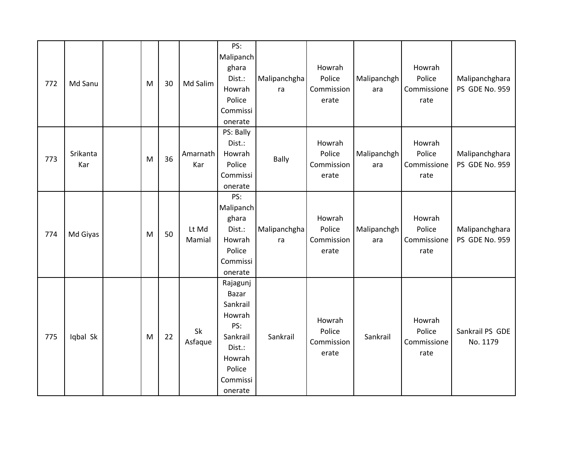| 772 | Md Sanu         | M | 30 | Md Salim        | PS:<br>Malipanch<br>ghara<br>Dist.:<br>Howrah<br>Police<br>Commissi<br>onerate                                  | Malipanchgha<br>ra | Howrah<br>Police<br>Commission<br>erate | Malipanchgh<br>ara | Howrah<br>Police<br>Commissione<br>rate | Malipanchghara<br>PS GDE No. 959 |
|-----|-----------------|---|----|-----------------|-----------------------------------------------------------------------------------------------------------------|--------------------|-----------------------------------------|--------------------|-----------------------------------------|----------------------------------|
| 773 | Srikanta<br>Kar | M | 36 | Amarnath<br>Kar | PS: Bally<br>Dist.:<br>Howrah<br>Police<br>Commissi<br>onerate                                                  | <b>Bally</b>       | Howrah<br>Police<br>Commission<br>erate | Malipanchgh<br>ara | Howrah<br>Police<br>Commissione<br>rate | Malipanchghara<br>PS GDE No. 959 |
| 774 | Md Giyas        | M | 50 | Lt Md<br>Mamial | PS:<br>Malipanch<br>ghara<br>Dist.:<br>Howrah<br>Police<br>Commissi<br>onerate                                  | Malipanchgha<br>ra | Howrah<br>Police<br>Commission<br>erate | Malipanchgh<br>ara | Howrah<br>Police<br>Commissione<br>rate | Malipanchghara<br>PS GDE No. 959 |
| 775 | Iqbal Sk        | M | 22 | Sk<br>Asfaque   | Rajagunj<br>Bazar<br>Sankrail<br>Howrah<br>PS:<br>Sankrail<br>Dist.:<br>Howrah<br>Police<br>Commissi<br>onerate | Sankrail           | Howrah<br>Police<br>Commission<br>erate | Sankrail           | Howrah<br>Police<br>Commissione<br>rate | Sankrail PS GDE<br>No. 1179      |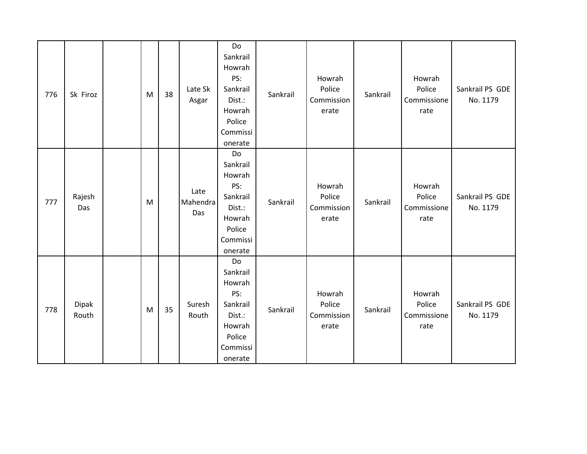| 776 | Sk Firoz              | M | 38 | Late Sk<br>Asgar        | Do<br>Sankrail<br>Howrah<br>PS:<br>Sankrail<br>Dist.:<br>Howrah<br>Police<br>Commissi<br>onerate | Sankrail | Howrah<br>Police<br>Commission<br>erate | Sankrail | Howrah<br>Police<br>Commissione<br>rate | Sankrail PS GDE<br>No. 1179 |
|-----|-----------------------|---|----|-------------------------|--------------------------------------------------------------------------------------------------|----------|-----------------------------------------|----------|-----------------------------------------|-----------------------------|
| 777 | Rajesh<br>Das         | M |    | Late<br>Mahendra<br>Das | Do<br>Sankrail<br>Howrah<br>PS:<br>Sankrail<br>Dist.:<br>Howrah<br>Police<br>Commissi<br>onerate | Sankrail | Howrah<br>Police<br>Commission<br>erate | Sankrail | Howrah<br>Police<br>Commissione<br>rate | Sankrail PS GDE<br>No. 1179 |
| 778 | <b>Dipak</b><br>Routh | M | 35 | Suresh<br>Routh         | Do<br>Sankrail<br>Howrah<br>PS:<br>Sankrail<br>Dist.:<br>Howrah<br>Police<br>Commissi<br>onerate | Sankrail | Howrah<br>Police<br>Commission<br>erate | Sankrail | Howrah<br>Police<br>Commissione<br>rate | Sankrail PS GDE<br>No. 1179 |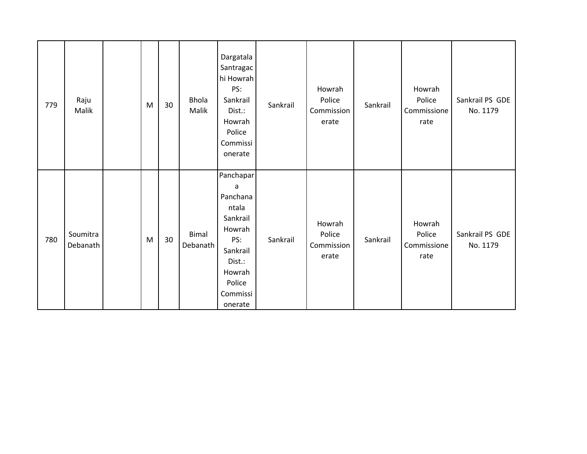| 779 | Raju<br>Malik        | M | 30 | <b>Bhola</b><br>Malik | Dargatala<br>Santragac<br>hi Howrah<br>PS:<br>Sankrail<br>Dist.:<br>Howrah<br>Police<br>Commissi<br>onerate                       | Sankrail | Howrah<br>Police<br>Commission<br>erate | Sankrail | Howrah<br>Police<br>Commissione<br>rate | Sankrail PS GDE<br>No. 1179 |
|-----|----------------------|---|----|-----------------------|-----------------------------------------------------------------------------------------------------------------------------------|----------|-----------------------------------------|----------|-----------------------------------------|-----------------------------|
| 780 | Soumitra<br>Debanath | M | 30 | Bimal<br>Debanath     | Panchapar<br>a<br>Panchana<br>ntala<br>Sankrail<br>Howrah<br>PS:<br>Sankrail<br>Dist.:<br>Howrah<br>Police<br>Commissi<br>onerate | Sankrail | Howrah<br>Police<br>Commission<br>erate | Sankrail | Howrah<br>Police<br>Commissione<br>rate | Sankrail PS GDE<br>No. 1179 |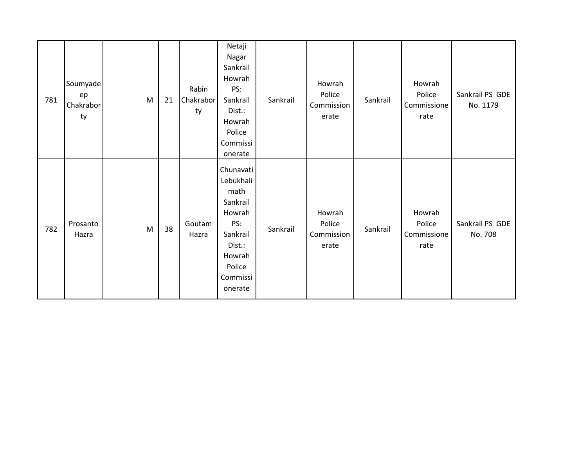| 781 | Soumyade<br>ep<br>Chakrabor<br>ty | M | 21 | Rabin<br>Chakrabor<br>ty | Netaji<br>Nagar<br>Sankrail<br>Howrah<br>PS:<br>Sankrail<br>Dist.:<br>Howrah<br>Police<br>Commissi<br>onerate                | Sankrail | Howrah<br>Police<br>Commission<br>erate | Sankrail | Howrah<br>Police<br>Commissione<br>rate | Sankrail PS GDE<br>No. 1179 |
|-----|-----------------------------------|---|----|--------------------------|------------------------------------------------------------------------------------------------------------------------------|----------|-----------------------------------------|----------|-----------------------------------------|-----------------------------|
| 782 | Prosanto<br>Hazra                 | M | 38 | Goutam<br>Hazra          | Chunavati<br>Lebukhali<br>math<br>Sankrail<br>Howrah<br>PS:<br>Sankrail<br>Dist.:<br>Howrah<br>Police<br>Commissi<br>onerate | Sankrail | Howrah<br>Police<br>Commission<br>erate | Sankrail | Howrah<br>Police<br>Commissione<br>rate | Sankrail PS GDE<br>No. 708  |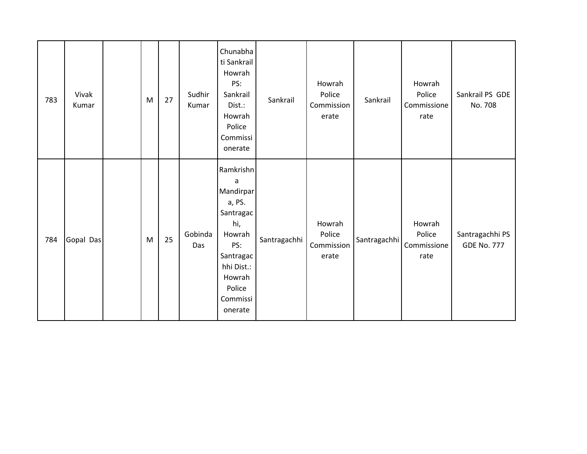| 783 | Vivak<br>Kumar | M | 27 | Sudhir<br>Kumar | Chunabha<br>ti Sankrail<br>Howrah<br>PS:<br>Sankrail<br>Dist.:<br>Howrah<br>Police<br>Commissi<br>onerate                                        | Sankrail     | Howrah<br>Police<br>Commission<br>erate | Sankrail     | Howrah<br>Police<br>Commissione<br>rate | Sankrail PS GDE<br>No. 708            |
|-----|----------------|---|----|-----------------|--------------------------------------------------------------------------------------------------------------------------------------------------|--------------|-----------------------------------------|--------------|-----------------------------------------|---------------------------------------|
| 784 | Gopal Das      | M | 25 | Gobinda<br>Das  | Ramkrishn<br>a<br>Mandirpar<br>a, PS.<br>Santragac<br>hi,<br>Howrah<br>PS:<br>Santragac<br>hhi Dist.:<br>Howrah<br>Police<br>Commissi<br>onerate | Santragachhi | Howrah<br>Police<br>Commission<br>erate | Santragachhi | Howrah<br>Police<br>Commissione<br>rate | Santragachhi PS<br><b>GDE No. 777</b> |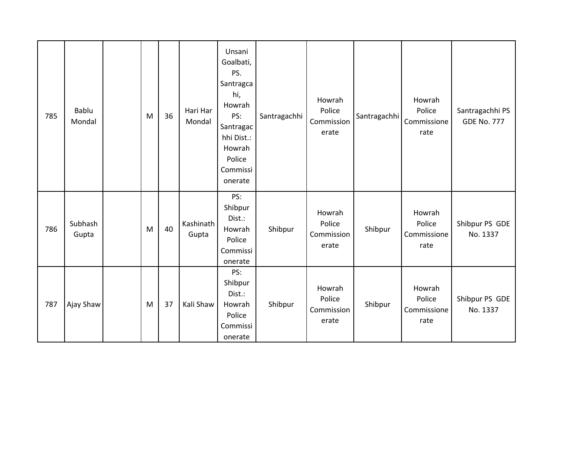| 785 | Bablu<br>Mondal  | M | 36 | Hari Har<br>Mondal | Unsani<br>Goalbati,<br>PS.<br>Santragca<br>hi,<br>Howrah<br>PS:<br>Santragac<br>hhi Dist.:<br>Howrah<br>Police<br>Commissi<br>onerate | Santragachhi | Howrah<br>Police<br>Commission<br>erate | Santragachhi | Howrah<br>Police<br>Commissione<br>rate | Santragachhi PS<br><b>GDE No. 777</b> |
|-----|------------------|---|----|--------------------|---------------------------------------------------------------------------------------------------------------------------------------|--------------|-----------------------------------------|--------------|-----------------------------------------|---------------------------------------|
| 786 | Subhash<br>Gupta | M | 40 | Kashinath<br>Gupta | PS:<br>Shibpur<br>Dist.:<br>Howrah<br>Police<br>Commissi<br>onerate                                                                   | Shibpur      | Howrah<br>Police<br>Commission<br>erate | Shibpur      | Howrah<br>Police<br>Commissione<br>rate | Shibpur PS GDE<br>No. 1337            |
| 787 | Ajay Shaw        | M | 37 | Kali Shaw          | PS:<br>Shibpur<br>Dist.:<br>Howrah<br>Police<br>Commissi<br>onerate                                                                   | Shibpur      | Howrah<br>Police<br>Commission<br>erate | Shibpur      | Howrah<br>Police<br>Commissione<br>rate | Shibpur PS GDE<br>No. 1337            |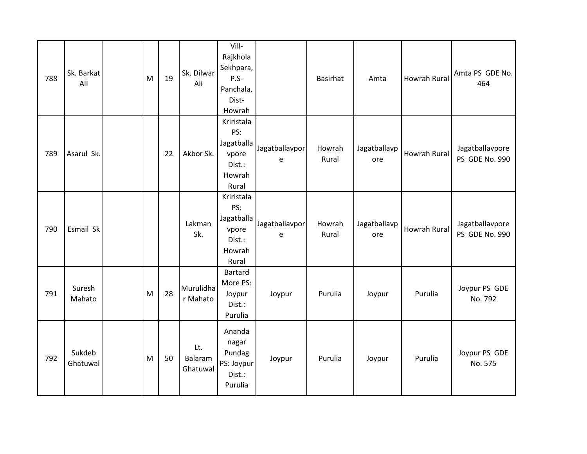| 788 | Sk. Barkat<br>Ali  | M | 19 | Sk. Dilwar<br>Ali          | Vill-<br>Rajkhola<br>Sekhpara,<br>$P.S-$<br>Panchala,<br>Dist-<br>Howrah |                     | Basirhat        | Amta                | Howrah Rural | Amta PS GDE No.<br>464            |
|-----|--------------------|---|----|----------------------------|--------------------------------------------------------------------------|---------------------|-----------------|---------------------|--------------|-----------------------------------|
| 789 | Asarul Sk.         |   | 22 | Akbor Sk.                  | Kriristala<br>PS:<br>Jagatballa<br>vpore<br>Dist.:<br>Howrah<br>Rural    | Jagatballavpor<br>e | Howrah<br>Rural | Jagatballavp<br>ore | Howrah Rural | Jagatballavpore<br>PS GDE No. 990 |
| 790 | Esmail Sk          |   |    | Lakman<br>Sk.              | Kriristala<br>PS:<br>Jagatballa<br>vpore<br>Dist.:<br>Howrah<br>Rural    | Jagatballavpor<br>e | Howrah<br>Rural | Jagatballavp<br>ore | Howrah Rural | Jagatballavpore<br>PS GDE No. 990 |
| 791 | Suresh<br>Mahato   | M | 28 | Murulidha<br>r Mahato      | <b>Bartard</b><br>More PS:<br>Joypur<br>Dist.:<br>Purulia                | Joypur              | Purulia         | Joypur              | Purulia      | Joypur PS GDE<br>No. 792          |
| 792 | Sukdeb<br>Ghatuwal | M | 50 | Lt.<br>Balaram<br>Ghatuwal | Ananda<br>nagar<br>Pundag<br>PS: Joypur<br>Dist.:<br>Purulia             | Joypur              | Purulia         | Joypur              | Purulia      | Joypur PS GDE<br>No. 575          |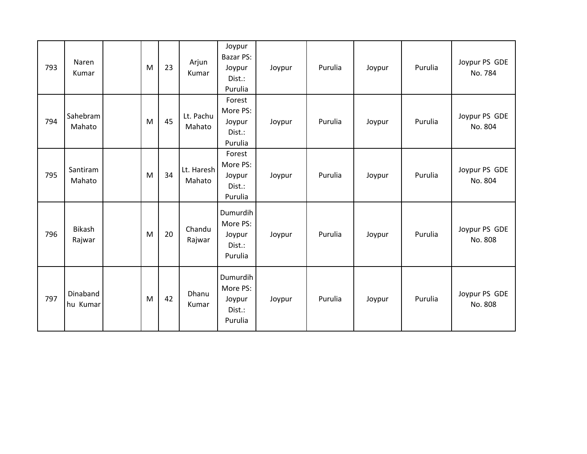| 793 | Naren<br>Kumar       | M | 23 | Arjun<br>Kumar       | Joypur<br><b>Bazar PS:</b><br>Joypur<br>Dist.:<br>Purulia | Joypur | Purulia | Joypur | Purulia | Joypur PS GDE<br>No. 784 |
|-----|----------------------|---|----|----------------------|-----------------------------------------------------------|--------|---------|--------|---------|--------------------------|
| 794 | Sahebram<br>Mahato   | M | 45 | Lt. Pachu<br>Mahato  | Forest<br>More PS:<br>Joypur<br>Dist.:<br>Purulia         | Joypur | Purulia | Joypur | Purulia | Joypur PS GDE<br>No. 804 |
| 795 | Santiram<br>Mahato   | M | 34 | Lt. Haresh<br>Mahato | Forest<br>More PS:<br>Joypur<br>Dist.:<br>Purulia         | Joypur | Purulia | Joypur | Purulia | Joypur PS GDE<br>No. 804 |
| 796 | Bikash<br>Rajwar     | M | 20 | Chandu<br>Rajwar     | Dumurdih<br>More PS:<br>Joypur<br>Dist.:<br>Purulia       | Joypur | Purulia | Joypur | Purulia | Joypur PS GDE<br>No. 808 |
| 797 | Dinaband<br>hu Kumar | M | 42 | Dhanu<br>Kumar       | Dumurdih<br>More PS:<br>Joypur<br>Dist.:<br>Purulia       | Joypur | Purulia | Joypur | Purulia | Joypur PS GDE<br>No. 808 |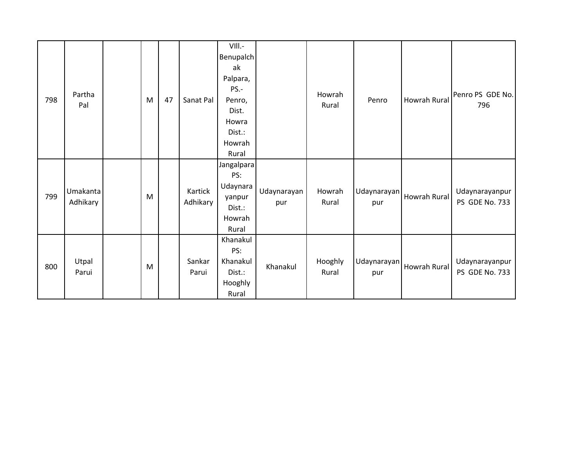| 798 | Partha<br>Pal        | M | 47 | Sanat Pal           | VIII.-<br>Benupalch<br>ak<br>Palpara,<br>PS.-<br>Penro,<br>Dist.<br>Howra<br>Dist.:<br>Howrah<br>Rural |                    | Howrah<br>Rural  | Penro              | <b>Howrah Rural</b> | Penro PS GDE No.<br>796          |
|-----|----------------------|---|----|---------------------|--------------------------------------------------------------------------------------------------------|--------------------|------------------|--------------------|---------------------|----------------------------------|
| 799 | Umakanta<br>Adhikary | M |    | Kartick<br>Adhikary | Jangalpara<br>PS:<br>Udaynara<br>yanpur<br>Dist.:<br>Howrah<br>Rural                                   | Udaynarayan<br>pur | Howrah<br>Rural  | Udaynarayan<br>pur | <b>Howrah Rural</b> | Udaynarayanpur<br>PS GDE No. 733 |
| 800 | Utpal<br>Parui       | M |    | Sankar<br>Parui     | Khanakul<br>PS:<br>Khanakul<br>Dist.:<br>Hooghly<br>Rural                                              | Khanakul           | Hooghly<br>Rural | Udaynarayan<br>pur | Howrah Rural        | Udaynarayanpur<br>PS GDE No. 733 |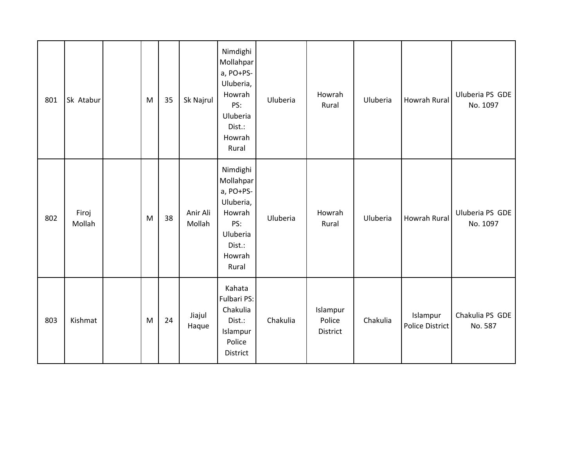| 801 | Sk Atabur       | M | 35 | Sk Najrul          | Nimdighi<br>Mollahpar<br>a, PO+PS-<br>Uluberia,<br>Howrah<br>PS:<br>Uluberia<br>Dist.:<br>Howrah<br>Rural | Uluberia | Howrah<br>Rural                | Uluberia | Howrah Rural                | Uluberia PS GDE<br>No. 1097 |
|-----|-----------------|---|----|--------------------|-----------------------------------------------------------------------------------------------------------|----------|--------------------------------|----------|-----------------------------|-----------------------------|
| 802 | Firoj<br>Mollah | M | 38 | Anir Ali<br>Mollah | Nimdighi<br>Mollahpar<br>a, PO+PS-<br>Uluberia,<br>Howrah<br>PS:<br>Uluberia<br>Dist.:<br>Howrah<br>Rural | Uluberia | Howrah<br>Rural                | Uluberia | Howrah Rural                | Uluberia PS GDE<br>No. 1097 |
| 803 | Kishmat         | M | 24 | Jiajul<br>Haque    | Kahata<br>Fulbari PS:<br>Chakulia<br>Dist.:<br>Islampur<br>Police<br><b>District</b>                      | Chakulia | Islampur<br>Police<br>District | Chakulia | Islampur<br>Police District | Chakulia PS GDE<br>No. 587  |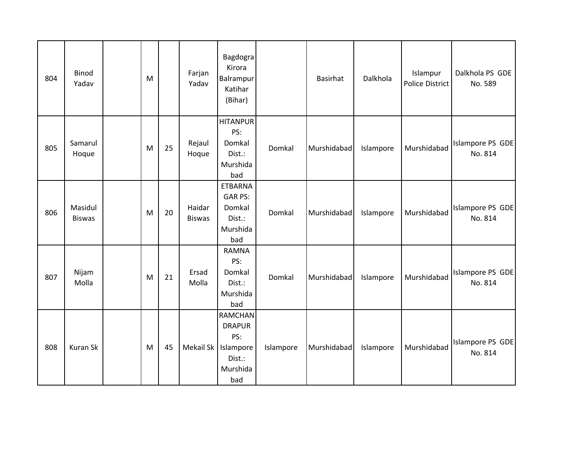| 804 | <b>Binod</b><br>Yadav    | M |    | Farjan<br>Yadav         | Bagdogra<br>Kirora<br>Balrampur<br>Katihar<br>(Bihar)                            |           | Basirhat    | Dalkhola  | Islampur<br>Police District | Dalkhola PS GDE<br>No. 589  |
|-----|--------------------------|---|----|-------------------------|----------------------------------------------------------------------------------|-----------|-------------|-----------|-----------------------------|-----------------------------|
| 805 | Samarul<br>Hoque         | M | 25 | Rejaul<br>Hoque         | <b>HITANPUR</b><br>PS:<br>Domkal<br>Dist.:<br>Murshida<br>bad                    | Domkal    | Murshidabad | Islampore | Murshidabad                 | Islampore PS GDE<br>No. 814 |
| 806 | Masidul<br><b>Biswas</b> | M | 20 | Haidar<br><b>Biswas</b> | <b>ETBARNA</b><br><b>GAR PS:</b><br>Domkal<br>Dist.:<br>Murshida<br>bad          | Domkal    | Murshidabad | Islampore | Murshidabad                 | Islampore PS GDE<br>No. 814 |
| 807 | Nijam<br>Molla           | M | 21 | Ersad<br>Molla          | <b>RAMNA</b><br>PS:<br>Domkal<br>Dist.:<br>Murshida<br>bad                       | Domkal    | Murshidabad | Islampore | Murshidabad                 | Islampore PS GDE<br>No. 814 |
| 808 | Kuran Sk                 | M | 45 | Mekail Sk               | <b>RAMCHAN</b><br><b>DRAPUR</b><br>PS:<br>Islampore<br>Dist.:<br>Murshida<br>bad | Islampore | Murshidabad | Islampore | Murshidabad                 | Islampore PS GDE<br>No. 814 |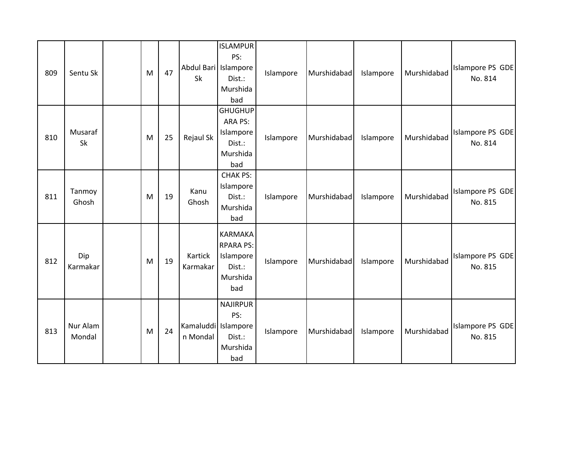| 809 | Sentu Sk           | M | 47 | Abdul Bari Islampore<br>Sk      | <b>ISLAMPUR</b><br>PS:<br>Dist.:<br>Murshida<br>bad                          | Islampore | Murshidabad | Islampore | Murshidabad | Islampore PS GDE<br>No. 814 |
|-----|--------------------|---|----|---------------------------------|------------------------------------------------------------------------------|-----------|-------------|-----------|-------------|-----------------------------|
| 810 | Musaraf<br>Sk      | M | 25 | Rejaul Sk                       | <b>GHUGHUP</b><br>ARA PS:<br>Islampore<br>Dist.:<br>Murshida<br>bad          | Islampore | Murshidabad | Islampore | Murshidabad | Islampore PS GDE<br>No. 814 |
| 811 | Tanmoy<br>Ghosh    | M | 19 | Kanu<br>Ghosh                   | <b>CHAK PS:</b><br>Islampore<br>Dist.:<br>Murshida<br>bad                    | Islampore | Murshidabad | Islampore | Murshidabad | Islampore PS GDE<br>No. 815 |
| 812 | Dip<br>Karmakar    | M | 19 | Kartick<br>Karmakar             | <b>KARMAKA</b><br><b>RPARA PS:</b><br>Islampore<br>Dist.:<br>Murshida<br>bad | Islampore | Murshidabad | Islampore | Murshidabad | Islampore PS GDE<br>No. 815 |
| 813 | Nur Alam<br>Mondal | M | 24 | Kamaluddi Islampore<br>n Mondal | <b>NAJIRPUR</b><br>PS:<br>Dist.:<br>Murshida<br>bad                          | Islampore | Murshidabad | Islampore | Murshidabad | Islampore PS GDE<br>No. 815 |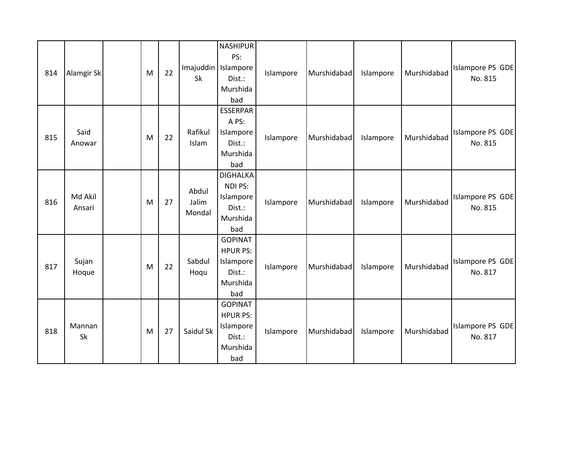| 814 | Alamgir Sk        | M | 22 | Imajuddin   Islampore<br>Sk | <b>NASHIPUR</b><br>PS:<br>Dist.:<br>Murshida<br>bad                         | Islampore | Murshidabad | Islampore | Murshidabad | Islampore PS GDE<br>No. 815 |
|-----|-------------------|---|----|-----------------------------|-----------------------------------------------------------------------------|-----------|-------------|-----------|-------------|-----------------------------|
| 815 | Said<br>Anowar    | M | 22 | Rafikul<br>Islam            | <b>ESSERPAR</b><br>A PS:<br>Islampore<br>Dist.:<br>Murshida<br>bad          | Islampore | Murshidabad | Islampore | Murshidabad | Islampore PS GDE<br>No. 815 |
| 816 | Md Akil<br>Ansari | M | 27 | Abdul<br>Jalim<br>Mondal    | <b>DIGHALKA</b><br>NDI PS:<br>Islampore<br>Dist.:<br>Murshida<br>bad        | Islampore | Murshidabad | Islampore | Murshidabad | Islampore PS GDE<br>No. 815 |
| 817 | Sujan<br>Hoque    | M | 22 | Sabdul<br>Hoqu              | <b>GOPINAT</b><br><b>HPUR PS:</b><br>Islampore<br>Dist.:<br>Murshida<br>bad | Islampore | Murshidabad | Islampore | Murshidabad | Islampore PS GDE<br>No. 817 |
| 818 | Mannan<br>Sk      | M | 27 | Saidul Sk                   | <b>GOPINAT</b><br><b>HPUR PS:</b><br>Islampore<br>Dist.:<br>Murshida<br>bad | Islampore | Murshidabad | Islampore | Murshidabad | Islampore PS GDE<br>No. 817 |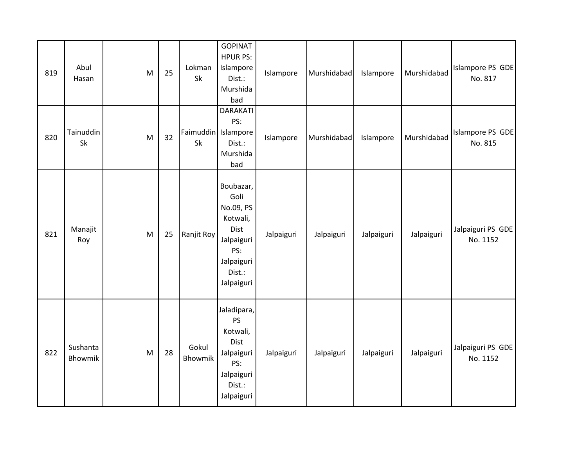| 819 | Abul<br>Hasan       | M | 25 | Lokman<br>Sk              | <b>GOPINAT</b><br><b>HPUR PS:</b><br>Islampore<br>Dist.:<br>Murshida<br>bad                                   | Islampore  | Murshidabad | Islampore  | Murshidabad | Islampore PS GDE<br>No. 817   |
|-----|---------------------|---|----|---------------------------|---------------------------------------------------------------------------------------------------------------|------------|-------------|------------|-------------|-------------------------------|
| 820 | Tainuddin<br>Sk     | M | 32 | Faimuddin Islampore<br>Sk | <b>DARAKATI</b><br>PS:<br>Dist.:<br>Murshida<br>bad                                                           | Islampore  | Murshidabad | Islampore  | Murshidabad | Islampore PS GDE<br>No. 815   |
| 821 | Manajit<br>Roy      | M | 25 | Ranjit Roy                | Boubazar,<br>Goli<br>No.09, PS<br>Kotwali,<br>Dist<br>Jalpaiguri<br>PS:<br>Jalpaiguri<br>Dist.:<br>Jalpaiguri | Jalpaiguri | Jalpaiguri  | Jalpaiguri | Jalpaiguri  | Jalpaiguri PS GDE<br>No. 1152 |
| 822 | Sushanta<br>Bhowmik | M | 28 | Gokul<br><b>Bhowmik</b>   | Jaladipara,<br>PS<br>Kotwali,<br>Dist<br>Jalpaiguri<br>PS:<br>Jalpaiguri<br>Dist.:<br>Jalpaiguri              | Jalpaiguri | Jalpaiguri  | Jalpaiguri | Jalpaiguri  | Jalpaiguri PS GDE<br>No. 1152 |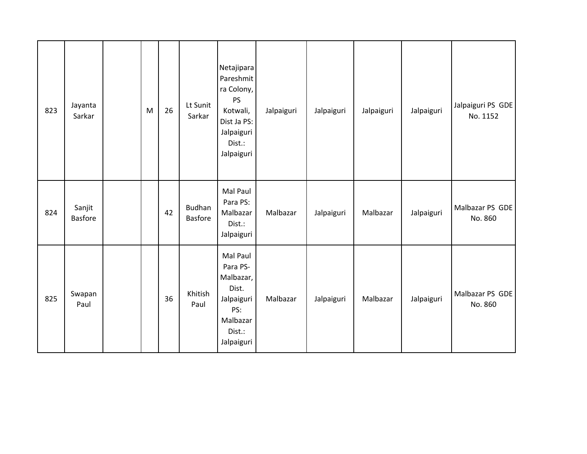| 823 | Jayanta<br>Sarkar        | M | 26 | Lt Sunit<br>Sarkar              | Netajipara<br>Pareshmit<br>ra Colony,<br><b>PS</b><br>Kotwali,<br>Dist Ja PS:<br>Jalpaiguri<br>Dist.:<br>Jalpaiguri | Jalpaiguri | Jalpaiguri | Jalpaiguri | Jalpaiguri | Jalpaiguri PS GDE<br>No. 1152 |
|-----|--------------------------|---|----|---------------------------------|---------------------------------------------------------------------------------------------------------------------|------------|------------|------------|------------|-------------------------------|
| 824 | Sanjit<br><b>Basfore</b> |   | 42 | <b>Budhan</b><br><b>Basfore</b> | Mal Paul<br>Para PS:<br>Malbazar<br>Dist.:<br>Jalpaiguri                                                            | Malbazar   | Jalpaiguri | Malbazar   | Jalpaiguri | Malbazar PS GDE<br>No. 860    |
| 825 | Swapan<br>Paul           |   | 36 | Khitish<br>Paul                 | Mal Paul<br>Para PS-<br>Malbazar,<br>Dist.<br>Jalpaiguri<br>PS:<br>Malbazar<br>Dist.:<br>Jalpaiguri                 | Malbazar   | Jalpaiguri | Malbazar   | Jalpaiguri | Malbazar PS GDE<br>No. 860    |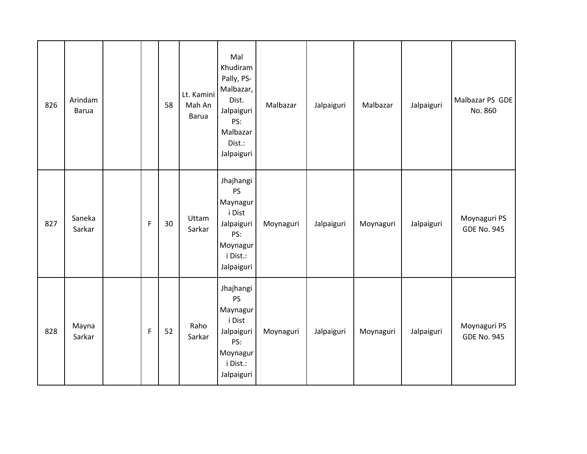| 826 | Arindam<br><b>Barua</b> |              | 58 | Lt. Kamini<br>Mah An<br><b>Barua</b> | Mal<br>Khudiram<br>Pally, PS-<br>Malbazar,<br>Dist.<br>Jalpaiguri<br>PS:<br>Malbazar<br>Dist.:<br>Jalpaiguri | Malbazar  | Jalpaiguri | Malbazar  | Jalpaiguri | Malbazar PS GDE<br>No. 860         |
|-----|-------------------------|--------------|----|--------------------------------------|--------------------------------------------------------------------------------------------------------------|-----------|------------|-----------|------------|------------------------------------|
| 827 | Saneka<br>Sarkar        | $\mathsf{F}$ | 30 | Uttam<br>Sarkar                      | Jhajhangi<br>PS<br>Maynagur<br>i Dist<br>Jalpaiguri<br>PS:<br>Moynagur<br>i Dist.:<br>Jalpaiguri             | Moynaguri | Jalpaiguri | Moynaguri | Jalpaiguri | Moynaguri PS<br><b>GDE No. 945</b> |
| 828 | Mayna<br>Sarkar         | $\mathsf F$  | 52 | Raho<br>Sarkar                       | Jhajhangi<br>PS<br>Maynagur<br>i Dist<br>Jalpaiguri<br>PS:<br>Moynagur<br>i Dist.:<br>Jalpaiguri             | Moynaguri | Jalpaiguri | Moynaguri | Jalpaiguri | Moynaguri PS<br><b>GDE No. 945</b> |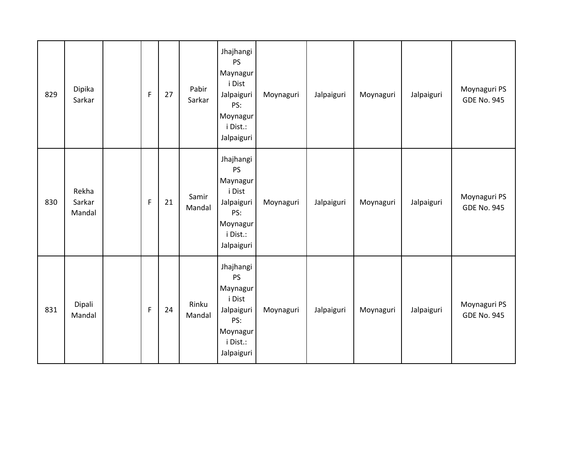| 829 | Dipika<br>Sarkar          | $\mathsf F$ | 27 | Pabir<br>Sarkar | Jhajhangi<br>PS<br>Maynagur<br>i Dist<br>Jalpaiguri<br>PS:<br>Moynagur<br>i Dist.:<br>Jalpaiguri | Moynaguri | Jalpaiguri | Moynaguri | Jalpaiguri | Moynaguri PS<br><b>GDE No. 945</b> |
|-----|---------------------------|-------------|----|-----------------|--------------------------------------------------------------------------------------------------|-----------|------------|-----------|------------|------------------------------------|
| 830 | Rekha<br>Sarkar<br>Mandal | $\mathsf F$ | 21 | Samir<br>Mandal | Jhajhangi<br>PS<br>Maynagur<br>i Dist<br>Jalpaiguri<br>PS:<br>Moynagur<br>i Dist.:<br>Jalpaiguri | Moynaguri | Jalpaiguri | Moynaguri | Jalpaiguri | Moynaguri PS<br><b>GDE No. 945</b> |
| 831 | Dipali<br>Mandal          | $\mathsf F$ | 24 | Rinku<br>Mandal | Jhajhangi<br>PS<br>Maynagur<br>i Dist<br>Jalpaiguri<br>PS:<br>Moynagur<br>i Dist.:<br>Jalpaiguri | Moynaguri | Jalpaiguri | Moynaguri | Jalpaiguri | Moynaguri PS<br><b>GDE No. 945</b> |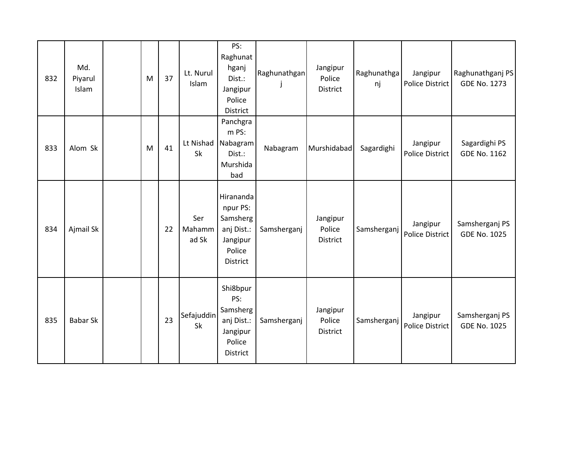| 832 | Md.<br>Piyarul<br>Islam | M | 37 | Lt. Nurul<br>Islam      | PS:<br>Raghunat<br>hganj<br>Dist.:<br>Jangipur<br>Police<br><b>District</b>              | Raghunathgan | Jangipur<br>Police<br>District | Raghunathga<br>nj | Jangipur<br>Police District | Raghunathganj PS<br><b>GDE No. 1273</b> |
|-----|-------------------------|---|----|-------------------------|------------------------------------------------------------------------------------------|--------------|--------------------------------|-------------------|-----------------------------|-----------------------------------------|
| 833 | Alom Sk                 | M | 41 | Sk                      | Panchgra<br>m PS:<br>Lt Nishad Nabagram<br>Dist.:<br>Murshida<br>bad                     | Nabagram     | Murshidabad                    | Sagardighi        | Jangipur<br>Police District | Sagardighi PS<br><b>GDE No. 1162</b>    |
| 834 | Ajmail Sk               |   | 22 | Ser<br>Mahamm<br>ad Sk  | Hirananda<br>npur PS:<br>Samsherg<br>anj Dist.:<br>Jangipur<br>Police<br><b>District</b> | Samsherganj  | Jangipur<br>Police<br>District | Samsherganj       | Jangipur<br>Police District | Samsherganj PS<br><b>GDE No. 1025</b>   |
| 835 | <b>Babar Sk</b>         |   | 23 | Sefajuddin<br><b>Sk</b> | Shi8bpur<br>PS:<br>Samsherg<br>anj Dist.:<br>Jangipur<br>Police<br><b>District</b>       | Samsherganj  | Jangipur<br>Police<br>District | Samsherganj       | Jangipur<br>Police District | Samsherganj PS<br><b>GDE No. 1025</b>   |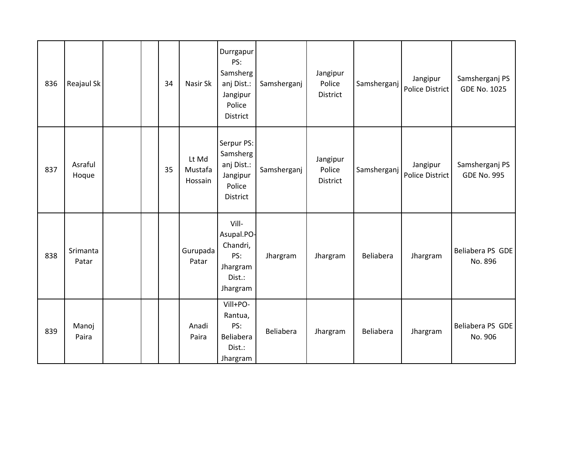| 836 | Reajaul Sk        |  | 34 | Nasir Sk                    | Durrgapur<br>PS:<br>Samsherg<br>anj Dist.:<br>Jangipur<br>Police<br>District | Samsherganj | Jangipur<br>Police<br>District | Samsherganj | Jangipur<br>Police District | Samsherganj PS<br><b>GDE No. 1025</b> |
|-----|-------------------|--|----|-----------------------------|------------------------------------------------------------------------------|-------------|--------------------------------|-------------|-----------------------------|---------------------------------------|
| 837 | Asraful<br>Hoque  |  | 35 | Lt Md<br>Mustafa<br>Hossain | Serpur PS:<br>Samsherg<br>anj Dist.:<br>Jangipur<br>Police<br>District       | Samsherganj | Jangipur<br>Police<br>District | Samsherganj | Jangipur<br>Police District | Samsherganj PS<br><b>GDE No. 995</b>  |
| 838 | Srimanta<br>Patar |  |    | Gurupada<br>Patar           | Vill-<br>Asupal.PO-<br>Chandri,<br>PS:<br>Jhargram<br>Dist.:<br>Jhargram     | Jhargram    | Jhargram                       | Beliabera   | Jhargram                    | Beliabera PS GDE<br>No. 896           |
| 839 | Manoj<br>Paira    |  |    | Anadi<br>Paira              | Vill+PO-<br>Rantua,<br>PS:<br>Beliabera<br>Dist.:<br>Jhargram                | Beliabera   | Jhargram                       | Beliabera   | Jhargram                    | Beliabera PS GDE<br>No. 906           |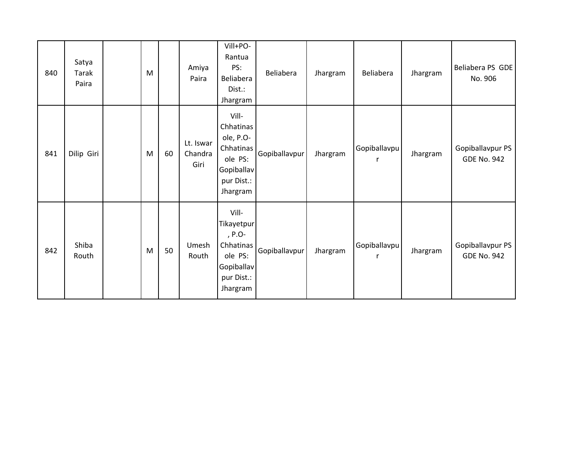| 840 | Satya<br><b>Tarak</b><br>Paira | M |    | Amiya<br>Paira               | Vill+PO-<br>Rantua<br>PS:<br>Beliabera<br>Dist.:<br>Jhargram                                    | Beliabera     | Jhargram | Beliabera                    | Jhargram | Beliabera PS GDE<br>No. 906            |
|-----|--------------------------------|---|----|------------------------------|-------------------------------------------------------------------------------------------------|---------------|----------|------------------------------|----------|----------------------------------------|
| 841 | Dilip Giri                     | M | 60 | Lt. Iswar<br>Chandra<br>Giri | Vill-<br>Chhatinas<br>ole, P.O-<br>Chhatinas<br>ole PS:<br>Gopiballav<br>pur Dist.:<br>Jhargram | Gopiballavpur | Jhargram | Gopiballavpu<br>$\mathsf{r}$ | Jhargram | Gopiballavpur PS<br><b>GDE No. 942</b> |
| 842 | Shiba<br>Routh                 | M | 50 | Umesh<br>Routh               | Vill-<br>Tikayetpur<br>, P.O-<br>Chhatinas<br>ole PS:<br>Gopiballav<br>pur Dist.:<br>Jhargram   | Gopiballavpur | Jhargram | Gopiballavpu<br>r            | Jhargram | Gopiballavpur PS<br><b>GDE No. 942</b> |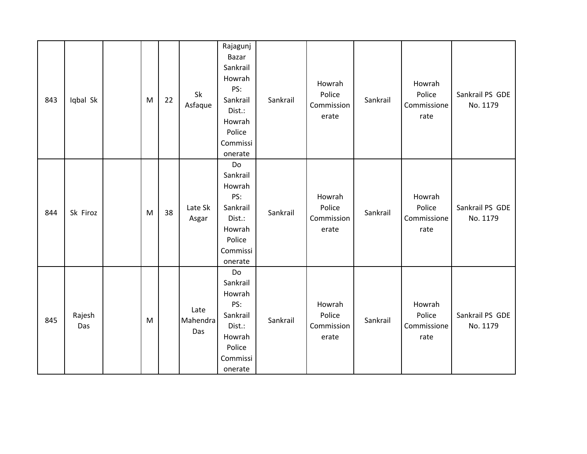| 843 | Iqbal Sk      | M | 22 | Sk<br>Asfaque           | Rajagunj<br>Bazar<br>Sankrail<br>Howrah<br>PS:<br>Sankrail<br>Dist.:<br>Howrah<br>Police<br>Commissi<br>onerate | Sankrail | Howrah<br>Police<br>Commission<br>erate | Sankrail | Howrah<br>Police<br>Commissione<br>rate | Sankrail PS GDE<br>No. 1179 |
|-----|---------------|---|----|-------------------------|-----------------------------------------------------------------------------------------------------------------|----------|-----------------------------------------|----------|-----------------------------------------|-----------------------------|
| 844 | Sk Firoz      | M | 38 | Late Sk<br>Asgar        | Do<br>Sankrail<br>Howrah<br>PS:<br>Sankrail<br>Dist.:<br>Howrah<br>Police<br>Commissi<br>onerate                | Sankrail | Howrah<br>Police<br>Commission<br>erate | Sankrail | Howrah<br>Police<br>Commissione<br>rate | Sankrail PS GDE<br>No. 1179 |
| 845 | Rajesh<br>Das | M |    | Late<br>Mahendra<br>Das | Do<br>Sankrail<br>Howrah<br>PS:<br>Sankrail<br>Dist.:<br>Howrah<br>Police<br>Commissi<br>onerate                | Sankrail | Howrah<br>Police<br>Commission<br>erate | Sankrail | Howrah<br>Police<br>Commissione<br>rate | Sankrail PS GDE<br>No. 1179 |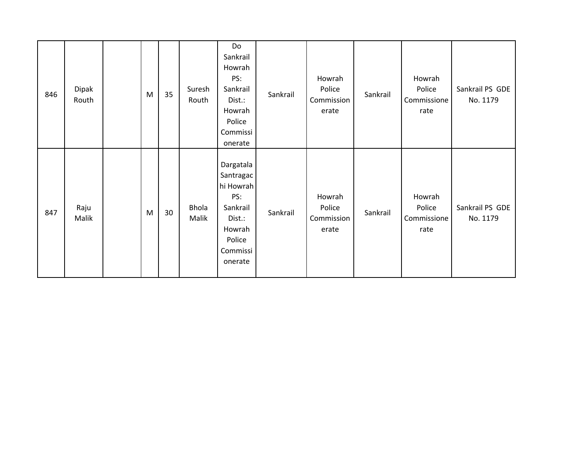| 846 | Dipak<br>Routh | M | 35 | Suresh<br>Routh       | Do<br>Sankrail<br>Howrah<br>PS:<br>Sankrail<br>Dist.:<br>Howrah<br>Police<br>Commissi<br>onerate            | Sankrail | Howrah<br>Police<br>Commission<br>erate | Sankrail | Howrah<br>Police<br>Commissione<br>rate | Sankrail PS GDE<br>No. 1179 |
|-----|----------------|---|----|-----------------------|-------------------------------------------------------------------------------------------------------------|----------|-----------------------------------------|----------|-----------------------------------------|-----------------------------|
| 847 | Raju<br>Malik  | M | 30 | <b>Bhola</b><br>Malik | Dargatala<br>Santragac<br>hi Howrah<br>PS:<br>Sankrail<br>Dist.:<br>Howrah<br>Police<br>Commissi<br>onerate | Sankrail | Howrah<br>Police<br>Commission<br>erate | Sankrail | Howrah<br>Police<br>Commissione<br>rate | Sankrail PS GDE<br>No. 1179 |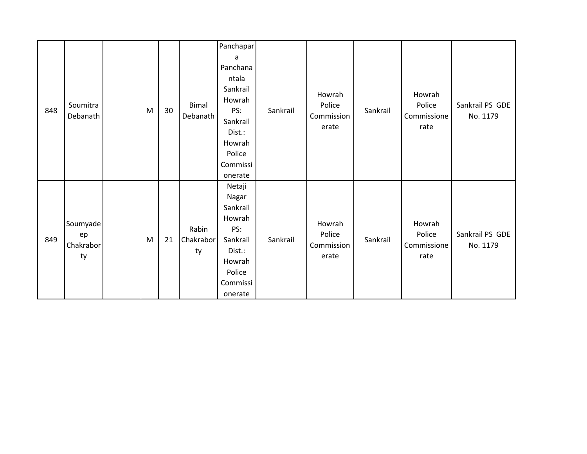|     |                                   |   |    |                          | Panchapar<br>a<br>Panchana                                                                                    |          |                                         |          |                                         |                             |
|-----|-----------------------------------|---|----|--------------------------|---------------------------------------------------------------------------------------------------------------|----------|-----------------------------------------|----------|-----------------------------------------|-----------------------------|
| 848 | Soumitra<br>Debanath              | M | 30 | <b>Bimal</b><br>Debanath | ntala<br>Sankrail<br>Howrah<br>PS:<br>Sankrail<br>Dist.:<br>Howrah<br>Police<br>Commissi<br>onerate           | Sankrail | Howrah<br>Police<br>Commission<br>erate | Sankrail | Howrah<br>Police<br>Commissione<br>rate | Sankrail PS GDE<br>No. 1179 |
| 849 | Soumyade<br>ep<br>Chakrabor<br>ty | M | 21 | Rabin<br>Chakrabor<br>ty | Netaji<br>Nagar<br>Sankrail<br>Howrah<br>PS:<br>Sankrail<br>Dist.:<br>Howrah<br>Police<br>Commissi<br>onerate | Sankrail | Howrah<br>Police<br>Commission<br>erate | Sankrail | Howrah<br>Police<br>Commissione<br>rate | Sankrail PS GDE<br>No. 1179 |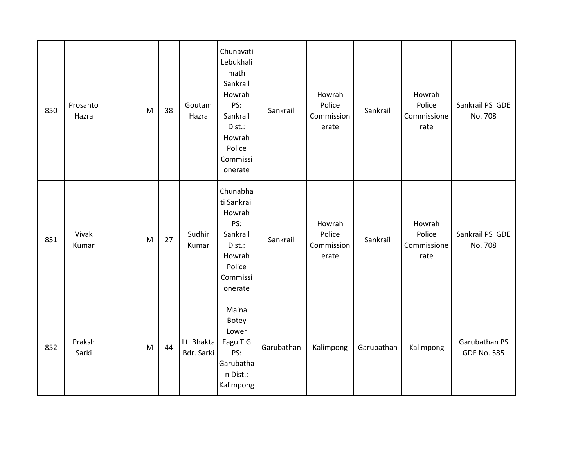| 850 | Prosanto<br>Hazra | M | 38 | Goutam<br>Hazra          | Chunavati<br>Lebukhali<br>math<br>Sankrail<br>Howrah<br>PS:<br>Sankrail<br>Dist.:<br>Howrah<br>Police<br>Commissi<br>onerate | Sankrail   | Howrah<br>Police<br>Commission<br>erate | Sankrail   | Howrah<br>Police<br>Commissione<br>rate | Sankrail PS GDE<br>No. 708          |
|-----|-------------------|---|----|--------------------------|------------------------------------------------------------------------------------------------------------------------------|------------|-----------------------------------------|------------|-----------------------------------------|-------------------------------------|
| 851 | Vivak<br>Kumar    | M | 27 | Sudhir<br>Kumar          | Chunabha<br>ti Sankrail<br>Howrah<br>PS:<br>Sankrail<br>Dist.:<br>Howrah<br>Police<br>Commissi<br>onerate                    | Sankrail   | Howrah<br>Police<br>Commission<br>erate | Sankrail   | Howrah<br>Police<br>Commissione<br>rate | Sankrail PS GDE<br>No. 708          |
| 852 | Praksh<br>Sarki   | M | 44 | Lt. Bhakta<br>Bdr. Sarki | Maina<br>Botey<br>Lower<br>Fagu T.G<br>PS:<br>Garubatha<br>n Dist.:<br>Kalimpong                                             | Garubathan | Kalimpong                               | Garubathan | Kalimpong                               | Garubathan PS<br><b>GDE No. 585</b> |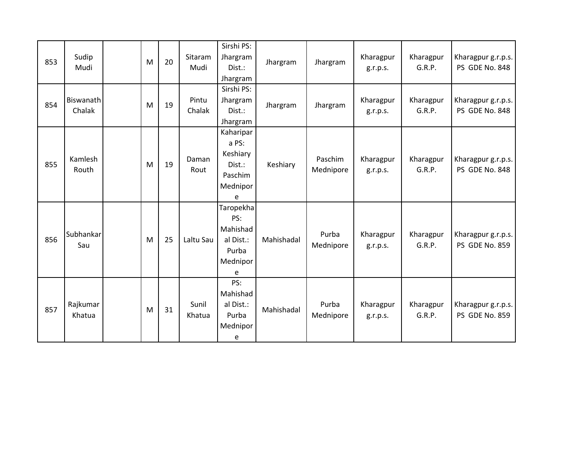| 853 | Sudip<br>Mudi       | M | 20 | Sitaram<br>Mudi | Sirshi PS:<br>Jhargram<br>Dist.:<br>Jhargram                         | Jhargram   | Jhargram             | Kharagpur<br>g.r.p.s. | Kharagpur<br>G.R.P. | Kharagpur g.r.p.s.<br>PS GDE No. 848 |
|-----|---------------------|---|----|-----------------|----------------------------------------------------------------------|------------|----------------------|-----------------------|---------------------|--------------------------------------|
| 854 | Biswanath<br>Chalak | M | 19 | Pintu<br>Chalak | Sirshi PS:<br>Jhargram<br>Dist.:<br>Jhargram                         | Jhargram   | Jhargram             | Kharagpur<br>g.r.p.s. | Kharagpur<br>G.R.P. | Kharagpur g.r.p.s.<br>PS GDE No. 848 |
| 855 | Kamlesh<br>Routh    | M | 19 | Daman<br>Rout   | Kaharipar<br>a PS:<br>Keshiary<br>Dist.:<br>Paschim<br>Mednipor<br>e | Keshiary   | Paschim<br>Mednipore | Kharagpur<br>g.r.p.s. | Kharagpur<br>G.R.P. | Kharagpur g.r.p.s.<br>PS GDE No. 848 |
| 856 | Subhankar<br>Sau    | M | 25 | Laltu Sau       | Taropekha<br>PS:<br>Mahishad<br>al Dist.:<br>Purba<br>Mednipor<br>e  | Mahishadal | Purba<br>Mednipore   | Kharagpur<br>g.r.p.s. | Kharagpur<br>G.R.P. | Kharagpur g.r.p.s.<br>PS GDE No. 859 |
| 857 | Rajkumar<br>Khatua  | M | 31 | Sunil<br>Khatua | PS:<br>Mahishad<br>al Dist.:<br>Purba<br>Mednipor<br>e               | Mahishadal | Purba<br>Mednipore   | Kharagpur<br>g.r.p.s. | Kharagpur<br>G.R.P. | Kharagpur g.r.p.s.<br>PS GDE No. 859 |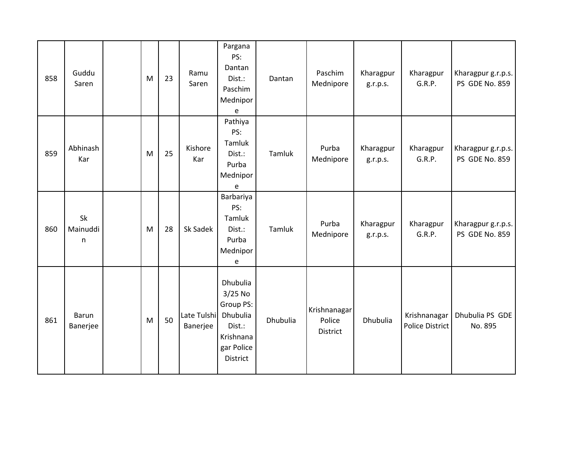| 858 | Guddu<br>Saren           | M | 23 | Ramu<br>Saren           | Pargana<br>PS:<br>Dantan<br>Dist.:<br>Paschim<br>Mednipor<br>e                                  | Dantan   | Paschim<br>Mednipore               | Kharagpur<br>g.r.p.s. | Kharagpur<br>G.R.P.                    | Kharagpur g.r.p.s.<br>PS GDE No. 859 |
|-----|--------------------------|---|----|-------------------------|-------------------------------------------------------------------------------------------------|----------|------------------------------------|-----------------------|----------------------------------------|--------------------------------------|
| 859 | Abhinash<br>Kar          | M | 25 | Kishore<br>Kar          | Pathiya<br>PS:<br>Tamluk<br>Dist.:<br>Purba<br>Mednipor<br>e                                    | Tamluk   | Purba<br>Mednipore                 | Kharagpur<br>g.r.p.s. | Kharagpur<br>G.R.P.                    | Kharagpur g.r.p.s.<br>PS GDE No. 859 |
| 860 | Sk<br>Mainuddi<br>n      | M | 28 | Sk Sadek                | Barbariya<br>PS:<br>Tamluk<br>Dist.:<br>Purba<br>Mednipor<br>e                                  | Tamluk   | Purba<br>Mednipore                 | Kharagpur<br>g.r.p.s. | Kharagpur<br>G.R.P.                    | Kharagpur g.r.p.s.<br>PS GDE No. 859 |
| 861 | <b>Barun</b><br>Banerjee | M | 50 | Late Tulshi<br>Banerjee | Dhubulia<br>$3/25$ No<br>Group PS:<br>Dhubulia<br>Dist.:<br>Krishnana<br>gar Police<br>District | Dhubulia | Krishnanagar<br>Police<br>District | <b>Dhubulia</b>       | Krishnanagar<br><b>Police District</b> | Dhubulia PS GDE<br>No. 895           |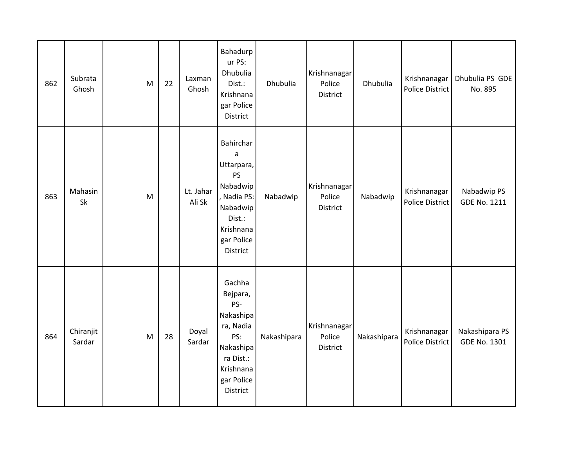| 862 | Subrata<br>Ghosh    | M | 22 | Laxman<br>Ghosh     | Bahadurp<br>ur PS:<br>Dhubulia<br>Dist.:<br>Krishnana<br>gar Police<br>District                                                      | Dhubulia    | Krishnanagar<br>Police<br><b>District</b> | Dhubulia    | Krishnanagar<br><b>Police District</b> | Dhubulia PS GDE<br>No. 895            |
|-----|---------------------|---|----|---------------------|--------------------------------------------------------------------------------------------------------------------------------------|-------------|-------------------------------------------|-------------|----------------------------------------|---------------------------------------|
| 863 | Mahasin<br>Sk       | M |    | Lt. Jahar<br>Ali Sk | Bahirchar<br>$\mathsf a$<br>Uttarpara,<br>PS<br>Nabadwip<br>, Nadia PS:<br>Nabadwip<br>Dist.:<br>Krishnana<br>gar Police<br>District | Nabadwip    | Krishnanagar<br>Police<br><b>District</b> | Nabadwip    | Krishnanagar<br><b>Police District</b> | Nabadwip PS<br><b>GDE No. 1211</b>    |
| 864 | Chiranjit<br>Sardar | M | 28 | Doyal<br>Sardar     | Gachha<br>Bejpara,<br>PS-<br>Nakashipa<br>ra, Nadia<br>PS:<br>Nakashipa<br>ra Dist.:<br>Krishnana<br>gar Police<br>District          | Nakashipara | Krishnanagar<br>Police<br>District        | Nakashipara | Krishnanagar<br><b>Police District</b> | Nakashipara PS<br><b>GDE No. 1301</b> |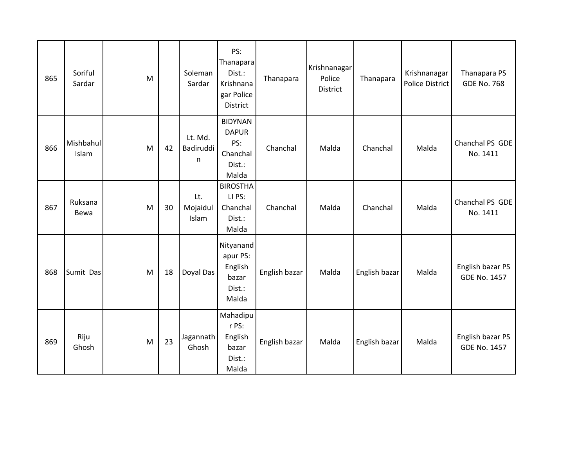| 865 | Soriful<br>Sardar  | M |    | Soleman<br>Sardar         | PS:<br>Thanapara<br>Dist.:<br>Krishnana<br>gar Police<br>District    | Thanapara     | Krishnanagar<br>Police<br><b>District</b> | Thanapara     | Krishnanagar<br><b>Police District</b> | Thanapara PS<br><b>GDE No. 768</b>      |
|-----|--------------------|---|----|---------------------------|----------------------------------------------------------------------|---------------|-------------------------------------------|---------------|----------------------------------------|-----------------------------------------|
| 866 | Mishbahul<br>Islam | M | 42 | Lt. Md.<br>Badiruddi<br>n | <b>BIDYNAN</b><br><b>DAPUR</b><br>PS:<br>Chanchal<br>Dist.:<br>Malda | Chanchal      | Malda                                     | Chanchal      | Malda                                  | Chanchal PS GDE<br>No. 1411             |
| 867 | Ruksana<br>Bewa    | M | 30 | Lt.<br>Mojaidul<br>Islam  | <b>BIROSTHA</b><br>LI PS:<br>Chanchal<br>Dist.:<br>Malda             | Chanchal      | Malda                                     | Chanchal      | Malda                                  | Chanchal PS GDE<br>No. 1411             |
| 868 | Sumit Das          | M | 18 | Doyal Das                 | Nityanand<br>apur PS:<br>English<br>bazar<br>Dist.:<br>Malda         | English bazar | Malda                                     | English bazar | Malda                                  | English bazar PS<br><b>GDE No. 1457</b> |
| 869 | Riju<br>Ghosh      | M | 23 | Jagannath<br>Ghosh        | Mahadipu<br>r PS:<br>English<br>bazar<br>Dist.:<br>Malda             | English bazar | Malda                                     | English bazar | Malda                                  | English bazar PS<br><b>GDE No. 1457</b> |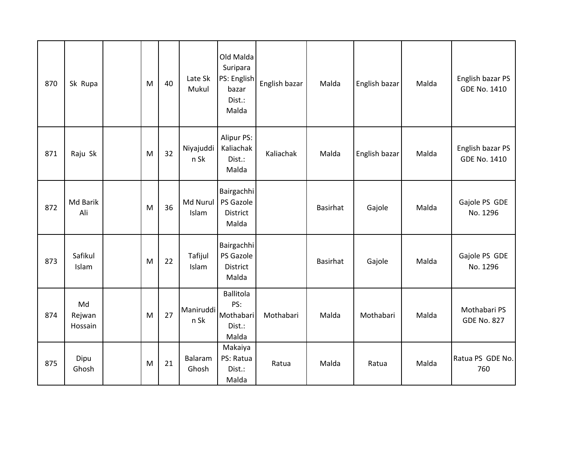| 870 | Sk Rupa                 | M | 40 | Late Sk<br>Mukul  | Old Malda<br>Suripara<br>PS: English<br>bazar<br>Dist.:<br>Malda | English bazar | Malda           | English bazar | Malda | English bazar PS<br><b>GDE No. 1410</b> |
|-----|-------------------------|---|----|-------------------|------------------------------------------------------------------|---------------|-----------------|---------------|-------|-----------------------------------------|
| 871 | Raju Sk                 | M | 32 | Niyajuddi<br>n Sk | Alipur PS:<br>Kaliachak<br>Dist.:<br>Malda                       | Kaliachak     | Malda           | English bazar | Malda | English bazar PS<br><b>GDE No. 1410</b> |
| 872 | Md Barik<br>Ali         | M | 36 | Md Nurul<br>Islam | Bairgachhi<br>PS Gazole<br>District<br>Malda                     |               | <b>Basirhat</b> | Gajole        | Malda | Gajole PS GDE<br>No. 1296               |
| 873 | Safikul<br>Islam        | M | 22 | Tafijul<br>Islam  | Bairgachhi<br>PS Gazole<br><b>District</b><br>Malda              |               | Basirhat        | Gajole        | Malda | Gajole PS GDE<br>No. 1296               |
| 874 | Md<br>Rejwan<br>Hossain | M | 27 | Maniruddi<br>n Sk | <b>Ballitola</b><br>PS:<br>Mothabari<br>Dist.:<br>Malda          | Mothabari     | Malda           | Mothabari     | Malda | Mothabari PS<br><b>GDE No. 827</b>      |
| 875 | Dipu<br>Ghosh           | M | 21 | Balaram<br>Ghosh  | Makaiya<br>PS: Ratua<br>Dist.:<br>Malda                          | Ratua         | Malda           | Ratua         | Malda | Ratua PS GDE No.<br>760                 |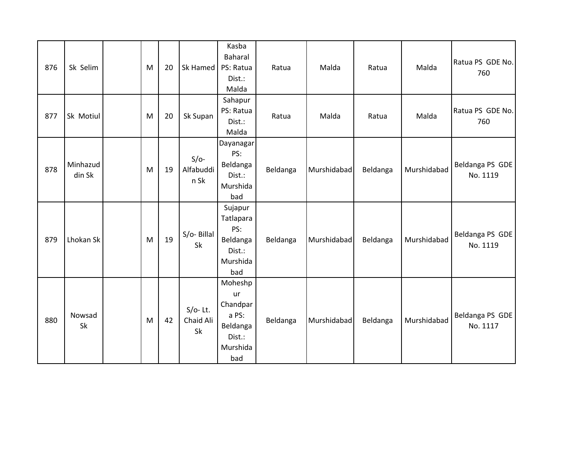| 876 | Sk Selim           | M | 20 | Sk Hamed                      | Kasba<br>Baharal<br>PS: Ratua<br>Dist.:<br>Malda                            | Ratua    | Malda       | Ratua    | Malda       | Ratua PS GDE No.<br>760     |
|-----|--------------------|---|----|-------------------------------|-----------------------------------------------------------------------------|----------|-------------|----------|-------------|-----------------------------|
| 877 | Sk Motiul          | M | 20 | Sk Supan                      | Sahapur<br>PS: Ratua<br>Dist.:<br>Malda                                     | Ratua    | Malda       | Ratua    | Malda       | Ratua PS GDE No.<br>760     |
| 878 | Minhazud<br>din Sk | M | 19 | $S/O-$<br>Alfabuddi<br>n Sk   | Dayanagar<br>PS:<br>Beldanga<br>Dist.:<br>Murshida<br>bad                   | Beldanga | Murshidabad | Beldanga | Murshidabad | Beldanga PS GDE<br>No. 1119 |
| 879 | Lhokan Sk          | M | 19 | S/o-Billal<br>Sk              | Sujapur<br>Tatlapara<br>PS:<br>Beldanga<br>Dist.:<br>Murshida<br>bad        | Beldanga | Murshidabad | Beldanga | Murshidabad | Beldanga PS GDE<br>No. 1119 |
| 880 | Nowsad<br>Sk       | M | 42 | $S/O-$ Lt.<br>Chaid Ali<br>Sk | Moheshp<br>ur<br>Chandpar<br>a PS:<br>Beldanga<br>Dist.:<br>Murshida<br>bad | Beldanga | Murshidabad | Beldanga | Murshidabad | Beldanga PS GDE<br>No. 1117 |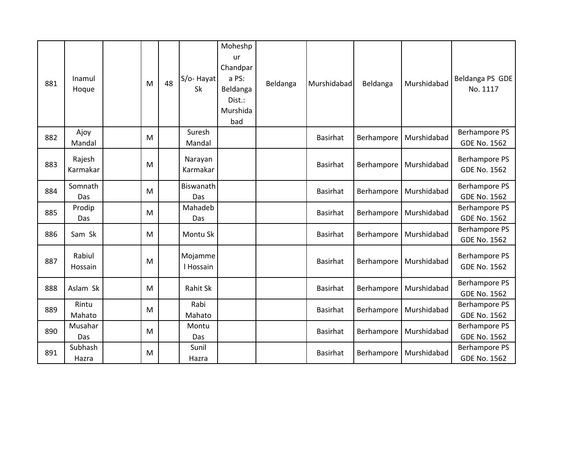| 881 | Inamul<br>Hoque          | M | 48 | S/o-Hayat<br>Sk      | Moheshp<br>ur<br>Chandpar<br>a PS:<br>Beldanga<br>Dist.:<br>Murshida<br>bad | Beldanga | Murshidabad     | Beldanga   | Murshidabad | Beldanga PS GDE<br>No. 1117                 |
|-----|--------------------------|---|----|----------------------|-----------------------------------------------------------------------------|----------|-----------------|------------|-------------|---------------------------------------------|
| 882 | Ajoy<br>Mandal           | M |    | Suresh<br>Mandal     |                                                                             |          | <b>Basirhat</b> | Berhampore | Murshidabad | <b>Berhampore PS</b><br><b>GDE No. 1562</b> |
| 883 | Rajesh<br>Karmakar       | M |    | Narayan<br>Karmakar  |                                                                             |          | <b>Basirhat</b> | Berhampore | Murshidabad | Berhampore PS<br><b>GDE No. 1562</b>        |
| 884 | Somnath<br>Das           | M |    | Biswanath<br>Das     |                                                                             |          | <b>Basirhat</b> | Berhampore | Murshidabad | <b>Berhampore PS</b><br><b>GDE No. 1562</b> |
| 885 | Prodip<br>Das            | M |    | Mahadeb<br>Das       |                                                                             |          | <b>Basirhat</b> | Berhampore | Murshidabad | <b>Berhampore PS</b><br><b>GDE No. 1562</b> |
| 886 | Sam Sk                   | M |    | Montu Sk             |                                                                             |          | <b>Basirhat</b> | Berhampore | Murshidabad | <b>Berhampore PS</b><br><b>GDE No. 1562</b> |
| 887 | Rabiul<br><b>Hossain</b> | M |    | Mojamme<br>I Hossain |                                                                             |          | <b>Basirhat</b> | Berhampore | Murshidabad | Berhampore PS<br><b>GDE No. 1562</b>        |
| 888 | Aslam Sk                 | M |    | <b>Rahit Sk</b>      |                                                                             |          | <b>Basirhat</b> | Berhampore | Murshidabad | <b>Berhampore PS</b><br><b>GDE No. 1562</b> |
| 889 | Rintu<br>Mahato          | M |    | Rabi<br>Mahato       |                                                                             |          | <b>Basirhat</b> | Berhampore | Murshidabad | <b>Berhampore PS</b><br><b>GDE No. 1562</b> |
| 890 | Musahar<br>Das           | M |    | Montu<br>Das         |                                                                             |          | <b>Basirhat</b> | Berhampore | Murshidabad | <b>Berhampore PS</b><br><b>GDE No. 1562</b> |
| 891 | Subhash<br>Hazra         | M |    | Sunil<br>Hazra       |                                                                             |          | <b>Basirhat</b> | Berhampore | Murshidabad | <b>Berhampore PS</b><br><b>GDE No. 1562</b> |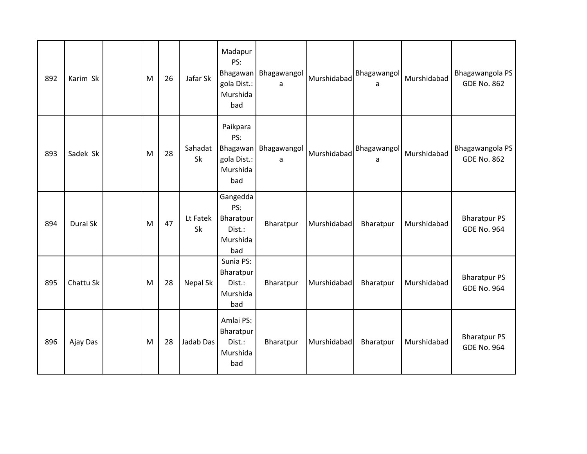| 892 | Karim Sk  | M | 26 | Jafar Sk             | Madapur<br>PS:<br><b>Bhagawan</b><br>gola Dist.:<br>Murshida<br>bad | Bhagawangol<br>a | Murshidabad | Bhagawangol<br>a | Murshidabad | Bhagawangola PS<br><b>GDE No. 862</b>     |
|-----|-----------|---|----|----------------------|---------------------------------------------------------------------|------------------|-------------|------------------|-------------|-------------------------------------------|
| 893 | Sadek Sk  | M | 28 | Sahadat<br><b>Sk</b> | Paikpara<br>PS:<br>Bhagawan<br>gola Dist.:<br>Murshida<br>bad       | Bhagawangol<br>a | Murshidabad | Bhagawangol<br>a | Murshidabad | Bhagawangola PS<br><b>GDE No. 862</b>     |
| 894 | Durai Sk  | M | 47 | Lt Fatek<br>Sk       | Gangedda<br>PS:<br>Bharatpur<br>Dist.:<br>Murshida<br>bad           | Bharatpur        | Murshidabad | Bharatpur        | Murshidabad | <b>Bharatpur PS</b><br><b>GDE No. 964</b> |
| 895 | Chattu Sk | M | 28 | Nepal Sk             | Sunia PS:<br>Bharatpur<br>Dist.:<br>Murshida<br>bad                 | Bharatpur        | Murshidabad | Bharatpur        | Murshidabad | <b>Bharatpur PS</b><br><b>GDE No. 964</b> |
| 896 | Ajay Das  | M | 28 | Jadab Das            | Amlai PS:<br>Bharatpur<br>Dist.:<br>Murshida<br>bad                 | Bharatpur        | Murshidabad | Bharatpur        | Murshidabad | <b>Bharatpur PS</b><br><b>GDE No. 964</b> |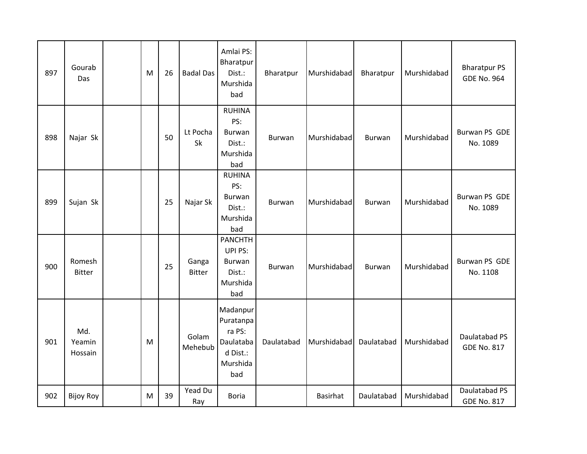| 897 | Gourab<br>Das            | M | 26 | <b>Badal Das</b>       | Amlai PS:<br>Bharatpur<br>Dist.:<br>Murshida<br>bad                         | Bharatpur  | Murshidabad | Bharatpur     | Murshidabad | <b>Bharatpur PS</b><br><b>GDE No. 964</b> |
|-----|--------------------------|---|----|------------------------|-----------------------------------------------------------------------------|------------|-------------|---------------|-------------|-------------------------------------------|
| 898 | Najar Sk                 |   | 50 | Lt Pocha<br>Sk         | <b>RUHINA</b><br>PS:<br><b>Burwan</b><br>Dist.:<br>Murshida<br>bad          | Burwan     | Murshidabad | Burwan        | Murshidabad | Burwan PS GDE<br>No. 1089                 |
| 899 | Sujan Sk                 |   | 25 | Najar Sk               | <b>RUHINA</b><br>PS:<br>Burwan<br>Dist.:<br>Murshida<br>bad                 | Burwan     | Murshidabad | Burwan        | Murshidabad | Burwan PS GDE<br>No. 1089                 |
| 900 | Romesh<br><b>Bitter</b>  |   | 25 | Ganga<br><b>Bitter</b> | <b>PANCHTH</b><br>UPI PS:<br>Burwan<br>Dist.:<br>Murshida<br>bad            | Burwan     | Murshidabad | <b>Burwan</b> | Murshidabad | Burwan PS GDE<br>No. 1108                 |
| 901 | Md.<br>Yeamin<br>Hossain | M |    | Golam<br>Mehebub       | Madanpur<br>Puratanpa<br>ra PS:<br>Daulataba<br>d Dist.:<br>Murshida<br>bad | Daulatabad | Murshidabad | Daulatabad    | Murshidabad | Daulatabad PS<br><b>GDE No. 817</b>       |
| 902 | <b>Bijoy Roy</b>         | M | 39 | Yead Du<br>Ray         | <b>Boria</b>                                                                |            | Basirhat    | Daulatabad    | Murshidabad | Daulatabad PS<br><b>GDE No. 817</b>       |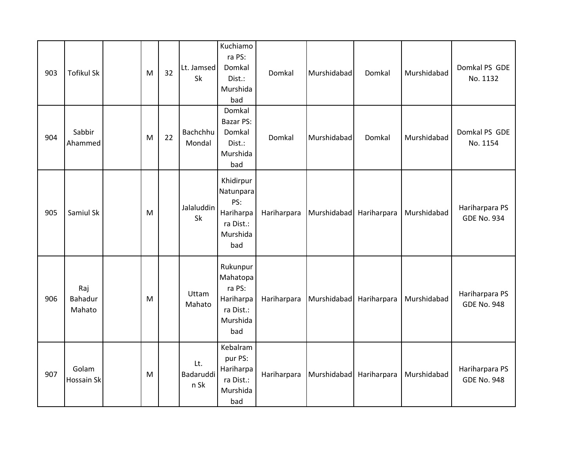| 903 | <b>Tofikul Sk</b>        | M | 32 | Lt. Jamsed<br>Sk         | Kuchiamo<br>ra PS:<br>Domkal<br>Dist.:<br>Murshida<br>bad                   | Domkal      | Murshidabad | Domkal      | Murshidabad | Domkal PS GDE<br>No. 1132            |
|-----|--------------------------|---|----|--------------------------|-----------------------------------------------------------------------------|-------------|-------------|-------------|-------------|--------------------------------------|
| 904 | Sabbir<br>Ahammed        | M | 22 | Bachchhu<br>Mondal       | Domkal<br><b>Bazar PS:</b><br>Domkal<br>Dist.:<br>Murshida<br>bad           | Domkal      | Murshidabad | Domkal      | Murshidabad | Domkal PS GDE<br>No. 1154            |
| 905 | Samiul Sk                | M |    | Jalaluddin<br><b>Sk</b>  | Khidirpur<br>Natunpara<br>PS:<br>Hariharpa<br>ra Dist.:<br>Murshida<br>bad  | Hariharpara | Murshidabad | Hariharpara | Murshidabad | Hariharpara PS<br><b>GDE No. 934</b> |
| 906 | Raj<br>Bahadur<br>Mahato | M |    | Uttam<br>Mahato          | Rukunpur<br>Mahatopa<br>ra PS:<br>Hariharpa<br>ra Dist.:<br>Murshida<br>bad | Hariharpara | Murshidabad | Hariharpara | Murshidabad | Hariharpara PS<br><b>GDE No. 948</b> |
| 907 | Golam<br>Hossain Sk      | M |    | Lt.<br>Badaruddi<br>n Sk | Kebalram<br>pur PS:<br>Hariharpa<br>ra Dist.:<br>Murshida<br>bad            | Hariharpara | Murshidabad | Hariharpara | Murshidabad | Hariharpara PS<br><b>GDE No. 948</b> |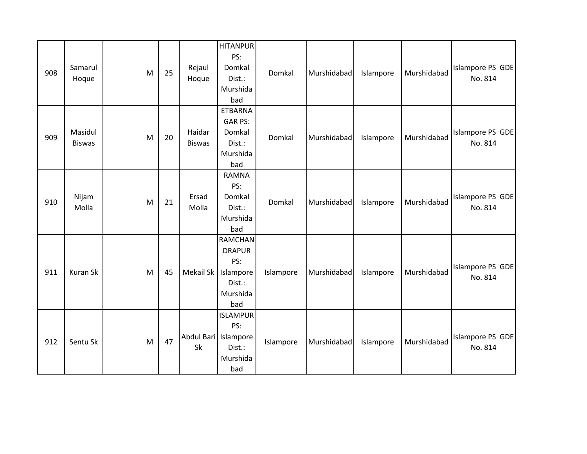| 908 | Samarul<br>Hoque         | M | 25 | Rejaul<br>Hoque              | <b>HITANPUR</b><br>PS:<br>Domkal<br>Dist.:<br>Murshida<br>bad                    | Domkal    | Murshidabad | Islampore | Murshidabad | Islampore PS GDE<br>No. 814 |
|-----|--------------------------|---|----|------------------------------|----------------------------------------------------------------------------------|-----------|-------------|-----------|-------------|-----------------------------|
| 909 | Masidul<br><b>Biswas</b> | M | 20 | Haidar<br><b>Biswas</b>      | <b>ETBARNA</b><br><b>GAR PS:</b><br>Domkal<br>Dist.:<br>Murshida<br>bad          | Domkal    | Murshidabad | Islampore | Murshidabad | Islampore PS GDE<br>No. 814 |
| 910 | Nijam<br>Molla           | M | 21 | Ersad<br>Molla               | <b>RAMNA</b><br>PS:<br>Domkal<br>Dist.:<br>Murshida<br>bad                       | Domkal    | Murshidabad | Islampore | Murshidabad | Islampore PS GDE<br>No. 814 |
| 911 | Kuran Sk                 | M | 45 | Mekail Sk                    | <b>RAMCHAN</b><br><b>DRAPUR</b><br>PS:<br>Islampore<br>Dist.:<br>Murshida<br>bad | Islampore | Murshidabad | Islampore | Murshidabad | Islampore PS GDE<br>No. 814 |
| 912 | Sentu Sk                 | M | 47 | Abdul Bari   Islampore<br>Sk | <b>ISLAMPUR</b><br>PS:<br>Dist.:<br>Murshida<br>bad                              | Islampore | Murshidabad | Islampore | Murshidabad | Islampore PS GDE<br>No. 814 |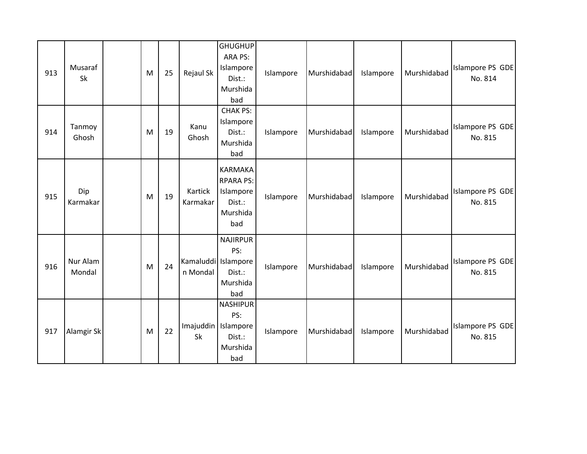| 913 | Musaraf<br>Sk      | M | 25 | Rejaul Sk                         | <b>GHUGHUP</b><br>ARA PS:<br>Islampore<br>Dist.:<br>Murshida<br>bad          | Islampore | Murshidabad | Islampore | Murshidabad | Islampore PS GDE<br>No. 814 |
|-----|--------------------|---|----|-----------------------------------|------------------------------------------------------------------------------|-----------|-------------|-----------|-------------|-----------------------------|
| 914 | Tanmoy<br>Ghosh    | M | 19 | Kanu<br>Ghosh                     | <b>CHAK PS:</b><br>Islampore<br>Dist.:<br>Murshida<br>bad                    | Islampore | Murshidabad | Islampore | Murshidabad | Islampore PS GDE<br>No. 815 |
| 915 | Dip<br>Karmakar    | M | 19 | Kartick<br>Karmakar               | <b>KARMAKA</b><br><b>RPARA PS:</b><br>Islampore<br>Dist.:<br>Murshida<br>bad | Islampore | Murshidabad | Islampore | Murshidabad | Islampore PS GDE<br>No. 815 |
| 916 | Nur Alam<br>Mondal | M | 24 | Kamaluddi   Islampore<br>n Mondal | <b>NAJIRPUR</b><br>PS:<br>Dist.:<br>Murshida<br>bad                          | Islampore | Murshidabad | Islampore | Murshidabad | Islampore PS GDE<br>No. 815 |
| 917 | Alamgir Sk         | M | 22 | Imajuddin   Islampore<br>Sk       | <b>NASHIPUR</b><br>PS:<br>Dist.:<br>Murshida<br>bad                          | Islampore | Murshidabad | Islampore | Murshidabad | Islampore PS GDE<br>No. 815 |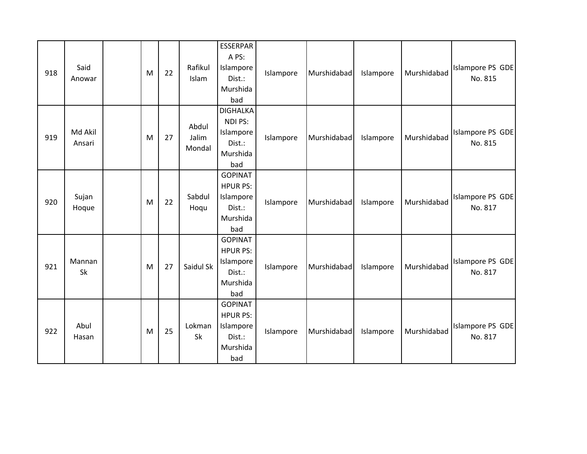| 918 | Said<br>Anowar    | M | 22 | Rafikul<br>Islam         | <b>ESSERPAR</b><br>A PS:<br>Islampore<br>Dist.:<br>Murshida<br>bad          | Islampore | Murshidabad | Islampore | Murshidabad | Islampore PS GDE<br>No. 815 |
|-----|-------------------|---|----|--------------------------|-----------------------------------------------------------------------------|-----------|-------------|-----------|-------------|-----------------------------|
| 919 | Md Akil<br>Ansari | M | 27 | Abdul<br>Jalim<br>Mondal | <b>DIGHALKA</b><br>NDI PS:<br>Islampore<br>Dist.:<br>Murshida<br>bad        | Islampore | Murshidabad | Islampore | Murshidabad | Islampore PS GDE<br>No. 815 |
| 920 | Sujan<br>Hoque    | M | 22 | Sabdul<br>Hoqu           | <b>GOPINAT</b><br><b>HPUR PS:</b><br>Islampore<br>Dist.:<br>Murshida<br>bad | Islampore | Murshidabad | Islampore | Murshidabad | Islampore PS GDE<br>No. 817 |
| 921 | Mannan<br>Sk      | M | 27 | Saidul Sk                | <b>GOPINAT</b><br><b>HPUR PS:</b><br>Islampore<br>Dist.:<br>Murshida<br>bad | Islampore | Murshidabad | Islampore | Murshidabad | Islampore PS GDE<br>No. 817 |
| 922 | Abul<br>Hasan     | M | 25 | Lokman<br>Sk             | <b>GOPINAT</b><br><b>HPUR PS:</b><br>Islampore<br>Dist.:<br>Murshida<br>bad | Islampore | Murshidabad | Islampore | Murshidabad | Islampore PS GDE<br>No. 817 |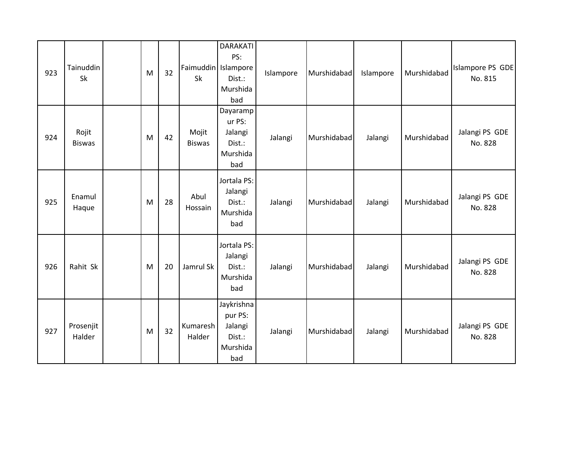| 923 | Tainuddin<br>Sk        | M | 32 | Faimuddin Islampore<br>Sk | <b>DARAKATI</b><br>PS:<br>Dist.:<br>Murshida<br>bad           | Islampore | Murshidabad | Islampore | Murshidabad | Islampore PS GDE<br>No. 815 |
|-----|------------------------|---|----|---------------------------|---------------------------------------------------------------|-----------|-------------|-----------|-------------|-----------------------------|
| 924 | Rojit<br><b>Biswas</b> | M | 42 | Mojit<br><b>Biswas</b>    | Dayaramp<br>ur PS:<br>Jalangi<br>Dist.:<br>Murshida<br>bad    | Jalangi   | Murshidabad | Jalangi   | Murshidabad | Jalangi PS GDE<br>No. 828   |
| 925 | Enamul<br>Haque        | M | 28 | Abul<br>Hossain           | Jortala PS:<br>Jalangi<br>Dist.:<br>Murshida<br>bad           | Jalangi   | Murshidabad | Jalangi   | Murshidabad | Jalangi PS GDE<br>No. 828   |
| 926 | Rahit Sk               | M | 20 | Jamrul Sk                 | Jortala PS:<br>Jalangi<br>Dist.:<br>Murshida<br>bad           | Jalangi   | Murshidabad | Jalangi   | Murshidabad | Jalangi PS GDE<br>No. 828   |
| 927 | Prosenjit<br>Halder    | M | 32 | Kumaresh<br>Halder        | Jaykrishna<br>pur PS:<br>Jalangi<br>Dist.:<br>Murshida<br>bad | Jalangi   | Murshidabad | Jalangi   | Murshidabad | Jalangi PS GDE<br>No. 828   |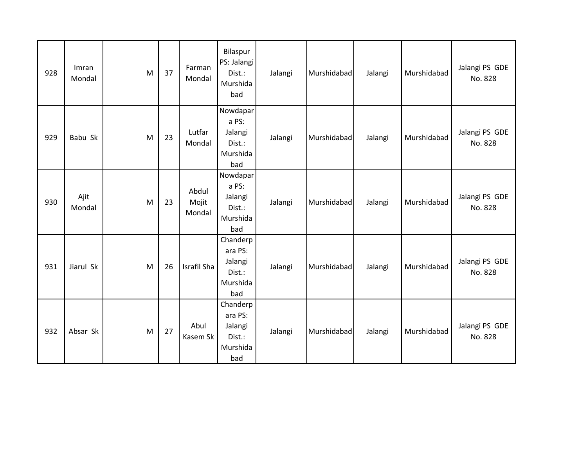| 928 | Imran<br>Mondal | M | 37 | Farman<br>Mondal         | Bilaspur<br>PS: Jalangi<br>Dist.:<br>Murshida<br>bad        | Jalangi | Murshidabad | Jalangi | Murshidabad | Jalangi PS GDE<br>No. 828 |
|-----|-----------------|---|----|--------------------------|-------------------------------------------------------------|---------|-------------|---------|-------------|---------------------------|
| 929 | Babu Sk         | M | 23 | Lutfar<br>Mondal         | Nowdapar<br>a PS:<br>Jalangi<br>Dist.:<br>Murshida<br>bad   | Jalangi | Murshidabad | Jalangi | Murshidabad | Jalangi PS GDE<br>No. 828 |
| 930 | Ajit<br>Mondal  | M | 23 | Abdul<br>Mojit<br>Mondal | Nowdapar<br>a PS:<br>Jalangi<br>Dist.:<br>Murshida<br>bad   | Jalangi | Murshidabad | Jalangi | Murshidabad | Jalangi PS GDE<br>No. 828 |
| 931 | Jiarul Sk       | M | 26 | Israfil Sha              | Chanderp<br>ara PS:<br>Jalangi<br>Dist.:<br>Murshida<br>bad | Jalangi | Murshidabad | Jalangi | Murshidabad | Jalangi PS GDE<br>No. 828 |
| 932 | Absar Sk        | M | 27 | Abul<br>Kasem Sk         | Chanderp<br>ara PS:<br>Jalangi<br>Dist.:<br>Murshida<br>bad | Jalangi | Murshidabad | Jalangi | Murshidabad | Jalangi PS GDE<br>No. 828 |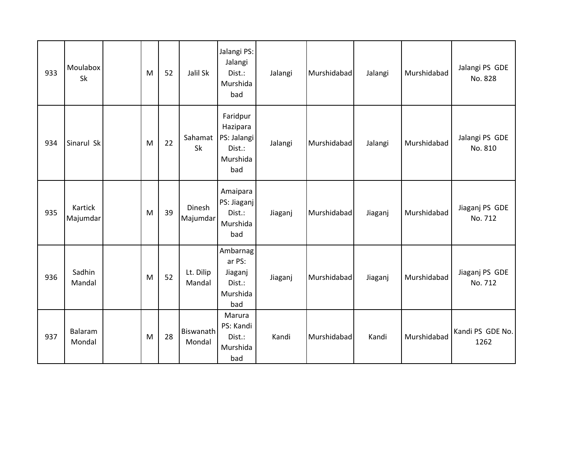| 933 | Moulabox<br><b>Sk</b> | M | 52 | Jalil Sk            | Jalangi PS:<br>Jalangi<br>Dist.:<br>Murshida<br>bad              | Jalangi | Murshidabad | Jalangi | Murshidabad | Jalangi PS GDE<br>No. 828 |
|-----|-----------------------|---|----|---------------------|------------------------------------------------------------------|---------|-------------|---------|-------------|---------------------------|
| 934 | Sinarul Sk            | M | 22 | Sahamat<br>Sk       | Faridpur<br>Hazipara<br>PS: Jalangi<br>Dist.:<br>Murshida<br>bad | Jalangi | Murshidabad | Jalangi | Murshidabad | Jalangi PS GDE<br>No. 810 |
| 935 | Kartick<br>Majumdar   | M | 39 | Dinesh<br>Majumdar  | Amaipara<br>PS: Jiaganj<br>Dist.:<br>Murshida<br>bad             | Jiaganj | Murshidabad | Jiaganj | Murshidabad | Jiaganj PS GDE<br>No. 712 |
| 936 | Sadhin<br>Mandal      | M | 52 | Lt. Dilip<br>Mandal | Ambarnag<br>ar PS:<br>Jiaganj<br>Dist.:<br>Murshida<br>bad       | Jiaganj | Murshidabad | Jiaganj | Murshidabad | Jiaganj PS GDE<br>No. 712 |
| 937 | Balaram<br>Mondal     | M | 28 | Biswanath<br>Mondal | Marura<br>PS: Kandi<br>Dist.:<br>Murshida<br>bad                 | Kandi   | Murshidabad | Kandi   | Murshidabad | Kandi PS GDE No.<br>1262  |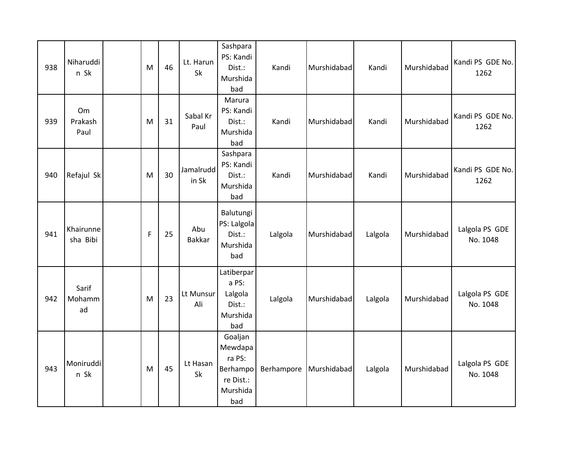| 938 | Niharuddi<br>n Sk     | M           | 46 | Lt. Harun<br>Sk      | Sashpara<br>PS: Kandi<br>Dist.:<br>Murshida<br>bad                       | Kandi      | Murshidabad | Kandi   | Murshidabad | Kandi PS GDE No.<br>1262   |
|-----|-----------------------|-------------|----|----------------------|--------------------------------------------------------------------------|------------|-------------|---------|-------------|----------------------------|
| 939 | Om<br>Prakash<br>Paul | M           | 31 | Sabal Kr<br>Paul     | Marura<br>PS: Kandi<br>Dist.:<br>Murshida<br>bad                         | Kandi      | Murshidabad | Kandi   | Murshidabad | Kandi PS GDE No.<br>1262   |
| 940 | Refajul Sk            | M           | 30 | Jamalrudd<br>in Sk   | Sashpara<br>PS: Kandi<br>Dist.:<br>Murshida<br>bad                       | Kandi      | Murshidabad | Kandi   | Murshidabad | Kandi PS GDE No.<br>1262   |
| 941 | Khairunne<br>sha Bibi | $\mathsf F$ | 25 | Abu<br><b>Bakkar</b> | Balutungi<br>PS: Lalgola<br>Dist.:<br>Murshida<br>bad                    | Lalgola    | Murshidabad | Lalgola | Murshidabad | Lalgola PS GDE<br>No. 1048 |
| 942 | Sarif<br>Mohamm<br>ad | M           | 23 | Lt Munsur<br>Ali     | Latiberpar<br>a PS:<br>Lalgola<br>Dist.:<br>Murshida<br>bad              | Lalgola    | Murshidabad | Lalgola | Murshidabad | Lalgola PS GDE<br>No. 1048 |
| 943 | Moniruddi<br>n Sk     | M           | 45 | Lt Hasan<br>Sk       | Goaljan<br>Mewdapa<br>ra PS:<br>Berhampo<br>re Dist.:<br>Murshida<br>bad | Berhampore | Murshidabad | Lalgola | Murshidabad | Lalgola PS GDE<br>No. 1048 |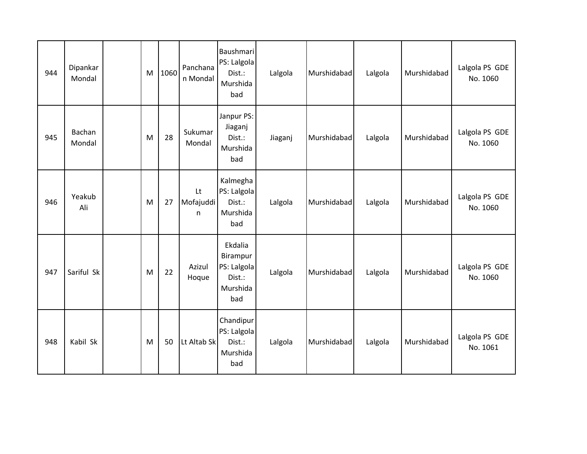| 944 | Dipankar<br>Mondal | M | 1060 | Panchana<br>n Mondal  | Baushmari<br>PS: Lalgola<br>Dist.:<br>Murshida<br>bad           | Lalgola | Murshidabad | Lalgola | Murshidabad | Lalgola PS GDE<br>No. 1060 |
|-----|--------------------|---|------|-----------------------|-----------------------------------------------------------------|---------|-------------|---------|-------------|----------------------------|
| 945 | Bachan<br>Mondal   | M | 28   | Sukumar<br>Mondal     | Janpur PS:<br>Jiaganj<br>Dist.:<br>Murshida<br>bad              | Jiaganj | Murshidabad | Lalgola | Murshidabad | Lalgola PS GDE<br>No. 1060 |
| 946 | Yeakub<br>Ali      | M | 27   | Lt<br>Mofajuddi<br>n. | Kalmegha<br>PS: Lalgola<br>Dist.:<br>Murshida<br>bad            | Lalgola | Murshidabad | Lalgola | Murshidabad | Lalgola PS GDE<br>No. 1060 |
| 947 | Sariful Sk         | M | 22   | Azizul<br>Hoque       | Ekdalia<br>Birampur<br>PS: Lalgola<br>Dist.:<br>Murshida<br>bad | Lalgola | Murshidabad | Lalgola | Murshidabad | Lalgola PS GDE<br>No. 1060 |
| 948 | Kabil Sk           | M | 50   | Lt Altab Sk           | Chandipur<br>PS: Lalgola<br>Dist.:<br>Murshida<br>bad           | Lalgola | Murshidabad | Lalgola | Murshidabad | Lalgola PS GDE<br>No. 1061 |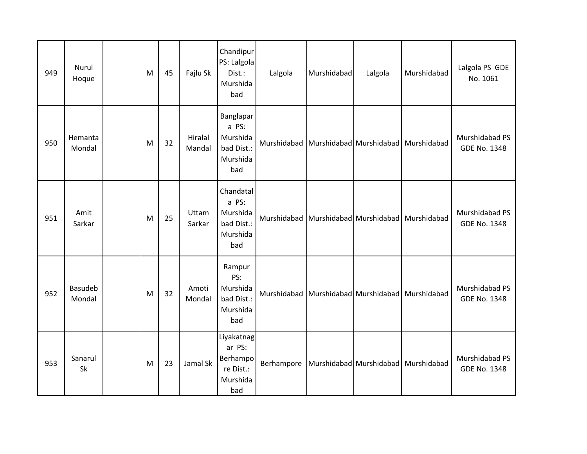| 949 | Nurul<br>Hoque           | M | 45 | Fajlu Sk          | Chandipur<br>PS: Lalgola<br>Dist.:<br>Murshida<br>bad            | Lalgola                                         | Murshidabad | Lalgola                                         | Murshidabad                         | Lalgola PS GDE<br>No. 1061            |
|-----|--------------------------|---|----|-------------------|------------------------------------------------------------------|-------------------------------------------------|-------------|-------------------------------------------------|-------------------------------------|---------------------------------------|
| 950 | Hemanta<br>Mondal        | M | 32 | Hiralal<br>Mandal | Banglapar<br>a PS:<br>Murshida<br>bad Dist.:<br>Murshida<br>bad  |                                                 |             | Murshidabad Murshidabad Murshidabad Murshidabad |                                     | Murshidabad PS<br><b>GDE No. 1348</b> |
| 951 | Amit<br>Sarkar           | M | 25 | Uttam<br>Sarkar   | Chandatal<br>a PS:<br>Murshida<br>bad Dist.:<br>Murshida<br>bad  | Murshidabad Murshidabad Murshidabad Murshidabad |             |                                                 |                                     | Murshidabad PS<br><b>GDE No. 1348</b> |
| 952 | <b>Basudeb</b><br>Mondal | M | 32 | Amoti<br>Mondal   | Rampur<br>PS:<br>Murshida<br>bad Dist.:<br>Murshida<br>bad       | Murshidabad Murshidabad Murshidabad             |             |                                                 | Murshidabad                         | Murshidabad PS<br><b>GDE No. 1348</b> |
| 953 | Sanarul<br>Sk            | M | 23 | Jamal Sk          | Liyakatnag<br>ar PS:<br>Berhampo<br>re Dist.:<br>Murshida<br>bad | Berhampore                                      |             |                                                 | Murshidabad Murshidabad Murshidabad | Murshidabad PS<br><b>GDE No. 1348</b> |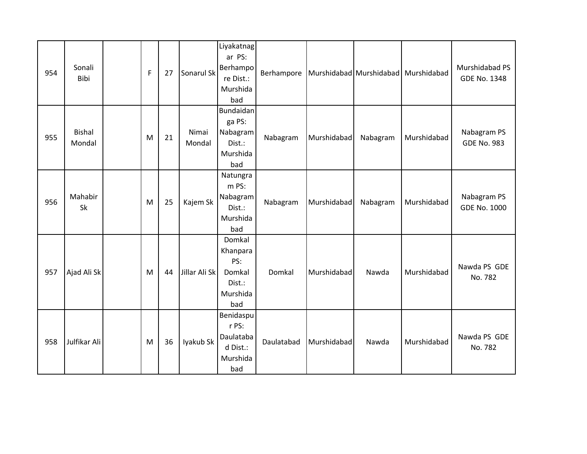| 954 | Sonali<br>Bibi          | F | 27 | Sonarul Sk      | Liyakatnag<br>ar PS:<br>Berhampo<br>re Dist.:<br>Murshida<br>bad | Berhampore |             |          | Murshidabad Murshidabad Murshidabad | Murshidabad PS<br>GDE No. 1348     |
|-----|-------------------------|---|----|-----------------|------------------------------------------------------------------|------------|-------------|----------|-------------------------------------|------------------------------------|
| 955 | <b>Bishal</b><br>Mondal | M | 21 | Nimai<br>Mondal | Bundaidan<br>ga PS:<br>Nabagram<br>Dist.:<br>Murshida<br>bad     | Nabagram   | Murshidabad | Nabagram | Murshidabad                         | Nabagram PS<br><b>GDE No. 983</b>  |
| 956 | Mahabir<br>Sk           | M | 25 | Kajem Sk        | Natungra<br>m PS:<br>Nabagram<br>Dist.:<br>Murshida<br>bad       | Nabagram   | Murshidabad | Nabagram | Murshidabad                         | Nabagram PS<br><b>GDE No. 1000</b> |
| 957 | Ajad Ali Sk             | M | 44 | Jillar Ali Sk   | Domkal<br>Khanpara<br>PS:<br>Domkal<br>Dist.:<br>Murshida<br>bad | Domkal     | Murshidabad | Nawda    | Murshidabad                         | Nawda PS GDE<br>No. 782            |
| 958 | Julfikar Ali            | M | 36 | Iyakub Sk       | Benidaspu<br>r PS:<br>Daulataba<br>d Dist.:<br>Murshida<br>bad   | Daulatabad | Murshidabad | Nawda    | Murshidabad                         | Nawda PS GDE<br>No. 782            |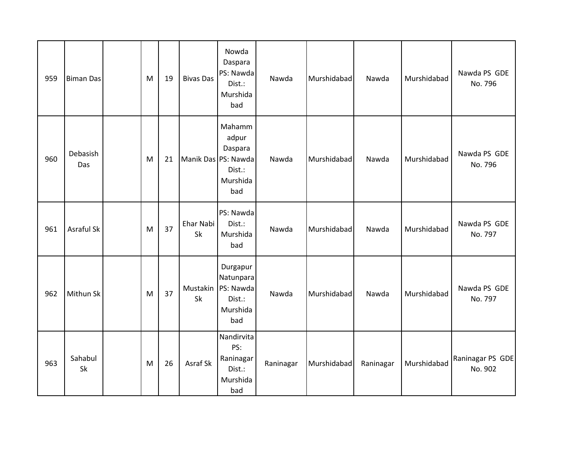| 959 | <b>Biman Das</b>  | M | 19 | <b>Bivas Das</b>    | Nowda<br>Daspara<br>PS: Nawda<br>Dist.:<br>Murshida<br>bad      | Nawda     | Murshidabad | Nawda     | Murshidabad | Nawda PS GDE<br>No. 796     |
|-----|-------------------|---|----|---------------------|-----------------------------------------------------------------|-----------|-------------|-----------|-------------|-----------------------------|
| 960 | Debasish<br>Das   | M | 21 | Manik Das PS: Nawda | Mahamm<br>adpur<br>Daspara<br>Dist.:<br>Murshida<br>bad         | Nawda     | Murshidabad | Nawda     | Murshidabad | Nawda PS GDE<br>No. 796     |
| 961 | <b>Asraful Sk</b> | M | 37 | Ehar Nabi<br>Sk     | PS: Nawda<br>Dist.:<br>Murshida<br>bad                          | Nawda     | Murshidabad | Nawda     | Murshidabad | Nawda PS GDE<br>No. 797     |
| 962 | Mithun Sk         | M | 37 | Mustakin<br>Sk      | Durgapur<br>Natunpara<br>PS: Nawda<br>Dist.:<br>Murshida<br>bad | Nawda     | Murshidabad | Nawda     | Murshidabad | Nawda PS GDE<br>No. 797     |
| 963 | Sahabul<br>Sk     | M | 26 | Asraf Sk            | Nandirvita<br>PS:<br>Raninagar<br>Dist.:<br>Murshida<br>bad     | Raninagar | Murshidabad | Raninagar | Murshidabad | Raninagar PS GDE<br>No. 902 |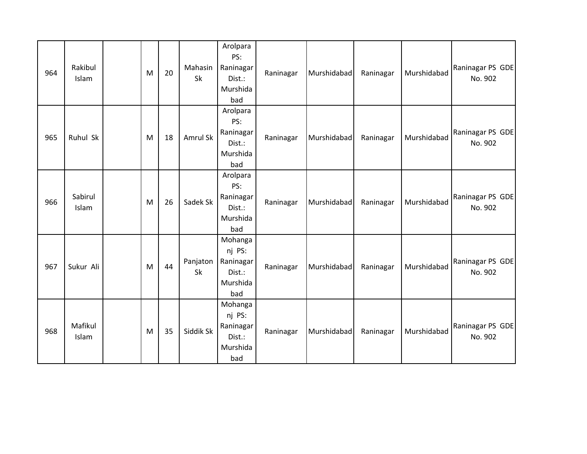| 964 | Rakibul<br>Islam | M | 20 | Mahasin<br>Sk  | Arolpara<br>PS:<br>Raninagar<br>Dist.:<br>Murshida<br>bad   | Raninagar | Murshidabad | Raninagar | Murshidabad | Raninagar PS GDE<br>No. 902 |
|-----|------------------|---|----|----------------|-------------------------------------------------------------|-----------|-------------|-----------|-------------|-----------------------------|
| 965 | Ruhul Sk         | M | 18 | Amrul Sk       | Arolpara<br>PS:<br>Raninagar<br>Dist.:<br>Murshida<br>bad   | Raninagar | Murshidabad | Raninagar | Murshidabad | Raninagar PS GDE<br>No. 902 |
| 966 | Sabirul<br>Islam | M | 26 | Sadek Sk       | Arolpara<br>PS:<br>Raninagar<br>Dist.:<br>Murshida<br>bad   | Raninagar | Murshidabad | Raninagar | Murshidabad | Raninagar PS GDE<br>No. 902 |
| 967 | Sukur Ali        | M | 44 | Panjaton<br>Sk | Mohanga<br>nj PS:<br>Raninagar<br>Dist.:<br>Murshida<br>bad | Raninagar | Murshidabad | Raninagar | Murshidabad | Raninagar PS GDE<br>No. 902 |
| 968 | Mafikul<br>Islam | M | 35 | Siddik Sk      | Mohanga<br>nj PS:<br>Raninagar<br>Dist.:<br>Murshida<br>bad | Raninagar | Murshidabad | Raninagar | Murshidabad | Raninagar PS GDE<br>No. 902 |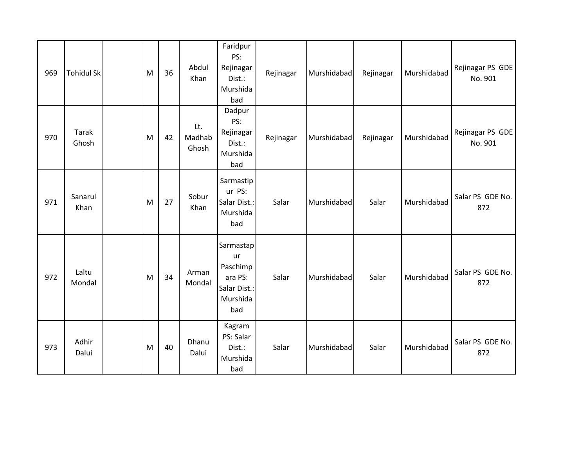| 969 | <b>Tohidul Sk</b> | M | 36 | Abdul<br>Khan          | Faridpur<br>PS:<br>Rejinagar<br>Dist.:<br>Murshida<br>bad                 | Rejinagar | Murshidabad | Rejinagar | Murshidabad | Rejinagar PS GDE<br>No. 901 |
|-----|-------------------|---|----|------------------------|---------------------------------------------------------------------------|-----------|-------------|-----------|-------------|-----------------------------|
| 970 | Tarak<br>Ghosh    | M | 42 | Lt.<br>Madhab<br>Ghosh | Dadpur<br>PS:<br>Rejinagar<br>Dist.:<br>Murshida<br>bad                   | Rejinagar | Murshidabad | Rejinagar | Murshidabad | Rejinagar PS GDE<br>No. 901 |
| 971 | Sanarul<br>Khan   | M | 27 | Sobur<br>Khan          | Sarmastip<br>ur PS:<br>Salar Dist.:<br>Murshida<br>bad                    | Salar     | Murshidabad | Salar     | Murshidabad | Salar PS GDE No.<br>872     |
| 972 | Laltu<br>Mondal   | M | 34 | Arman<br>Mondal        | Sarmastap<br>ur<br>Paschimp<br>ara PS:<br>Salar Dist.:<br>Murshida<br>bad | Salar     | Murshidabad | Salar     | Murshidabad | Salar PS GDE No.<br>872     |
| 973 | Adhir<br>Dalui    | M | 40 | Dhanu<br>Dalui         | Kagram<br>PS: Salar<br>Dist.:<br>Murshida<br>bad                          | Salar     | Murshidabad | Salar     | Murshidabad | Salar PS GDE No.<br>872     |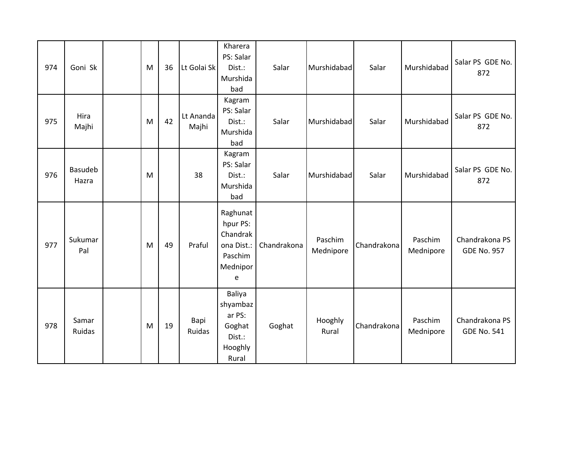| 974 | Goni Sk          | M | 36 | Lt Golai Sk           | Kharera<br>PS: Salar<br>Dist.:<br>Murshida<br>bad                          | Salar       | Murshidabad          | Salar       | Murshidabad          | Salar PS GDE No.<br>872              |
|-----|------------------|---|----|-----------------------|----------------------------------------------------------------------------|-------------|----------------------|-------------|----------------------|--------------------------------------|
| 975 | Hira<br>Majhi    | M | 42 | Lt Ananda<br>Majhi    | Kagram<br>PS: Salar<br>Dist.:<br>Murshida<br>bad                           | Salar       | Murshidabad          | Salar       | Murshidabad          | Salar PS GDE No.<br>872              |
| 976 | Basudeb<br>Hazra | M |    | 38                    | Kagram<br>PS: Salar<br>Dist.:<br>Murshida<br>bad                           | Salar       | Murshidabad          | Salar       | Murshidabad          | Salar PS GDE No.<br>872              |
| 977 | Sukumar<br>Pal   | M | 49 | Praful                | Raghunat<br>hpur PS:<br>Chandrak<br>ona Dist.:<br>Paschim<br>Mednipor<br>e | Chandrakona | Paschim<br>Mednipore | Chandrakona | Paschim<br>Mednipore | Chandrakona PS<br><b>GDE No. 957</b> |
| 978 | Samar<br>Ruidas  | M | 19 | Bapi<br><b>Ruidas</b> | Baliya<br>shyambaz<br>ar PS:<br>Goghat<br>Dist.:<br>Hooghly<br>Rural       | Goghat      | Hooghly<br>Rural     | Chandrakona | Paschim<br>Mednipore | Chandrakona PS<br><b>GDE No. 541</b> |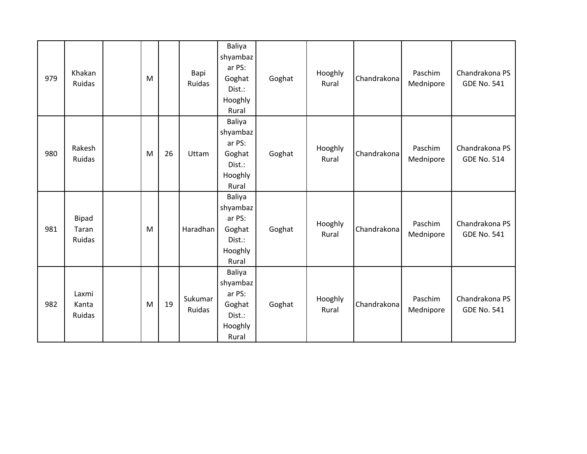| 979 | Khakan<br>Ruidas         | M |    | Bapi<br>Ruidas    | Baliya<br>shyambaz<br>ar PS:<br>Goghat<br>Dist.:<br>Hooghly<br>Rural | Goghat | Hooghly<br>Rural | Chandrakona | Paschim<br>Mednipore | Chandrakona PS<br><b>GDE No. 541</b> |
|-----|--------------------------|---|----|-------------------|----------------------------------------------------------------------|--------|------------------|-------------|----------------------|--------------------------------------|
| 980 | Rakesh<br>Ruidas         | M | 26 | Uttam             | Baliya<br>shyambaz<br>ar PS:<br>Goghat<br>Dist.:<br>Hooghly<br>Rural | Goghat | Hooghly<br>Rural | Chandrakona | Paschim<br>Mednipore | Chandrakona PS<br><b>GDE No. 514</b> |
| 981 | Bipad<br>Taran<br>Ruidas | M |    | Haradhan          | Baliya<br>shyambaz<br>ar PS:<br>Goghat<br>Dist.:<br>Hooghly<br>Rural | Goghat | Hooghly<br>Rural | Chandrakona | Paschim<br>Mednipore | Chandrakona PS<br><b>GDE No. 541</b> |
| 982 | Laxmi<br>Kanta<br>Ruidas | M | 19 | Sukumar<br>Ruidas | Baliya<br>shyambaz<br>ar PS:<br>Goghat<br>Dist.:<br>Hooghly<br>Rural | Goghat | Hooghly<br>Rural | Chandrakona | Paschim<br>Mednipore | Chandrakona PS<br><b>GDE No. 541</b> |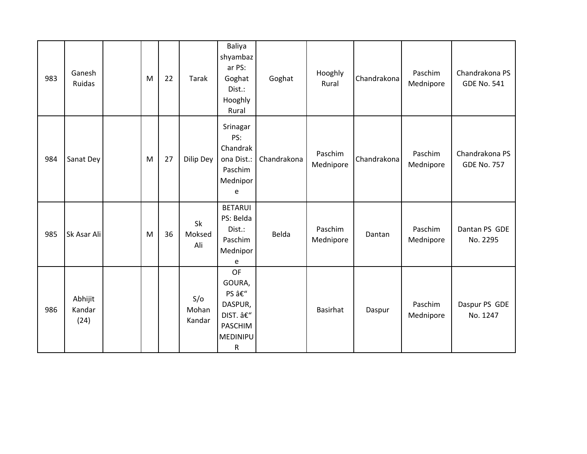| 983 | Ganesh<br>Ruidas          | M | 22 | Tarak                  | Baliya<br>shyambaz<br>ar PS:<br>Goghat<br>Dist.:<br>Hooghly<br>Rural                                  | Goghat      | Hooghly<br>Rural     | Chandrakona | Paschim<br>Mednipore | Chandrakona PS<br><b>GDE No. 541</b> |
|-----|---------------------------|---|----|------------------------|-------------------------------------------------------------------------------------------------------|-------------|----------------------|-------------|----------------------|--------------------------------------|
| 984 | Sanat Dey                 | M | 27 | Dilip Dey              | Srinagar<br>PS:<br>Chandrak<br>ona Dist.:<br>Paschim<br>Mednipor<br>e                                 | Chandrakona | Paschim<br>Mednipore | Chandrakona | Paschim<br>Mednipore | Chandrakona PS<br><b>GDE No. 757</b> |
| 985 | Sk Asar Ali               | M | 36 | Sk<br>Moksed<br>Ali    | <b>BETARUI</b><br>PS: Belda<br>Dist.:<br>Paschim<br>Mednipor<br>e                                     | Belda       | Paschim<br>Mednipore | Dantan      | Paschim<br>Mednipore | Dantan PS GDE<br>No. 2295            |
| 986 | Abhijit<br>Kandar<br>(24) |   |    | S/O<br>Mohan<br>Kandar | <b>OF</b><br>GOURA,<br>PS –<br>DASPUR,<br>DIST. –<br><b>PASCHIM</b><br><b>MEDINIPU</b><br>$\mathsf R$ |             | <b>Basirhat</b>      | Daspur      | Paschim<br>Mednipore | Daspur PS GDE<br>No. 1247            |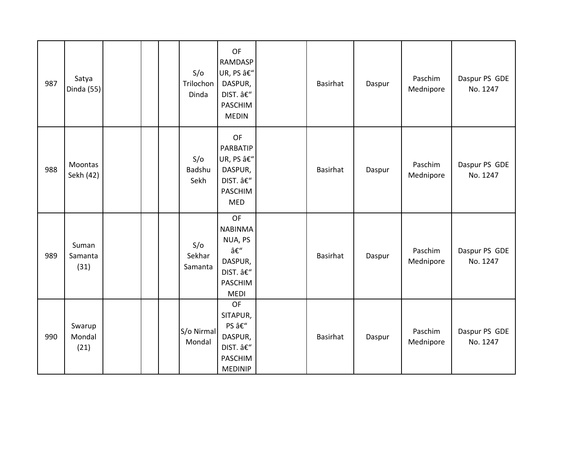| 987 | Satya<br>Dinda (55)      |  | S/O<br>Trilochon<br>Dinda | <b>OF</b><br><b>RAMDASP</b><br>UR, PS â€"<br>DASPUR,<br>DIST. –<br>PASCHIM<br><b>MEDIN</b>  | Basirhat        | Daspur | Paschim<br>Mednipore | Daspur PS GDE<br>No. 1247 |
|-----|--------------------------|--|---------------------------|---------------------------------------------------------------------------------------------|-----------------|--------|----------------------|---------------------------|
| 988 | Moontas<br>Sekh (42)     |  | S/O<br>Badshu<br>Sekh     | OF<br>PARBATIP<br>UR, PS –<br>DASPUR,<br>DIST. –<br>PASCHIM<br><b>MED</b>                   | <b>Basirhat</b> | Daspur | Paschim<br>Mednipore | Daspur PS GDE<br>No. 1247 |
| 989 | Suman<br>Samanta<br>(31) |  | S/O<br>Sekhar<br>Samanta  | <b>OF</b><br><b>NABINMA</b><br>NUA, PS<br>–<br>DASPUR,<br>DIST. –<br>PASCHIM<br><b>MEDI</b> | <b>Basirhat</b> | Daspur | Paschim<br>Mednipore | Daspur PS GDE<br>No. 1247 |
| 990 | Swarup<br>Mondal<br>(21) |  | S/o Nirmal<br>Mondal      | OF<br>SITAPUR,<br>PS –<br>DASPUR,<br>DIST. –<br><b>PASCHIM</b><br><b>MEDINIP</b>            | Basirhat        | Daspur | Paschim<br>Mednipore | Daspur PS GDE<br>No. 1247 |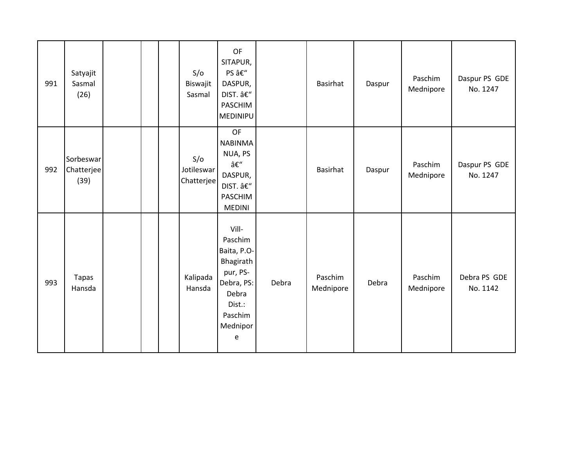| 991 | Satyajit<br>Sasmal<br>(26)      |  | S/O<br>Biswajit<br>Sasmal       | OF<br>SITAPUR,<br>PS –<br>DASPUR,<br>DIST. –<br>PASCHIM<br>MEDINIPU                                                   |       | Basirhat             | Daspur | Paschim<br>Mednipore | Daspur PS GDE<br>No. 1247 |
|-----|---------------------------------|--|---------------------------------|-----------------------------------------------------------------------------------------------------------------------|-------|----------------------|--------|----------------------|---------------------------|
| 992 | Sorbeswar<br>Chatterjee<br>(39) |  | S/O<br>Jotileswar<br>Chatterjee | <b>OF</b><br><b>NABINMA</b><br>NUA, PS<br>–<br>DASPUR,<br>DIST. –<br>PASCHIM<br><b>MEDINI</b>                         |       | Basirhat             | Daspur | Paschim<br>Mednipore | Daspur PS GDE<br>No. 1247 |
| 993 | Tapas<br>Hansda                 |  | Kalipada<br>Hansda              | Vill-<br>Paschim<br>Baita, P.O-<br>Bhagirath<br>pur, PS-<br>Debra, PS:<br>Debra<br>Dist.:<br>Paschim<br>Mednipor<br>e | Debra | Paschim<br>Mednipore | Debra  | Paschim<br>Mednipore | Debra PS GDE<br>No. 1142  |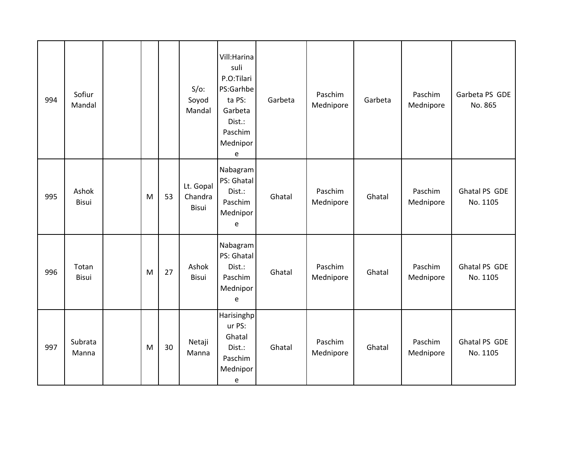| 994 | Sofiur<br>Mandal |   |    | $S/O$ :<br>Soyod<br>Mandal    | Vill: Harina<br>suli<br>P.O:Tilari<br>PS:Garhbe<br>ta PS:<br>Garbeta<br>Dist.:<br>Paschim<br>Mednipor<br>e | Garbeta | Paschim<br>Mednipore | Garbeta | Paschim<br>Mednipore | Garbeta PS GDE<br>No. 865 |
|-----|------------------|---|----|-------------------------------|------------------------------------------------------------------------------------------------------------|---------|----------------------|---------|----------------------|---------------------------|
| 995 | Ashok<br>Bisui   | M | 53 | Lt. Gopal<br>Chandra<br>Bisui | Nabagram<br>PS: Ghatal<br>Dist.:<br>Paschim<br>Mednipor<br>e                                               | Ghatal  | Paschim<br>Mednipore | Ghatal  | Paschim<br>Mednipore | Ghatal PS GDE<br>No. 1105 |
| 996 | Totan<br>Bisui   | M | 27 | Ashok<br>Bisui                | Nabagram<br>PS: Ghatal<br>Dist.:<br>Paschim<br>Mednipor<br>e                                               | Ghatal  | Paschim<br>Mednipore | Ghatal  | Paschim<br>Mednipore | Ghatal PS GDE<br>No. 1105 |
| 997 | Subrata<br>Manna | M | 30 | Netaji<br>Manna               | Harisinghp<br>ur PS:<br>Ghatal<br>Dist.:<br>Paschim<br>Mednipor<br>e                                       | Ghatal  | Paschim<br>Mednipore | Ghatal  | Paschim<br>Mednipore | Ghatal PS GDE<br>No. 1105 |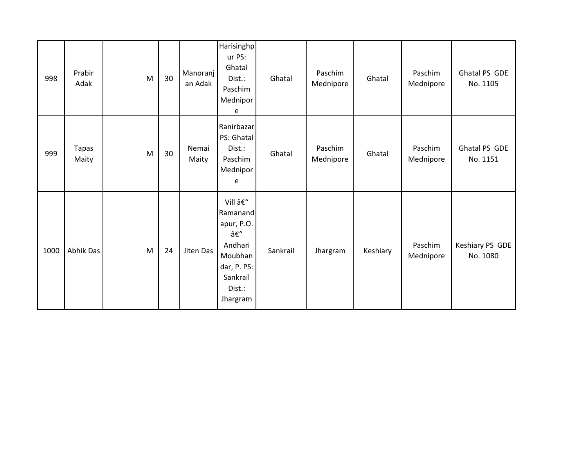| 998  | Prabir<br>Adak | M | 30 | Manoranj<br>an Adak | Harisinghp<br>ur PS:<br>Ghatal<br>Dist.:<br>Paschim<br>Mednipor<br>e                                         | Ghatal   | Paschim<br>Mednipore | Ghatal   | Paschim<br>Mednipore | Ghatal PS GDE<br>No. 1105   |
|------|----------------|---|----|---------------------|--------------------------------------------------------------------------------------------------------------|----------|----------------------|----------|----------------------|-----------------------------|
| 999  | Tapas<br>Maity | M | 30 | Nemai<br>Maity      | Ranirbazar<br>PS: Ghatal<br>Dist.:<br>Paschim<br>Mednipor<br>e                                               | Ghatal   | Paschim<br>Mednipore | Ghatal   | Paschim<br>Mednipore | Ghatal PS GDE<br>No. 1151   |
| 1000 | Abhik Das      | M | 24 | Jiten Das           | Vill –<br>Ramanand<br>apur, P.O.<br>–<br>Andhari<br>Moubhan<br>dar, P. PS:<br>Sankrail<br>Dist.:<br>Jhargram | Sankrail | Jhargram             | Keshiary | Paschim<br>Mednipore | Keshiary PS GDE<br>No. 1080 |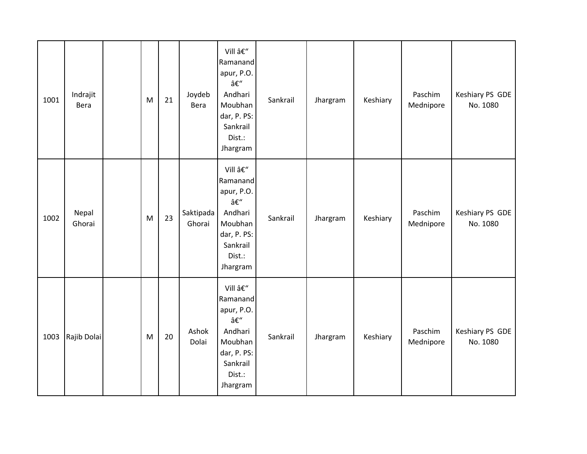| 1001 | Indrajit<br>Bera | M | 21 | Joydeb<br>Bera      | Vill –<br>Ramanand<br>apur, P.O.<br>–<br>Andhari<br>Moubhan<br>dar, P. PS:<br>Sankrail<br>Dist.:<br>Jhargram | Sankrail | Jhargram | Keshiary | Paschim<br>Mednipore | Keshiary PS GDE<br>No. 1080 |
|------|------------------|---|----|---------------------|--------------------------------------------------------------------------------------------------------------|----------|----------|----------|----------------------|-----------------------------|
| 1002 | Nepal<br>Ghorai  | M | 23 | Saktipada<br>Ghorai | Vill –<br>Ramanand<br>apur, P.O.<br>–<br>Andhari<br>Moubhan<br>dar, P. PS:<br>Sankrail<br>Dist.:<br>Jhargram | Sankrail | Jhargram | Keshiary | Paschim<br>Mednipore | Keshiary PS GDE<br>No. 1080 |
| 1003 | Rajib Dolai      | M | 20 | Ashok<br>Dolai      | Vill –<br>Ramanand<br>apur, P.O.<br>–<br>Andhari<br>Moubhan<br>dar, P. PS:<br>Sankrail<br>Dist.:<br>Jhargram | Sankrail | Jhargram | Keshiary | Paschim<br>Mednipore | Keshiary PS GDE<br>No. 1080 |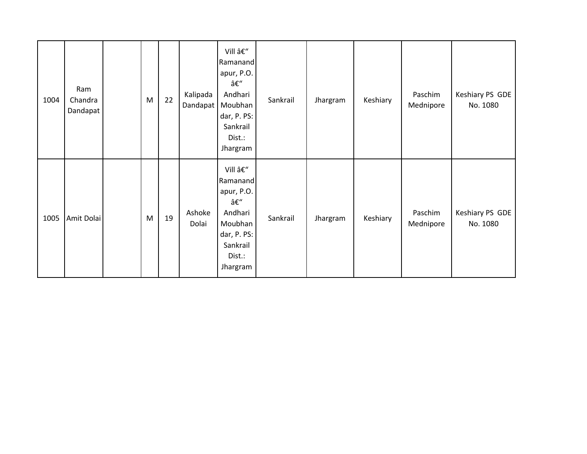| 1004 | Ram<br>Chandra<br>Dandapat | M | 22 | Kalipada<br>Dandapat | Vill –<br>Ramanand<br>apur, P.O.<br>–<br>Andhari<br>Moubhan<br>dar, P. PS:<br>Sankrail<br>Dist.:<br>Jhargram | Sankrail | Jhargram | Keshiary | Paschim<br>Mednipore | Keshiary PS GDE<br>No. 1080 |
|------|----------------------------|---|----|----------------------|--------------------------------------------------------------------------------------------------------------|----------|----------|----------|----------------------|-----------------------------|
| 1005 | Amit Dolai                 | M | 19 | Ashoke<br>Dolai      | Vill –<br>Ramanand<br>apur, P.O.<br>–<br>Andhari<br>Moubhan<br>dar, P. PS:<br>Sankrail<br>Dist.:<br>Jhargram | Sankrail | Jhargram | Keshiary | Paschim<br>Mednipore | Keshiary PS GDE<br>No. 1080 |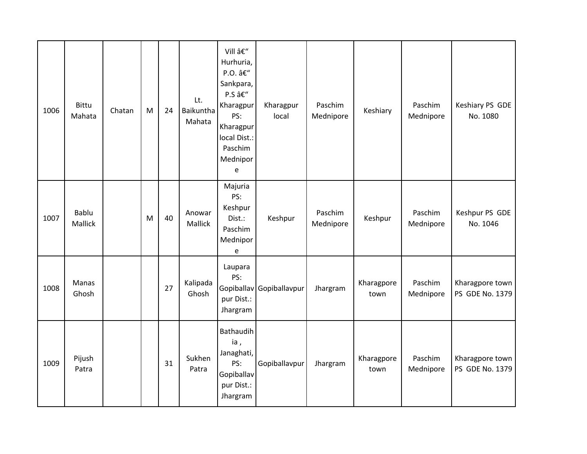| 1006 | <b>Bittu</b><br>Mahata  | Chatan | M | 24 | Lt.<br><b>Baikuntha</b><br>Mahata | Vill –<br>Hurhuria,<br>P.O. –<br>Sankpara,<br>P.S –<br>Kharagpur<br>PS:<br>Kharagpur<br>local Dist.:<br>Paschim<br>Mednipor<br>e | Kharagpur<br>local       | Paschim<br>Mednipore | Keshiary           | Paschim<br>Mednipore | Keshiary PS GDE<br>No. 1080        |
|------|-------------------------|--------|---|----|-----------------------------------|----------------------------------------------------------------------------------------------------------------------------------|--------------------------|----------------------|--------------------|----------------------|------------------------------------|
| 1007 | Bablu<br><b>Mallick</b> |        | M | 40 | Anowar<br>Mallick                 | Majuria<br>PS:<br>Keshpur<br>Dist.:<br>Paschim<br>Mednipor<br>e                                                                  | Keshpur                  | Paschim<br>Mednipore | Keshpur            | Paschim<br>Mednipore | Keshpur PS GDE<br>No. 1046         |
| 1008 | Manas<br>Ghosh          |        |   | 27 | Kalipada<br>Ghosh                 | Laupara<br>PS:<br>pur Dist.:<br>Jhargram                                                                                         | Gopiballav Gopiballavpur | Jhargram             | Kharagpore<br>town | Paschim<br>Mednipore | Kharagpore town<br>PS GDE No. 1379 |
| 1009 | Pijush<br>Patra         |        |   | 31 | Sukhen<br>Patra                   | Bathaudih<br>ia,<br>Janaghati,<br>PS:<br>Gopiballav<br>pur Dist.:<br>Jhargram                                                    | Gopiballavpur            | Jhargram             | Kharagpore<br>town | Paschim<br>Mednipore | Kharagpore town<br>PS GDE No. 1379 |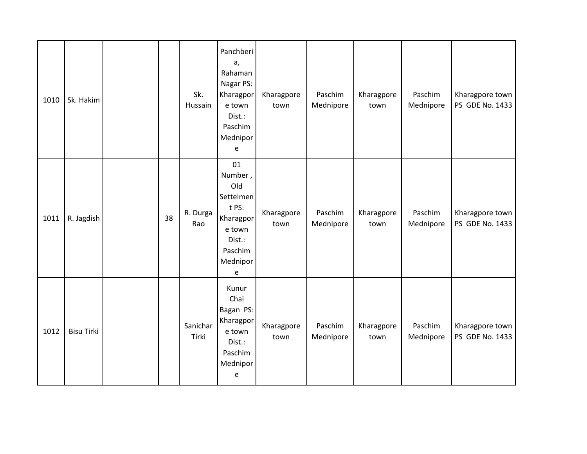| 1010 | Sk. Hakim         |  |    | Sk.<br>Hussain    | Panchberi<br>a,<br>Rahaman<br>Nagar PS:<br>Kharagpor<br>e town<br>Dist.:<br>Paschim<br>Mednipor<br>e    | Kharagpore<br>town | Paschim<br>Mednipore | Kharagpore<br>town | Paschim<br>Mednipore | Kharagpore town<br>PS GDE No. 1433 |
|------|-------------------|--|----|-------------------|---------------------------------------------------------------------------------------------------------|--------------------|----------------------|--------------------|----------------------|------------------------------------|
| 1011 | R. Jagdish        |  | 38 | R. Durga<br>Rao   | 01<br>Number,<br>Old<br>Settelmen<br>t PS:<br>Kharagpor<br>e town<br>Dist.:<br>Paschim<br>Mednipor<br>e | Kharagpore<br>town | Paschim<br>Mednipore | Kharagpore<br>town | Paschim<br>Mednipore | Kharagpore town<br>PS GDE No. 1433 |
| 1012 | <b>Bisu Tirki</b> |  |    | Sanichar<br>Tirki | Kunur<br>Chai<br>Bagan PS:<br>Kharagpor<br>e town<br>Dist.:<br>Paschim<br>Mednipor<br>e                 | Kharagpore<br>town | Paschim<br>Mednipore | Kharagpore<br>town | Paschim<br>Mednipore | Kharagpore town<br>PS GDE No. 1433 |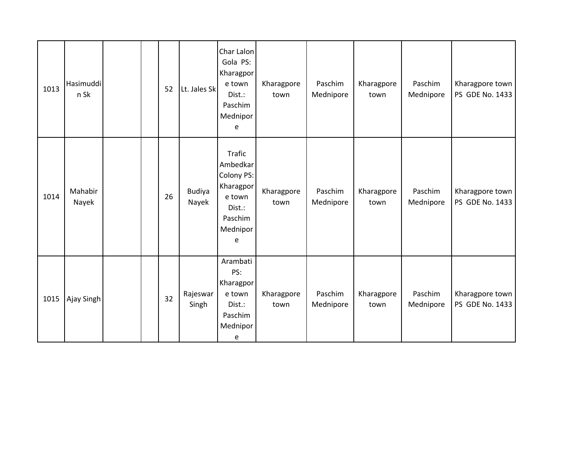| 1013 | Hasimuddi<br>n Sk |  | 52 | Lt. Jales Sk           | Char Lalon<br>Gola PS:<br>Kharagpor<br>e town<br>Dist.:<br>Paschim<br>Mednipor<br>e                  | Kharagpore<br>town | Paschim<br>Mednipore | Kharagpore<br>town | Paschim<br>Mednipore | Kharagpore town<br>PS GDE No. 1433 |
|------|-------------------|--|----|------------------------|------------------------------------------------------------------------------------------------------|--------------------|----------------------|--------------------|----------------------|------------------------------------|
| 1014 | Mahabir<br>Nayek  |  | 26 | <b>Budiya</b><br>Nayek | <b>Trafic</b><br>Ambedkar<br>Colony PS:<br>Kharagpor<br>e town<br>Dist.:<br>Paschim<br>Mednipor<br>е | Kharagpore<br>town | Paschim<br>Mednipore | Kharagpore<br>town | Paschim<br>Mednipore | Kharagpore town<br>PS GDE No. 1433 |
| 1015 | Ajay Singh        |  | 32 | Rajeswar<br>Singh      | Arambati<br>PS:<br>Kharagpor<br>e town<br>Dist.:<br>Paschim<br>Mednipor<br>e                         | Kharagpore<br>town | Paschim<br>Mednipore | Kharagpore<br>town | Paschim<br>Mednipore | Kharagpore town<br>PS GDE No. 1433 |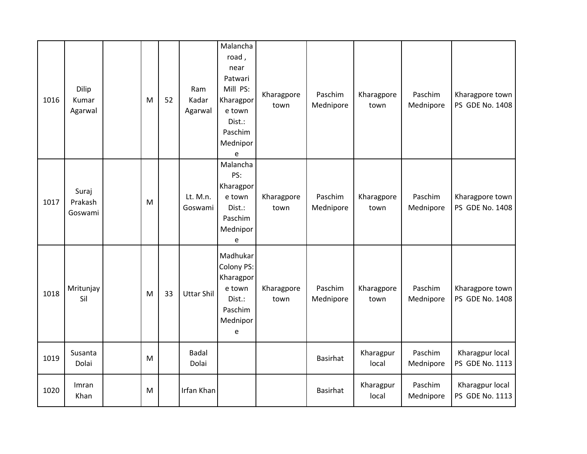| 1016 | Dilip<br>Kumar<br>Agarwal   | M | 52 | Ram<br>Kadar<br>Agarwal | Malancha<br>road,<br>near<br>Patwari<br>Mill PS:<br>Kharagpor<br>e town<br>Dist.:<br>Paschim<br>Mednipor<br>e       | Kharagpore<br>town | Paschim<br>Mednipore | Kharagpore<br>town | Paschim<br>Mednipore | Kharagpore town<br>PS GDE No. 1408 |
|------|-----------------------------|---|----|-------------------------|---------------------------------------------------------------------------------------------------------------------|--------------------|----------------------|--------------------|----------------------|------------------------------------|
| 1017 | Suraj<br>Prakash<br>Goswami | M |    | Lt. M.n.<br>Goswami     | Malancha<br>PS:<br>Kharagpor<br>e town<br>Dist.:<br>Paschim<br>Mednipor<br>e                                        | Kharagpore<br>town | Paschim<br>Mednipore | Kharagpore<br>town | Paschim<br>Mednipore | Kharagpore town<br>PS GDE No. 1408 |
| 1018 | Mritunjay<br>Sil            | M | 33 | <b>Uttar Shil</b>       | Madhukar<br>Colony PS:<br>Kharagpor<br>e town<br>Dist.:<br>Paschim<br>Mednipor<br>$\mathsf{e}% _{t}\left( t\right)$ | Kharagpore<br>town | Paschim<br>Mednipore | Kharagpore<br>town | Paschim<br>Mednipore | Kharagpore town<br>PS GDE No. 1408 |
| 1019 | Susanta<br>Dolai            | M |    | <b>Badal</b><br>Dolai   |                                                                                                                     |                    | Basirhat             | Kharagpur<br>local | Paschim<br>Mednipore | Kharagpur local<br>PS GDE No. 1113 |
| 1020 | Imran<br>Khan               | M |    | Irfan Khan              |                                                                                                                     |                    | Basirhat             | Kharagpur<br>local | Paschim<br>Mednipore | Kharagpur local<br>PS GDE No. 1113 |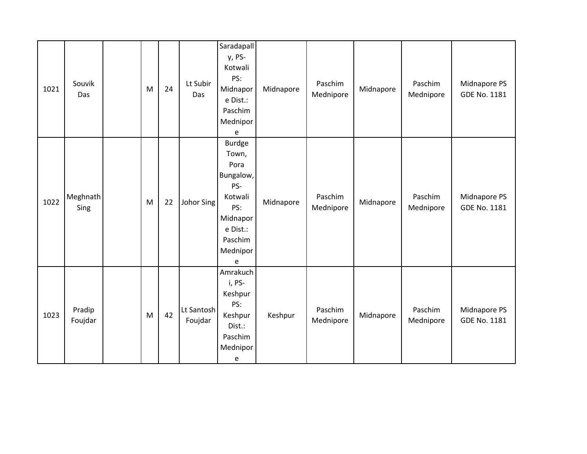| 1021 | Souvik<br>Das     | M | 24 | Lt Subir<br>Das       | Saradapall<br>y, PS-<br>Kotwali<br>PS:<br>Midnapor<br>e Dist.:<br>Paschim<br>Mednipor<br>e                               | Midnapore | Paschim<br>Mednipore | Midnapore | Paschim<br>Mednipore | Midnapore PS<br><b>GDE No. 1181</b> |
|------|-------------------|---|----|-----------------------|--------------------------------------------------------------------------------------------------------------------------|-----------|----------------------|-----------|----------------------|-------------------------------------|
| 1022 | Meghnath<br>Sing  | M | 22 | Johor Sing            | <b>Burdge</b><br>Town,<br>Pora<br>Bungalow,<br>PS-<br>Kotwali<br>PS:<br>Midnapor<br>e Dist.:<br>Paschim<br>Mednipor<br>e | Midnapore | Paschim<br>Mednipore | Midnapore | Paschim<br>Mednipore | Midnapore PS<br><b>GDE No. 1181</b> |
| 1023 | Pradip<br>Foujdar | M | 42 | Lt Santosh<br>Foujdar | Amrakuch<br>i, PS-<br>Keshpur<br>PS:<br>Keshpur<br>Dist.:<br>Paschim<br>Mednipor<br>e                                    | Keshpur   | Paschim<br>Mednipore | Midnapore | Paschim<br>Mednipore | Midnapore PS<br><b>GDE No. 1181</b> |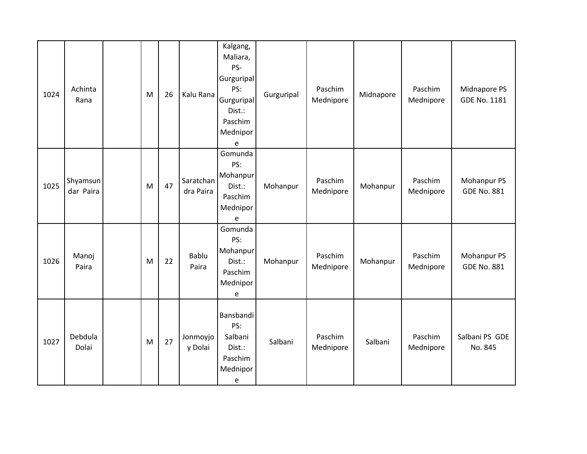| 1024 | Achinta<br>Rana       | M | 26 | Kalu Rana              | Kalgang,<br>Maliara,<br>PS-<br>Gurguripal<br>PS:<br>Gurguripal<br>Dist.:<br>Paschim<br>Mednipor<br>e | Gurguripal | Paschim<br>Mednipore | Midnapore | Paschim<br>Mednipore | Midnapore PS<br>GDE No. 1181      |
|------|-----------------------|---|----|------------------------|------------------------------------------------------------------------------------------------------|------------|----------------------|-----------|----------------------|-----------------------------------|
| 1025 | Shyamsun<br>dar Paira | M | 47 | Saratchan<br>dra Paira | Gomunda<br>PS:<br>Mohanpur<br>Dist.:<br>Paschim<br>Mednipor<br>e                                     | Mohanpur   | Paschim<br>Mednipore | Mohanpur  | Paschim<br>Mednipore | Mohanpur PS<br><b>GDE No. 881</b> |
| 1026 | Manoj<br>Paira        | M | 22 | Bablu<br>Paira         | Gomunda<br>PS:<br>Mohanpur<br>Dist.:<br>Paschim<br>Mednipor<br>e                                     | Mohanpur   | Paschim<br>Mednipore | Mohanpur  | Paschim<br>Mednipore | Mohanpur PS<br><b>GDE No. 881</b> |
| 1027 | Debdula<br>Dolai      | M | 27 | Jonmoyjo<br>y Dolai    | Bansbandi<br>PS:<br>Salbani<br>Dist.:<br>Paschim<br>Mednipor<br>e                                    | Salbani    | Paschim<br>Mednipore | Salbani   | Paschim<br>Mednipore | Salbani PS GDE<br>No. 845         |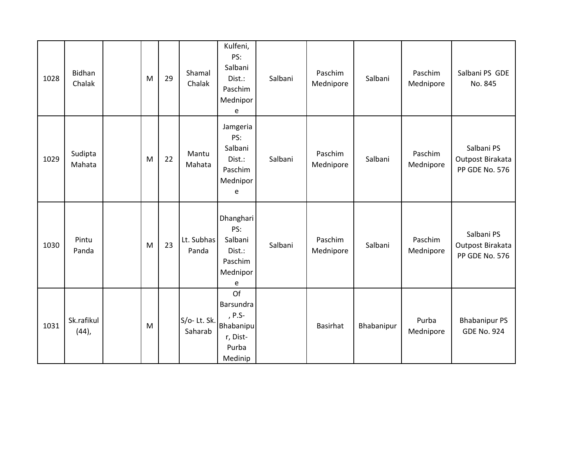| 1028 | <b>Bidhan</b><br>Chalak | M | 29 | Shamal<br>Chalak       | Kulfeni,<br>PS:<br>Salbani<br>Dist.:<br>Paschim<br>Mednipor<br>e       | Salbani | Paschim<br>Mednipore | Salbani    | Paschim<br>Mednipore | Salbani PS GDE<br>No. 845                        |
|------|-------------------------|---|----|------------------------|------------------------------------------------------------------------|---------|----------------------|------------|----------------------|--------------------------------------------------|
| 1029 | Sudipta<br>Mahata       | M | 22 | Mantu<br>Mahata        | Jamgeria<br>PS:<br>Salbani<br>Dist.:<br>Paschim<br>Mednipor<br>e       | Salbani | Paschim<br>Mednipore | Salbani    | Paschim<br>Mednipore | Salbani PS<br>Outpost Birakata<br>PP GDE No. 576 |
| 1030 | Pintu<br>Panda          | M | 23 | Lt. Subhas<br>Panda    | Dhanghari<br>PS:<br>Salbani<br>Dist.:<br>Paschim<br>Mednipor<br>e      | Salbani | Paschim<br>Mednipore | Salbani    | Paschim<br>Mednipore | Salbani PS<br>Outpost Birakata<br>PP GDE No. 576 |
| 1031 | Sk.rafikul<br>$(44)$ ,  | M |    | S/o-Lt. Sk.<br>Saharab | Of<br>Barsundra<br>, P.S-<br>Bhabanipu<br>r, Dist-<br>Purba<br>Medinip |         | Basirhat             | Bhabanipur | Purba<br>Mednipore   | <b>Bhabanipur PS</b><br><b>GDE No. 924</b>       |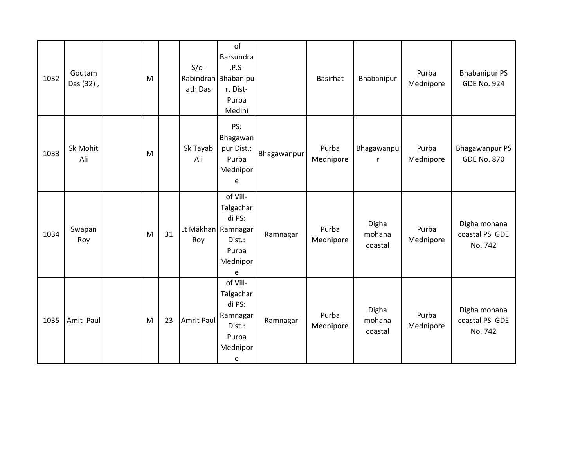| 1032 | Goutam<br>Das (32), | M |    | $S/O-$<br>ath Das         | of<br>Barsundra<br>,P.S-<br>Rabindran Bhabanipu<br>r, Dist-<br>Purba<br>Medini  |             | <b>Basirhat</b>    | Bhabanipur                 | Purba<br>Mednipore | <b>Bhabanipur PS</b><br><b>GDE No. 924</b>  |
|------|---------------------|---|----|---------------------------|---------------------------------------------------------------------------------|-------------|--------------------|----------------------------|--------------------|---------------------------------------------|
| 1033 | Sk Mohit<br>Ali     | M |    | Sk Tayab<br>Ali           | PS:<br>Bhagawan<br>pur Dist.:<br>Purba<br>Mednipor<br>e                         | Bhagawanpur | Purba<br>Mednipore | Bhagawanpu<br>$\mathsf{r}$ | Purba<br>Mednipore | <b>Bhagawanpur PS</b><br><b>GDE No. 870</b> |
| 1034 | Swapan<br>Roy       | M | 31 | Lt Makhan Ramnagar<br>Roy | of Vill-<br>Talgachar<br>di PS:<br>Dist.:<br>Purba<br>Mednipor<br>e             | Ramnagar    | Purba<br>Mednipore | Digha<br>mohana<br>coastal | Purba<br>Mednipore | Digha mohana<br>coastal PS GDE<br>No. 742   |
| 1035 | Amit Paul           | M | 23 | <b>Amrit Paul</b>         | of Vill-<br>Talgachar<br>di PS:<br>Ramnagar<br>Dist.:<br>Purba<br>Mednipor<br>e | Ramnagar    | Purba<br>Mednipore | Digha<br>mohana<br>coastal | Purba<br>Mednipore | Digha mohana<br>coastal PS GDE<br>No. 742   |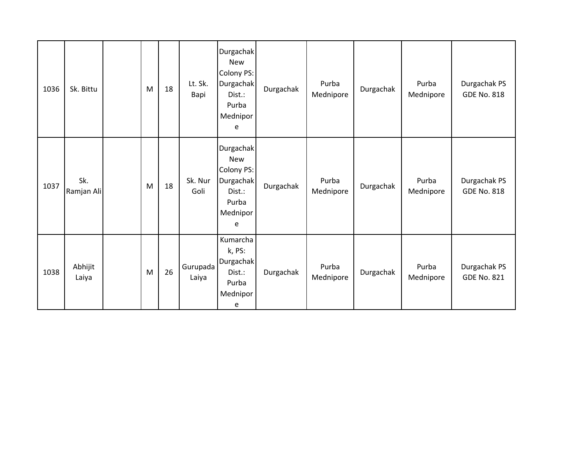| 1036 | Sk. Bittu         | M | 18 | Lt. Sk.<br>Bapi   | Durgachak<br><b>New</b><br>Colony PS:<br><b>Durgachak</b><br>Dist.:<br>Purba<br>Mednipor<br>e | Durgachak | Purba<br>Mednipore | Durgachak | Purba<br>Mednipore | Durgachak PS<br><b>GDE No. 818</b> |
|------|-------------------|---|----|-------------------|-----------------------------------------------------------------------------------------------|-----------|--------------------|-----------|--------------------|------------------------------------|
| 1037 | Sk.<br>Ramjan Ali | M | 18 | Sk. Nur<br>Goli   | <b>Durgachak</b><br><b>New</b><br>Colony PS:<br>Durgachak<br>Dist.:<br>Purba<br>Mednipor<br>e | Durgachak | Purba<br>Mednipore | Durgachak | Purba<br>Mednipore | Durgachak PS<br><b>GDE No. 818</b> |
| 1038 | Abhijit<br>Laiya  | M | 26 | Gurupada<br>Laiya | Kumarcha<br>k, PS:<br>Durgachak<br>Dist.:<br>Purba<br>Mednipor<br>e                           | Durgachak | Purba<br>Mednipore | Durgachak | Purba<br>Mednipore | Durgachak PS<br><b>GDE No. 821</b> |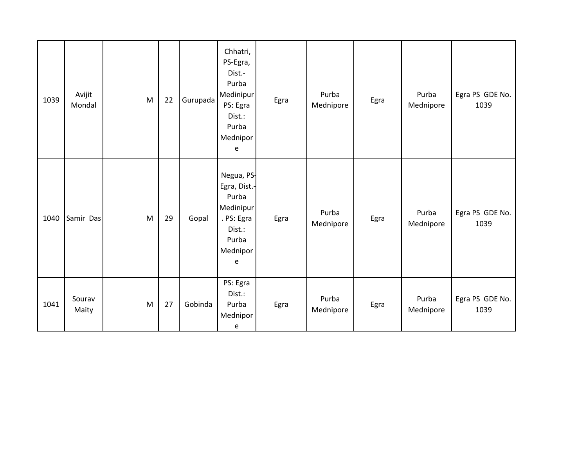| 1039 | Avijit<br>Mondal | M | 22 | Gurupada | Chhatri,<br>PS-Egra,<br>Dist.-<br>Purba<br>Medinipur<br>PS: Egra<br>Dist.:<br>Purba<br>Mednipor<br>e | Egra | Purba<br>Mednipore | Egra | Purba<br>Mednipore | Egra PS GDE No.<br>1039 |
|------|------------------|---|----|----------|------------------------------------------------------------------------------------------------------|------|--------------------|------|--------------------|-------------------------|
| 1040 | Samir Das        | M | 29 | Gopal    | Negua, PS-<br>Egra, Dist.-<br>Purba<br>Medinipur<br>. PS: Egra<br>Dist.:<br>Purba<br>Mednipor<br>e   | Egra | Purba<br>Mednipore | Egra | Purba<br>Mednipore | Egra PS GDE No.<br>1039 |
| 1041 | Sourav<br>Maity  | M | 27 | Gobinda  | PS: Egra<br>Dist.:<br>Purba<br>Mednipor<br>e                                                         | Egra | Purba<br>Mednipore | Egra | Purba<br>Mednipore | Egra PS GDE No.<br>1039 |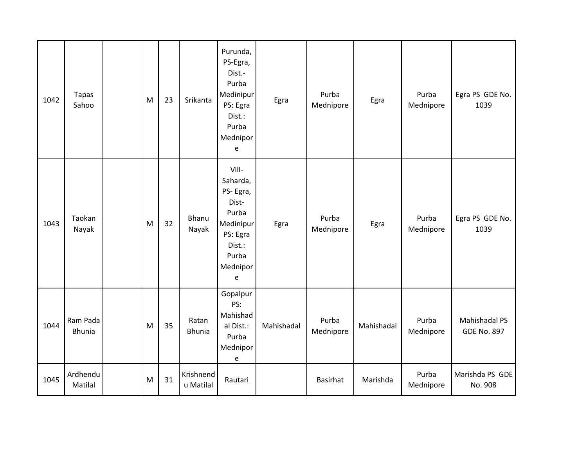| 1042 | <b>Tapas</b><br>Sahoo     | M | 23 | Srikanta               | Purunda,<br>PS-Egra,<br>Dist.-<br>Purba<br>Medinipur<br>PS: Egra<br>Dist.:<br>Purba<br>Mednipor<br>e         | Egra       | Purba<br>Mednipore | Egra       | Purba<br>Mednipore | Egra PS GDE No.<br>1039             |
|------|---------------------------|---|----|------------------------|--------------------------------------------------------------------------------------------------------------|------------|--------------------|------------|--------------------|-------------------------------------|
| 1043 | Taokan<br>Nayak           | M | 32 | Bhanu<br>Nayak         | Vill-<br>Saharda,<br>PS-Egra,<br>Dist-<br>Purba<br>Medinipur<br>PS: Egra<br>Dist.:<br>Purba<br>Mednipor<br>e | Egra       | Purba<br>Mednipore | Egra       | Purba<br>Mednipore | Egra PS GDE No.<br>1039             |
| 1044 | Ram Pada<br><b>Bhunia</b> | M | 35 | Ratan<br><b>Bhunia</b> | Gopalpur<br>PS:<br>Mahishad<br>al Dist.:<br>Purba<br>Mednipor<br>e                                           | Mahishadal | Purba<br>Mednipore | Mahishadal | Purba<br>Mednipore | Mahishadal PS<br><b>GDE No. 897</b> |
| 1045 | Ardhendu<br>Matilal       | M | 31 | Krishnend<br>u Matilal | Rautari                                                                                                      |            | <b>Basirhat</b>    | Marishda   | Purba<br>Mednipore | Marishda PS GDE<br>No. 908          |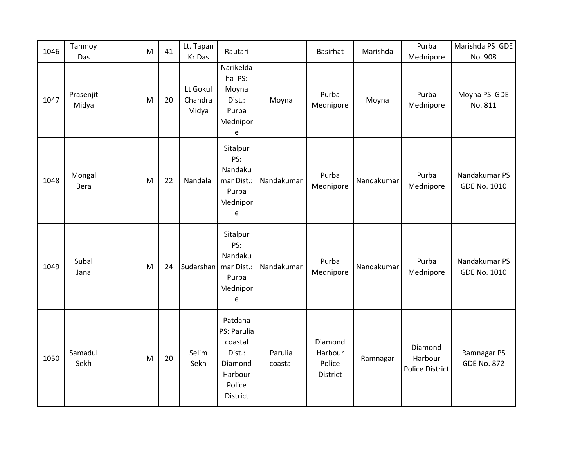| 1046 | Tanmoy             | M | 41 | Lt. Tapan                    | Rautari                                                                                 |                    | Basirhat                                 | Marishda   | Purba                                        | Marishda PS GDE                      |
|------|--------------------|---|----|------------------------------|-----------------------------------------------------------------------------------------|--------------------|------------------------------------------|------------|----------------------------------------------|--------------------------------------|
|      | Das                |   |    | Kr Das                       |                                                                                         |                    |                                          |            | Mednipore                                    | No. 908                              |
| 1047 | Prasenjit<br>Midya | M | 20 | Lt Gokul<br>Chandra<br>Midya | Narikelda<br>ha PS:<br>Moyna<br>Dist.:<br>Purba<br>Mednipor<br>e                        | Moyna              | Purba<br>Mednipore                       | Moyna      | Purba<br>Mednipore                           | Moyna PS GDE<br>No. 811              |
| 1048 | Mongal<br>Bera     | M | 22 | Nandalal                     | Sitalpur<br>PS:<br>Nandaku<br>mar Dist.:<br>Purba<br>Mednipor<br>e                      | Nandakumar         | Purba<br>Mednipore                       | Nandakumar | Purba<br>Mednipore                           | Nandakumar PS<br><b>GDE No. 1010</b> |
| 1049 | Subal<br>Jana      | M | 24 | Sudarshan                    | Sitalpur<br>PS:<br>Nandaku<br>mar Dist.:<br>Purba<br>Mednipor<br>e                      | Nandakumar         | Purba<br>Mednipore                       | Nandakumar | Purba<br>Mednipore                           | Nandakumar PS<br><b>GDE No. 1010</b> |
| 1050 | Samadul<br>Sekh    | M | 20 | Selim<br>Sekh                | Patdaha<br>PS: Parulia<br>coastal<br>Dist.:<br>Diamond<br>Harbour<br>Police<br>District | Parulia<br>coastal | Diamond<br>Harbour<br>Police<br>District | Ramnagar   | Diamond<br>Harbour<br><b>Police District</b> | Ramnagar PS<br><b>GDE No. 872</b>    |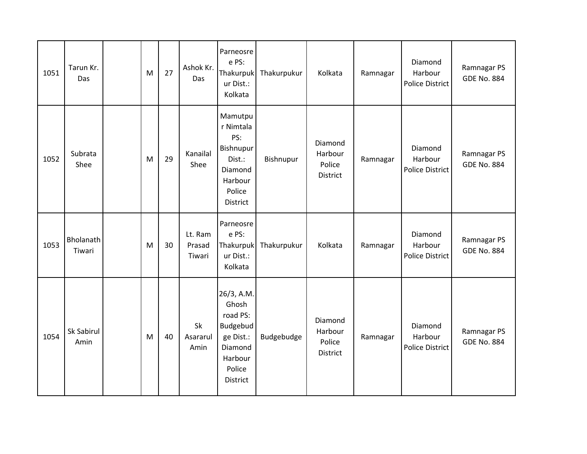| 1051 | Tarun Kr.<br>Das    | M | 27 | Ashok Kr.<br>Das            | Parneosre<br>e PS:<br>Thakurpuk<br>ur Dist.:<br>Kolkata                                              | Thakurpukur | Kolkata                                  | Ramnagar | Diamond<br>Harbour<br>Police District        | Ramnagar PS<br><b>GDE No. 884</b> |
|------|---------------------|---|----|-----------------------------|------------------------------------------------------------------------------------------------------|-------------|------------------------------------------|----------|----------------------------------------------|-----------------------------------|
| 1052 | Subrata<br>Shee     | M | 29 | Kanailal<br>Shee            | Mamutpu<br>r Nimtala<br>PS:<br>Bishnupur<br>Dist.:<br>Diamond<br>Harbour<br>Police<br>District       | Bishnupur   | Diamond<br>Harbour<br>Police<br>District | Ramnagar | Diamond<br>Harbour<br><b>Police District</b> | Ramnagar PS<br><b>GDE No. 884</b> |
| 1053 | Bholanath<br>Tiwari | M | 30 | Lt. Ram<br>Prasad<br>Tiwari | Parneosre<br>e PS:<br>Thakurpuk<br>ur Dist.:<br>Kolkata                                              | Thakurpukur | Kolkata                                  | Ramnagar | Diamond<br>Harbour<br><b>Police District</b> | Ramnagar PS<br><b>GDE No. 884</b> |
| 1054 | Sk Sabirul<br>Amin  | M | 40 | Sk<br>Asararul<br>Amin      | 26/3, A.M.<br>Ghosh<br>road PS:<br>Budgebud<br>ge Dist.:<br>Diamond<br>Harbour<br>Police<br>District | Budgebudge  | Diamond<br>Harbour<br>Police<br>District | Ramnagar | Diamond<br>Harbour<br><b>Police District</b> | Ramnagar PS<br><b>GDE No. 884</b> |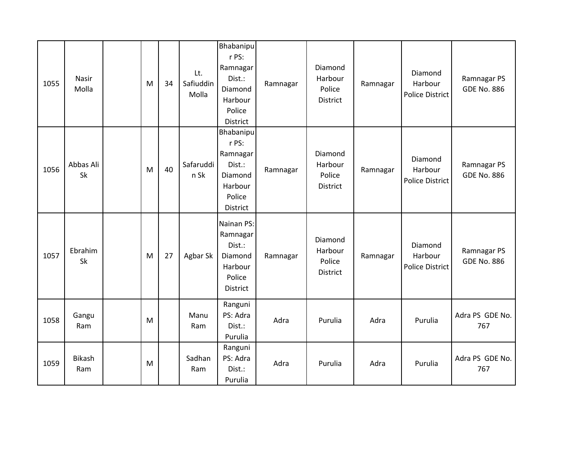| 1055 | Nasir<br>Molla       | M | 34 | Lt.<br>Safiuddin<br>Molla | Bhabanipu<br>r PS:<br>Ramnagar<br>Dist.:<br>Diamond<br>Harbour<br>Police<br>District | Ramnagar | Diamond<br>Harbour<br>Police<br>District | Ramnagar | Diamond<br>Harbour<br><b>Police District</b> | Ramnagar PS<br><b>GDE No. 886</b> |
|------|----------------------|---|----|---------------------------|--------------------------------------------------------------------------------------|----------|------------------------------------------|----------|----------------------------------------------|-----------------------------------|
| 1056 | Abbas Ali<br>Sk      | M | 40 | Safaruddi<br>n Sk         | Bhabanipu<br>r PS:<br>Ramnagar<br>Dist.:<br>Diamond<br>Harbour<br>Police<br>District | Ramnagar | Diamond<br>Harbour<br>Police<br>District | Ramnagar | Diamond<br>Harbour<br>Police District        | Ramnagar PS<br><b>GDE No. 886</b> |
| 1057 | Ebrahim<br>Sk        | M | 27 | Agbar Sk                  | Nainan PS:<br>Ramnagar<br>Dist.:<br>Diamond<br>Harbour<br>Police<br>District         | Ramnagar | Diamond<br>Harbour<br>Police<br>District | Ramnagar | Diamond<br>Harbour<br><b>Police District</b> | Ramnagar PS<br><b>GDE No. 886</b> |
| 1058 | Gangu<br>Ram         | M |    | Manu<br>Ram               | Ranguni<br>PS: Adra<br>Dist.:<br>Purulia                                             | Adra     | Purulia                                  | Adra     | Purulia                                      | Adra PS GDE No.<br>767            |
| 1059 | <b>Bikash</b><br>Ram | M |    | Sadhan<br>Ram             | Ranguni<br>PS: Adra<br>Dist.:<br>Purulia                                             | Adra     | Purulia                                  | Adra     | Purulia                                      | Adra PS GDE No.<br>767            |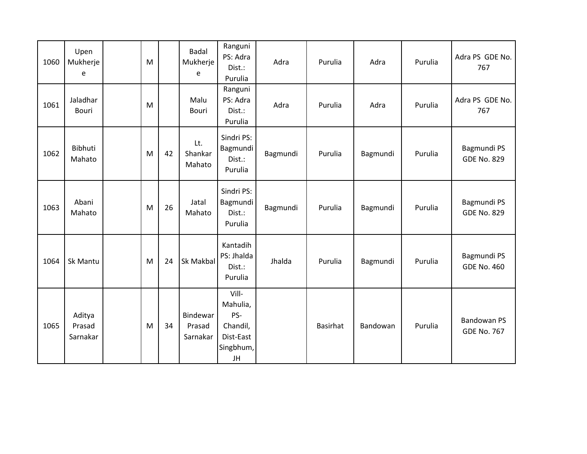| 1060 | Upen<br>Mukherje<br>e        | M |    | <b>Badal</b><br>Mukherje<br>e  | Ranguni<br>PS: Adra<br>Dist.:<br>Purulia                             | Adra     | Purulia  | Adra     | Purulia | Adra PS GDE No.<br>767                   |
|------|------------------------------|---|----|--------------------------------|----------------------------------------------------------------------|----------|----------|----------|---------|------------------------------------------|
| 1061 | Jaladhar<br><b>Bouri</b>     | M |    | Malu<br>Bouri                  | Ranguni<br>PS: Adra<br>Dist.:<br>Purulia                             | Adra     | Purulia  | Adra     | Purulia | Adra PS GDE No.<br>767                   |
| 1062 | Bibhuti<br>Mahato            | M | 42 | Lt.<br>Shankar<br>Mahato       | Sindri PS:<br>Bagmundi<br>Dist.:<br>Purulia                          | Bagmundi | Purulia  | Bagmundi | Purulia | Bagmundi PS<br><b>GDE No. 829</b>        |
| 1063 | Abani<br>Mahato              | M | 26 | Jatal<br>Mahato                | Sindri PS:<br>Bagmundi<br>Dist.:<br>Purulia                          | Bagmundi | Purulia  | Bagmundi | Purulia | Bagmundi PS<br><b>GDE No. 829</b>        |
| 1064 | Sk Mantu                     | M | 24 | Sk Makbal                      | Kantadih<br>PS: Jhalda<br>Dist.:<br>Purulia                          | Jhalda   | Purulia  | Bagmundi | Purulia | Bagmundi PS<br><b>GDE No. 460</b>        |
| 1065 | Aditya<br>Prasad<br>Sarnakar | M | 34 | Bindewar<br>Prasad<br>Sarnakar | Vill-<br>Mahulia,<br>PS-<br>Chandil,<br>Dist-East<br>Singbhum,<br>JH |          | Basirhat | Bandowan | Purulia | <b>Bandowan PS</b><br><b>GDE No. 767</b> |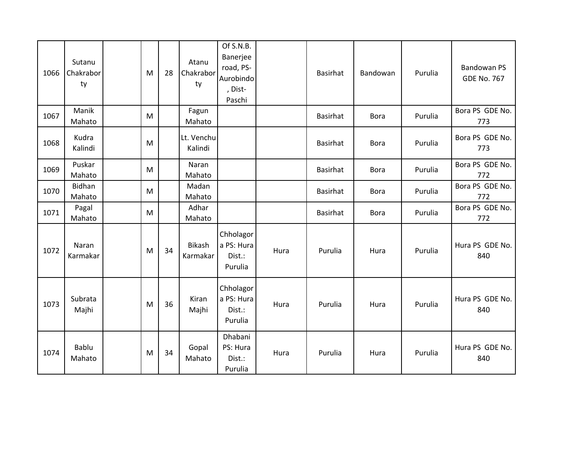| 1066 | Sutanu<br>Chakrabor<br>ty | M | 28 | Atanu<br>Chakrabor<br>ty  | Of S.N.B.<br>Banerjee<br>road, PS-<br>Aurobindo<br>, Dist-<br>Paschi |      | Basirhat        | Bandowan    | Purulia | <b>Bandowan PS</b><br><b>GDE No. 767</b> |
|------|---------------------------|---|----|---------------------------|----------------------------------------------------------------------|------|-----------------|-------------|---------|------------------------------------------|
| 1067 | Manik<br>Mahato           | M |    | Fagun<br>Mahato           |                                                                      |      | <b>Basirhat</b> | <b>Bora</b> | Purulia | Bora PS GDE No.<br>773                   |
| 1068 | Kudra<br>Kalindi          | M |    | Lt. Venchu<br>Kalindi     |                                                                      |      | Basirhat        | <b>Bora</b> | Purulia | Bora PS GDE No.<br>773                   |
| 1069 | Puskar<br>Mahato          | M |    | Naran<br>Mahato           |                                                                      |      | Basirhat        | Bora        | Purulia | Bora PS GDE No.<br>772                   |
| 1070 | Bidhan<br>Mahato          | M |    | Madan<br>Mahato           |                                                                      |      | Basirhat        | <b>Bora</b> | Purulia | Bora PS GDE No.<br>772                   |
| 1071 | Pagal<br>Mahato           | M |    | Adhar<br>Mahato           |                                                                      |      | Basirhat        | <b>Bora</b> | Purulia | Bora PS GDE No.<br>772                   |
| 1072 | Naran<br>Karmakar         | M | 34 | <b>Bikash</b><br>Karmakar | Chholagor<br>a PS: Hura<br>Dist.:<br>Purulia                         | Hura | Purulia         | Hura        | Purulia | Hura PS GDE No.<br>840                   |
| 1073 | Subrata<br>Majhi          | M | 36 | Kiran<br>Majhi            | Chholagor<br>a PS: Hura<br>Dist.:<br>Purulia                         | Hura | Purulia         | Hura        | Purulia | Hura PS GDE No.<br>840                   |
| 1074 | Bablu<br>Mahato           | M | 34 | Gopal<br>Mahato           | Dhabani<br>PS: Hura<br>Dist.:<br>Purulia                             | Hura | Purulia         | Hura        | Purulia | Hura PS GDE No.<br>840                   |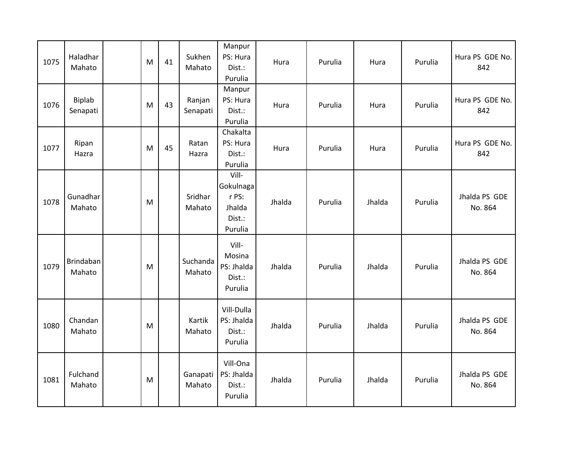| 1075 | Haladhar<br>Mahato        | M | 41 | Sukhen<br>Mahato   | Manpur<br>PS: Hura<br>Dist.:<br>Purulia                    | Hura   | Purulia | Hura   | Purulia | Hura PS GDE No.<br>842   |
|------|---------------------------|---|----|--------------------|------------------------------------------------------------|--------|---------|--------|---------|--------------------------|
| 1076 | <b>Biplab</b><br>Senapati | M | 43 | Ranjan<br>Senapati | Manpur<br>PS: Hura<br>Dist.:<br>Purulia                    | Hura   | Purulia | Hura   | Purulia | Hura PS GDE No.<br>842   |
| 1077 | Ripan<br>Hazra            | M | 45 | Ratan<br>Hazra     | Chakalta<br>PS: Hura<br>Dist.:<br>Purulia                  | Hura   | Purulia | Hura   | Purulia | Hura PS GDE No.<br>842   |
| 1078 | Gunadhar<br>Mahato        | M |    | Sridhar<br>Mahato  | Vill-<br>Gokulnaga<br>r PS:<br>Jhalda<br>Dist.:<br>Purulia | Jhalda | Purulia | Jhalda | Purulia | Jhalda PS GDE<br>No. 864 |
| 1079 | Brindaban<br>Mahato       | M |    | Suchanda<br>Mahato | Vill-<br>Mosina<br>PS: Jhalda<br>Dist.:<br>Purulia         | Jhalda | Purulia | Jhalda | Purulia | Jhalda PS GDE<br>No. 864 |
| 1080 | Chandan<br>Mahato         | M |    | Kartik<br>Mahato   | Vill-Dulla<br>PS: Jhalda<br>Dist.:<br>Purulia              | Jhalda | Purulia | Jhalda | Purulia | Jhalda PS GDE<br>No. 864 |
| 1081 | Fulchand<br>Mahato        | M |    | Ganapati<br>Mahato | Vill-Ona<br>PS: Jhalda<br>Dist.:<br>Purulia                | Jhalda | Purulia | Jhalda | Purulia | Jhalda PS GDE<br>No. 864 |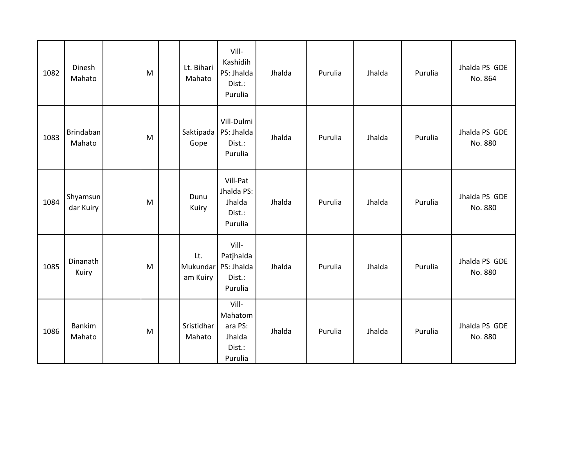| 1082 | Dinesh<br>Mahato        | M | Lt. Bihari<br>Mahato        | Vill-<br>Kashidih<br>PS: Jhalda<br>Dist.:<br>Purulia       | Jhalda | Purulia | Jhalda | Purulia | Jhalda PS GDE<br>No. 864 |
|------|-------------------------|---|-----------------------------|------------------------------------------------------------|--------|---------|--------|---------|--------------------------|
| 1083 | Brindaban<br>Mahato     | M | Saktipada<br>Gope           | Vill-Dulmi<br>PS: Jhalda<br>Dist.:<br>Purulia              | Jhalda | Purulia | Jhalda | Purulia | Jhalda PS GDE<br>No. 880 |
| 1084 | Shyamsun<br>dar Kuiry   | M | Dunu<br>Kuiry               | Vill-Pat<br>Jhalda PS:<br>Jhalda<br>Dist.:<br>Purulia      | Jhalda | Purulia | Jhalda | Purulia | Jhalda PS GDE<br>No. 880 |
| 1085 | Dinanath<br>Kuiry       | M | Lt.<br>Mukundar<br>am Kuiry | Vill-<br>Patjhalda<br>PS: Jhalda<br>Dist.:<br>Purulia      | Jhalda | Purulia | Jhalda | Purulia | Jhalda PS GDE<br>No. 880 |
| 1086 | <b>Bankim</b><br>Mahato | M | Sristidhar<br>Mahato        | Vill-<br>Mahatom<br>ara PS:<br>Jhalda<br>Dist.:<br>Purulia | Jhalda | Purulia | Jhalda | Purulia | Jhalda PS GDE<br>No. 880 |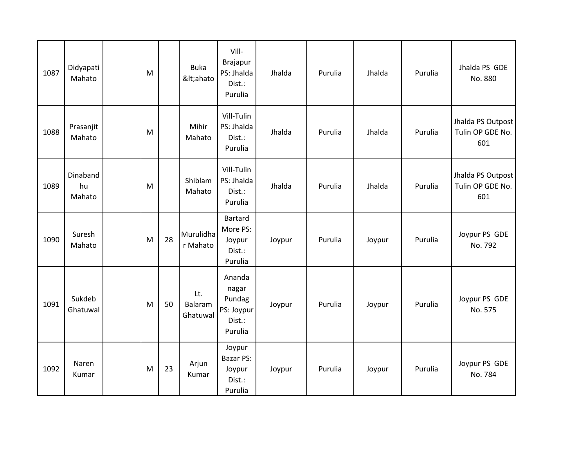| 1087 | Didyapati<br>Mahato      | M |    | <b>Buka</b><br><ahato< th=""><th>Vill-<br/>Brajapur<br/>PS: Jhalda<br/>Dist.:<br/>Purulia</th><th>Jhalda</th><th>Purulia</th><th>Jhalda</th><th>Purulia</th><th>Jhalda PS GDE<br/>No. 880</th></ahato<> | Vill-<br>Brajapur<br>PS: Jhalda<br>Dist.:<br>Purulia         | Jhalda | Purulia | Jhalda | Purulia | Jhalda PS GDE<br>No. 880                     |
|------|--------------------------|---|----|---------------------------------------------------------------------------------------------------------------------------------------------------------------------------------------------------------|--------------------------------------------------------------|--------|---------|--------|---------|----------------------------------------------|
| 1088 | Prasanjit<br>Mahato      | M |    | Mihir<br>Mahato                                                                                                                                                                                         | Vill-Tulin<br>PS: Jhalda<br>Dist.:<br>Purulia                | Jhalda | Purulia | Jhalda | Purulia | Jhalda PS Outpost<br>Tulin OP GDE No.<br>601 |
| 1089 | Dinaband<br>hu<br>Mahato | M |    | Shiblam<br>Mahato                                                                                                                                                                                       | Vill-Tulin<br>PS: Jhalda<br>Dist.:<br>Purulia                | Jhalda | Purulia | Jhalda | Purulia | Jhalda PS Outpost<br>Tulin OP GDE No.<br>601 |
| 1090 | Suresh<br>Mahato         | M | 28 | Murulidha<br>r Mahato                                                                                                                                                                                   | <b>Bartard</b><br>More PS:<br>Joypur<br>Dist.:<br>Purulia    | Joypur | Purulia | Joypur | Purulia | Joypur PS GDE<br>No. 792                     |
| 1091 | Sukdeb<br>Ghatuwal       | M | 50 | Lt.<br>Balaram<br>Ghatuwal                                                                                                                                                                              | Ananda<br>nagar<br>Pundag<br>PS: Joypur<br>Dist.:<br>Purulia | Joypur | Purulia | Joypur | Purulia | Joypur PS GDE<br>No. 575                     |
| 1092 | Naren<br>Kumar           | M | 23 | Arjun<br>Kumar                                                                                                                                                                                          | Joypur<br>Bazar PS:<br>Joypur<br>Dist.:<br>Purulia           | Joypur | Purulia | Joypur | Purulia | Joypur PS GDE<br>No. 784                     |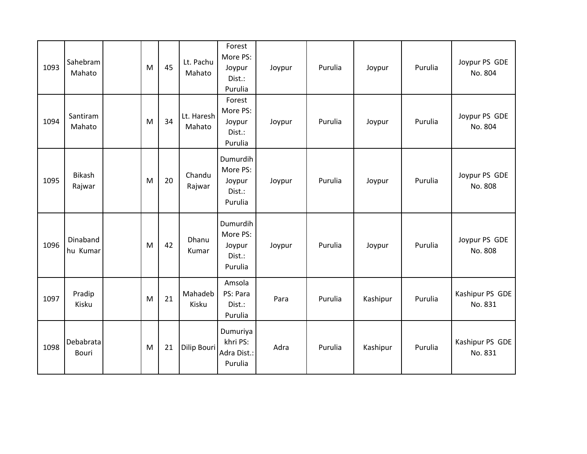| 1093 | Sahebram<br>Mahato      | M | 45 | Lt. Pachu<br>Mahato  | Forest<br>More PS:<br>Joypur<br>Dist.:<br>Purulia   | Joypur | Purulia | Joypur   | Purulia | Joypur PS GDE<br>No. 804   |
|------|-------------------------|---|----|----------------------|-----------------------------------------------------|--------|---------|----------|---------|----------------------------|
| 1094 | Santiram<br>Mahato      | M | 34 | Lt. Haresh<br>Mahato | Forest<br>More PS:<br>Joypur<br>Dist.:<br>Purulia   | Joypur | Purulia | Joypur   | Purulia | Joypur PS GDE<br>No. 804   |
| 1095 | <b>Bikash</b><br>Rajwar | M | 20 | Chandu<br>Rajwar     | Dumurdih<br>More PS:<br>Joypur<br>Dist.:<br>Purulia | Joypur | Purulia | Joypur   | Purulia | Joypur PS GDE<br>No. 808   |
| 1096 | Dinaband<br>hu Kumar    | M | 42 | Dhanu<br>Kumar       | Dumurdih<br>More PS:<br>Joypur<br>Dist.:<br>Purulia | Joypur | Purulia | Joypur   | Purulia | Joypur PS GDE<br>No. 808   |
| 1097 | Pradip<br>Kisku         | M | 21 | Mahadeb<br>Kisku     | Amsola<br>PS: Para<br>Dist.:<br>Purulia             | Para   | Purulia | Kashipur | Purulia | Kashipur PS GDE<br>No. 831 |
| 1098 | Debabrata<br>Bouri      | M | 21 | Dilip Bouri          | Dumuriya<br>khri PS:<br>Adra Dist.:<br>Purulia      | Adra   | Purulia | Kashipur | Purulia | Kashipur PS GDE<br>No. 831 |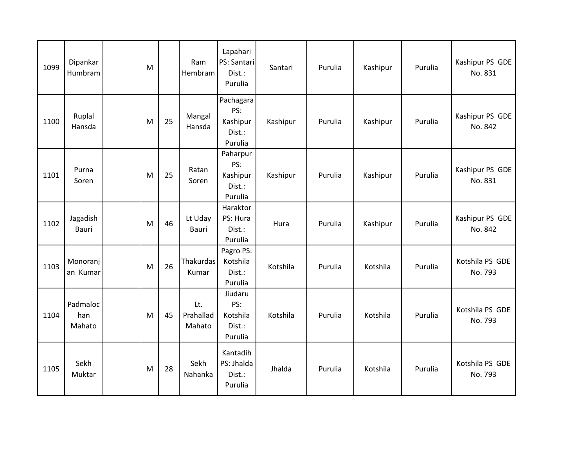| 1099 | Dipankar<br>Humbram       | M |    | Ram<br>Hembram             | Lapahari<br>PS: Santari<br>Dist.:<br>Purulia      | Santari  | Purulia | Kashipur | Purulia | Kashipur PS GDE<br>No. 831 |
|------|---------------------------|---|----|----------------------------|---------------------------------------------------|----------|---------|----------|---------|----------------------------|
| 1100 | Ruplal<br>Hansda          | M | 25 | Mangal<br>Hansda           | Pachagara<br>PS:<br>Kashipur<br>Dist.:<br>Purulia | Kashipur | Purulia | Kashipur | Purulia | Kashipur PS GDE<br>No. 842 |
| 1101 | Purna<br>Soren            | M | 25 | Ratan<br>Soren             | Paharpur<br>PS:<br>Kashipur<br>Dist.:<br>Purulia  | Kashipur | Purulia | Kashipur | Purulia | Kashipur PS GDE<br>No. 831 |
| 1102 | Jagadish<br><b>Bauri</b>  | M | 46 | Lt Uday<br><b>Bauri</b>    | Haraktor<br>PS: Hura<br>Dist.:<br>Purulia         | Hura     | Purulia | Kashipur | Purulia | Kashipur PS GDE<br>No. 842 |
| 1103 | Monoranj<br>an Kumar      | M | 26 | Thakurdas<br>Kumar         | Pagro PS:<br>Kotshila<br>Dist.:<br>Purulia        | Kotshila | Purulia | Kotshila | Purulia | Kotshila PS GDE<br>No. 793 |
| 1104 | Padmaloc<br>han<br>Mahato | M | 45 | Lt.<br>Prahallad<br>Mahato | Jiudaru<br>PS:<br>Kotshila<br>Dist.:<br>Purulia   | Kotshila | Purulia | Kotshila | Purulia | Kotshila PS GDE<br>No. 793 |
| 1105 | Sekh<br>Muktar            | M | 28 | Sekh<br>Nahanka            | Kantadih<br>PS: Jhalda<br>Dist.:<br>Purulia       | Jhalda   | Purulia | Kotshila | Purulia | Kotshila PS GDE<br>No. 793 |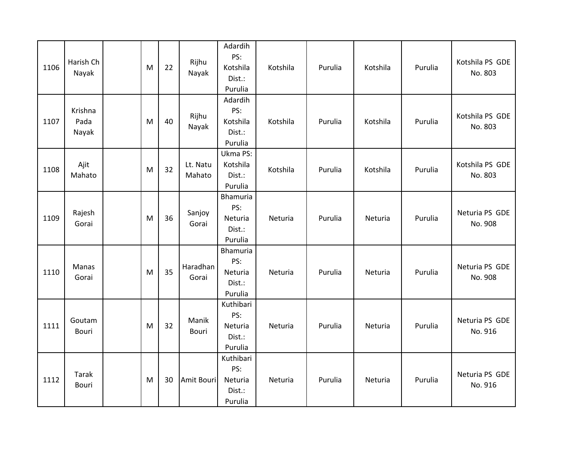| 1106 | Harish Ch<br>Nayak       | M | 22 | Rijhu<br>Nayak     | Adardih<br>PS:<br>Kotshila<br>Dist.:<br>Purulia  | Kotshila | Purulia | Kotshila | Purulia | Kotshila PS GDE<br>No. 803 |
|------|--------------------------|---|----|--------------------|--------------------------------------------------|----------|---------|----------|---------|----------------------------|
| 1107 | Krishna<br>Pada<br>Nayak | M | 40 | Rijhu<br>Nayak     | Adardih<br>PS:<br>Kotshila<br>Dist.:<br>Purulia  | Kotshila | Purulia | Kotshila | Purulia | Kotshila PS GDE<br>No. 803 |
| 1108 | Ajit<br>Mahato           | M | 32 | Lt. Natu<br>Mahato | Ukma PS:<br>Kotshila<br>Dist.:<br>Purulia        | Kotshila | Purulia | Kotshila | Purulia | Kotshila PS GDE<br>No. 803 |
| 1109 | Rajesh<br>Gorai          | M | 36 | Sanjoy<br>Gorai    | Bhamuria<br>PS:<br>Neturia<br>Dist.:<br>Purulia  | Neturia  | Purulia | Neturia  | Purulia | Neturia PS GDE<br>No. 908  |
| 1110 | Manas<br>Gorai           | M | 35 | Haradhan<br>Gorai  | Bhamuria<br>PS:<br>Neturia<br>Dist.:<br>Purulia  | Neturia  | Purulia | Neturia  | Purulia | Neturia PS GDE<br>No. 908  |
| 1111 | Goutam<br>Bouri          | M | 32 | Manik<br>Bouri     | Kuthibari<br>PS:<br>Neturia<br>Dist.:<br>Purulia | Neturia  | Purulia | Neturia  | Purulia | Neturia PS GDE<br>No. 916  |
| 1112 | Tarak<br>Bouri           | M | 30 | Amit Bouri         | Kuthibari<br>PS:<br>Neturia<br>Dist.:<br>Purulia | Neturia  | Purulia | Neturia  | Purulia | Neturia PS GDE<br>No. 916  |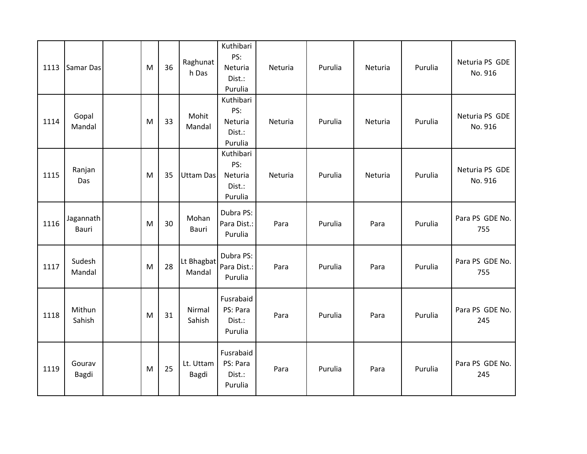| 1113 | Samar Das                 | M | 36 | Raghunat<br>h Das    | Kuthibari<br>PS:<br>Neturia<br>Dist.:<br>Purulia | Neturia | Purulia | Neturia | Purulia | Neturia PS GDE<br>No. 916 |
|------|---------------------------|---|----|----------------------|--------------------------------------------------|---------|---------|---------|---------|---------------------------|
| 1114 | Gopal<br>Mandal           | M | 33 | Mohit<br>Mandal      | Kuthibari<br>PS:<br>Neturia<br>Dist.:<br>Purulia | Neturia | Purulia | Neturia | Purulia | Neturia PS GDE<br>No. 916 |
| 1115 | Ranjan<br>Das             | M | 35 | <b>Uttam Das</b>     | Kuthibari<br>PS:<br>Neturia<br>Dist.:<br>Purulia | Neturia | Purulia | Neturia | Purulia | Neturia PS GDE<br>No. 916 |
| 1116 | Jagannath<br><b>Bauri</b> | M | 30 | Mohan<br>Bauri       | Dubra PS:<br>Para Dist.:<br>Purulia              | Para    | Purulia | Para    | Purulia | Para PS GDE No.<br>755    |
| 1117 | Sudesh<br>Mandal          | M | 28 | Lt Bhagbat<br>Mandal | Dubra PS:<br>Para Dist.:<br>Purulia              | Para    | Purulia | Para    | Purulia | Para PS GDE No.<br>755    |
| 1118 | Mithun<br>Sahish          | M | 31 | Nirmal<br>Sahish     | Fusrabaid<br>PS: Para<br>Dist.:<br>Purulia       | Para    | Purulia | Para    | Purulia | Para PS GDE No.<br>245    |
| 1119 | Gourav<br>Bagdi           | M | 25 | Lt. Uttam<br>Bagdi   | Fusrabaid<br>PS: Para<br>Dist.:<br>Purulia       | Para    | Purulia | Para    | Purulia | Para PS GDE No.<br>245    |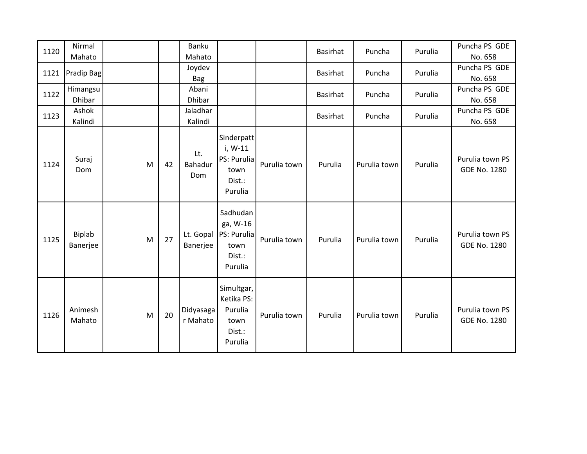| 1120 | Nirmal<br>Mahato          |   |    | Banku<br>Mahato       |                                                                   |              | <b>Basirhat</b> | Puncha       | Purulia | Puncha PS GDE<br>No. 658               |
|------|---------------------------|---|----|-----------------------|-------------------------------------------------------------------|--------------|-----------------|--------------|---------|----------------------------------------|
| 1121 | Pradip Bag                |   |    | Joydev<br><b>Bag</b>  |                                                                   |              | <b>Basirhat</b> | Puncha       | Purulia | Puncha PS GDE<br>No. 658               |
| 1122 | Himangsu<br><b>Dhibar</b> |   |    | Abani<br>Dhibar       |                                                                   |              | <b>Basirhat</b> | Puncha       | Purulia | Puncha PS GDE<br>No. 658               |
| 1123 | Ashok<br>Kalindi          |   |    | Jaladhar<br>Kalindi   |                                                                   |              | <b>Basirhat</b> | Puncha       | Purulia | Puncha PS GDE<br>No. 658               |
| 1124 | Suraj<br>Dom              | M | 42 | Lt.<br>Bahadur<br>Dom | Sinderpatt<br>i, W-11<br>PS: Purulia<br>town<br>Dist.:<br>Purulia | Purulia town | Purulia         | Purulia town | Purulia | Purulia town PS<br><b>GDE No. 1280</b> |
| 1125 | Biplab<br>Banerjee        | M | 27 | Lt. Gopal<br>Banerjee | Sadhudan<br>ga, W-16<br>PS: Purulia<br>town<br>Dist.:<br>Purulia  | Purulia town | Purulia         | Purulia town | Purulia | Purulia town PS<br><b>GDE No. 1280</b> |
| 1126 | Animesh<br>Mahato         | M | 20 | Didyasaga<br>r Mahato | Simultgar,<br>Ketika PS:<br>Purulia<br>town<br>Dist.:<br>Purulia  | Purulia town | Purulia         | Purulia town | Purulia | Purulia town PS<br><b>GDE No. 1280</b> |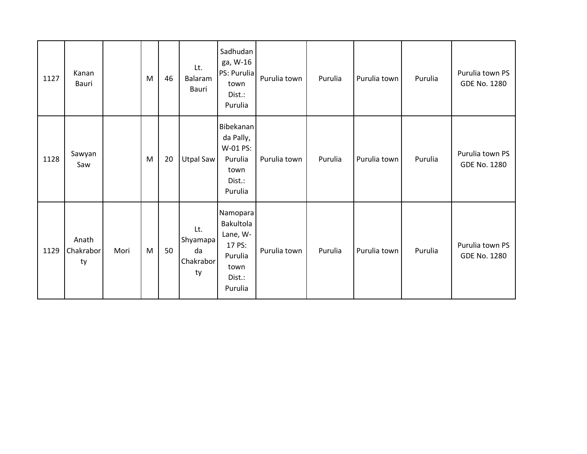| 1127 | Kanan<br>Bauri           |      | M | 46 | Lt.<br>Balaram<br>Bauri                  | Sadhudan<br>ga, W-16<br>PS: Purulia<br>town<br>Dist.:<br>Purulia                    | Purulia town | Purulia | Purulia town | Purulia | Purulia town PS<br>GDE No. 1280        |
|------|--------------------------|------|---|----|------------------------------------------|-------------------------------------------------------------------------------------|--------------|---------|--------------|---------|----------------------------------------|
| 1128 | Sawyan<br>Saw            |      | M | 20 | <b>Utpal Saw</b>                         | Bibekanan<br>da Pally,<br>W-01 PS:<br>Purulia<br>town<br>Dist.:<br>Purulia          | Purulia town | Purulia | Purulia town | Purulia | Purulia town PS<br><b>GDE No. 1280</b> |
| 1129 | Anath<br>Chakrabor<br>ty | Mori | M | 50 | Lt.<br>Shyamapa<br>da<br>Chakrabor<br>ty | Namopara<br>Bakultola<br>Lane, W-<br>17 PS:<br>Purulia<br>town<br>Dist.:<br>Purulia | Purulia town | Purulia | Purulia town | Purulia | Purulia town PS<br><b>GDE No. 1280</b> |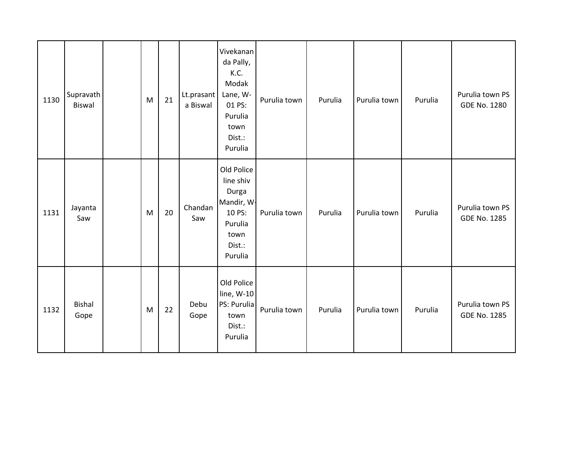| 1130 | Supravath<br>Biswal   | M | 21 | Lt.prasant<br>a Biswal | Vivekanan<br>da Pally,<br>K.C.<br>Modak<br>Lane, W-<br>01 PS:<br>Purulia<br>town<br>Dist.:<br>Purulia | Purulia town | Purulia | Purulia town | Purulia | Purulia town PS<br><b>GDE No. 1280</b> |
|------|-----------------------|---|----|------------------------|-------------------------------------------------------------------------------------------------------|--------------|---------|--------------|---------|----------------------------------------|
| 1131 | Jayanta<br>Saw        | M | 20 | Chandan<br>Saw         | Old Police<br>line shiv<br>Durga<br>Mandir, W-<br>10 PS:<br>Purulia<br>town<br>Dist.:<br>Purulia      | Purulia town | Purulia | Purulia town | Purulia | Purulia town PS<br><b>GDE No. 1285</b> |
| 1132 | <b>Bishal</b><br>Gope | M | 22 | Debu<br>Gope           | Old Police<br>line, W-10<br>PS: Purulia<br>town<br>Dist.:<br>Purulia                                  | Purulia town | Purulia | Purulia town | Purulia | Purulia town PS<br><b>GDE No. 1285</b> |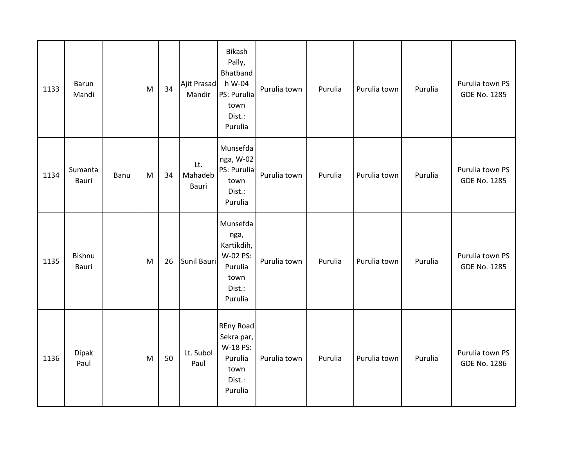| 1133 | <b>Barun</b><br>Mandi |      | M         | 34 | Ajit Prasad<br>Mandir   | Bikash<br>Pally,<br>Bhatband<br>h W-04<br>PS: Purulia<br>town<br>Dist.:<br>Purulia | Purulia town | Purulia | Purulia town | Purulia | Purulia town PS<br><b>GDE No. 1285</b> |
|------|-----------------------|------|-----------|----|-------------------------|------------------------------------------------------------------------------------|--------------|---------|--------------|---------|----------------------------------------|
| 1134 | Sumanta<br>Bauri      | Banu | ${\sf M}$ | 34 | Lt.<br>Mahadeb<br>Bauri | Munsefda<br>nga, W-02<br>PS: Purulia<br>town<br>Dist.:<br>Purulia                  | Purulia town | Purulia | Purulia town | Purulia | Purulia town PS<br><b>GDE No. 1285</b> |
| 1135 | Bishnu<br>Bauri       |      | M         | 26 | Sunil Bauri             | Munsefda<br>nga,<br>Kartikdih,<br>W-02 PS:<br>Purulia<br>town<br>Dist.:<br>Purulia | Purulia town | Purulia | Purulia town | Purulia | Purulia town PS<br><b>GDE No. 1285</b> |
| 1136 | Dipak<br>Paul         |      | M         | 50 | Lt. Subol<br>Paul       | <b>REny Road</b><br>Sekra par,<br>W-18 PS:<br>Purulia<br>town<br>Dist.:<br>Purulia | Purulia town | Purulia | Purulia town | Purulia | Purulia town PS<br><b>GDE No. 1286</b> |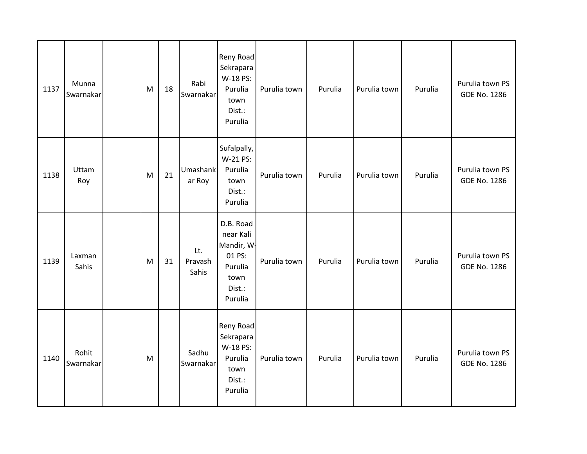| 1137 | Munna<br>Swarnakar | M | 18 | Rabi<br>Swarnakar       | Reny Road<br>Sekrapara<br>W-18 PS:<br>Purulia<br>town<br>Dist.:<br>Purulia             | Purulia town | Purulia | Purulia town | Purulia | Purulia town PS<br><b>GDE No. 1286</b> |
|------|--------------------|---|----|-------------------------|----------------------------------------------------------------------------------------|--------------|---------|--------------|---------|----------------------------------------|
| 1138 | Uttam<br>Roy       | M | 21 | Umashank<br>ar Roy      | Sufalpally,<br>W-21 PS:<br>Purulia<br>town<br>Dist.:<br>Purulia                        | Purulia town | Purulia | Purulia town | Purulia | Purulia town PS<br><b>GDE No. 1286</b> |
| 1139 | Laxman<br>Sahis    | M | 31 | Lt.<br>Pravash<br>Sahis | D.B. Road<br>near Kali<br>Mandir, W-<br>01 PS:<br>Purulia<br>town<br>Dist.:<br>Purulia | Purulia town | Purulia | Purulia town | Purulia | Purulia town PS<br>GDE No. 1286        |
| 1140 | Rohit<br>Swarnakar | M |    | Sadhu<br>Swarnakar      | Reny Road<br>Sekrapara<br>W-18 PS:<br>Purulia<br>town<br>Dist.:<br>Purulia             | Purulia town | Purulia | Purulia town | Purulia | Purulia town PS<br><b>GDE No. 1286</b> |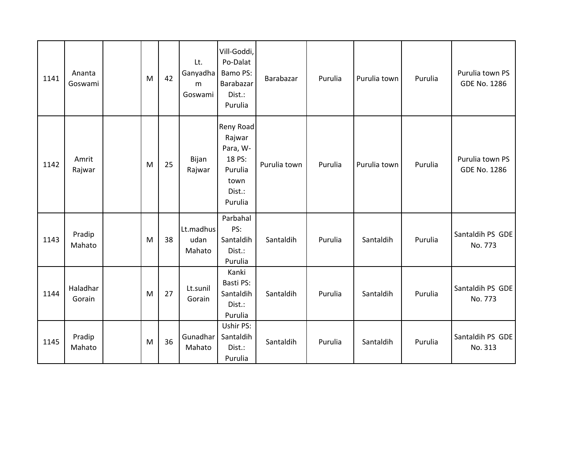| 1141 | Ananta<br>Goswami  | M | 42 | Lt.<br>Ganyadha<br>m<br>Goswami | Vill-Goddi,<br>Po-Dalat<br>Bamo PS:<br>Barabazar<br>Dist.:<br>Purulia             | Barabazar    | Purulia | Purulia town | Purulia | Purulia town PS<br><b>GDE No. 1286</b> |
|------|--------------------|---|----|---------------------------------|-----------------------------------------------------------------------------------|--------------|---------|--------------|---------|----------------------------------------|
| 1142 | Amrit<br>Rajwar    | M | 25 | Bijan<br>Rajwar                 | Reny Road<br>Rajwar<br>Para, W-<br>18 PS:<br>Purulia<br>town<br>Dist.:<br>Purulia | Purulia town | Purulia | Purulia town | Purulia | Purulia town PS<br><b>GDE No. 1286</b> |
| 1143 | Pradip<br>Mahato   | M | 38 | Lt.madhus<br>udan<br>Mahato     | Parbahal<br>PS:<br>Santaldih<br>Dist.:<br>Purulia                                 | Santaldih    | Purulia | Santaldih    | Purulia | Santaldih PS GDE<br>No. 773            |
| 1144 | Haladhar<br>Gorain | M | 27 | Lt.sunil<br>Gorain              | Kanki<br>Basti PS:<br>Santaldih<br>Dist.:<br>Purulia                              | Santaldih    | Purulia | Santaldih    | Purulia | Santaldih PS GDE<br>No. 773            |
| 1145 | Pradip<br>Mahato   | M | 36 | Gunadhar<br>Mahato              | Ushir PS:<br>Santaldih<br>Dist.:<br>Purulia                                       | Santaldih    | Purulia | Santaldih    | Purulia | Santaldih PS GDE<br>No. 313            |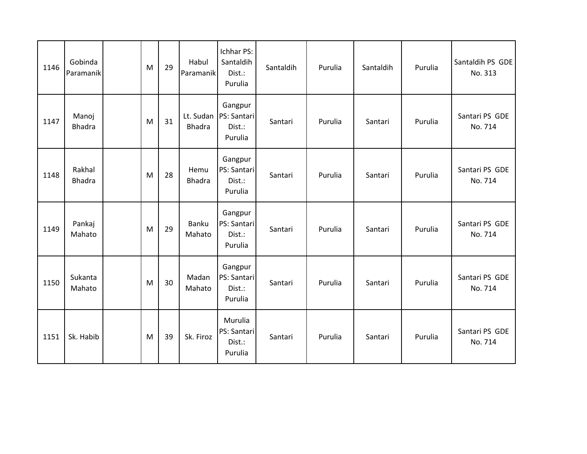| 1146 | Gobinda<br>Paramanik    | M | 29 | Habul<br>Paramanik         | Ichhar PS:<br>Santaldih<br>Dist.:<br>Purulia | Santaldih | Purulia | Santaldih | Purulia | Santaldih PS GDE<br>No. 313 |
|------|-------------------------|---|----|----------------------------|----------------------------------------------|-----------|---------|-----------|---------|-----------------------------|
| 1147 | Manoj<br><b>Bhadra</b>  | M | 31 | Lt. Sudan<br><b>Bhadra</b> | Gangpur<br>PS: Santari<br>Dist.:<br>Purulia  | Santari   | Purulia | Santari   | Purulia | Santari PS GDE<br>No. 714   |
| 1148 | Rakhal<br><b>Bhadra</b> | M | 28 | Hemu<br><b>Bhadra</b>      | Gangpur<br>PS: Santari<br>Dist.:<br>Purulia  | Santari   | Purulia | Santari   | Purulia | Santari PS GDE<br>No. 714   |
| 1149 | Pankaj<br>Mahato        | M | 29 | Banku<br>Mahato            | Gangpur<br>PS: Santari<br>Dist.:<br>Purulia  | Santari   | Purulia | Santari   | Purulia | Santari PS GDE<br>No. 714   |
| 1150 | Sukanta<br>Mahato       | M | 30 | Madan<br>Mahato            | Gangpur<br>PS: Santari<br>Dist.:<br>Purulia  | Santari   | Purulia | Santari   | Purulia | Santari PS GDE<br>No. 714   |
| 1151 | Sk. Habib               | M | 39 | Sk. Firoz                  | Murulia<br>PS: Santari<br>Dist.:<br>Purulia  | Santari   | Purulia | Santari   | Purulia | Santari PS GDE<br>No. 714   |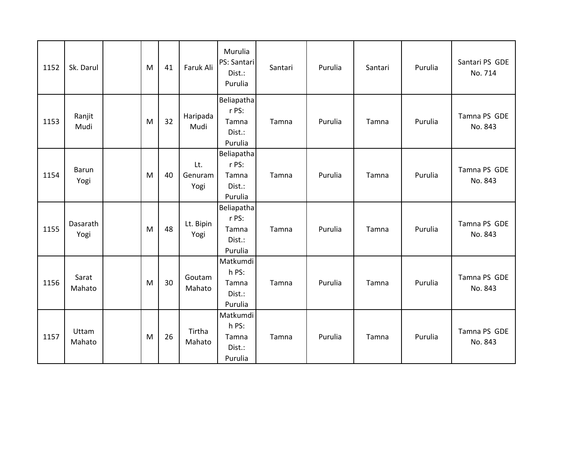| 1152 | Sk. Darul            | M | 41 | Faruk Ali              | Murulia<br>PS: Santari<br>Dist.:<br>Purulia       | Santari | Purulia | Santari | Purulia | Santari PS GDE<br>No. 714 |
|------|----------------------|---|----|------------------------|---------------------------------------------------|---------|---------|---------|---------|---------------------------|
| 1153 | Ranjit<br>Mudi       | M | 32 | Haripada<br>Mudi       | Beliapatha<br>r PS:<br>Tamna<br>Dist.:<br>Purulia | Tamna   | Purulia | Tamna   | Purulia | Tamna PS GDE<br>No. 843   |
| 1154 | <b>Barun</b><br>Yogi | M | 40 | Lt.<br>Genuram<br>Yogi | Beliapatha<br>r PS:<br>Tamna<br>Dist.:<br>Purulia | Tamna   | Purulia | Tamna   | Purulia | Tamna PS GDE<br>No. 843   |
| 1155 | Dasarath<br>Yogi     | M | 48 | Lt. Bipin<br>Yogi      | Beliapatha<br>r PS:<br>Tamna<br>Dist.:<br>Purulia | Tamna   | Purulia | Tamna   | Purulia | Tamna PS GDE<br>No. 843   |
| 1156 | Sarat<br>Mahato      | M | 30 | Goutam<br>Mahato       | Matkumdi<br>h PS:<br>Tamna<br>Dist.:<br>Purulia   | Tamna   | Purulia | Tamna   | Purulia | Tamna PS GDE<br>No. 843   |
| 1157 | Uttam<br>Mahato      | M | 26 | Tirtha<br>Mahato       | Matkumdi<br>h PS:<br>Tamna<br>Dist.:<br>Purulia   | Tamna   | Purulia | Tamna   | Purulia | Tamna PS GDE<br>No. 843   |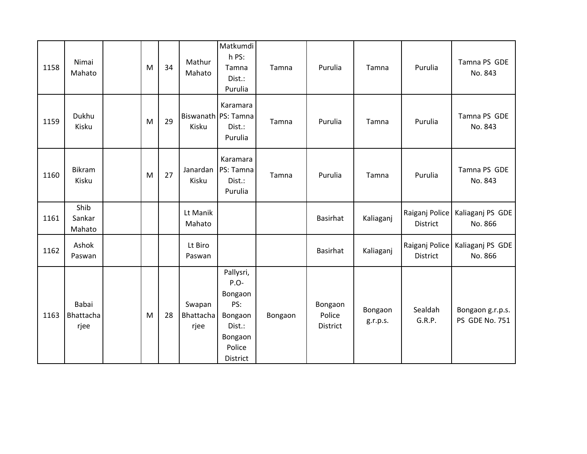| 1158 | Nimai<br>Mahato            | M | 34 | Mathur<br>Mahato            | Matkumdi<br>h PS:<br>Tamna<br>Dist.:<br>Purulia                                           | Tamna   | Purulia                       | Tamna               | Purulia                    | Tamna PS GDE<br>No. 843            |
|------|----------------------------|---|----|-----------------------------|-------------------------------------------------------------------------------------------|---------|-------------------------------|---------------------|----------------------------|------------------------------------|
| 1159 | Dukhu<br>Kisku             | M | 29 | Kisku                       | Karamara<br>Biswanath PS: Tamna<br>Dist.:<br>Purulia                                      | Tamna   | Purulia                       | Tamna               | Purulia                    | Tamna PS GDE<br>No. 843            |
| 1160 | Bikram<br>Kisku            | M | 27 | Janardan<br>Kisku           | Karamara<br>PS: Tamna<br>Dist.:<br>Purulia                                                | Tamna   | Purulia                       | Tamna               | Purulia                    | Tamna PS GDE<br>No. 843            |
| 1161 | Shib<br>Sankar<br>Mahato   |   |    | Lt Manik<br>Mahato          |                                                                                           |         | <b>Basirhat</b>               | Kaliaganj           | Raiganj Police<br>District | Kaliaganj PS GDE<br>No. 866        |
| 1162 | Ashok<br>Paswan            |   |    | Lt Biro<br>Paswan           |                                                                                           |         | <b>Basirhat</b>               | Kaliaganj           | Raiganj Police<br>District | Kaliaganj PS GDE<br>No. 866        |
| 1163 | Babai<br>Bhattacha<br>rjee | M | 28 | Swapan<br>Bhattacha<br>rjee | Pallysri,<br>P.O-<br>Bongaon<br>PS:<br>Bongaon<br>Dist.:<br>Bongaon<br>Police<br>District | Bongaon | Bongaon<br>Police<br>District | Bongaon<br>g.r.p.s. | Sealdah<br>G.R.P.          | Bongaon g.r.p.s.<br>PS GDE No. 751 |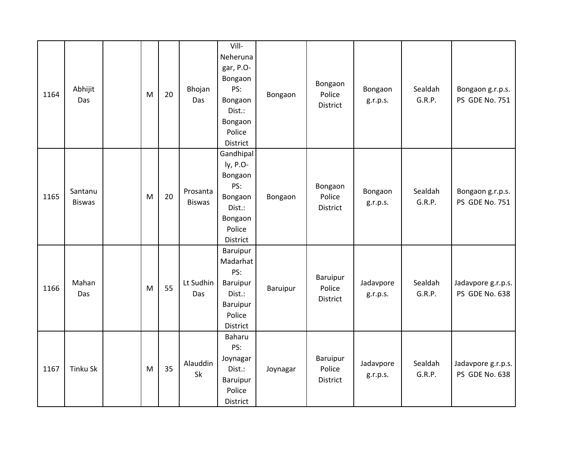| 1164 | Abhijit<br>Das           | M | 20 | Bhojan<br>Das             | Vill-<br>Neheruna<br>gar, P.O-<br>Bongaon<br>PS:<br>Bongaon<br>Dist.:<br>Bongaon<br>Police<br>District | Bongaon  | Bongaon<br>Police<br>District  | Bongaon<br>g.r.p.s.   | Sealdah<br>G.R.P. | Bongaon g.r.p.s.<br>PS GDE No. 751   |
|------|--------------------------|---|----|---------------------------|--------------------------------------------------------------------------------------------------------|----------|--------------------------------|-----------------------|-------------------|--------------------------------------|
| 1165 | Santanu<br><b>Biswas</b> | M | 20 | Prosanta<br><b>Biswas</b> | Gandhipal<br>ly, P.O-<br>Bongaon<br>PS:<br>Bongaon<br>Dist.:<br>Bongaon<br>Police<br>District          | Bongaon  | Bongaon<br>Police<br>District  | Bongaon<br>g.r.p.s.   | Sealdah<br>G.R.P. | Bongaon g.r.p.s.<br>PS GDE No. 751   |
| 1166 | Mahan<br>Das             | M | 55 | Lt Sudhin<br>Das          | Baruipur<br>Madarhat<br>PS:<br>Baruipur<br>Dist.:<br>Baruipur<br>Police<br>District                    | Baruipur | Baruipur<br>Police<br>District | Jadavpore<br>g.r.p.s. | Sealdah<br>G.R.P. | Jadavpore g.r.p.s.<br>PS GDE No. 638 |
| 1167 | Tinku Sk                 | M | 35 | Alauddin<br>Sk            | Baharu<br>PS:<br>Joynagar<br>Dist.:<br>Baruipur<br>Police<br>District                                  | Joynagar | Baruipur<br>Police<br>District | Jadavpore<br>g.r.p.s. | Sealdah<br>G.R.P. | Jadavpore g.r.p.s.<br>PS GDE No. 638 |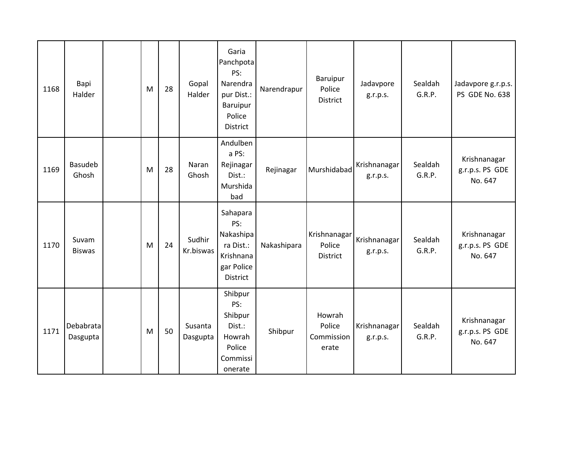| 1168 | Bapi<br>Halder         | M | 28 | Gopal<br>Halder     | Garia<br>Panchpota<br>PS:<br>Narendra<br>pur Dist.:<br>Baruipur<br>Police<br>District   | Narendrapur | Baruipur<br>Police<br>District          | Jadavpore<br>g.r.p.s.    | Sealdah<br>G.R.P. | Jadavpore g.r.p.s.<br>PS GDE No. 638       |
|------|------------------------|---|----|---------------------|-----------------------------------------------------------------------------------------|-------------|-----------------------------------------|--------------------------|-------------------|--------------------------------------------|
| 1169 | Basudeb<br>Ghosh       | M | 28 | Naran<br>Ghosh      | Andulben<br>a PS:<br>Rejinagar<br>Dist.:<br>Murshida<br>bad                             | Rejinagar   | Murshidabad                             | Krishnanagar<br>g.r.p.s. | Sealdah<br>G.R.P. | Krishnanagar<br>g.r.p.s. PS GDE<br>No. 647 |
| 1170 | Suvam<br><b>Biswas</b> | M | 24 | Sudhir<br>Kr.biswas | Sahapara<br>PS:<br>Nakashipa<br>ra Dist.:<br>Krishnana<br>gar Police<br><b>District</b> | Nakashipara | Krishnanagar<br>Police<br>District      | Krishnanagar<br>g.r.p.s. | Sealdah<br>G.R.P. | Krishnanagar<br>g.r.p.s. PS GDE<br>No. 647 |
| 1171 | Debabrata<br>Dasgupta  | M | 50 | Susanta<br>Dasgupta | Shibpur<br>PS:<br>Shibpur<br>Dist.:<br>Howrah<br>Police<br>Commissi<br>onerate          | Shibpur     | Howrah<br>Police<br>Commission<br>erate | Krishnanagar<br>g.r.p.s. | Sealdah<br>G.R.P. | Krishnanagar<br>g.r.p.s. PS GDE<br>No. 647 |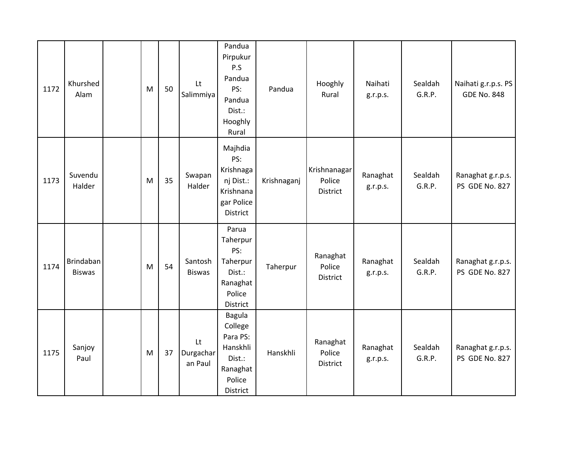| 1172 | Khurshed<br>Alam           | M | 50 | Lt<br>Salimmiya            | Pandua<br>Pirpukur<br>P.S<br>Pandua<br>PS:<br>Pandua<br>Dist.:<br>Hooghly<br>Rural    | Pandua      | Hooghly<br>Rural                   | Naihati<br>g.r.p.s.  | Sealdah<br>G.R.P. | Naihati g.r.p.s. PS<br><b>GDE No. 848</b> |
|------|----------------------------|---|----|----------------------------|---------------------------------------------------------------------------------------|-------------|------------------------------------|----------------------|-------------------|-------------------------------------------|
| 1173 | Suvendu<br>Halder          | M | 35 | Swapan<br>Halder           | Majhdia<br>PS:<br>Krishnaga<br>nj Dist.:<br>Krishnana<br>gar Police<br>District       | Krishnaganj | Krishnanagar<br>Police<br>District | Ranaghat<br>g.r.p.s. | Sealdah<br>G.R.P. | Ranaghat g.r.p.s.<br>PS GDE No. 827       |
| 1174 | Brindaban<br><b>Biswas</b> | M | 54 | Santosh<br><b>Biswas</b>   | Parua<br>Taherpur<br>PS:<br>Taherpur<br>Dist.:<br>Ranaghat<br>Police<br>District      | Taherpur    | Ranaghat<br>Police<br>District     | Ranaghat<br>g.r.p.s. | Sealdah<br>G.R.P. | Ranaghat g.r.p.s.<br>PS GDE No. 827       |
| 1175 | Sanjoy<br>Paul             | M | 37 | Lt<br>Durgachar<br>an Paul | Bagula<br>College<br>Para PS:<br>Hanskhli<br>Dist.:<br>Ranaghat<br>Police<br>District | Hanskhli    | Ranaghat<br>Police<br>District     | Ranaghat<br>g.r.p.s. | Sealdah<br>G.R.P. | Ranaghat g.r.p.s.<br>PS GDE No. 827       |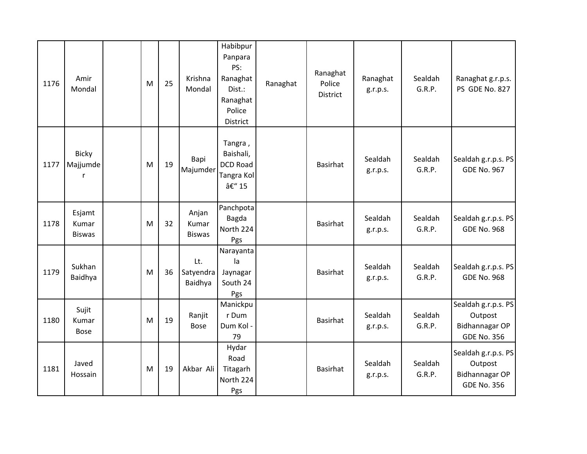| 1176 | Amir<br>Mondal                   | M | 25 | Krishna<br>Mondal               | Habibpur<br>Panpara<br>PS:<br>Ranaghat<br>Dist.:<br>Ranaghat<br>Police<br>District | Ranaghat | Ranaghat<br>Police<br>District | Ranaghat<br>g.r.p.s. | Sealdah<br>G.R.P. | Ranaghat g.r.p.s.<br>PS GDE No. 827                                    |
|------|----------------------------------|---|----|---------------------------------|------------------------------------------------------------------------------------|----------|--------------------------------|----------------------|-------------------|------------------------------------------------------------------------|
| 1177 | <b>Bicky</b><br>Majjumde<br>r    | M | 19 | Bapi<br>Majumder                | Tangra,<br>Baishali,<br><b>DCD Road</b><br>Tangra Kol<br>– 15                      |          | Basirhat                       | Sealdah<br>g.r.p.s.  | Sealdah<br>G.R.P. | Sealdah g.r.p.s. PS<br><b>GDE No. 967</b>                              |
| 1178 | Esjamt<br>Kumar<br><b>Biswas</b> | M | 32 | Anjan<br>Kumar<br><b>Biswas</b> | Panchpota<br>Bagda<br>North 224<br>Pgs                                             |          | Basirhat                       | Sealdah<br>g.r.p.s.  | Sealdah<br>G.R.P. | Sealdah g.r.p.s. PS<br><b>GDE No. 968</b>                              |
| 1179 | Sukhan<br>Baidhya                | M | 36 | Lt.<br>Satyendra<br>Baidhya     | Narayanta<br>la<br>Jaynagar<br>South 24<br>Pgs                                     |          | Basirhat                       | Sealdah<br>g.r.p.s.  | Sealdah<br>G.R.P. | Sealdah g.r.p.s. PS<br><b>GDE No. 968</b>                              |
| 1180 | Sujit<br>Kumar<br><b>Bose</b>    | M | 19 | Ranjit<br><b>Bose</b>           | Manickpu<br>r Dum<br>Dum Kol -<br>79                                               |          | Basirhat                       | Sealdah<br>g.r.p.s.  | Sealdah<br>G.R.P. | Sealdah g.r.p.s. PS<br>Outpost<br>Bidhannagar OP<br><b>GDE No. 356</b> |
| 1181 | Javed<br>Hossain                 | M | 19 | Akbar Ali                       | Hydar<br>Road<br>Titagarh<br>North 224<br>Pgs                                      |          | <b>Basirhat</b>                | Sealdah<br>g.r.p.s.  | Sealdah<br>G.R.P. | Sealdah g.r.p.s. PS<br>Outpost<br>Bidhannagar OP<br><b>GDE No. 356</b> |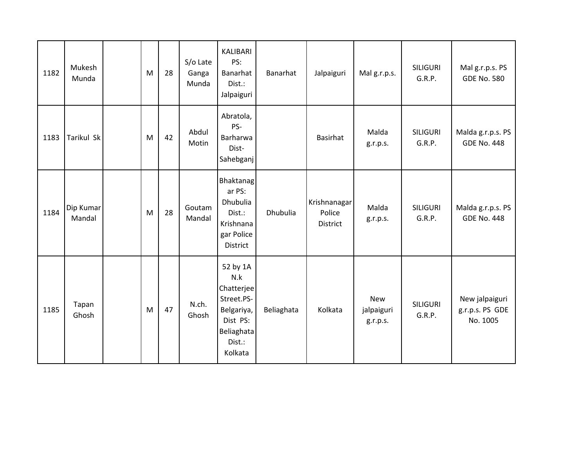| 1182 | Mukesh<br>Munda     | M | 28 | S/o Late<br>Ganga<br>Munda | KALIBARI<br>PS:<br>Banarhat<br>Dist.:<br>Jalpaiguri                                                      | Banarhat   | Jalpaiguri                                | Malg.r.p.s.                          | <b>SILIGURI</b><br>G.R.P. | Malg.r.p.s. PS<br><b>GDE No. 580</b>          |
|------|---------------------|---|----|----------------------------|----------------------------------------------------------------------------------------------------------|------------|-------------------------------------------|--------------------------------------|---------------------------|-----------------------------------------------|
| 1183 | Tarikul Sk          | M | 42 | Abdul<br>Motin             | Abratola,<br>PS-<br>Barharwa<br>Dist-<br>Sahebganj                                                       |            | Basirhat                                  | Malda<br>g.r.p.s.                    | <b>SILIGURI</b><br>G.R.P. | Malda g.r.p.s. PS<br><b>GDE No. 448</b>       |
| 1184 | Dip Kumar<br>Mandal | M | 28 | Goutam<br>Mandal           | Bhaktanag<br>ar PS:<br>Dhubulia<br>Dist.:<br>Krishnana<br>gar Police<br><b>District</b>                  | Dhubulia   | Krishnanagar<br>Police<br><b>District</b> | Malda<br>g.r.p.s.                    | <b>SILIGURI</b><br>G.R.P. | Malda g.r.p.s. PS<br><b>GDE No. 448</b>       |
| 1185 | Tapan<br>Ghosh      | M | 47 | N.ch.<br>Ghosh             | 52 by 1A<br>N.k<br>Chatterjee<br>Street.PS-<br>Belgariya,<br>Dist PS:<br>Beliaghata<br>Dist.:<br>Kolkata | Beliaghata | Kolkata                                   | <b>New</b><br>jalpaiguri<br>g.r.p.s. | <b>SILIGURI</b><br>G.R.P. | New jalpaiguri<br>g.r.p.s. PS GDE<br>No. 1005 |